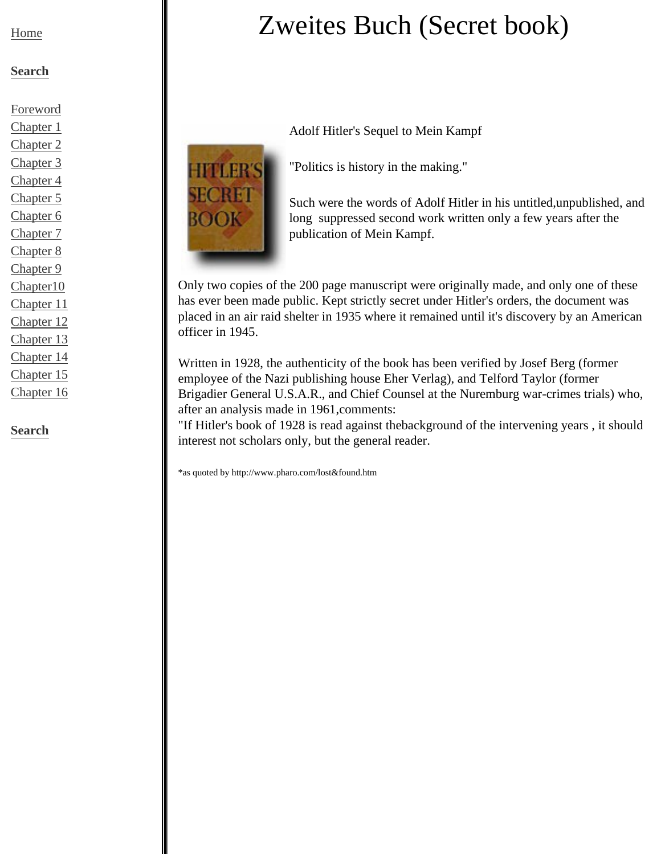#### [Home](http://www.adolfhitler.ws/)

#### **[Search](http://www.adolfhitler.ws/lib/search/Zsearch/Zsearch.cgi)**

[Foreword](#page-1-0) [Chapter 1](#page-3-0) [Chapter 2](#page-8-0) [Chapter 3](#page-15-0) [Chapter 4](#page-20-0) [Chapter 5](#page-25-0) [Chapter 6](#page-27-0) [Chapter 7](http://www.adolfhitler.ws/lib/books/zweites/sbchapter7.html) [Chapter 8](#page-44-0) [Chapter 9](#page-53-0) [Chapter10](#page-63-0) [Chapter 11](#page-71-0) [Chapter 12](#page-81-0) [Chapter 13](#page-82-0) [Chapter 14](#page-85-0) [Chapter 15](#page-92-0) [Chapter 16](#page-117-0)

**[Search](http://www.adolfhitler.ws/lib/search/Zsearch/Zsearch.cgi)**

# Zweites Buch (Secret book)

Adolf Hitler's Sequel to Mein Kampf



"Politics is history in the making."

Such were the words of Adolf Hitler in his untitled,unpublished, and long suppressed second work written only a few years after the publication of Mein Kampf.

Only two copies of the 200 page manuscript were originally made, and only one of these has ever been made public. Kept strictly secret under Hitler's orders, the document was placed in an air raid shelter in 1935 where it remained until it's discovery by an American officer in 1945.

Written in 1928, the authenticity of the book has been verified by Josef Berg (former employee of the Nazi publishing house Eher Verlag), and Telford Taylor (former Brigadier General U.S.A.R., and Chief Counsel at the Nuremburg war-crimes trials) who, after an analysis made in 1961,comments:

"If Hitler's book of 1928 is read against thebackground of the intervening years , it should interest not scholars only, but the general reader.

\*as quoted by http://www.pharo.com/lost&found.htm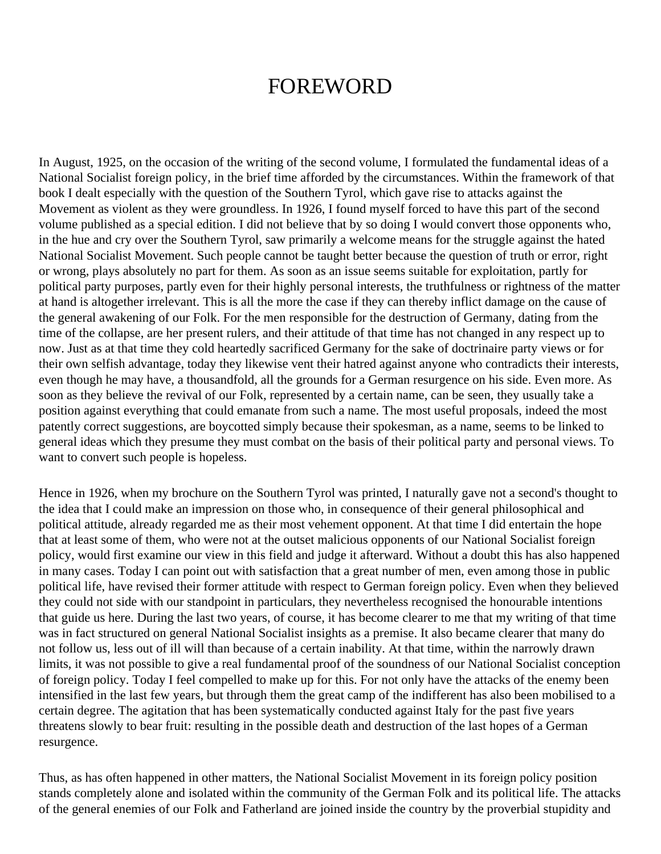## FOREWORD

<span id="page-1-0"></span>In August, 1925, on the occasion of the writing of the second volume, I formulated the fundamental ideas of a National Socialist foreign policy, in the brief time afforded by the circumstances. Within the framework of that book I dealt especially with the question of the Southern Tyrol, which gave rise to attacks against the Movement as violent as they were groundless. In 1926, I found myself forced to have this part of the second volume published as a special edition. I did not believe that by so doing I would convert those opponents who, in the hue and cry over the Southern Tyrol, saw primarily a welcome means for the struggle against the hated National Socialist Movement. Such people cannot be taught better because the question of truth or error, right or wrong, plays absolutely no part for them. As soon as an issue seems suitable for exploitation, partly for political party purposes, partly even for their highly personal interests, the truthfulness or rightness of the matter at hand is altogether irrelevant. This is all the more the case if they can thereby inflict damage on the cause of the general awakening of our Folk. For the men responsible for the destruction of Germany, dating from the time of the collapse, are her present rulers, and their attitude of that time has not changed in any respect up to now. Just as at that time they cold heartedly sacrificed Germany for the sake of doctrinaire party views or for their own selfish advantage, today they likewise vent their hatred against anyone who contradicts their interests, even though he may have, a thousandfold, all the grounds for a German resurgence on his side. Even more. As soon as they believe the revival of our Folk, represented by a certain name, can be seen, they usually take a position against everything that could emanate from such a name. The most useful proposals, indeed the most patently correct suggestions, are boycotted simply because their spokesman, as a name, seems to be linked to general ideas which they presume they must combat on the basis of their political party and personal views. To want to convert such people is hopeless.

Hence in 1926, when my brochure on the Southern Tyrol was printed, I naturally gave not a second's thought to the idea that I could make an impression on those who, in consequence of their general philosophical and political attitude, already regarded me as their most vehement opponent. At that time I did entertain the hope that at least some of them, who were not at the outset malicious opponents of our National Socialist foreign policy, would first examine our view in this field and judge it afterward. Without a doubt this has also happened in many cases. Today I can point out with satisfaction that a great number of men, even among those in public political life, have revised their former attitude with respect to German foreign policy. Even when they believed they could not side with our standpoint in particulars, they nevertheless recognised the honourable intentions that guide us here. During the last two years, of course, it has become clearer to me that my writing of that time was in fact structured on general National Socialist insights as a premise. It also became clearer that many do not follow us, less out of ill will than because of a certain inability. At that time, within the narrowly drawn limits, it was not possible to give a real fundamental proof of the soundness of our National Socialist conception of foreign policy. Today I feel compelled to make up for this. For not only have the attacks of the enemy been intensified in the last few years, but through them the great camp of the indifferent has also been mobilised to a certain degree. The agitation that has been systematically conducted against Italy for the past five years threatens slowly to bear fruit: resulting in the possible death and destruction of the last hopes of a German resurgence.

Thus, as has often happened in other matters, the National Socialist Movement in its foreign policy position stands completely alone and isolated within the community of the German Folk and its political life. The attacks of the general enemies of our Folk and Fatherland are joined inside the country by the proverbial stupidity and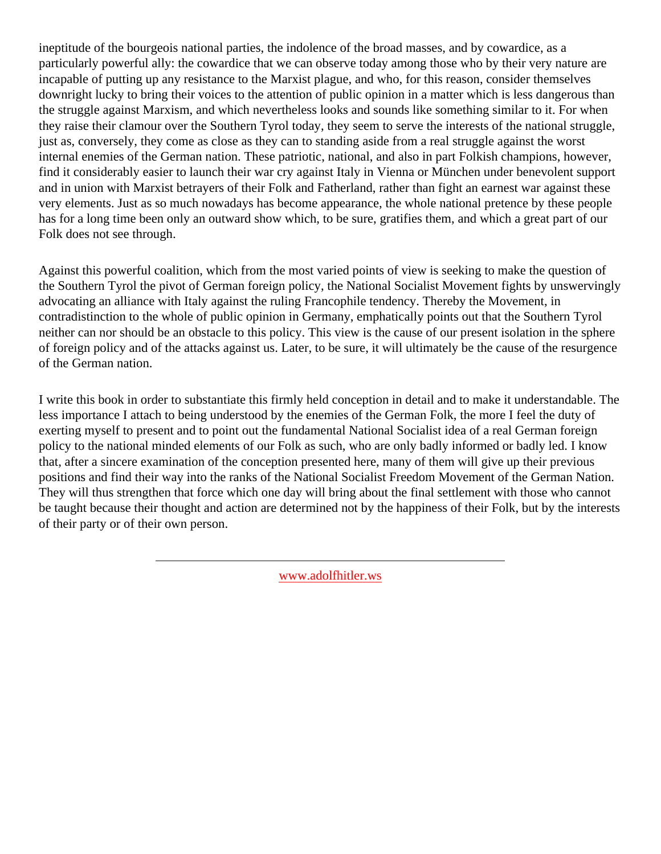ineptitude of the bourgeois national parties, the indolence of the broad masses, and by cowardice, as a particularly powerful ally: the cowardice that we can observe today among those who by their very nature are incapable of putting up any resistance to the Marxist plague, and who, for this reason, consider themselves downright lucky to bring their voices to the attention of public opinion in a matter which is less dangerous than the struggle against Marxism, and which nevertheless looks and sounds like something similar to it. For when they raise their clamour over the Southern Tyrol today, they seem to serve the interests of the national struggle, just as, conversely, they come as close as they can to standing aside from a real struggle against the worst internal enemies of the German nation. These patriotic, national, and also in part Folkish champions, however, find it considerably easier to launch their war cry against Italy in Vienna or München under benevolent support and in union with Marxist betrayers of their Folk and Fatherland, rather than fight an earnest war against these very elements. Just as so much nowadays has become appearance, the whole national pretence by these people has for a long time been only an outward show which, to be sure, gratifies them, and which a great part of our Folk does not see through.

Against this powerful coalition, which from the most varied points of view is seeking to make the question of the Southern Tyrol the pivot of German foreign policy, the National Socialist Movement fights by unswervingly advocating an alliance with Italy against the ruling Francophile tendency. Thereby the Movement, in contradistinction to the whole of public opinion in Germany, emphatically points out that the Southern Tyrol neither can nor should be an obstacle to this policy. This view is the cause of our present isolation in the sphere of foreign policy and of the attacks against us. Later, to be sure, it will ultimately be the cause of the resurgence of the German nation.

I write this book in order to substantiate this firmly held conception in detail and to make it understandable. The less importance I attach to being understood by the enemies of the German Folk, the more I feel the duty of exerting myself to present and to point out the fundamental National Socialist idea of a real German foreign policy to the national minded elements of our Folk as such, who are only badly informed or badly led. I know that, after a sincere examination of the conception presented here, many of them will give up their previous positions and find their way into the ranks of the National Socialist Freedom Movement of the German Nation. They will thus strengthen that force which one day will bring about the final settlement with those who cannot be taught because their thought and action are determined not by the happiness of their Folk, but by the interests of their party or of their own person.

[www.adolfhitler.ws](http://www.adolfhitler.ws/)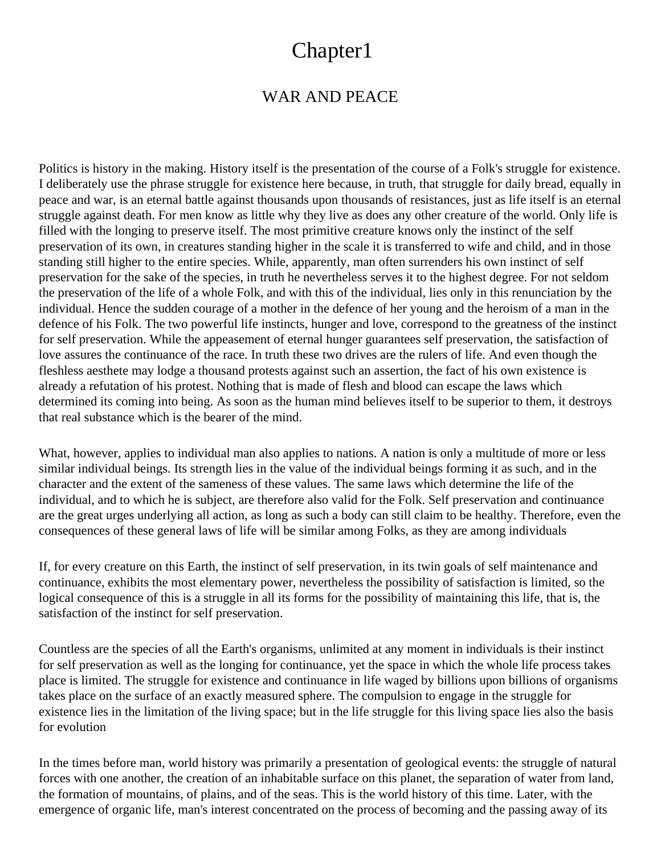## Chapter1

### WAR AND PEACE

<span id="page-3-0"></span>Politics is history in the making. History itself is the presentation of the course of a Folk's struggle for existence. I deliberately use the phrase struggle for existence here because, in truth, that struggle for daily bread, equally in peace and war, is an eternal battle against thousands upon thousands of resistances, just as life itself is an eternal struggle against death. For men know as little why they live as does any other creature of the world. Only life is filled with the longing to preserve itself. The most primitive creature knows only the instinct of the self preservation of its own, in creatures standing higher in the scale it is transferred to wife and child, and in those standing still higher to the entire species. While, apparently, man often surrenders his own instinct of self preservation for the sake of the species, in truth he nevertheless serves it to the highest degree. For not seldom the preservation of the life of a whole Folk, and with this of the individual, lies only in this renunciation by the individual. Hence the sudden courage of a mother in the defence of her young and the heroism of a man in the defence of his Folk. The two powerful life instincts, hunger and love, correspond to the greatness of the instinct for self preservation. While the appeasement of eternal hunger guarantees self preservation, the satisfaction of love assures the continuance of the race. In truth these two drives are the rulers of life. And even though the fleshless aesthete may lodge a thousand protests against such an assertion, the fact of his own existence is already a refutation of his protest. Nothing that is made of flesh and blood can escape the laws which determined its coming into being. As soon as the human mind believes itself to be superior to them, it destroys that real substance which is the bearer of the mind.

What, however, applies to individual man also applies to nations. A nation is only a multitude of more or less similar individual beings. Its strength lies in the value of the individual beings forming it as such, and in the character and the extent of the sameness of these values. The same laws which determine the life of the individual, and to which he is subject, are therefore also valid for the Folk. Self preservation and continuance are the great urges underlying all action, as long as such a body can still claim to be healthy. Therefore, even the consequences of these general laws of life will be similar among Folks, as they are among individuals

If, for every creature on this Earth, the instinct of self preservation, in its twin goals of self maintenance and continuance, exhibits the most elementary power, nevertheless the possibility of satisfaction is limited, so the logical consequence of this is a struggle in all its forms for the possibility of maintaining this life, that is, the satisfaction of the instinct for self preservation.

Countless are the species of all the Earth's organisms, unlimited at any moment in individuals is their instinct for self preservation as well as the longing for continuance, yet the space in which the whole life process takes place is limited. The struggle for existence and continuance in life waged by billions upon billions of organisms takes place on the surface of an exactly measured sphere. The compulsion to engage in the struggle for existence lies in the limitation of the living space; but in the life struggle for this living space lies also the basis for evolution

In the times before man, world history was primarily a presentation of geological events: the struggle of natural forces with one another, the creation of an inhabitable surface on this planet, the separation of water from land, the formation of mountains, of plains, and of the seas. This is the world history of this time. Later, with the emergence of organic life, man's interest concentrated on the process of becoming and the passing away of its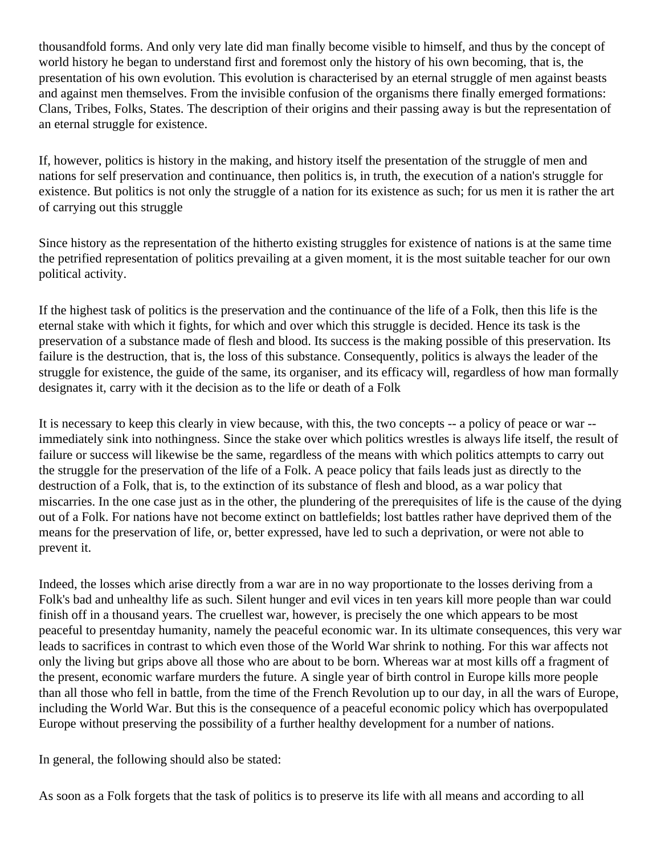thousandfold forms. And only very late did man finally become visible to himself, and thus by the concept of world history he began to understand first and foremost only the history of his own becoming, that is, the presentation of his own evolution. This evolution is characterised by an eternal struggle of men against beasts and against men themselves. From the invisible confusion of the organisms there finally emerged formations: Clans, Tribes, Folks, States. The description of their origins and their passing away is but the representation of an eternal struggle for existence.

If, however, politics is history in the making, and history itself the presentation of the struggle of men and nations for self preservation and continuance, then politics is, in truth, the execution of a nation's struggle for existence. But politics is not only the struggle of a nation for its existence as such; for us men it is rather the art of carrying out this struggle

Since history as the representation of the hitherto existing struggles for existence of nations is at the same time the petrified representation of politics prevailing at a given moment, it is the most suitable teacher for our own political activity.

If the highest task of politics is the preservation and the continuance of the life of a Folk, then this life is the eternal stake with which it fights, for which and over which this struggle is decided. Hence its task is the preservation of a substance made of flesh and blood. Its success is the making possible of this preservation. Its failure is the destruction, that is, the loss of this substance. Consequently, politics is always the leader of the struggle for existence, the guide of the same, its organiser, and its efficacy will, regardless of how man formally designates it, carry with it the decision as to the life or death of a Folk

It is necessary to keep this clearly in view because, with this, the two concepts -- a policy of peace or war - immediately sink into nothingness. Since the stake over which politics wrestles is always life itself, the result of failure or success will likewise be the same, regardless of the means with which politics attempts to carry out the struggle for the preservation of the life of a Folk. A peace policy that fails leads just as directly to the destruction of a Folk, that is, to the extinction of its substance of flesh and blood, as a war policy that miscarries. In the one case just as in the other, the plundering of the prerequisites of life is the cause of the dying out of a Folk. For nations have not become extinct on battlefields; lost battles rather have deprived them of the means for the preservation of life, or, better expressed, have led to such a deprivation, or were not able to prevent it.

Indeed, the losses which arise directly from a war are in no way proportionate to the losses deriving from a Folk's bad and unhealthy life as such. Silent hunger and evil vices in ten years kill more people than war could finish off in a thousand years. The cruellest war, however, is precisely the one which appears to be most peaceful to presentday humanity, namely the peaceful economic war. In its ultimate consequences, this very war leads to sacrifices in contrast to which even those of the World War shrink to nothing. For this war affects not only the living but grips above all those who are about to be born. Whereas war at most kills off a fragment of the present, economic warfare murders the future. A single year of birth control in Europe kills more people than all those who fell in battle, from the time of the French Revolution up to our day, in all the wars of Europe, including the World War. But this is the consequence of a peaceful economic policy which has overpopulated Europe without preserving the possibility of a further healthy development for a number of nations.

In general, the following should also be stated:

As soon as a Folk forgets that the task of politics is to preserve its life with all means and according to all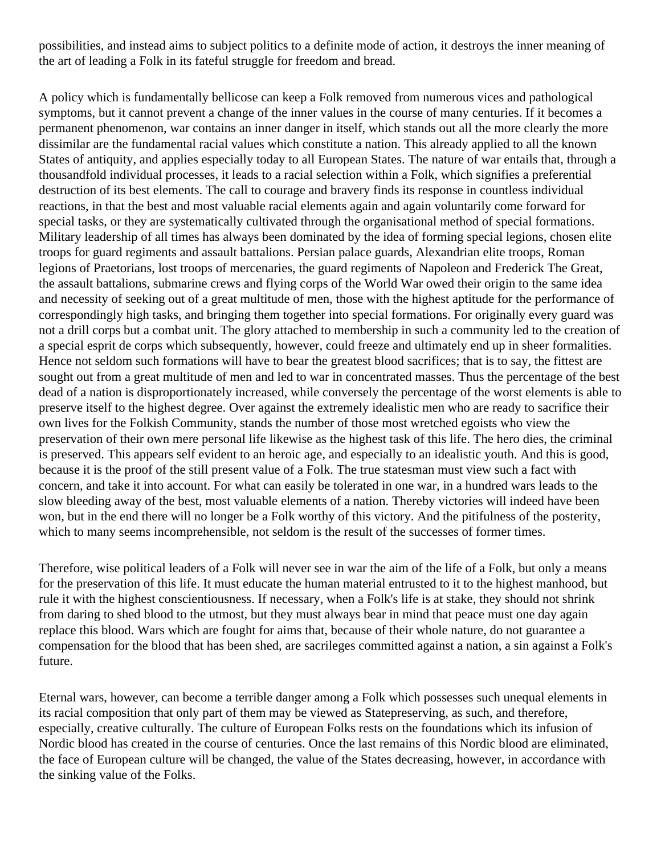possibilities, and instead aims to subject politics to a definite mode of action, it destroys the inner meaning of the art of leading a Folk in its fateful struggle for freedom and bread.

A policy which is fundamentally bellicose can keep a Folk removed from numerous vices and pathological symptoms, but it cannot prevent a change of the inner values in the course of many centuries. If it becomes a permanent phenomenon, war contains an inner danger in itself, which stands out all the more clearly the more dissimilar are the fundamental racial values which constitute a nation. This already applied to all the known States of antiquity, and applies especially today to all European States. The nature of war entails that, through a thousandfold individual processes, it leads to a racial selection within a Folk, which signifies a preferential destruction of its best elements. The call to courage and bravery finds its response in countless individual reactions, in that the best and most valuable racial elements again and again voluntarily come forward for special tasks, or they are systematically cultivated through the organisational method of special formations. Military leadership of all times has always been dominated by the idea of forming special legions, chosen elite troops for guard regiments and assault battalions. Persian palace guards, Alexandrian elite troops, Roman legions of Praetorians, lost troops of mercenaries, the guard regiments of Napoleon and Frederick The Great, the assault battalions, submarine crews and flying corps of the World War owed their origin to the same idea and necessity of seeking out of a great multitude of men, those with the highest aptitude for the performance of correspondingly high tasks, and bringing them together into special formations. For originally every guard was not a drill corps but a combat unit. The glory attached to membership in such a community led to the creation of a special esprit de corps which subsequently, however, could freeze and ultimately end up in sheer formalities. Hence not seldom such formations will have to bear the greatest blood sacrifices; that is to say, the fittest are sought out from a great multitude of men and led to war in concentrated masses. Thus the percentage of the best dead of a nation is disproportionately increased, while conversely the percentage of the worst elements is able to preserve itself to the highest degree. Over against the extremely idealistic men who are ready to sacrifice their own lives for the Folkish Community, stands the number of those most wretched egoists who view the preservation of their own mere personal life likewise as the highest task of this life. The hero dies, the criminal is preserved. This appears self evident to an heroic age, and especially to an idealistic youth. And this is good, because it is the proof of the still present value of a Folk. The true statesman must view such a fact with concern, and take it into account. For what can easily be tolerated in one war, in a hundred wars leads to the slow bleeding away of the best, most valuable elements of a nation. Thereby victories will indeed have been won, but in the end there will no longer be a Folk worthy of this victory. And the pitifulness of the posterity, which to many seems incomprehensible, not seldom is the result of the successes of former times.

Therefore, wise political leaders of a Folk will never see in war the aim of the life of a Folk, but only a means for the preservation of this life. It must educate the human material entrusted to it to the highest manhood, but rule it with the highest conscientiousness. If necessary, when a Folk's life is at stake, they should not shrink from daring to shed blood to the utmost, but they must always bear in mind that peace must one day again replace this blood. Wars which are fought for aims that, because of their whole nature, do not guarantee a compensation for the blood that has been shed, are sacrileges committed against a nation, a sin against a Folk's future.

Eternal wars, however, can become a terrible danger among a Folk which possesses such unequal elements in its racial composition that only part of them may be viewed as Statepreserving, as such, and therefore, especially, creative culturally. The culture of European Folks rests on the foundations which its infusion of Nordic blood has created in the course of centuries. Once the last remains of this Nordic blood are eliminated, the face of European culture will be changed, the value of the States decreasing, however, in accordance with the sinking value of the Folks.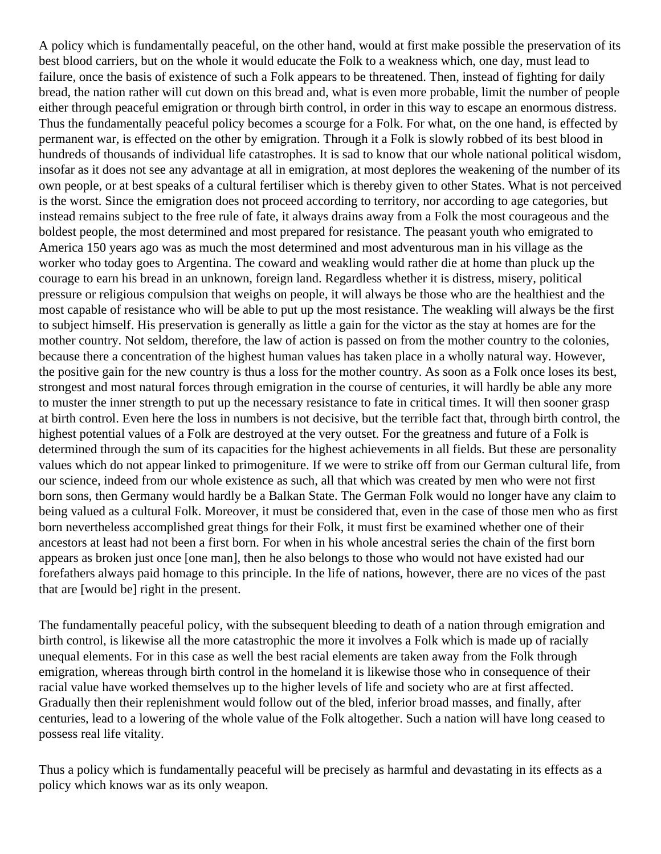A policy which is fundamentally peaceful, on the other hand, would at first make possible the preservation of its best blood carriers, but on the whole it would educate the Folk to a weakness which, one day, must lead to failure, once the basis of existence of such a Folk appears to be threatened. Then, instead of fighting for daily bread, the nation rather will cut down on this bread and, what is even more probable, limit the number of people either through peaceful emigration or through birth control, in order in this way to escape an enormous distress. Thus the fundamentally peaceful policy becomes a scourge for a Folk. For what, on the one hand, is effected by permanent war, is effected on the other by emigration. Through it a Folk is slowly robbed of its best blood in hundreds of thousands of individual life catastrophes. It is sad to know that our whole national political wisdom, insofar as it does not see any advantage at all in emigration, at most deplores the weakening of the number of its own people, or at best speaks of a cultural fertiliser which is thereby given to other States. What is not perceived is the worst. Since the emigration does not proceed according to territory, nor according to age categories, but instead remains subject to the free rule of fate, it always drains away from a Folk the most courageous and the boldest people, the most determined and most prepared for resistance. The peasant youth who emigrated to America 150 years ago was as much the most determined and most adventurous man in his village as the worker who today goes to Argentina. The coward and weakling would rather die at home than pluck up the courage to earn his bread in an unknown, foreign land. Regardless whether it is distress, misery, political pressure or religious compulsion that weighs on people, it will always be those who are the healthiest and the most capable of resistance who will be able to put up the most resistance. The weakling will always be the first to subject himself. His preservation is generally as little a gain for the victor as the stay at homes are for the mother country. Not seldom, therefore, the law of action is passed on from the mother country to the colonies, because there a concentration of the highest human values has taken place in a wholly natural way. However, the positive gain for the new country is thus a loss for the mother country. As soon as a Folk once loses its best, strongest and most natural forces through emigration in the course of centuries, it will hardly be able any more to muster the inner strength to put up the necessary resistance to fate in critical times. It will then sooner grasp at birth control. Even here the loss in numbers is not decisive, but the terrible fact that, through birth control, the highest potential values of a Folk are destroyed at the very outset. For the greatness and future of a Folk is determined through the sum of its capacities for the highest achievements in all fields. But these are personality values which do not appear linked to primogeniture. If we were to strike off from our German cultural life, from our science, indeed from our whole existence as such, all that which was created by men who were not first born sons, then Germany would hardly be a Balkan State. The German Folk would no longer have any claim to being valued as a cultural Folk. Moreover, it must be considered that, even in the case of those men who as first born nevertheless accomplished great things for their Folk, it must first be examined whether one of their ancestors at least had not been a first born. For when in his whole ancestral series the chain of the first born appears as broken just once [one man], then he also belongs to those who would not have existed had our forefathers always paid homage to this principle. In the life of nations, however, there are no vices of the past that are [would be] right in the present.

The fundamentally peaceful policy, with the subsequent bleeding to death of a nation through emigration and birth control, is likewise all the more catastrophic the more it involves a Folk which is made up of racially unequal elements. For in this case as well the best racial elements are taken away from the Folk through emigration, whereas through birth control in the homeland it is likewise those who in consequence of their racial value have worked themselves up to the higher levels of life and society who are at first affected. Gradually then their replenishment would follow out of the bled, inferior broad masses, and finally, after centuries, lead to a lowering of the whole value of the Folk altogether. Such a nation will have long ceased to possess real life vitality.

Thus a policy which is fundamentally peaceful will be precisely as harmful and devastating in its effects as a policy which knows war as its only weapon.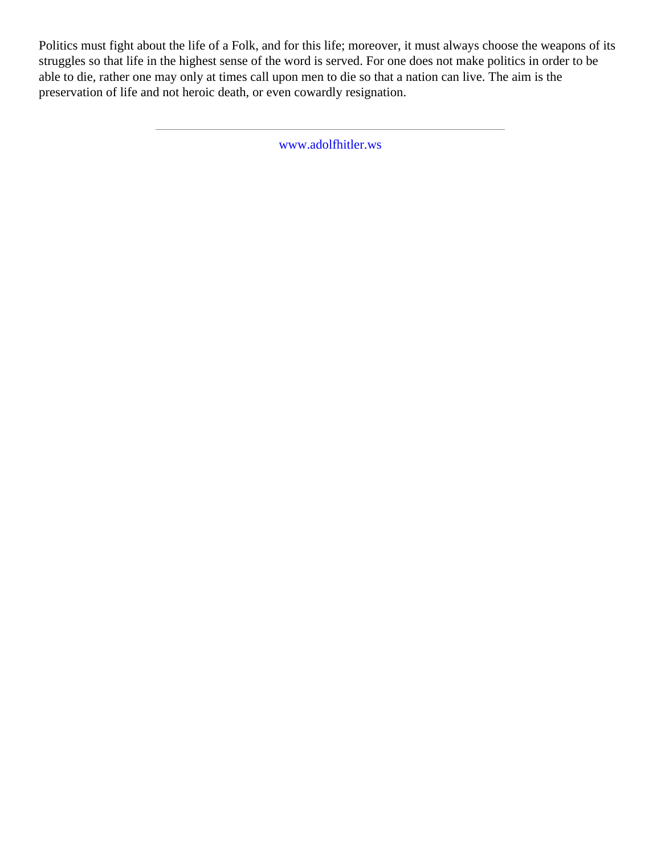Politics must fight about the life of a Folk, and for this life; moreover, it must always choose the weapons of its struggles so that life in the highest sense of the word is served. For one does not make politics in order to be able to die, rather one may only at times call upon men to die so that a nation can live. The aim is the preservation of life and not heroic death, or even cowardly resignation.

[www.adolfhitler.ws](http://www.adolfhitler.ws/)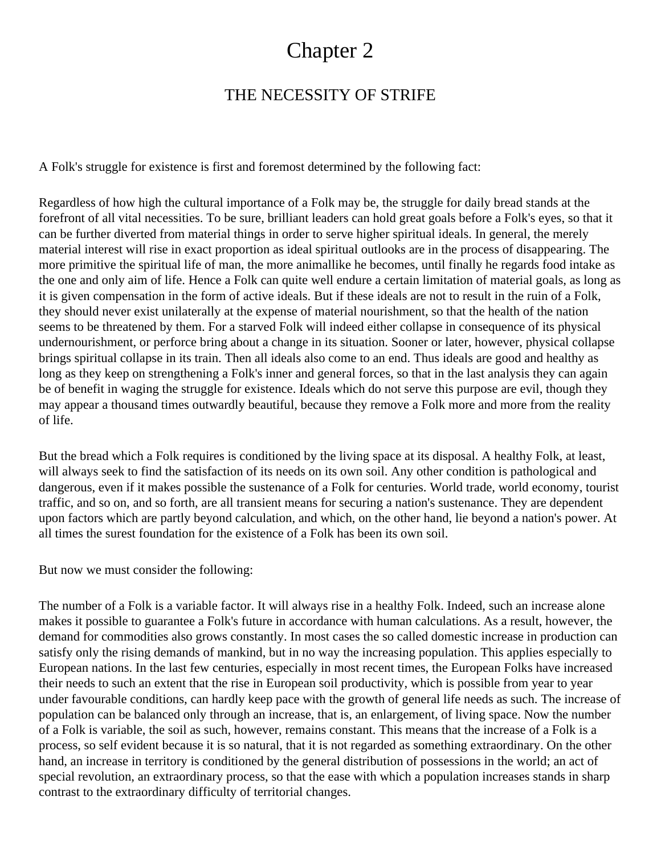## Chapter 2

### THE NECESSITY OF STRIFE

<span id="page-8-0"></span>A Folk's struggle for existence is first and foremost determined by the following fact:

Regardless of how high the cultural importance of a Folk may be, the struggle for daily bread stands at the forefront of all vital necessities. To be sure, brilliant leaders can hold great goals before a Folk's eyes, so that it can be further diverted from material things in order to serve higher spiritual ideals. In general, the merely material interest will rise in exact proportion as ideal spiritual outlooks are in the process of disappearing. The more primitive the spiritual life of man, the more animallike he becomes, until finally he regards food intake as the one and only aim of life. Hence a Folk can quite well endure a certain limitation of material goals, as long as it is given compensation in the form of active ideals. But if these ideals are not to result in the ruin of a Folk, they should never exist unilaterally at the expense of material nourishment, so that the health of the nation seems to be threatened by them. For a starved Folk will indeed either collapse in consequence of its physical undernourishment, or perforce bring about a change in its situation. Sooner or later, however, physical collapse brings spiritual collapse in its train. Then all ideals also come to an end. Thus ideals are good and healthy as long as they keep on strengthening a Folk's inner and general forces, so that in the last analysis they can again be of benefit in waging the struggle for existence. Ideals which do not serve this purpose are evil, though they may appear a thousand times outwardly beautiful, because they remove a Folk more and more from the reality of life.

But the bread which a Folk requires is conditioned by the living space at its disposal. A healthy Folk, at least, will always seek to find the satisfaction of its needs on its own soil. Any other condition is pathological and dangerous, even if it makes possible the sustenance of a Folk for centuries. World trade, world economy, tourist traffic, and so on, and so forth, are all transient means for securing a nation's sustenance. They are dependent upon factors which are partly beyond calculation, and which, on the other hand, lie beyond a nation's power. At all times the surest foundation for the existence of a Folk has been its own soil.

But now we must consider the following:

The number of a Folk is a variable factor. It will always rise in a healthy Folk. Indeed, such an increase alone makes it possible to guarantee a Folk's future in accordance with human calculations. As a result, however, the demand for commodities also grows constantly. In most cases the so called domestic increase in production can satisfy only the rising demands of mankind, but in no way the increasing population. This applies especially to European nations. In the last few centuries, especially in most recent times, the European Folks have increased their needs to such an extent that the rise in European soil productivity, which is possible from year to year under favourable conditions, can hardly keep pace with the growth of general life needs as such. The increase of population can be balanced only through an increase, that is, an enlargement, of living space. Now the number of a Folk is variable, the soil as such, however, remains constant. This means that the increase of a Folk is a process, so self evident because it is so natural, that it is not regarded as something extraordinary. On the other hand, an increase in territory is conditioned by the general distribution of possessions in the world; an act of special revolution, an extraordinary process, so that the ease with which a population increases stands in sharp contrast to the extraordinary difficulty of territorial changes.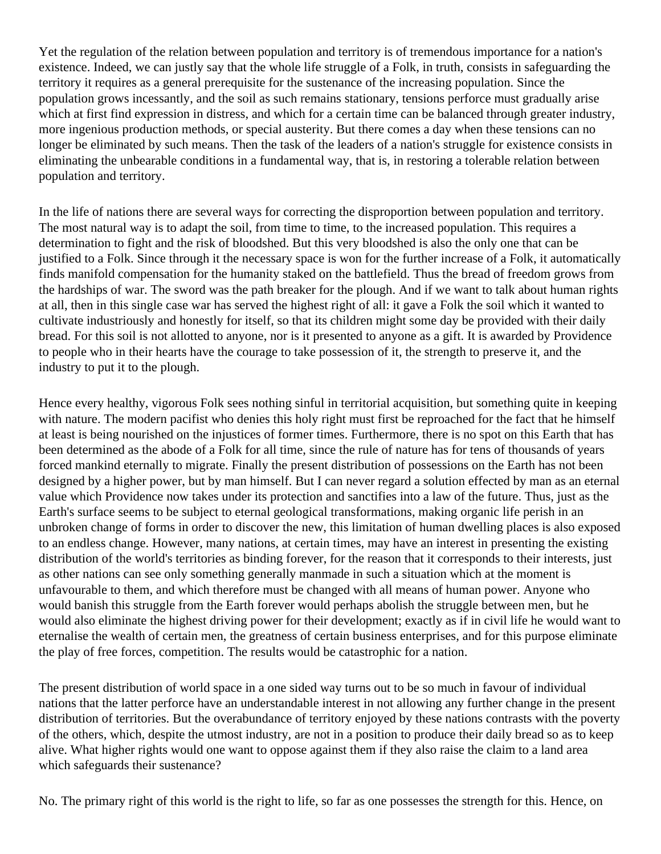Yet the regulation of the relation between population and territory is of tremendous importance for a nation's existence. Indeed, we can justly say that the whole life struggle of a Folk, in truth, consists in safeguarding the territory it requires as a general prerequisite for the sustenance of the increasing population. Since the population grows incessantly, and the soil as such remains stationary, tensions perforce must gradually arise which at first find expression in distress, and which for a certain time can be balanced through greater industry, more ingenious production methods, or special austerity. But there comes a day when these tensions can no longer be eliminated by such means. Then the task of the leaders of a nation's struggle for existence consists in eliminating the unbearable conditions in a fundamental way, that is, in restoring a tolerable relation between population and territory.

In the life of nations there are several ways for correcting the disproportion between population and territory. The most natural way is to adapt the soil, from time to time, to the increased population. This requires a determination to fight and the risk of bloodshed. But this very bloodshed is also the only one that can be justified to a Folk. Since through it the necessary space is won for the further increase of a Folk, it automatically finds manifold compensation for the humanity staked on the battlefield. Thus the bread of freedom grows from the hardships of war. The sword was the path breaker for the plough. And if we want to talk about human rights at all, then in this single case war has served the highest right of all: it gave a Folk the soil which it wanted to cultivate industriously and honestly for itself, so that its children might some day be provided with their daily bread. For this soil is not allotted to anyone, nor is it presented to anyone as a gift. It is awarded by Providence to people who in their hearts have the courage to take possession of it, the strength to preserve it, and the industry to put it to the plough.

Hence every healthy, vigorous Folk sees nothing sinful in territorial acquisition, but something quite in keeping with nature. The modern pacifist who denies this holy right must first be reproached for the fact that he himself at least is being nourished on the injustices of former times. Furthermore, there is no spot on this Earth that has been determined as the abode of a Folk for all time, since the rule of nature has for tens of thousands of years forced mankind eternally to migrate. Finally the present distribution of possessions on the Earth has not been designed by a higher power, but by man himself. But I can never regard a solution effected by man as an eternal value which Providence now takes under its protection and sanctifies into a law of the future. Thus, just as the Earth's surface seems to be subject to eternal geological transformations, making organic life perish in an unbroken change of forms in order to discover the new, this limitation of human dwelling places is also exposed to an endless change. However, many nations, at certain times, may have an interest in presenting the existing distribution of the world's territories as binding forever, for the reason that it corresponds to their interests, just as other nations can see only something generally manmade in such a situation which at the moment is unfavourable to them, and which therefore must be changed with all means of human power. Anyone who would banish this struggle from the Earth forever would perhaps abolish the struggle between men, but he would also eliminate the highest driving power for their development; exactly as if in civil life he would want to eternalise the wealth of certain men, the greatness of certain business enterprises, and for this purpose eliminate the play of free forces, competition. The results would be catastrophic for a nation.

The present distribution of world space in a one sided way turns out to be so much in favour of individual nations that the latter perforce have an understandable interest in not allowing any further change in the present distribution of territories. But the overabundance of territory enjoyed by these nations contrasts with the poverty of the others, which, despite the utmost industry, are not in a position to produce their daily bread so as to keep alive. What higher rights would one want to oppose against them if they also raise the claim to a land area which safeguards their sustenance?

No. The primary right of this world is the right to life, so far as one possesses the strength for this. Hence, on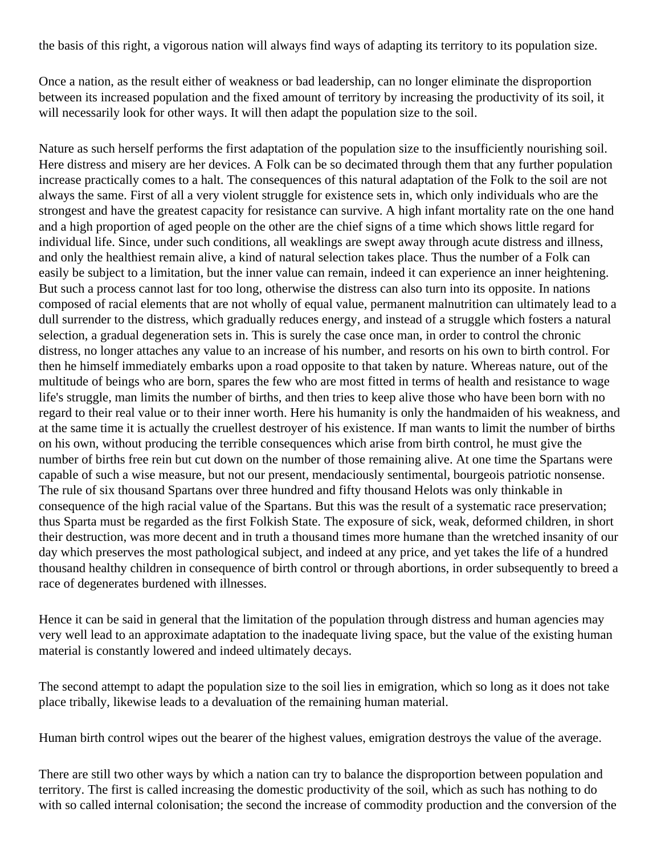the basis of this right, a vigorous nation will always find ways of adapting its territory to its population size.

Once a nation, as the result either of weakness or bad leadership, can no longer eliminate the disproportion between its increased population and the fixed amount of territory by increasing the productivity of its soil, it will necessarily look for other ways. It will then adapt the population size to the soil.

Nature as such herself performs the first adaptation of the population size to the insufficiently nourishing soil. Here distress and misery are her devices. A Folk can be so decimated through them that any further population increase practically comes to a halt. The consequences of this natural adaptation of the Folk to the soil are not always the same. First of all a very violent struggle for existence sets in, which only individuals who are the strongest and have the greatest capacity for resistance can survive. A high infant mortality rate on the one hand and a high proportion of aged people on the other are the chief signs of a time which shows little regard for individual life. Since, under such conditions, all weaklings are swept away through acute distress and illness, and only the healthiest remain alive, a kind of natural selection takes place. Thus the number of a Folk can easily be subject to a limitation, but the inner value can remain, indeed it can experience an inner heightening. But such a process cannot last for too long, otherwise the distress can also turn into its opposite. In nations composed of racial elements that are not wholly of equal value, permanent malnutrition can ultimately lead to a dull surrender to the distress, which gradually reduces energy, and instead of a struggle which fosters a natural selection, a gradual degeneration sets in. This is surely the case once man, in order to control the chronic distress, no longer attaches any value to an increase of his number, and resorts on his own to birth control. For then he himself immediately embarks upon a road opposite to that taken by nature. Whereas nature, out of the multitude of beings who are born, spares the few who are most fitted in terms of health and resistance to wage life's struggle, man limits the number of births, and then tries to keep alive those who have been born with no regard to their real value or to their inner worth. Here his humanity is only the handmaiden of his weakness, and at the same time it is actually the cruellest destroyer of his existence. If man wants to limit the number of births on his own, without producing the terrible consequences which arise from birth control, he must give the number of births free rein but cut down on the number of those remaining alive. At one time the Spartans were capable of such a wise measure, but not our present, mendaciously sentimental, bourgeois patriotic nonsense. The rule of six thousand Spartans over three hundred and fifty thousand Helots was only thinkable in consequence of the high racial value of the Spartans. But this was the result of a systematic race preservation; thus Sparta must be regarded as the first Folkish State. The exposure of sick, weak, deformed children, in short their destruction, was more decent and in truth a thousand times more humane than the wretched insanity of our day which preserves the most pathological subject, and indeed at any price, and yet takes the life of a hundred thousand healthy children in consequence of birth control or through abortions, in order subsequently to breed a race of degenerates burdened with illnesses.

Hence it can be said in general that the limitation of the population through distress and human agencies may very well lead to an approximate adaptation to the inadequate living space, but the value of the existing human material is constantly lowered and indeed ultimately decays.

The second attempt to adapt the population size to the soil lies in emigration, which so long as it does not take place tribally, likewise leads to a devaluation of the remaining human material.

Human birth control wipes out the bearer of the highest values, emigration destroys the value of the average.

There are still two other ways by which a nation can try to balance the disproportion between population and territory. The first is called increasing the domestic productivity of the soil, which as such has nothing to do with so called internal colonisation; the second the increase of commodity production and the conversion of the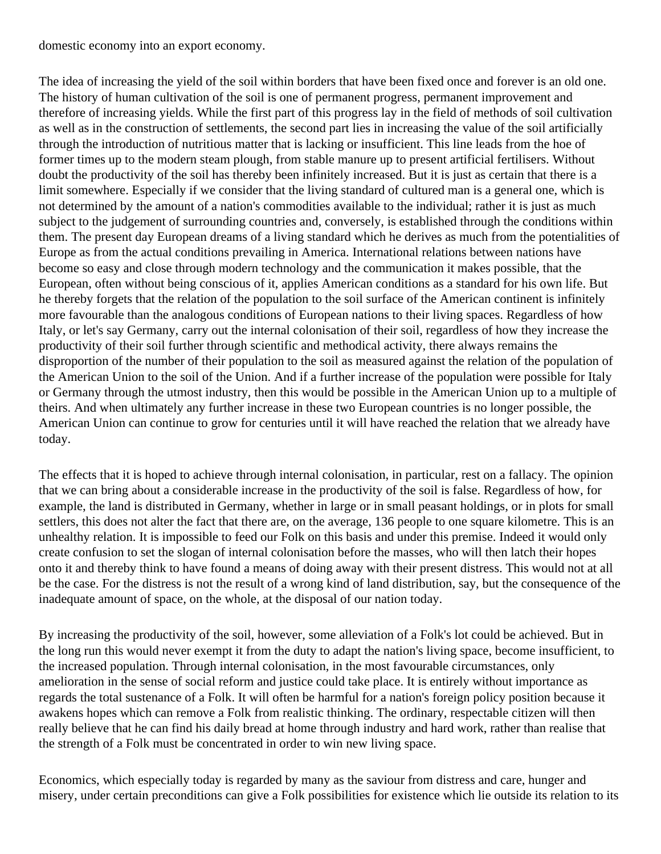domestic economy into an export economy.

The idea of increasing the yield of the soil within borders that have been fixed once and forever is an old one. The history of human cultivation of the soil is one of permanent progress, permanent improvement and therefore of increasing yields. While the first part of this progress lay in the field of methods of soil cultivation as well as in the construction of settlements, the second part lies in increasing the value of the soil artificially through the introduction of nutritious matter that is lacking or insufficient. This line leads from the hoe of former times up to the modern steam plough, from stable manure up to present artificial fertilisers. Without doubt the productivity of the soil has thereby been infinitely increased. But it is just as certain that there is a limit somewhere. Especially if we consider that the living standard of cultured man is a general one, which is not determined by the amount of a nation's commodities available to the individual; rather it is just as much subject to the judgement of surrounding countries and, conversely, is established through the conditions within them. The present day European dreams of a living standard which he derives as much from the potentialities of Europe as from the actual conditions prevailing in America. International relations between nations have become so easy and close through modern technology and the communication it makes possible, that the European, often without being conscious of it, applies American conditions as a standard for his own life. But he thereby forgets that the relation of the population to the soil surface of the American continent is infinitely more favourable than the analogous conditions of European nations to their living spaces. Regardless of how Italy, or let's say Germany, carry out the internal colonisation of their soil, regardless of how they increase the productivity of their soil further through scientific and methodical activity, there always remains the disproportion of the number of their population to the soil as measured against the relation of the population of the American Union to the soil of the Union. And if a further increase of the population were possible for Italy or Germany through the utmost industry, then this would be possible in the American Union up to a multiple of theirs. And when ultimately any further increase in these two European countries is no longer possible, the American Union can continue to grow for centuries until it will have reached the relation that we already have today.

The effects that it is hoped to achieve through internal colonisation, in particular, rest on a fallacy. The opinion that we can bring about a considerable increase in the productivity of the soil is false. Regardless of how, for example, the land is distributed in Germany, whether in large or in small peasant holdings, or in plots for small settlers, this does not alter the fact that there are, on the average, 136 people to one square kilometre. This is an unhealthy relation. It is impossible to feed our Folk on this basis and under this premise. Indeed it would only create confusion to set the slogan of internal colonisation before the masses, who will then latch their hopes onto it and thereby think to have found a means of doing away with their present distress. This would not at all be the case. For the distress is not the result of a wrong kind of land distribution, say, but the consequence of the inadequate amount of space, on the whole, at the disposal of our nation today.

By increasing the productivity of the soil, however, some alleviation of a Folk's lot could be achieved. But in the long run this would never exempt it from the duty to adapt the nation's living space, become insufficient, to the increased population. Through internal colonisation, in the most favourable circumstances, only amelioration in the sense of social reform and justice could take place. It is entirely without importance as regards the total sustenance of a Folk. It will often be harmful for a nation's foreign policy position because it awakens hopes which can remove a Folk from realistic thinking. The ordinary, respectable citizen will then really believe that he can find his daily bread at home through industry and hard work, rather than realise that the strength of a Folk must be concentrated in order to win new living space.

Economics, which especially today is regarded by many as the saviour from distress and care, hunger and misery, under certain preconditions can give a Folk possibilities for existence which lie outside its relation to its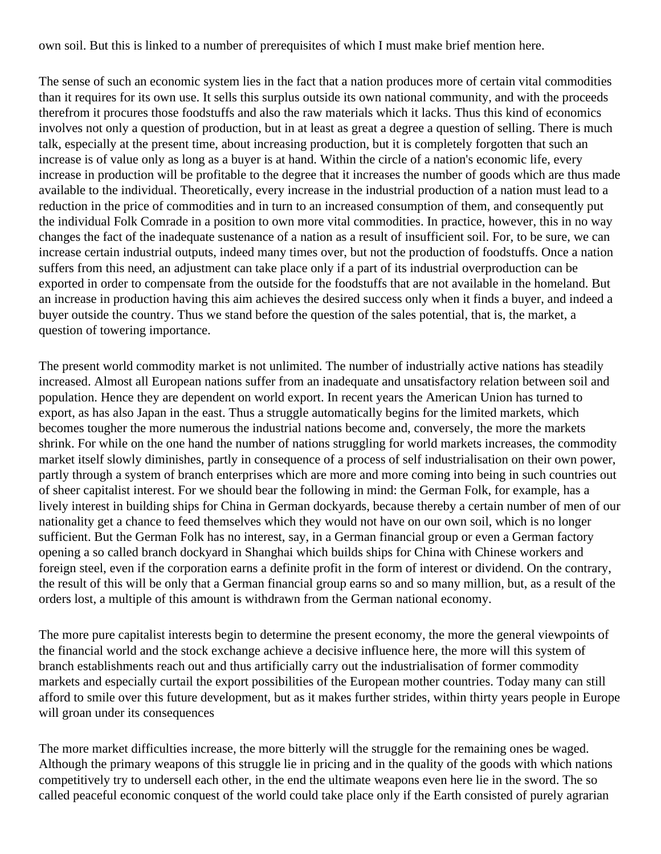own soil. But this is linked to a number of prerequisites of which I must make brief mention here.

The sense of such an economic system lies in the fact that a nation produces more of certain vital commodities than it requires for its own use. It sells this surplus outside its own national community, and with the proceeds therefrom it procures those foodstuffs and also the raw materials which it lacks. Thus this kind of economics involves not only a question of production, but in at least as great a degree a question of selling. There is much talk, especially at the present time, about increasing production, but it is completely forgotten that such an increase is of value only as long as a buyer is at hand. Within the circle of a nation's economic life, every increase in production will be profitable to the degree that it increases the number of goods which are thus made available to the individual. Theoretically, every increase in the industrial production of a nation must lead to a reduction in the price of commodities and in turn to an increased consumption of them, and consequently put the individual Folk Comrade in a position to own more vital commodities. In practice, however, this in no way changes the fact of the inadequate sustenance of a nation as a result of insufficient soil. For, to be sure, we can increase certain industrial outputs, indeed many times over, but not the production of foodstuffs. Once a nation suffers from this need, an adjustment can take place only if a part of its industrial overproduction can be exported in order to compensate from the outside for the foodstuffs that are not available in the homeland. But an increase in production having this aim achieves the desired success only when it finds a buyer, and indeed a buyer outside the country. Thus we stand before the question of the sales potential, that is, the market, a question of towering importance.

The present world commodity market is not unlimited. The number of industrially active nations has steadily increased. Almost all European nations suffer from an inadequate and unsatisfactory relation between soil and population. Hence they are dependent on world export. In recent years the American Union has turned to export, as has also Japan in the east. Thus a struggle automatically begins for the limited markets, which becomes tougher the more numerous the industrial nations become and, conversely, the more the markets shrink. For while on the one hand the number of nations struggling for world markets increases, the commodity market itself slowly diminishes, partly in consequence of a process of self industrialisation on their own power, partly through a system of branch enterprises which are more and more coming into being in such countries out of sheer capitalist interest. For we should bear the following in mind: the German Folk, for example, has a lively interest in building ships for China in German dockyards, because thereby a certain number of men of our nationality get a chance to feed themselves which they would not have on our own soil, which is no longer sufficient. But the German Folk has no interest, say, in a German financial group or even a German factory opening a so called branch dockyard in Shanghai which builds ships for China with Chinese workers and foreign steel, even if the corporation earns a definite profit in the form of interest or dividend. On the contrary, the result of this will be only that a German financial group earns so and so many million, but, as a result of the orders lost, a multiple of this amount is withdrawn from the German national economy.

The more pure capitalist interests begin to determine the present economy, the more the general viewpoints of the financial world and the stock exchange achieve a decisive influence here, the more will this system of branch establishments reach out and thus artificially carry out the industrialisation of former commodity markets and especially curtail the export possibilities of the European mother countries. Today many can still afford to smile over this future development, but as it makes further strides, within thirty years people in Europe will groan under its consequences

The more market difficulties increase, the more bitterly will the struggle for the remaining ones be waged. Although the primary weapons of this struggle lie in pricing and in the quality of the goods with which nations competitively try to undersell each other, in the end the ultimate weapons even here lie in the sword. The so called peaceful economic conquest of the world could take place only if the Earth consisted of purely agrarian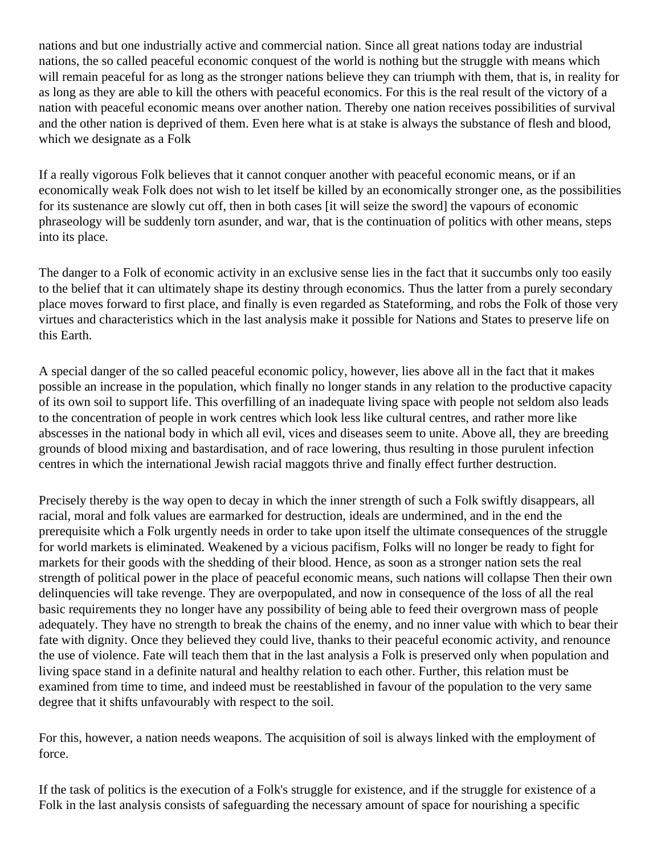nations and but one industrially active and commercial nation. Since all great nations today are industrial nations, the so called peaceful economic conquest of the world is nothing but the struggle with means which will remain peaceful for as long as the stronger nations believe they can triumph with them, that is, in reality for as long as they are able to kill the others with peaceful economics. For this is the real result of the victory of a nation with peaceful economic means over another nation. Thereby one nation receives possibilities of survival and the other nation is deprived of them. Even here what is at stake is always the substance of flesh and blood, which we designate as a Folk

If a really vigorous Folk believes that it cannot conquer another with peaceful economic means, or if an economically weak Folk does not wish to let itself be killed by an economically stronger one, as the possibilities for its sustenance are slowly cut off, then in both cases [it will seize the sword] the vapours of economic phraseology will be suddenly torn asunder, and war, that is the continuation of politics with other means, steps into its place.

The danger to a Folk of economic activity in an exclusive sense lies in the fact that it succumbs only too easily to the belief that it can ultimately shape its destiny through economics. Thus the latter from a purely secondary place moves forward to first place, and finally is even regarded as Stateforming, and robs the Folk of those very virtues and characteristics which in the last analysis make it possible for Nations and States to preserve life on this Earth.

A special danger of the so called peaceful economic policy, however, lies above all in the fact that it makes possible an increase in the population, which finally no longer stands in any relation to the productive capacity of its own soil to support life. This overfilling of an inadequate living space with people not seldom also leads to the concentration of people in work centres which look less like cultural centres, and rather more like abscesses in the national body in which all evil, vices and diseases seem to unite. Above all, they are breeding grounds of blood mixing and bastardisation, and of race lowering, thus resulting in those purulent infection centres in which the international Jewish racial maggots thrive and finally effect further destruction.

Precisely thereby is the way open to decay in which the inner strength of such a Folk swiftly disappears, all racial, moral and folk values are earmarked for destruction, ideals are undermined, and in the end the prerequisite which a Folk urgently needs in order to take upon itself the ultimate consequences of the struggle for world markets is eliminated. Weakened by a vicious pacifism, Folks will no longer be ready to fight for markets for their goods with the shedding of their blood. Hence, as soon as a stronger nation sets the real strength of political power in the place of peaceful economic means, such nations will collapse Then their own delinquencies will take revenge. They are overpopulated, and now in consequence of the loss of all the real basic requirements they no longer have any possibility of being able to feed their overgrown mass of people adequately. They have no strength to break the chains of the enemy, and no inner value with which to bear their fate with dignity. Once they believed they could live, thanks to their peaceful economic activity, and renounce the use of violence. Fate will teach them that in the last analysis a Folk is preserved only when population and living space stand in a definite natural and healthy relation to each other. Further, this relation must be examined from time to time, and indeed must be reestablished in favour of the population to the very same degree that it shifts unfavourably with respect to the soil.

For this, however, a nation needs weapons. The acquisition of soil is always linked with the employment of force.

If the task of politics is the execution of a Folk's struggle for existence, and if the struggle for existence of a Folk in the last analysis consists of safeguarding the necessary amount of space for nourishing a specific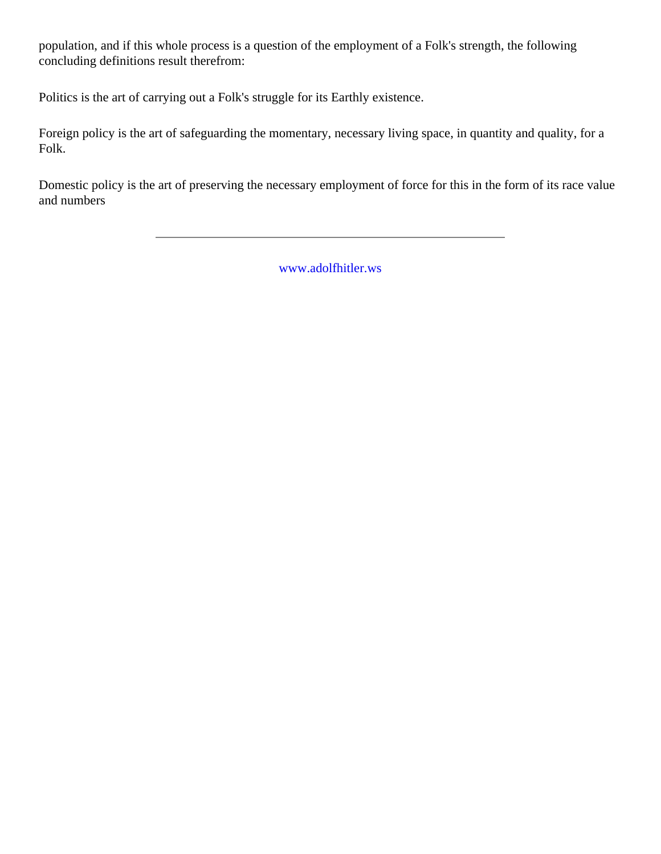population, and if this whole process is a question of the employment of a Folk's strength, the following concluding definitions result therefrom:

Politics is the art of carrying out a Folk's struggle for its Earthly existence.

Foreign policy is the art of safeguarding the momentary, necessary living space, in quantity and quality, for a Folk.

Domestic policy is the art of preserving the necessary employment of force for this in the form of its race value and numbers

[www.adolfhitler.ws](http://www.adolfhitler.ws/)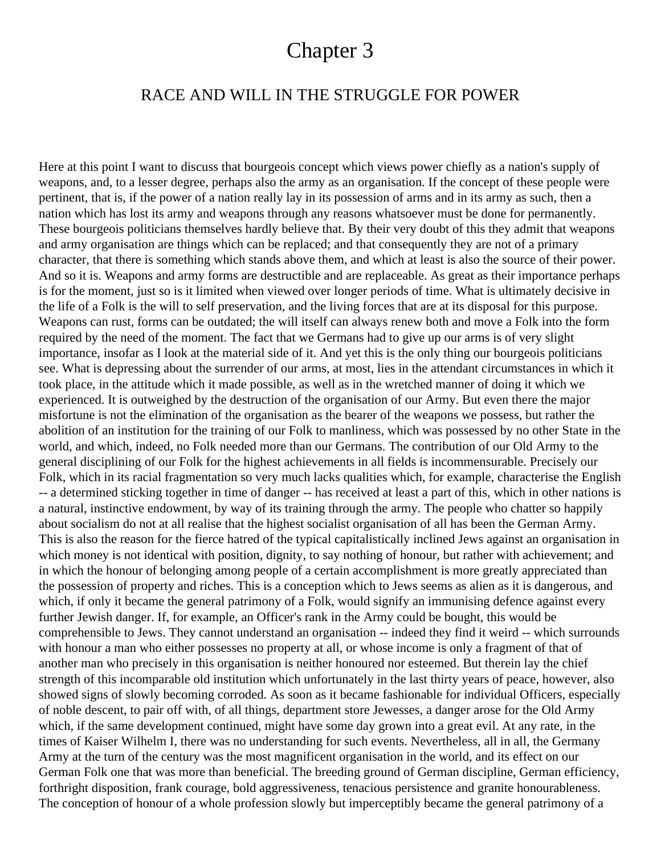### Chapter 3

### <span id="page-15-0"></span>RACE AND WILL IN THE STRUGGLE FOR POWER

Here at this point I want to discuss that bourgeois concept which views power chiefly as a nation's supply of weapons, and, to a lesser degree, perhaps also the army as an organisation. If the concept of these people were pertinent, that is, if the power of a nation really lay in its possession of arms and in its army as such, then a nation which has lost its army and weapons through any reasons whatsoever must be done for permanently. These bourgeois politicians themselves hardly believe that. By their very doubt of this they admit that weapons and army organisation are things which can be replaced; and that consequently they are not of a primary character, that there is something which stands above them, and which at least is also the source of their power. And so it is. Weapons and army forms are destructible and are replaceable. As great as their importance perhaps is for the moment, just so is it limited when viewed over longer periods of time. What is ultimately decisive in the life of a Folk is the will to self preservation, and the living forces that are at its disposal for this purpose. Weapons can rust, forms can be outdated; the will itself can always renew both and move a Folk into the form required by the need of the moment. The fact that we Germans had to give up our arms is of very slight importance, insofar as I look at the material side of it. And yet this is the only thing our bourgeois politicians see. What is depressing about the surrender of our arms, at most, lies in the attendant circumstances in which it took place, in the attitude which it made possible, as well as in the wretched manner of doing it which we experienced. It is outweighed by the destruction of the organisation of our Army. But even there the major misfortune is not the elimination of the organisation as the bearer of the weapons we possess, but rather the abolition of an institution for the training of our Folk to manliness, which was possessed by no other State in the world, and which, indeed, no Folk needed more than our Germans. The contribution of our Old Army to the general disciplining of our Folk for the highest achievements in all fields is incommensurable. Precisely our Folk, which in its racial fragmentation so very much lacks qualities which, for example, characterise the English -- a determined sticking together in time of danger -- has received at least a part of this, which in other nations is a natural, instinctive endowment, by way of its training through the army. The people who chatter so happily about socialism do not at all realise that the highest socialist organisation of all has been the German Army. This is also the reason for the fierce hatred of the typical capitalistically inclined Jews against an organisation in which money is not identical with position, dignity, to say nothing of honour, but rather with achievement; and in which the honour of belonging among people of a certain accomplishment is more greatly appreciated than the possession of property and riches. This is a conception which to Jews seems as alien as it is dangerous, and which, if only it became the general patrimony of a Folk, would signify an immunising defence against every further Jewish danger. If, for example, an Officer's rank in the Army could be bought, this would be comprehensible to Jews. They cannot understand an organisation -- indeed they find it weird -- which surrounds with honour a man who either possesses no property at all, or whose income is only a fragment of that of another man who precisely in this organisation is neither honoured nor esteemed. But therein lay the chief strength of this incomparable old institution which unfortunately in the last thirty years of peace, however, also showed signs of slowly becoming corroded. As soon as it became fashionable for individual Officers, especially of noble descent, to pair off with, of all things, department store Jewesses, a danger arose for the Old Army which, if the same development continued, might have some day grown into a great evil. At any rate, in the times of Kaiser Wilhelm I, there was no understanding for such events. Nevertheless, all in all, the Germany Army at the turn of the century was the most magnificent organisation in the world, and its effect on our German Folk one that was more than beneficial. The breeding ground of German discipline, German efficiency, forthright disposition, frank courage, bold aggressiveness, tenacious persistence and granite honourableness. The conception of honour of a whole profession slowly but imperceptibly became the general patrimony of a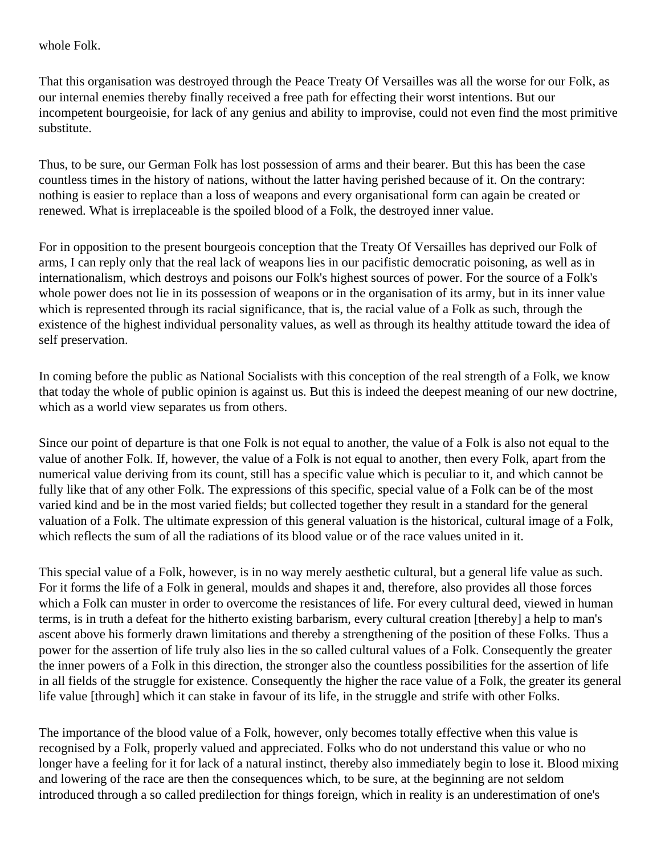#### whole Folk.

That this organisation was destroyed through the Peace Treaty Of Versailles was all the worse for our Folk, as our internal enemies thereby finally received a free path for effecting their worst intentions. But our incompetent bourgeoisie, for lack of any genius and ability to improvise, could not even find the most primitive substitute.

Thus, to be sure, our German Folk has lost possession of arms and their bearer. But this has been the case countless times in the history of nations, without the latter having perished because of it. On the contrary: nothing is easier to replace than a loss of weapons and every organisational form can again be created or renewed. What is irreplaceable is the spoiled blood of a Folk, the destroyed inner value.

For in opposition to the present bourgeois conception that the Treaty Of Versailles has deprived our Folk of arms, I can reply only that the real lack of weapons lies in our pacifistic democratic poisoning, as well as in internationalism, which destroys and poisons our Folk's highest sources of power. For the source of a Folk's whole power does not lie in its possession of weapons or in the organisation of its army, but in its inner value which is represented through its racial significance, that is, the racial value of a Folk as such, through the existence of the highest individual personality values, as well as through its healthy attitude toward the idea of self preservation.

In coming before the public as National Socialists with this conception of the real strength of a Folk, we know that today the whole of public opinion is against us. But this is indeed the deepest meaning of our new doctrine, which as a world view separates us from others.

Since our point of departure is that one Folk is not equal to another, the value of a Folk is also not equal to the value of another Folk. If, however, the value of a Folk is not equal to another, then every Folk, apart from the numerical value deriving from its count, still has a specific value which is peculiar to it, and which cannot be fully like that of any other Folk. The expressions of this specific, special value of a Folk can be of the most varied kind and be in the most varied fields; but collected together they result in a standard for the general valuation of a Folk. The ultimate expression of this general valuation is the historical, cultural image of a Folk, which reflects the sum of all the radiations of its blood value or of the race values united in it.

This special value of a Folk, however, is in no way merely aesthetic cultural, but a general life value as such. For it forms the life of a Folk in general, moulds and shapes it and, therefore, also provides all those forces which a Folk can muster in order to overcome the resistances of life. For every cultural deed, viewed in human terms, is in truth a defeat for the hitherto existing barbarism, every cultural creation [thereby] a help to man's ascent above his formerly drawn limitations and thereby a strengthening of the position of these Folks. Thus a power for the assertion of life truly also lies in the so called cultural values of a Folk. Consequently the greater the inner powers of a Folk in this direction, the stronger also the countless possibilities for the assertion of life in all fields of the struggle for existence. Consequently the higher the race value of a Folk, the greater its general life value [through] which it can stake in favour of its life, in the struggle and strife with other Folks.

The importance of the blood value of a Folk, however, only becomes totally effective when this value is recognised by a Folk, properly valued and appreciated. Folks who do not understand this value or who no longer have a feeling for it for lack of a natural instinct, thereby also immediately begin to lose it. Blood mixing and lowering of the race are then the consequences which, to be sure, at the beginning are not seldom introduced through a so called predilection for things foreign, which in reality is an underestimation of one's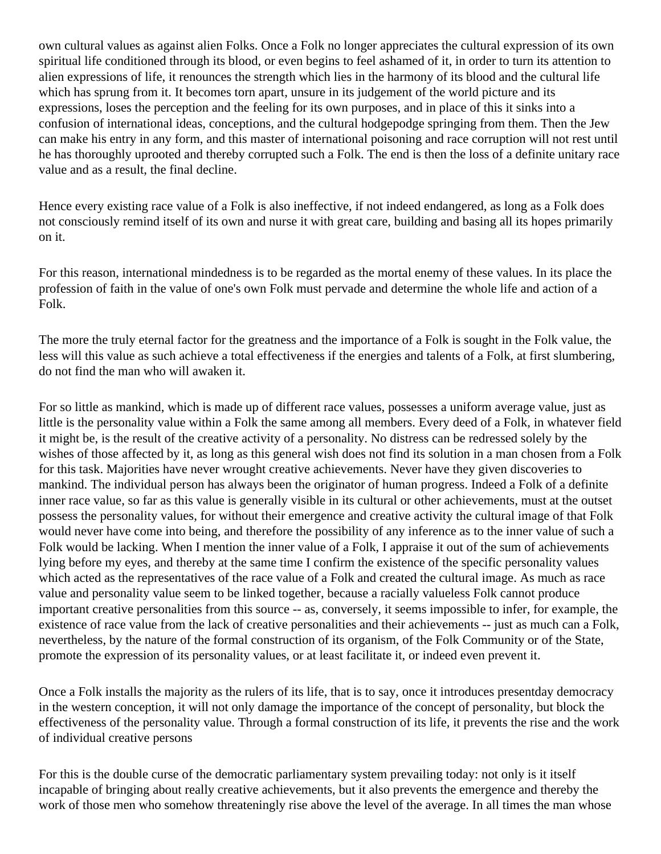own cultural values as against alien Folks. Once a Folk no longer appreciates the cultural expression of its own spiritual life conditioned through its blood, or even begins to feel ashamed of it, in order to turn its attention to alien expressions of life, it renounces the strength which lies in the harmony of its blood and the cultural life which has sprung from it. It becomes torn apart, unsure in its judgement of the world picture and its expressions, loses the perception and the feeling for its own purposes, and in place of this it sinks into a confusion of international ideas, conceptions, and the cultural hodgepodge springing from them. Then the Jew can make his entry in any form, and this master of international poisoning and race corruption will not rest until he has thoroughly uprooted and thereby corrupted such a Folk. The end is then the loss of a definite unitary race value and as a result, the final decline.

Hence every existing race value of a Folk is also ineffective, if not indeed endangered, as long as a Folk does not consciously remind itself of its own and nurse it with great care, building and basing all its hopes primarily on it.

For this reason, international mindedness is to be regarded as the mortal enemy of these values. In its place the profession of faith in the value of one's own Folk must pervade and determine the whole life and action of a Folk.

The more the truly eternal factor for the greatness and the importance of a Folk is sought in the Folk value, the less will this value as such achieve a total effectiveness if the energies and talents of a Folk, at first slumbering, do not find the man who will awaken it.

For so little as mankind, which is made up of different race values, possesses a uniform average value, just as little is the personality value within a Folk the same among all members. Every deed of a Folk, in whatever field it might be, is the result of the creative activity of a personality. No distress can be redressed solely by the wishes of those affected by it, as long as this general wish does not find its solution in a man chosen from a Folk for this task. Majorities have never wrought creative achievements. Never have they given discoveries to mankind. The individual person has always been the originator of human progress. Indeed a Folk of a definite inner race value, so far as this value is generally visible in its cultural or other achievements, must at the outset possess the personality values, for without their emergence and creative activity the cultural image of that Folk would never have come into being, and therefore the possibility of any inference as to the inner value of such a Folk would be lacking. When I mention the inner value of a Folk, I appraise it out of the sum of achievements lying before my eyes, and thereby at the same time I confirm the existence of the specific personality values which acted as the representatives of the race value of a Folk and created the cultural image. As much as race value and personality value seem to be linked together, because a racially valueless Folk cannot produce important creative personalities from this source -- as, conversely, it seems impossible to infer, for example, the existence of race value from the lack of creative personalities and their achievements -- just as much can a Folk, nevertheless, by the nature of the formal construction of its organism, of the Folk Community or of the State, promote the expression of its personality values, or at least facilitate it, or indeed even prevent it.

Once a Folk installs the majority as the rulers of its life, that is to say, once it introduces presentday democracy in the western conception, it will not only damage the importance of the concept of personality, but block the effectiveness of the personality value. Through a formal construction of its life, it prevents the rise and the work of individual creative persons

For this is the double curse of the democratic parliamentary system prevailing today: not only is it itself incapable of bringing about really creative achievements, but it also prevents the emergence and thereby the work of those men who somehow threateningly rise above the level of the average. In all times the man whose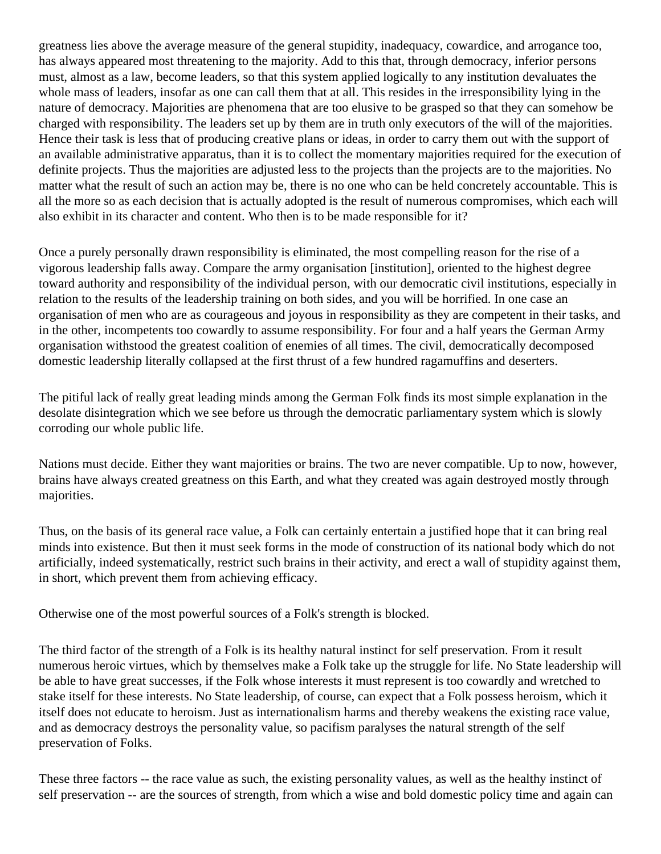greatness lies above the average measure of the general stupidity, inadequacy, cowardice, and arrogance too, has always appeared most threatening to the majority. Add to this that, through democracy, inferior persons must, almost as a law, become leaders, so that this system applied logically to any institution devaluates the whole mass of leaders, insofar as one can call them that at all. This resides in the irresponsibility lying in the nature of democracy. Majorities are phenomena that are too elusive to be grasped so that they can somehow be charged with responsibility. The leaders set up by them are in truth only executors of the will of the majorities. Hence their task is less that of producing creative plans or ideas, in order to carry them out with the support of an available administrative apparatus, than it is to collect the momentary majorities required for the execution of definite projects. Thus the majorities are adjusted less to the projects than the projects are to the majorities. No matter what the result of such an action may be, there is no one who can be held concretely accountable. This is all the more so as each decision that is actually adopted is the result of numerous compromises, which each will also exhibit in its character and content. Who then is to be made responsible for it?

Once a purely personally drawn responsibility is eliminated, the most compelling reason for the rise of a vigorous leadership falls away. Compare the army organisation [institution], oriented to the highest degree toward authority and responsibility of the individual person, with our democratic civil institutions, especially in relation to the results of the leadership training on both sides, and you will be horrified. In one case an organisation of men who are as courageous and joyous in responsibility as they are competent in their tasks, and in the other, incompetents too cowardly to assume responsibility. For four and a half years the German Army organisation withstood the greatest coalition of enemies of all times. The civil, democratically decomposed domestic leadership literally collapsed at the first thrust of a few hundred ragamuffins and deserters.

The pitiful lack of really great leading minds among the German Folk finds its most simple explanation in the desolate disintegration which we see before us through the democratic parliamentary system which is slowly corroding our whole public life.

Nations must decide. Either they want majorities or brains. The two are never compatible. Up to now, however, brains have always created greatness on this Earth, and what they created was again destroyed mostly through majorities.

Thus, on the basis of its general race value, a Folk can certainly entertain a justified hope that it can bring real minds into existence. But then it must seek forms in the mode of construction of its national body which do not artificially, indeed systematically, restrict such brains in their activity, and erect a wall of stupidity against them, in short, which prevent them from achieving efficacy.

Otherwise one of the most powerful sources of a Folk's strength is blocked.

The third factor of the strength of a Folk is its healthy natural instinct for self preservation. From it result numerous heroic virtues, which by themselves make a Folk take up the struggle for life. No State leadership will be able to have great successes, if the Folk whose interests it must represent is too cowardly and wretched to stake itself for these interests. No State leadership, of course, can expect that a Folk possess heroism, which it itself does not educate to heroism. Just as internationalism harms and thereby weakens the existing race value, and as democracy destroys the personality value, so pacifism paralyses the natural strength of the self preservation of Folks.

These three factors -- the race value as such, the existing personality values, as well as the healthy instinct of self preservation -- are the sources of strength, from which a wise and bold domestic policy time and again can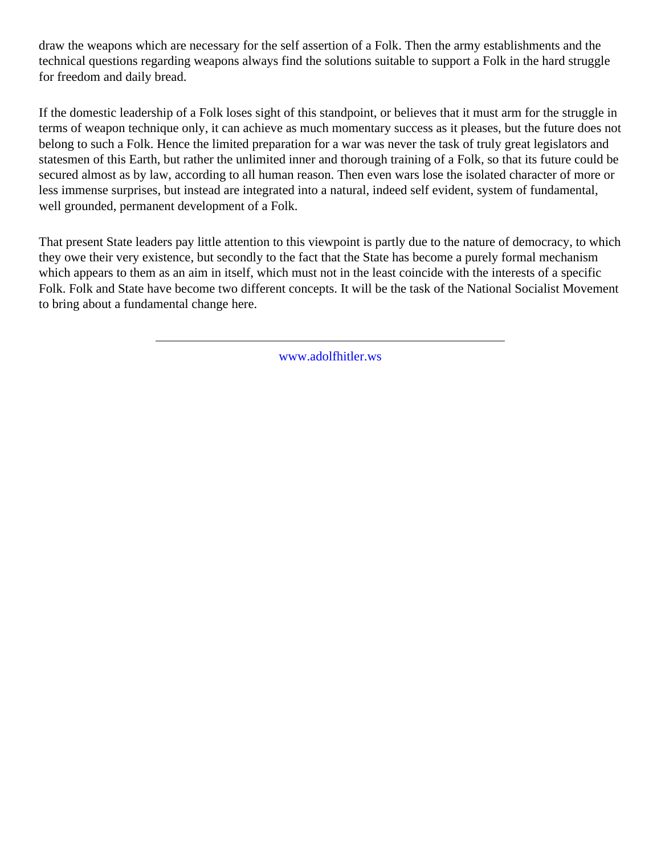draw the weapons which are necessary for the self assertion of a Folk. Then the army establishments and the technical questions regarding weapons always find the solutions suitable to support a Folk in the hard struggle for freedom and daily bread.

If the domestic leadership of a Folk loses sight of this standpoint, or believes that it must arm for the struggle in terms of weapon technique only, it can achieve as much momentary success as it pleases, but the future does not belong to such a Folk. Hence the limited preparation for a war was never the task of truly great legislators and statesmen of this Earth, but rather the unlimited inner and thorough training of a Folk, so that its future could be secured almost as by law, according to all human reason. Then even wars lose the isolated character of more or less immense surprises, but instead are integrated into a natural, indeed self evident, system of fundamental, well grounded, permanent development of a Folk.

That present State leaders pay little attention to this viewpoint is partly due to the nature of democracy, to which they owe their very existence, but secondly to the fact that the State has become a purely formal mechanism which appears to them as an aim in itself, which must not in the least coincide with the interests of a specific Folk. Folk and State have become two different concepts. It will be the task of the National Socialist Movement to bring about a fundamental change here.

[www.adolfhitler.ws](http://www.adolfhitler.ws/)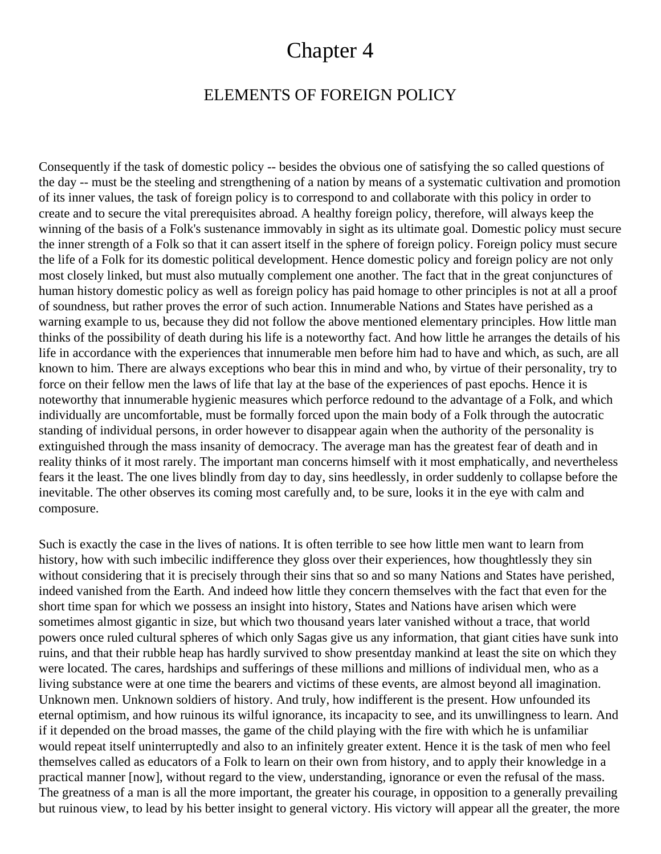## Chapter 4

### ELEMENTS OF FOREIGN POLICY

<span id="page-20-0"></span>Consequently if the task of domestic policy -- besides the obvious one of satisfying the so called questions of the day -- must be the steeling and strengthening of a nation by means of a systematic cultivation and promotion of its inner values, the task of foreign policy is to correspond to and collaborate with this policy in order to create and to secure the vital prerequisites abroad. A healthy foreign policy, therefore, will always keep the winning of the basis of a Folk's sustenance immovably in sight as its ultimate goal. Domestic policy must secure the inner strength of a Folk so that it can assert itself in the sphere of foreign policy. Foreign policy must secure the life of a Folk for its domestic political development. Hence domestic policy and foreign policy are not only most closely linked, but must also mutually complement one another. The fact that in the great conjunctures of human history domestic policy as well as foreign policy has paid homage to other principles is not at all a proof of soundness, but rather proves the error of such action. Innumerable Nations and States have perished as a warning example to us, because they did not follow the above mentioned elementary principles. How little man thinks of the possibility of death during his life is a noteworthy fact. And how little he arranges the details of his life in accordance with the experiences that innumerable men before him had to have and which, as such, are all known to him. There are always exceptions who bear this in mind and who, by virtue of their personality, try to force on their fellow men the laws of life that lay at the base of the experiences of past epochs. Hence it is noteworthy that innumerable hygienic measures which perforce redound to the advantage of a Folk, and which individually are uncomfortable, must be formally forced upon the main body of a Folk through the autocratic standing of individual persons, in order however to disappear again when the authority of the personality is extinguished through the mass insanity of democracy. The average man has the greatest fear of death and in reality thinks of it most rarely. The important man concerns himself with it most emphatically, and nevertheless fears it the least. The one lives blindly from day to day, sins heedlessly, in order suddenly to collapse before the inevitable. The other observes its coming most carefully and, to be sure, looks it in the eye with calm and composure.

Such is exactly the case in the lives of nations. It is often terrible to see how little men want to learn from history, how with such imbecilic indifference they gloss over their experiences, how thoughtlessly they sin without considering that it is precisely through their sins that so and so many Nations and States have perished, indeed vanished from the Earth. And indeed how little they concern themselves with the fact that even for the short time span for which we possess an insight into history, States and Nations have arisen which were sometimes almost gigantic in size, but which two thousand years later vanished without a trace, that world powers once ruled cultural spheres of which only Sagas give us any information, that giant cities have sunk into ruins, and that their rubble heap has hardly survived to show presentday mankind at least the site on which they were located. The cares, hardships and sufferings of these millions and millions of individual men, who as a living substance were at one time the bearers and victims of these events, are almost beyond all imagination. Unknown men. Unknown soldiers of history. And truly, how indifferent is the present. How unfounded its eternal optimism, and how ruinous its wilful ignorance, its incapacity to see, and its unwillingness to learn. And if it depended on the broad masses, the game of the child playing with the fire with which he is unfamiliar would repeat itself uninterruptedly and also to an infinitely greater extent. Hence it is the task of men who feel themselves called as educators of a Folk to learn on their own from history, and to apply their knowledge in a practical manner [now], without regard to the view, understanding, ignorance or even the refusal of the mass. The greatness of a man is all the more important, the greater his courage, in opposition to a generally prevailing but ruinous view, to lead by his better insight to general victory. His victory will appear all the greater, the more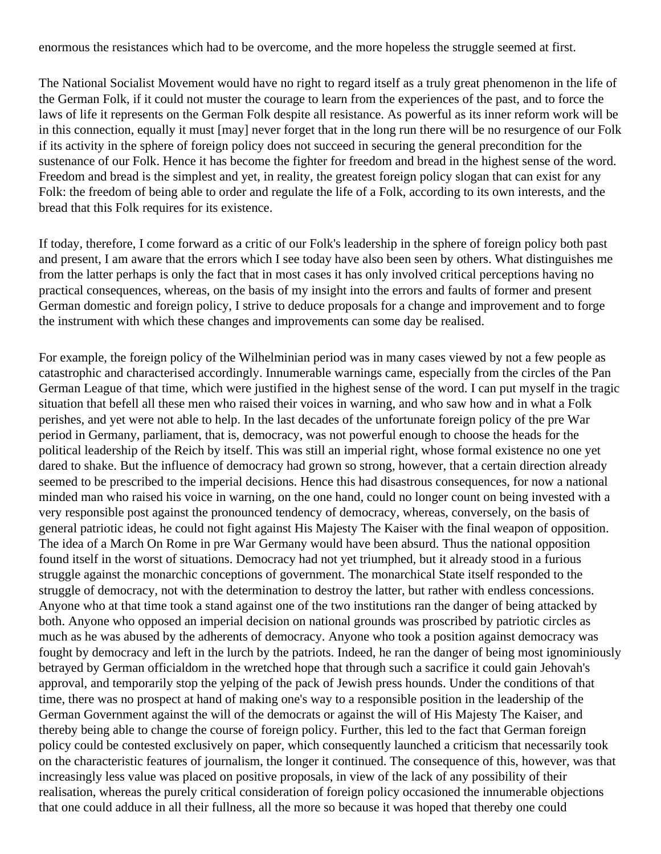enormous the resistances which had to be overcome, and the more hopeless the struggle seemed at first.

The National Socialist Movement would have no right to regard itself as a truly great phenomenon in the life of the German Folk, if it could not muster the courage to learn from the experiences of the past, and to force the laws of life it represents on the German Folk despite all resistance. As powerful as its inner reform work will be in this connection, equally it must [may] never forget that in the long run there will be no resurgence of our Folk if its activity in the sphere of foreign policy does not succeed in securing the general precondition for the sustenance of our Folk. Hence it has become the fighter for freedom and bread in the highest sense of the word. Freedom and bread is the simplest and yet, in reality, the greatest foreign policy slogan that can exist for any Folk: the freedom of being able to order and regulate the life of a Folk, according to its own interests, and the bread that this Folk requires for its existence.

If today, therefore, I come forward as a critic of our Folk's leadership in the sphere of foreign policy both past and present, I am aware that the errors which I see today have also been seen by others. What distinguishes me from the latter perhaps is only the fact that in most cases it has only involved critical perceptions having no practical consequences, whereas, on the basis of my insight into the errors and faults of former and present German domestic and foreign policy, I strive to deduce proposals for a change and improvement and to forge the instrument with which these changes and improvements can some day be realised.

For example, the foreign policy of the Wilhelminian period was in many cases viewed by not a few people as catastrophic and characterised accordingly. Innumerable warnings came, especially from the circles of the Pan German League of that time, which were justified in the highest sense of the word. I can put myself in the tragic situation that befell all these men who raised their voices in warning, and who saw how and in what a Folk perishes, and yet were not able to help. In the last decades of the unfortunate foreign policy of the pre War period in Germany, parliament, that is, democracy, was not powerful enough to choose the heads for the political leadership of the Reich by itself. This was still an imperial right, whose formal existence no one yet dared to shake. But the influence of democracy had grown so strong, however, that a certain direction already seemed to be prescribed to the imperial decisions. Hence this had disastrous consequences, for now a national minded man who raised his voice in warning, on the one hand, could no longer count on being invested with a very responsible post against the pronounced tendency of democracy, whereas, conversely, on the basis of general patriotic ideas, he could not fight against His Majesty The Kaiser with the final weapon of opposition. The idea of a March On Rome in pre War Germany would have been absurd. Thus the national opposition found itself in the worst of situations. Democracy had not yet triumphed, but it already stood in a furious struggle against the monarchic conceptions of government. The monarchical State itself responded to the struggle of democracy, not with the determination to destroy the latter, but rather with endless concessions. Anyone who at that time took a stand against one of the two institutions ran the danger of being attacked by both. Anyone who opposed an imperial decision on national grounds was proscribed by patriotic circles as much as he was abused by the adherents of democracy. Anyone who took a position against democracy was fought by democracy and left in the lurch by the patriots. Indeed, he ran the danger of being most ignominiously betrayed by German officialdom in the wretched hope that through such a sacrifice it could gain Jehovah's approval, and temporarily stop the yelping of the pack of Jewish press hounds. Under the conditions of that time, there was no prospect at hand of making one's way to a responsible position in the leadership of the German Government against the will of the democrats or against the will of His Majesty The Kaiser, and thereby being able to change the course of foreign policy. Further, this led to the fact that German foreign policy could be contested exclusively on paper, which consequently launched a criticism that necessarily took on the characteristic features of journalism, the longer it continued. The consequence of this, however, was that increasingly less value was placed on positive proposals, in view of the lack of any possibility of their realisation, whereas the purely critical consideration of foreign policy occasioned the innumerable objections that one could adduce in all their fullness, all the more so because it was hoped that thereby one could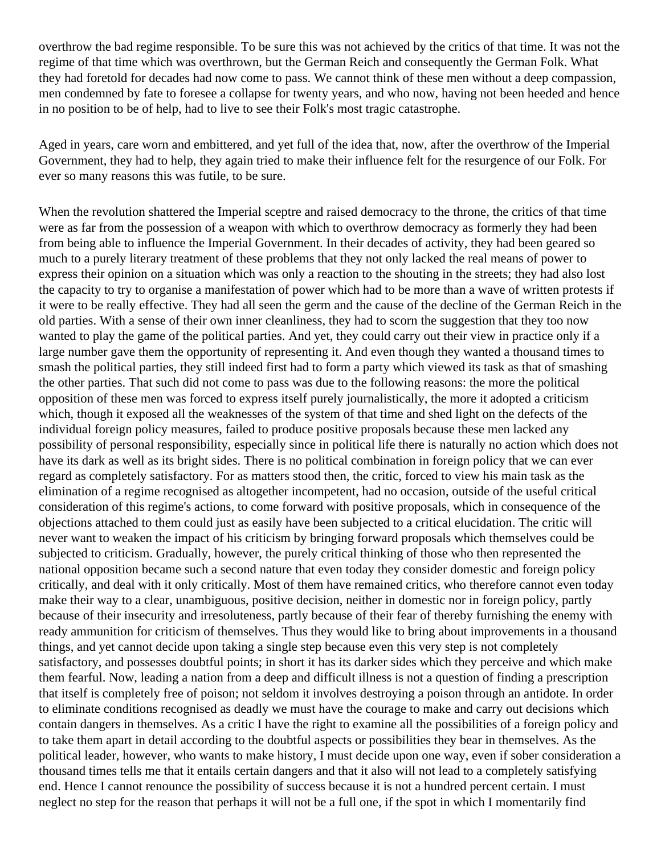overthrow the bad regime responsible. To be sure this was not achieved by the critics of that time. It was not the regime of that time which was overthrown, but the German Reich and consequently the German Folk. What they had foretold for decades had now come to pass. We cannot think of these men without a deep compassion, men condemned by fate to foresee a collapse for twenty years, and who now, having not been heeded and hence in no position to be of help, had to live to see their Folk's most tragic catastrophe.

Aged in years, care worn and embittered, and yet full of the idea that, now, after the overthrow of the Imperial Government, they had to help, they again tried to make their influence felt for the resurgence of our Folk. For ever so many reasons this was futile, to be sure.

When the revolution shattered the Imperial sceptre and raised democracy to the throne, the critics of that time were as far from the possession of a weapon with which to overthrow democracy as formerly they had been from being able to influence the Imperial Government. In their decades of activity, they had been geared so much to a purely literary treatment of these problems that they not only lacked the real means of power to express their opinion on a situation which was only a reaction to the shouting in the streets; they had also lost the capacity to try to organise a manifestation of power which had to be more than a wave of written protests if it were to be really effective. They had all seen the germ and the cause of the decline of the German Reich in the old parties. With a sense of their own inner cleanliness, they had to scorn the suggestion that they too now wanted to play the game of the political parties. And yet, they could carry out their view in practice only if a large number gave them the opportunity of representing it. And even though they wanted a thousand times to smash the political parties, they still indeed first had to form a party which viewed its task as that of smashing the other parties. That such did not come to pass was due to the following reasons: the more the political opposition of these men was forced to express itself purely journalistically, the more it adopted a criticism which, though it exposed all the weaknesses of the system of that time and shed light on the defects of the individual foreign policy measures, failed to produce positive proposals because these men lacked any possibility of personal responsibility, especially since in political life there is naturally no action which does not have its dark as well as its bright sides. There is no political combination in foreign policy that we can ever regard as completely satisfactory. For as matters stood then, the critic, forced to view his main task as the elimination of a regime recognised as altogether incompetent, had no occasion, outside of the useful critical consideration of this regime's actions, to come forward with positive proposals, which in consequence of the objections attached to them could just as easily have been subjected to a critical elucidation. The critic will never want to weaken the impact of his criticism by bringing forward proposals which themselves could be subjected to criticism. Gradually, however, the purely critical thinking of those who then represented the national opposition became such a second nature that even today they consider domestic and foreign policy critically, and deal with it only critically. Most of them have remained critics, who therefore cannot even today make their way to a clear, unambiguous, positive decision, neither in domestic nor in foreign policy, partly because of their insecurity and irresoluteness, partly because of their fear of thereby furnishing the enemy with ready ammunition for criticism of themselves. Thus they would like to bring about improvements in a thousand things, and yet cannot decide upon taking a single step because even this very step is not completely satisfactory, and possesses doubtful points; in short it has its darker sides which they perceive and which make them fearful. Now, leading a nation from a deep and difficult illness is not a question of finding a prescription that itself is completely free of poison; not seldom it involves destroying a poison through an antidote. In order to eliminate conditions recognised as deadly we must have the courage to make and carry out decisions which contain dangers in themselves. As a critic I have the right to examine all the possibilities of a foreign policy and to take them apart in detail according to the doubtful aspects or possibilities they bear in themselves. As the political leader, however, who wants to make history, I must decide upon one way, even if sober consideration a thousand times tells me that it entails certain dangers and that it also will not lead to a completely satisfying end. Hence I cannot renounce the possibility of success because it is not a hundred percent certain. I must neglect no step for the reason that perhaps it will not be a full one, if the spot in which I momentarily find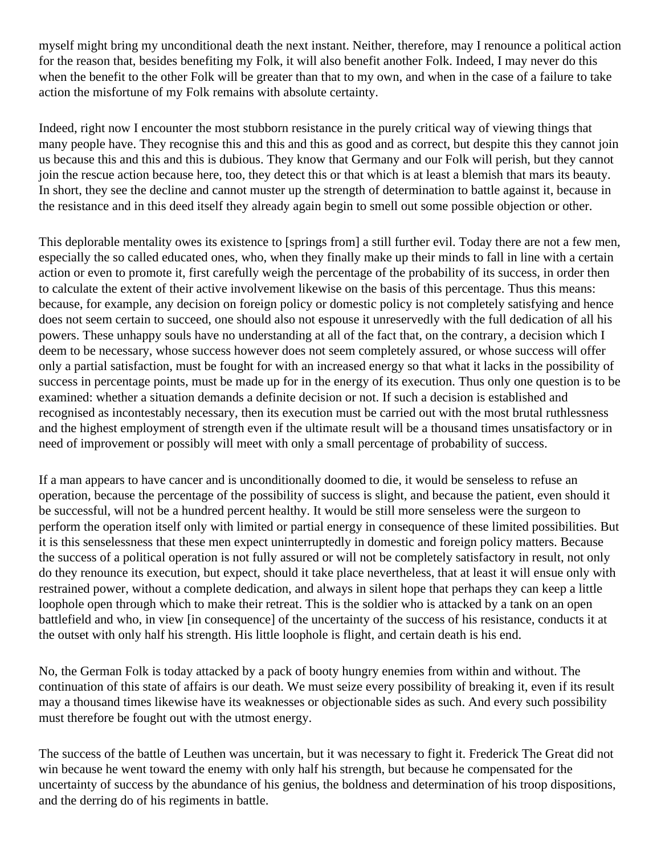myself might bring my unconditional death the next instant. Neither, therefore, may I renounce a political action for the reason that, besides benefiting my Folk, it will also benefit another Folk. Indeed, I may never do this when the benefit to the other Folk will be greater than that to my own, and when in the case of a failure to take action the misfortune of my Folk remains with absolute certainty.

Indeed, right now I encounter the most stubborn resistance in the purely critical way of viewing things that many people have. They recognise this and this and this as good and as correct, but despite this they cannot join us because this and this and this is dubious. They know that Germany and our Folk will perish, but they cannot join the rescue action because here, too, they detect this or that which is at least a blemish that mars its beauty. In short, they see the decline and cannot muster up the strength of determination to battle against it, because in the resistance and in this deed itself they already again begin to smell out some possible objection or other.

This deplorable mentality owes its existence to [springs from] a still further evil. Today there are not a few men, especially the so called educated ones, who, when they finally make up their minds to fall in line with a certain action or even to promote it, first carefully weigh the percentage of the probability of its success, in order then to calculate the extent of their active involvement likewise on the basis of this percentage. Thus this means: because, for example, any decision on foreign policy or domestic policy is not completely satisfying and hence does not seem certain to succeed, one should also not espouse it unreservedly with the full dedication of all his powers. These unhappy souls have no understanding at all of the fact that, on the contrary, a decision which I deem to be necessary, whose success however does not seem completely assured, or whose success will offer only a partial satisfaction, must be fought for with an increased energy so that what it lacks in the possibility of success in percentage points, must be made up for in the energy of its execution. Thus only one question is to be examined: whether a situation demands a definite decision or not. If such a decision is established and recognised as incontestably necessary, then its execution must be carried out with the most brutal ruthlessness and the highest employment of strength even if the ultimate result will be a thousand times unsatisfactory or in need of improvement or possibly will meet with only a small percentage of probability of success.

If a man appears to have cancer and is unconditionally doomed to die, it would be senseless to refuse an operation, because the percentage of the possibility of success is slight, and because the patient, even should it be successful, will not be a hundred percent healthy. It would be still more senseless were the surgeon to perform the operation itself only with limited or partial energy in consequence of these limited possibilities. But it is this senselessness that these men expect uninterruptedly in domestic and foreign policy matters. Because the success of a political operation is not fully assured or will not be completely satisfactory in result, not only do they renounce its execution, but expect, should it take place nevertheless, that at least it will ensue only with restrained power, without a complete dedication, and always in silent hope that perhaps they can keep a little loophole open through which to make their retreat. This is the soldier who is attacked by a tank on an open battlefield and who, in view [in consequence] of the uncertainty of the success of his resistance, conducts it at the outset with only half his strength. His little loophole is flight, and certain death is his end.

No, the German Folk is today attacked by a pack of booty hungry enemies from within and without. The continuation of this state of affairs is our death. We must seize every possibility of breaking it, even if its result may a thousand times likewise have its weaknesses or objectionable sides as such. And every such possibility must therefore be fought out with the utmost energy.

The success of the battle of Leuthen was uncertain, but it was necessary to fight it. Frederick The Great did not win because he went toward the enemy with only half his strength, but because he compensated for the uncertainty of success by the abundance of his genius, the boldness and determination of his troop dispositions, and the derring do of his regiments in battle.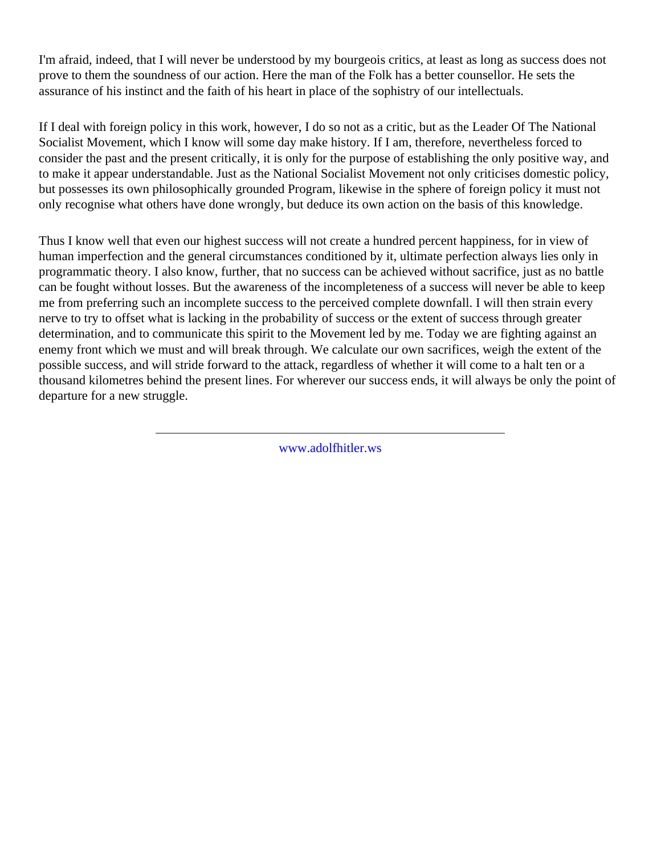I'm afraid, indeed, that I will never be understood by my bourgeois critics, at least as long as success does not prove to them the soundness of our action. Here the man of the Folk has a better counsellor. He sets the assurance of his instinct and the faith of his heart in place of the sophistry of our intellectuals.

If I deal with foreign policy in this work, however, I do so not as a critic, but as the Leader Of The National Socialist Movement, which I know will some day make history. If I am, therefore, nevertheless forced to consider the past and the present critically, it is only for the purpose of establishing the only positive way, and to make it appear understandable. Just as the National Socialist Movement not only criticises domestic policy, but possesses its own philosophically grounded Program, likewise in the sphere of foreign policy it must not only recognise what others have done wrongly, but deduce its own action on the basis of this knowledge.

Thus I know well that even our highest success will not create a hundred percent happiness, for in view of human imperfection and the general circumstances conditioned by it, ultimate perfection always lies only in programmatic theory. I also know, further, that no success can be achieved without sacrifice, just as no battle can be fought without losses. But the awareness of the incompleteness of a success will never be able to keep me from preferring such an incomplete success to the perceived complete downfall. I will then strain every nerve to try to offset what is lacking in the probability of success or the extent of success through greater determination, and to communicate this spirit to the Movement led by me. Today we are fighting against an enemy front which we must and will break through. We calculate our own sacrifices, weigh the extent of the possible success, and will stride forward to the attack, regardless of whether it will come to a halt ten or a thousand kilometres behind the present lines. For wherever our success ends, it will always be only the point of departure for a new struggle.

[www.adolfhitler.ws](http://www.adolfhitler.ws/)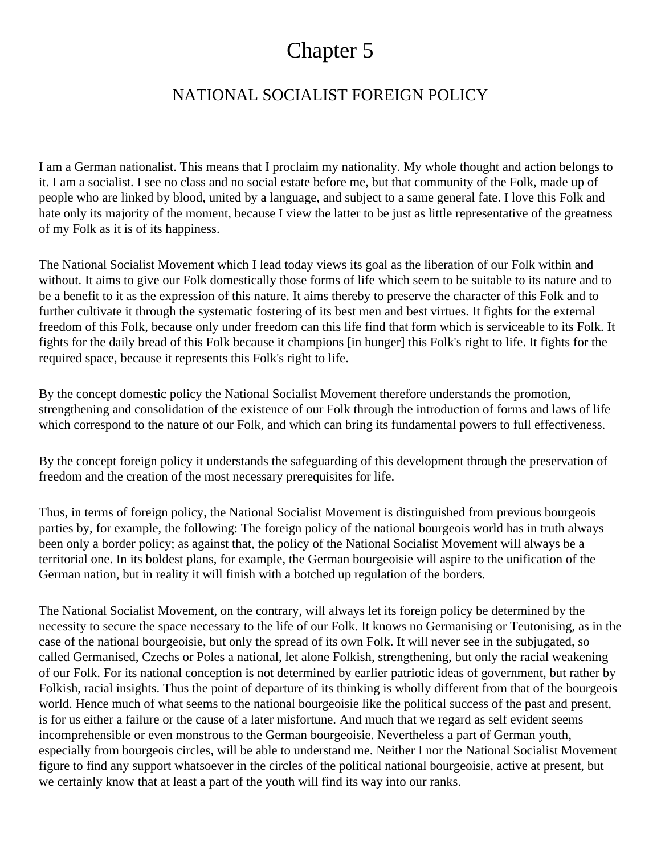## Chapter 5

### NATIONAL SOCIALIST FOREIGN POLICY

<span id="page-25-0"></span>I am a German nationalist. This means that I proclaim my nationality. My whole thought and action belongs to it. I am a socialist. I see no class and no social estate before me, but that community of the Folk, made up of people who are linked by blood, united by a language, and subject to a same general fate. I love this Folk and hate only its majority of the moment, because I view the latter to be just as little representative of the greatness of my Folk as it is of its happiness.

The National Socialist Movement which I lead today views its goal as the liberation of our Folk within and without. It aims to give our Folk domestically those forms of life which seem to be suitable to its nature and to be a benefit to it as the expression of this nature. It aims thereby to preserve the character of this Folk and to further cultivate it through the systematic fostering of its best men and best virtues. It fights for the external freedom of this Folk, because only under freedom can this life find that form which is serviceable to its Folk. It fights for the daily bread of this Folk because it champions [in hunger] this Folk's right to life. It fights for the required space, because it represents this Folk's right to life.

By the concept domestic policy the National Socialist Movement therefore understands the promotion, strengthening and consolidation of the existence of our Folk through the introduction of forms and laws of life which correspond to the nature of our Folk, and which can bring its fundamental powers to full effectiveness.

By the concept foreign policy it understands the safeguarding of this development through the preservation of freedom and the creation of the most necessary prerequisites for life.

Thus, in terms of foreign policy, the National Socialist Movement is distinguished from previous bourgeois parties by, for example, the following: The foreign policy of the national bourgeois world has in truth always been only a border policy; as against that, the policy of the National Socialist Movement will always be a territorial one. In its boldest plans, for example, the German bourgeoisie will aspire to the unification of the German nation, but in reality it will finish with a botched up regulation of the borders.

The National Socialist Movement, on the contrary, will always let its foreign policy be determined by the necessity to secure the space necessary to the life of our Folk. It knows no Germanising or Teutonising, as in the case of the national bourgeoisie, but only the spread of its own Folk. It will never see in the subjugated, so called Germanised, Czechs or Poles a national, let alone Folkish, strengthening, but only the racial weakening of our Folk. For its national conception is not determined by earlier patriotic ideas of government, but rather by Folkish, racial insights. Thus the point of departure of its thinking is wholly different from that of the bourgeois world. Hence much of what seems to the national bourgeoisie like the political success of the past and present, is for us either a failure or the cause of a later misfortune. And much that we regard as self evident seems incomprehensible or even monstrous to the German bourgeoisie. Nevertheless a part of German youth, especially from bourgeois circles, will be able to understand me. Neither I nor the National Socialist Movement figure to find any support whatsoever in the circles of the political national bourgeoisie, active at present, but we certainly know that at least a part of the youth will find its way into our ranks.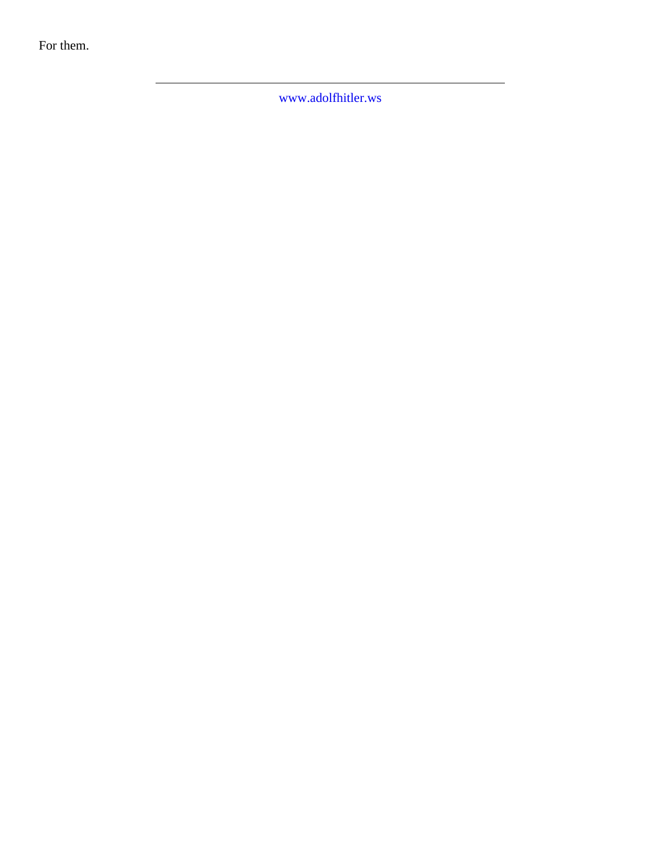For them.

[www.adolfhitler.ws](http://www.adolfhitler.ws/)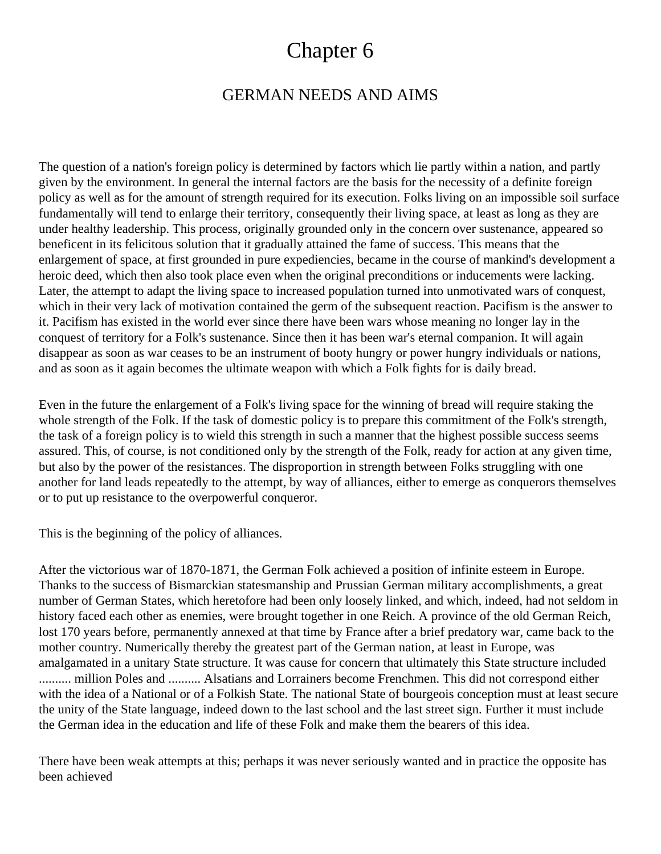## Chapter 6

### GERMAN NEEDS AND AIMS

<span id="page-27-0"></span>The question of a nation's foreign policy is determined by factors which lie partly within a nation, and partly given by the environment. In general the internal factors are the basis for the necessity of a definite foreign policy as well as for the amount of strength required for its execution. Folks living on an impossible soil surface fundamentally will tend to enlarge their territory, consequently their living space, at least as long as they are under healthy leadership. This process, originally grounded only in the concern over sustenance, appeared so beneficent in its felicitous solution that it gradually attained the fame of success. This means that the enlargement of space, at first grounded in pure expediencies, became in the course of mankind's development a heroic deed, which then also took place even when the original preconditions or inducements were lacking. Later, the attempt to adapt the living space to increased population turned into unmotivated wars of conquest, which in their very lack of motivation contained the germ of the subsequent reaction. Pacifism is the answer to it. Pacifism has existed in the world ever since there have been wars whose meaning no longer lay in the conquest of territory for a Folk's sustenance. Since then it has been war's eternal companion. It will again disappear as soon as war ceases to be an instrument of booty hungry or power hungry individuals or nations, and as soon as it again becomes the ultimate weapon with which a Folk fights for is daily bread.

Even in the future the enlargement of a Folk's living space for the winning of bread will require staking the whole strength of the Folk. If the task of domestic policy is to prepare this commitment of the Folk's strength, the task of a foreign policy is to wield this strength in such a manner that the highest possible success seems assured. This, of course, is not conditioned only by the strength of the Folk, ready for action at any given time, but also by the power of the resistances. The disproportion in strength between Folks struggling with one another for land leads repeatedly to the attempt, by way of alliances, either to emerge as conquerors themselves or to put up resistance to the overpowerful conqueror.

This is the beginning of the policy of alliances.

After the victorious war of 1870-1871, the German Folk achieved a position of infinite esteem in Europe. Thanks to the success of Bismarckian statesmanship and Prussian German military accomplishments, a great number of German States, which heretofore had been only loosely linked, and which, indeed, had not seldom in history faced each other as enemies, were brought together in one Reich. A province of the old German Reich, lost 170 years before, permanently annexed at that time by France after a brief predatory war, came back to the mother country. Numerically thereby the greatest part of the German nation, at least in Europe, was amalgamated in a unitary State structure. It was cause for concern that ultimately this State structure included .......... million Poles and .......... Alsatians and Lorrainers become Frenchmen. This did not correspond either with the idea of a National or of a Folkish State. The national State of bourgeois conception must at least secure the unity of the State language, indeed down to the last school and the last street sign. Further it must include the German idea in the education and life of these Folk and make them the bearers of this idea.

There have been weak attempts at this; perhaps it was never seriously wanted and in practice the opposite has been achieved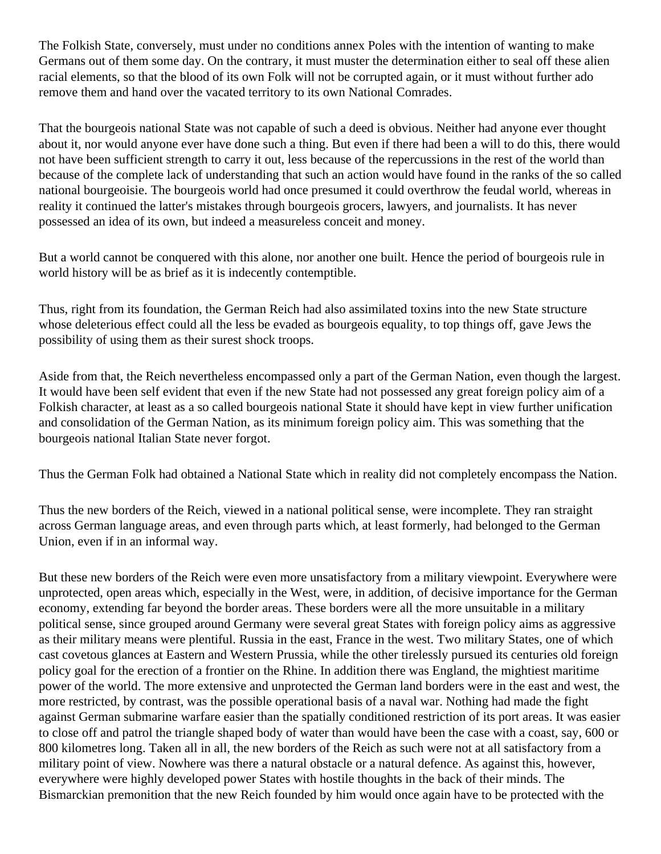The Folkish State, conversely, must under no conditions annex Poles with the intention of wanting to make Germans out of them some day. On the contrary, it must muster the determination either to seal off these alien racial elements, so that the blood of its own Folk will not be corrupted again, or it must without further ado remove them and hand over the vacated territory to its own National Comrades.

That the bourgeois national State was not capable of such a deed is obvious. Neither had anyone ever thought about it, nor would anyone ever have done such a thing. But even if there had been a will to do this, there would not have been sufficient strength to carry it out, less because of the repercussions in the rest of the world than because of the complete lack of understanding that such an action would have found in the ranks of the so called national bourgeoisie. The bourgeois world had once presumed it could overthrow the feudal world, whereas in reality it continued the latter's mistakes through bourgeois grocers, lawyers, and journalists. It has never possessed an idea of its own, but indeed a measureless conceit and money.

But a world cannot be conquered with this alone, nor another one built. Hence the period of bourgeois rule in world history will be as brief as it is indecently contemptible.

Thus, right from its foundation, the German Reich had also assimilated toxins into the new State structure whose deleterious effect could all the less be evaded as bourgeois equality, to top things off, gave Jews the possibility of using them as their surest shock troops.

Aside from that, the Reich nevertheless encompassed only a part of the German Nation, even though the largest. It would have been self evident that even if the new State had not possessed any great foreign policy aim of a Folkish character, at least as a so called bourgeois national State it should have kept in view further unification and consolidation of the German Nation, as its minimum foreign policy aim. This was something that the bourgeois national Italian State never forgot.

Thus the German Folk had obtained a National State which in reality did not completely encompass the Nation.

Thus the new borders of the Reich, viewed in a national political sense, were incomplete. They ran straight across German language areas, and even through parts which, at least formerly, had belonged to the German Union, even if in an informal way.

But these new borders of the Reich were even more unsatisfactory from a military viewpoint. Everywhere were unprotected, open areas which, especially in the West, were, in addition, of decisive importance for the German economy, extending far beyond the border areas. These borders were all the more unsuitable in a military political sense, since grouped around Germany were several great States with foreign policy aims as aggressive as their military means were plentiful. Russia in the east, France in the west. Two military States, one of which cast covetous glances at Eastern and Western Prussia, while the other tirelessly pursued its centuries old foreign policy goal for the erection of a frontier on the Rhine. In addition there was England, the mightiest maritime power of the world. The more extensive and unprotected the German land borders were in the east and west, the more restricted, by contrast, was the possible operational basis of a naval war. Nothing had made the fight against German submarine warfare easier than the spatially conditioned restriction of its port areas. It was easier to close off and patrol the triangle shaped body of water than would have been the case with a coast, say, 600 or 800 kilometres long. Taken all in all, the new borders of the Reich as such were not at all satisfactory from a military point of view. Nowhere was there a natural obstacle or a natural defence. As against this, however, everywhere were highly developed power States with hostile thoughts in the back of their minds. The Bismarckian premonition that the new Reich founded by him would once again have to be protected with the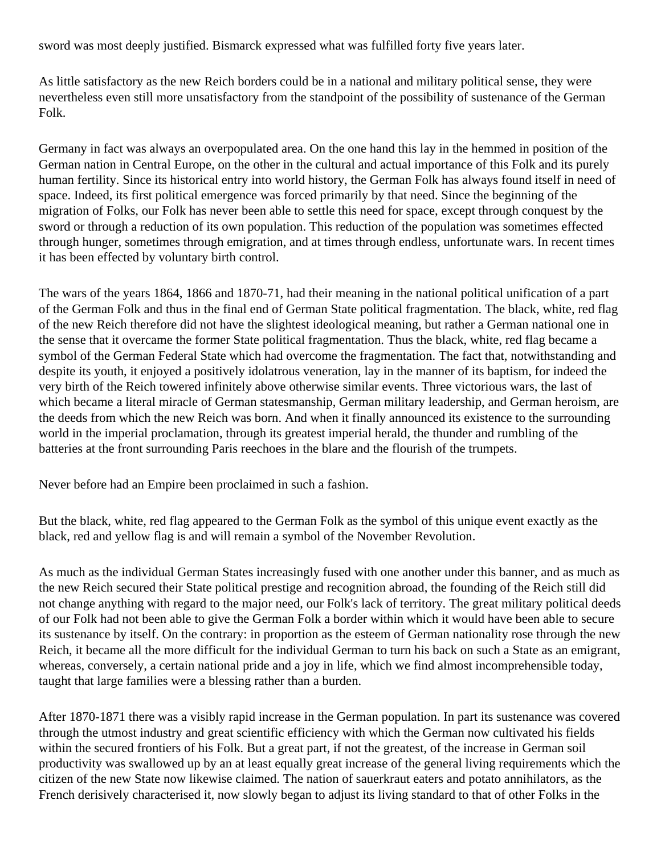sword was most deeply justified. Bismarck expressed what was fulfilled forty five years later.

As little satisfactory as the new Reich borders could be in a national and military political sense, they were nevertheless even still more unsatisfactory from the standpoint of the possibility of sustenance of the German Folk.

Germany in fact was always an overpopulated area. On the one hand this lay in the hemmed in position of the German nation in Central Europe, on the other in the cultural and actual importance of this Folk and its purely human fertility. Since its historical entry into world history, the German Folk has always found itself in need of space. Indeed, its first political emergence was forced primarily by that need. Since the beginning of the migration of Folks, our Folk has never been able to settle this need for space, except through conquest by the sword or through a reduction of its own population. This reduction of the population was sometimes effected through hunger, sometimes through emigration, and at times through endless, unfortunate wars. In recent times it has been effected by voluntary birth control.

The wars of the years 1864, 1866 and 1870-71, had their meaning in the national political unification of a part of the German Folk and thus in the final end of German State political fragmentation. The black, white, red flag of the new Reich therefore did not have the slightest ideological meaning, but rather a German national one in the sense that it overcame the former State political fragmentation. Thus the black, white, red flag became a symbol of the German Federal State which had overcome the fragmentation. The fact that, notwithstanding and despite its youth, it enjoyed a positively idolatrous veneration, lay in the manner of its baptism, for indeed the very birth of the Reich towered infinitely above otherwise similar events. Three victorious wars, the last of which became a literal miracle of German statesmanship, German military leadership, and German heroism, are the deeds from which the new Reich was born. And when it finally announced its existence to the surrounding world in the imperial proclamation, through its greatest imperial herald, the thunder and rumbling of the batteries at the front surrounding Paris reechoes in the blare and the flourish of the trumpets.

Never before had an Empire been proclaimed in such a fashion.

But the black, white, red flag appeared to the German Folk as the symbol of this unique event exactly as the black, red and yellow flag is and will remain a symbol of the November Revolution.

As much as the individual German States increasingly fused with one another under this banner, and as much as the new Reich secured their State political prestige and recognition abroad, the founding of the Reich still did not change anything with regard to the major need, our Folk's lack of territory. The great military political deeds of our Folk had not been able to give the German Folk a border within which it would have been able to secure its sustenance by itself. On the contrary: in proportion as the esteem of German nationality rose through the new Reich, it became all the more difficult for the individual German to turn his back on such a State as an emigrant, whereas, conversely, a certain national pride and a joy in life, which we find almost incomprehensible today, taught that large families were a blessing rather than a burden.

After 1870-1871 there was a visibly rapid increase in the German population. In part its sustenance was covered through the utmost industry and great scientific efficiency with which the German now cultivated his fields within the secured frontiers of his Folk. But a great part, if not the greatest, of the increase in German soil productivity was swallowed up by an at least equally great increase of the general living requirements which the citizen of the new State now likewise claimed. The nation of sauerkraut eaters and potato annihilators, as the French derisively characterised it, now slowly began to adjust its living standard to that of other Folks in the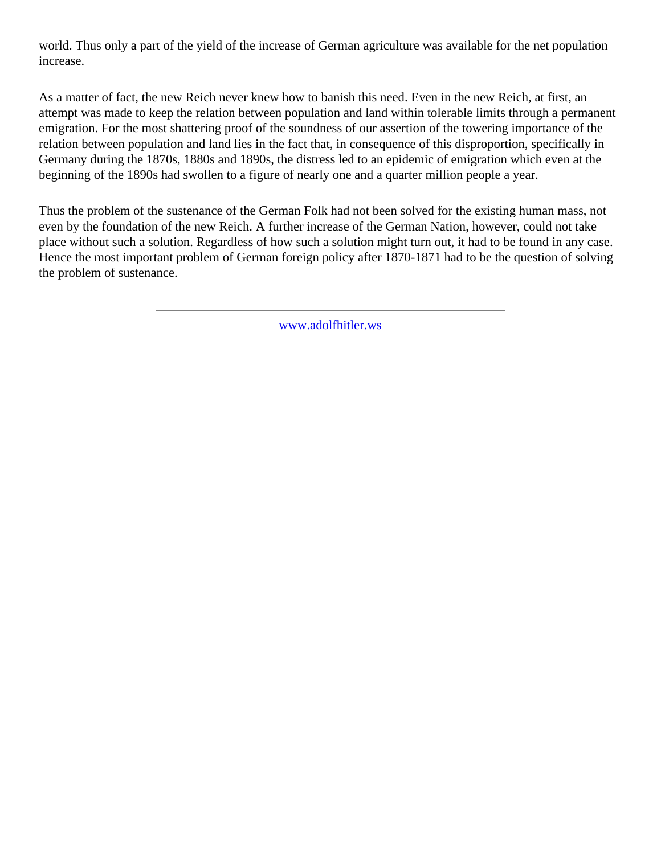world. Thus only a part of the yield of the increase of German agriculture was available for the net population increase.

As a matter of fact, the new Reich never knew how to banish this need. Even in the new Reich, at first, an attempt was made to keep the relation between population and land within tolerable limits through a permanent emigration. For the most shattering proof of the soundness of our assertion of the towering importance of the relation between population and land lies in the fact that, in consequence of this disproportion, specifically in Germany during the 1870s, 1880s and 1890s, the distress led to an epidemic of emigration which even at the beginning of the 1890s had swollen to a figure of nearly one and a quarter million people a year.

Thus the problem of the sustenance of the German Folk had not been solved for the existing human mass, not even by the foundation of the new Reich. A further increase of the German Nation, however, could not take place without such a solution. Regardless of how such a solution might turn out, it had to be found in any case. Hence the most important problem of German foreign policy after 1870-1871 had to be the question of solving the problem of sustenance.

[www.adolfhitler.ws](http://www.adolfhitler.ws/)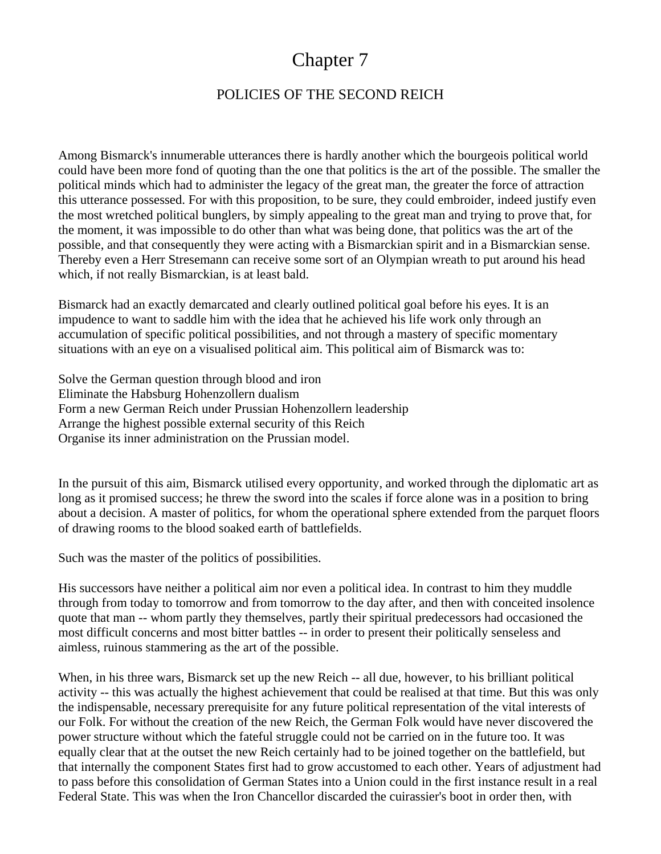### Chapter 7

#### POLICIES OF THE SECOND REICH

Among Bismarck's innumerable utterances there is hardly another which the bourgeois political world could have been more fond of quoting than the one that politics is the art of the possible. The smaller the political minds which had to administer the legacy of the great man, the greater the force of attraction this utterance possessed. For with this proposition, to be sure, they could embroider, indeed justify even the most wretched political bunglers, by simply appealing to the great man and trying to prove that, for the moment, it was impossible to do other than what was being done, that politics was the art of the possible, and that consequently they were acting with a Bismarckian spirit and in a Bismarckian sense. Thereby even a Herr Stresemann can receive some sort of an Olympian wreath to put around his head which, if not really Bismarckian, is at least bald.

Bismarck had an exactly demarcated and clearly outlined political goal before his eyes. It is an impudence to want to saddle him with the idea that he achieved his life work only through an accumulation of specific political possibilities, and not through a mastery of specific momentary situations with an eye on a visualised political aim. This political aim of Bismarck was to:

Solve the German question through blood and iron Eliminate the Habsburg Hohenzollern dualism Form a new German Reich under Prussian Hohenzollern leadership Arrange the highest possible external security of this Reich Organise its inner administration on the Prussian model.

In the pursuit of this aim, Bismarck utilised every opportunity, and worked through the diplomatic art as long as it promised success; he threw the sword into the scales if force alone was in a position to bring about a decision. A master of politics, for whom the operational sphere extended from the parquet floors of drawing rooms to the blood soaked earth of battlefields.

Such was the master of the politics of possibilities.

His successors have neither a political aim nor even a political idea. In contrast to him they muddle through from today to tomorrow and from tomorrow to the day after, and then with conceited insolence quote that man -- whom partly they themselves, partly their spiritual predecessors had occasioned the most difficult concerns and most bitter battles -- in order to present their politically senseless and aimless, ruinous stammering as the art of the possible.

When, in his three wars, Bismarck set up the new Reich -- all due, however, to his brilliant political activity -- this was actually the highest achievement that could be realised at that time. But this was only the indispensable, necessary prerequisite for any future political representation of the vital interests of our Folk. For without the creation of the new Reich, the German Folk would have never discovered the power structure without which the fateful struggle could not be carried on in the future too. It was equally clear that at the outset the new Reich certainly had to be joined together on the battlefield, but that internally the component States first had to grow accustomed to each other. Years of adjustment had to pass before this consolidation of German States into a Union could in the first instance result in a real Federal State. This was when the Iron Chancellor discarded the cuirassier's boot in order then, with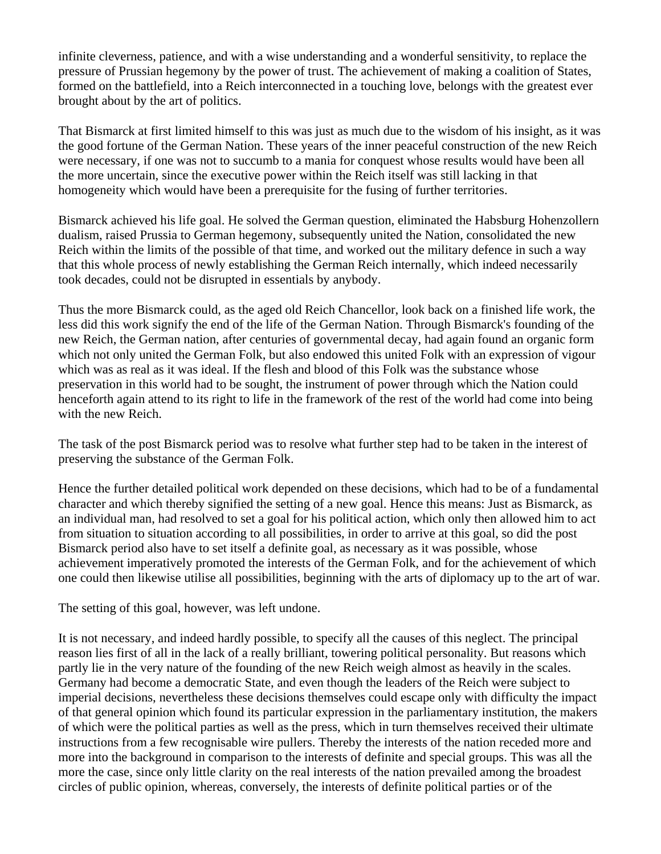infinite cleverness, patience, and with a wise understanding and a wonderful sensitivity, to replace the pressure of Prussian hegemony by the power of trust. The achievement of making a coalition of States, formed on the battlefield, into a Reich interconnected in a touching love, belongs with the greatest ever brought about by the art of politics.

That Bismarck at first limited himself to this was just as much due to the wisdom of his insight, as it was the good fortune of the German Nation. These years of the inner peaceful construction of the new Reich were necessary, if one was not to succumb to a mania for conquest whose results would have been all the more uncertain, since the executive power within the Reich itself was still lacking in that homogeneity which would have been a prerequisite for the fusing of further territories.

Bismarck achieved his life goal. He solved the German question, eliminated the Habsburg Hohenzollern dualism, raised Prussia to German hegemony, subsequently united the Nation, consolidated the new Reich within the limits of the possible of that time, and worked out the military defence in such a way that this whole process of newly establishing the German Reich internally, which indeed necessarily took decades, could not be disrupted in essentials by anybody.

Thus the more Bismarck could, as the aged old Reich Chancellor, look back on a finished life work, the less did this work signify the end of the life of the German Nation. Through Bismarck's founding of the new Reich, the German nation, after centuries of governmental decay, had again found an organic form which not only united the German Folk, but also endowed this united Folk with an expression of vigour which was as real as it was ideal. If the flesh and blood of this Folk was the substance whose preservation in this world had to be sought, the instrument of power through which the Nation could henceforth again attend to its right to life in the framework of the rest of the world had come into being with the new Reich.

The task of the post Bismarck period was to resolve what further step had to be taken in the interest of preserving the substance of the German Folk.

Hence the further detailed political work depended on these decisions, which had to be of a fundamental character and which thereby signified the setting of a new goal. Hence this means: Just as Bismarck, as an individual man, had resolved to set a goal for his political action, which only then allowed him to act from situation to situation according to all possibilities, in order to arrive at this goal, so did the post Bismarck period also have to set itself a definite goal, as necessary as it was possible, whose achievement imperatively promoted the interests of the German Folk, and for the achievement of which one could then likewise utilise all possibilities, beginning with the arts of diplomacy up to the art of war.

The setting of this goal, however, was left undone.

It is not necessary, and indeed hardly possible, to specify all the causes of this neglect. The principal reason lies first of all in the lack of a really brilliant, towering political personality. But reasons which partly lie in the very nature of the founding of the new Reich weigh almost as heavily in the scales. Germany had become a democratic State, and even though the leaders of the Reich were subject to imperial decisions, nevertheless these decisions themselves could escape only with difficulty the impact of that general opinion which found its particular expression in the parliamentary institution, the makers of which were the political parties as well as the press, which in turn themselves received their ultimate instructions from a few recognisable wire pullers. Thereby the interests of the nation receded more and more into the background in comparison to the interests of definite and special groups. This was all the more the case, since only little clarity on the real interests of the nation prevailed among the broadest circles of public opinion, whereas, conversely, the interests of definite political parties or of the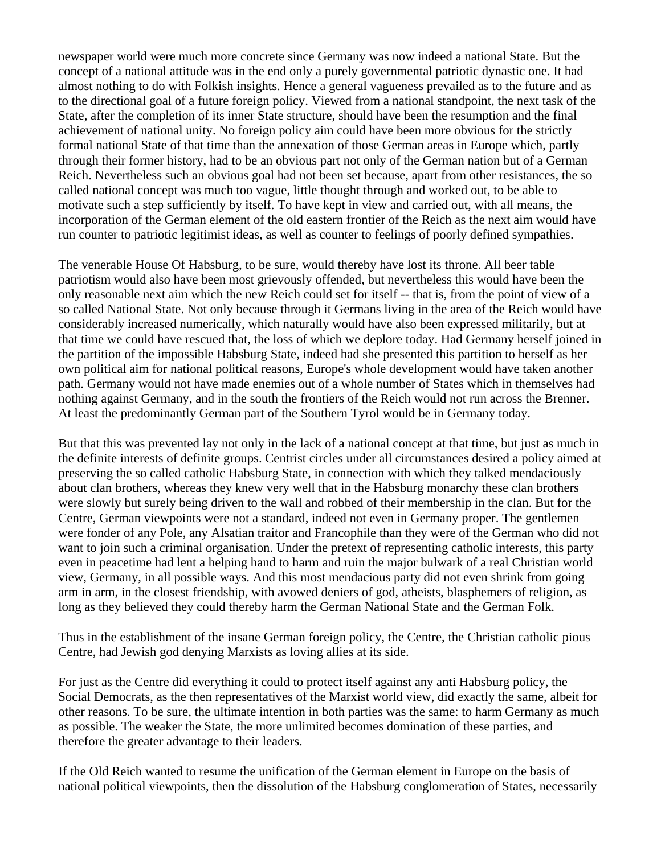newspaper world were much more concrete since Germany was now indeed a national State. But the concept of a national attitude was in the end only a purely governmental patriotic dynastic one. It had almost nothing to do with Folkish insights. Hence a general vagueness prevailed as to the future and as to the directional goal of a future foreign policy. Viewed from a national standpoint, the next task of the State, after the completion of its inner State structure, should have been the resumption and the final achievement of national unity. No foreign policy aim could have been more obvious for the strictly formal national State of that time than the annexation of those German areas in Europe which, partly through their former history, had to be an obvious part not only of the German nation but of a German Reich. Nevertheless such an obvious goal had not been set because, apart from other resistances, the so called national concept was much too vague, little thought through and worked out, to be able to motivate such a step sufficiently by itself. To have kept in view and carried out, with all means, the incorporation of the German element of the old eastern frontier of the Reich as the next aim would have run counter to patriotic legitimist ideas, as well as counter to feelings of poorly defined sympathies.

The venerable House Of Habsburg, to be sure, would thereby have lost its throne. All beer table patriotism would also have been most grievously offended, but nevertheless this would have been the only reasonable next aim which the new Reich could set for itself -- that is, from the point of view of a so called National State. Not only because through it Germans living in the area of the Reich would have considerably increased numerically, which naturally would have also been expressed militarily, but at that time we could have rescued that, the loss of which we deplore today. Had Germany herself joined in the partition of the impossible Habsburg State, indeed had she presented this partition to herself as her own political aim for national political reasons, Europe's whole development would have taken another path. Germany would not have made enemies out of a whole number of States which in themselves had nothing against Germany, and in the south the frontiers of the Reich would not run across the Brenner. At least the predominantly German part of the Southern Tyrol would be in Germany today.

But that this was prevented lay not only in the lack of a national concept at that time, but just as much in the definite interests of definite groups. Centrist circles under all circumstances desired a policy aimed at preserving the so called catholic Habsburg State, in connection with which they talked mendaciously about clan brothers, whereas they knew very well that in the Habsburg monarchy these clan brothers were slowly but surely being driven to the wall and robbed of their membership in the clan. But for the Centre, German viewpoints were not a standard, indeed not even in Germany proper. The gentlemen were fonder of any Pole, any Alsatian traitor and Francophile than they were of the German who did not want to join such a criminal organisation. Under the pretext of representing catholic interests, this party even in peacetime had lent a helping hand to harm and ruin the major bulwark of a real Christian world view, Germany, in all possible ways. And this most mendacious party did not even shrink from going arm in arm, in the closest friendship, with avowed deniers of god, atheists, blasphemers of religion, as long as they believed they could thereby harm the German National State and the German Folk.

Thus in the establishment of the insane German foreign policy, the Centre, the Christian catholic pious Centre, had Jewish god denying Marxists as loving allies at its side.

For just as the Centre did everything it could to protect itself against any anti Habsburg policy, the Social Democrats, as the then representatives of the Marxist world view, did exactly the same, albeit for other reasons. To be sure, the ultimate intention in both parties was the same: to harm Germany as much as possible. The weaker the State, the more unlimited becomes domination of these parties, and therefore the greater advantage to their leaders.

If the Old Reich wanted to resume the unification of the German element in Europe on the basis of national political viewpoints, then the dissolution of the Habsburg conglomeration of States, necessarily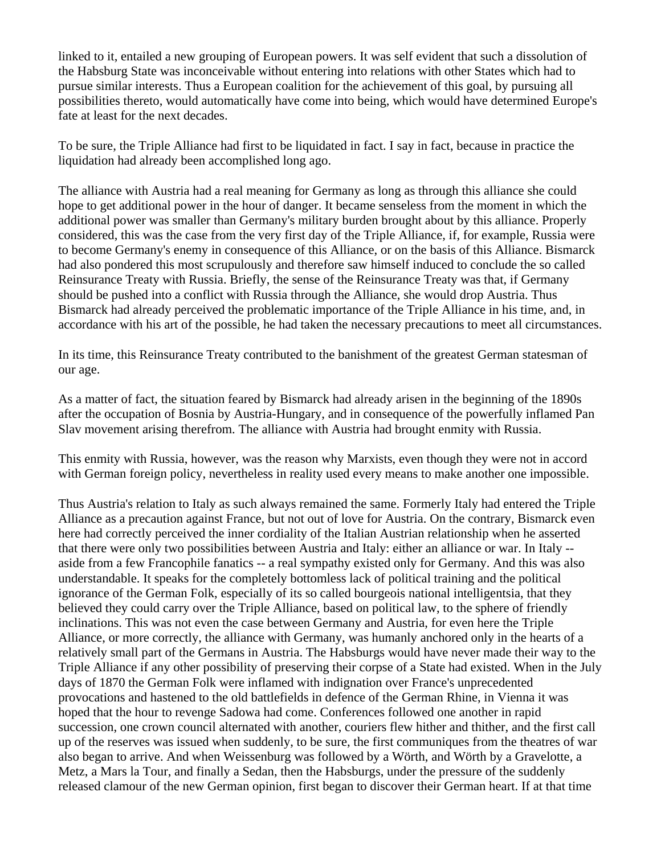linked to it, entailed a new grouping of European powers. It was self evident that such a dissolution of the Habsburg State was inconceivable without entering into relations with other States which had to pursue similar interests. Thus a European coalition for the achievement of this goal, by pursuing all possibilities thereto, would automatically have come into being, which would have determined Europe's fate at least for the next decades.

To be sure, the Triple Alliance had first to be liquidated in fact. I say in fact, because in practice the liquidation had already been accomplished long ago.

The alliance with Austria had a real meaning for Germany as long as through this alliance she could hope to get additional power in the hour of danger. It became senseless from the moment in which the additional power was smaller than Germany's military burden brought about by this alliance. Properly considered, this was the case from the very first day of the Triple Alliance, if, for example, Russia were to become Germany's enemy in consequence of this Alliance, or on the basis of this Alliance. Bismarck had also pondered this most scrupulously and therefore saw himself induced to conclude the so called Reinsurance Treaty with Russia. Briefly, the sense of the Reinsurance Treaty was that, if Germany should be pushed into a conflict with Russia through the Alliance, she would drop Austria. Thus Bismarck had already perceived the problematic importance of the Triple Alliance in his time, and, in accordance with his art of the possible, he had taken the necessary precautions to meet all circumstances.

In its time, this Reinsurance Treaty contributed to the banishment of the greatest German statesman of our age.

As a matter of fact, the situation feared by Bismarck had already arisen in the beginning of the 1890s after the occupation of Bosnia by Austria-Hungary, and in consequence of the powerfully inflamed Pan Slav movement arising therefrom. The alliance with Austria had brought enmity with Russia.

This enmity with Russia, however, was the reason why Marxists, even though they were not in accord with German foreign policy, nevertheless in reality used every means to make another one impossible.

Thus Austria's relation to Italy as such always remained the same. Formerly Italy had entered the Triple Alliance as a precaution against France, but not out of love for Austria. On the contrary, Bismarck even here had correctly perceived the inner cordiality of the Italian Austrian relationship when he asserted that there were only two possibilities between Austria and Italy: either an alliance or war. In Italy - aside from a few Francophile fanatics -- a real sympathy existed only for Germany. And this was also understandable. It speaks for the completely bottomless lack of political training and the political ignorance of the German Folk, especially of its so called bourgeois national intelligentsia, that they believed they could carry over the Triple Alliance, based on political law, to the sphere of friendly inclinations. This was not even the case between Germany and Austria, for even here the Triple Alliance, or more correctly, the alliance with Germany, was humanly anchored only in the hearts of a relatively small part of the Germans in Austria. The Habsburgs would have never made their way to the Triple Alliance if any other possibility of preserving their corpse of a State had existed. When in the July days of 1870 the German Folk were inflamed with indignation over France's unprecedented provocations and hastened to the old battlefields in defence of the German Rhine, in Vienna it was hoped that the hour to revenge Sadowa had come. Conferences followed one another in rapid succession, one crown council alternated with another, couriers flew hither and thither, and the first call up of the reserves was issued when suddenly, to be sure, the first communiques from the theatres of war also began to arrive. And when Weissenburg was followed by a Wörth, and Wörth by a Gravelotte, a Metz, a Mars la Tour, and finally a Sedan, then the Habsburgs, under the pressure of the suddenly released clamour of the new German opinion, first began to discover their German heart. If at that time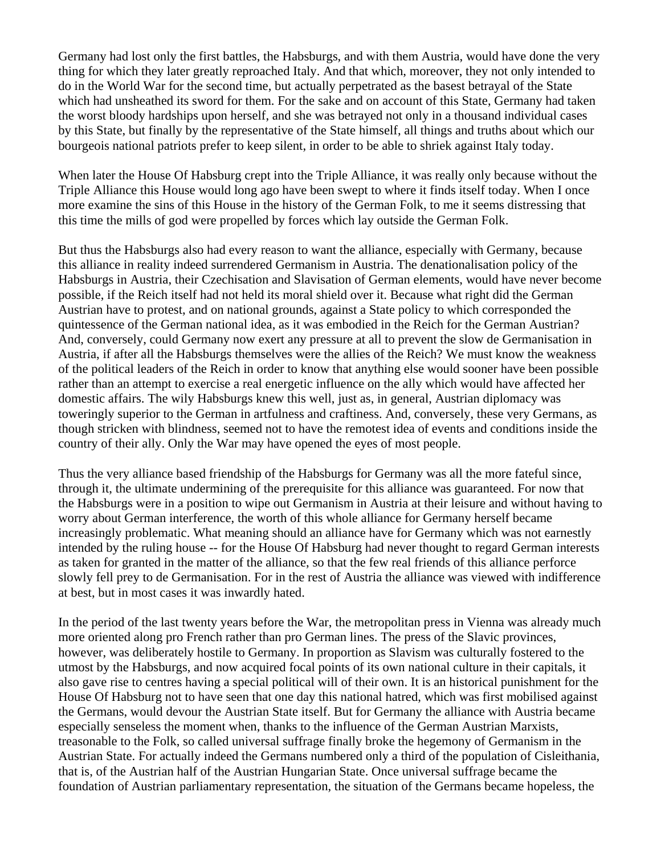Germany had lost only the first battles, the Habsburgs, and with them Austria, would have done the very thing for which they later greatly reproached Italy. And that which, moreover, they not only intended to do in the World War for the second time, but actually perpetrated as the basest betrayal of the State which had unsheathed its sword for them. For the sake and on account of this State, Germany had taken the worst bloody hardships upon herself, and she was betrayed not only in a thousand individual cases by this State, but finally by the representative of the State himself, all things and truths about which our bourgeois national patriots prefer to keep silent, in order to be able to shriek against Italy today.

When later the House Of Habsburg crept into the Triple Alliance, it was really only because without the Triple Alliance this House would long ago have been swept to where it finds itself today. When I once more examine the sins of this House in the history of the German Folk, to me it seems distressing that this time the mills of god were propelled by forces which lay outside the German Folk.

But thus the Habsburgs also had every reason to want the alliance, especially with Germany, because this alliance in reality indeed surrendered Germanism in Austria. The denationalisation policy of the Habsburgs in Austria, their Czechisation and Slavisation of German elements, would have never become possible, if the Reich itself had not held its moral shield over it. Because what right did the German Austrian have to protest, and on national grounds, against a State policy to which corresponded the quintessence of the German national idea, as it was embodied in the Reich for the German Austrian? And, conversely, could Germany now exert any pressure at all to prevent the slow de Germanisation in Austria, if after all the Habsburgs themselves were the allies of the Reich? We must know the weakness of the political leaders of the Reich in order to know that anything else would sooner have been possible rather than an attempt to exercise a real energetic influence on the ally which would have affected her domestic affairs. The wily Habsburgs knew this well, just as, in general, Austrian diplomacy was toweringly superior to the German in artfulness and craftiness. And, conversely, these very Germans, as though stricken with blindness, seemed not to have the remotest idea of events and conditions inside the country of their ally. Only the War may have opened the eyes of most people.

Thus the very alliance based friendship of the Habsburgs for Germany was all the more fateful since, through it, the ultimate undermining of the prerequisite for this alliance was guaranteed. For now that the Habsburgs were in a position to wipe out Germanism in Austria at their leisure and without having to worry about German interference, the worth of this whole alliance for Germany herself became increasingly problematic. What meaning should an alliance have for Germany which was not earnestly intended by the ruling house -- for the House Of Habsburg had never thought to regard German interests as taken for granted in the matter of the alliance, so that the few real friends of this alliance perforce slowly fell prey to de Germanisation. For in the rest of Austria the alliance was viewed with indifference at best, but in most cases it was inwardly hated.

In the period of the last twenty years before the War, the metropolitan press in Vienna was already much more oriented along pro French rather than pro German lines. The press of the Slavic provinces, however, was deliberately hostile to Germany. In proportion as Slavism was culturally fostered to the utmost by the Habsburgs, and now acquired focal points of its own national culture in their capitals, it also gave rise to centres having a special political will of their own. It is an historical punishment for the House Of Habsburg not to have seen that one day this national hatred, which was first mobilised against the Germans, would devour the Austrian State itself. But for Germany the alliance with Austria became especially senseless the moment when, thanks to the influence of the German Austrian Marxists, treasonable to the Folk, so called universal suffrage finally broke the hegemony of Germanism in the Austrian State. For actually indeed the Germans numbered only a third of the population of Cisleithania, that is, of the Austrian half of the Austrian Hungarian State. Once universal suffrage became the foundation of Austrian parliamentary representation, the situation of the Germans became hopeless, the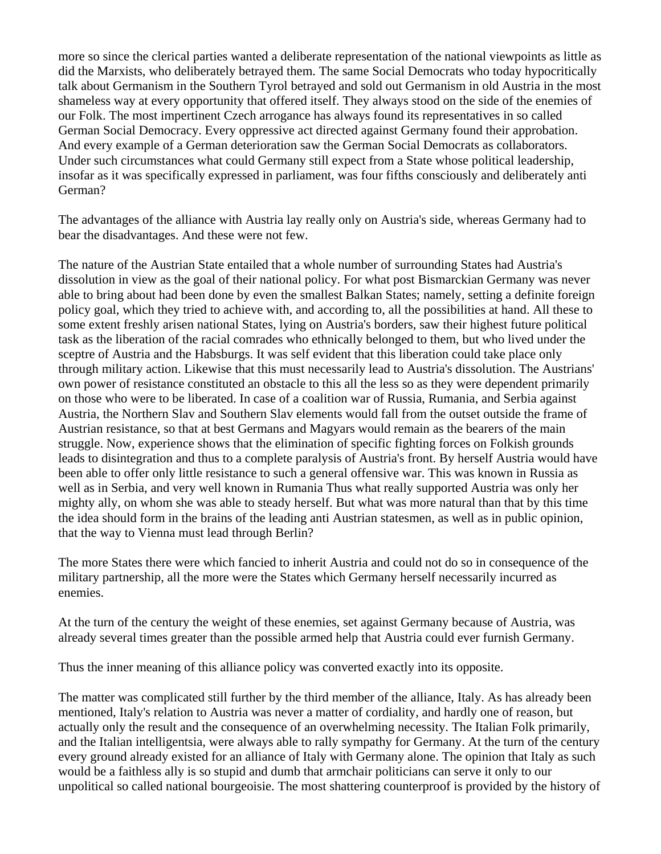more so since the clerical parties wanted a deliberate representation of the national viewpoints as little as did the Marxists, who deliberately betrayed them. The same Social Democrats who today hypocritically talk about Germanism in the Southern Tyrol betrayed and sold out Germanism in old Austria in the most shameless way at every opportunity that offered itself. They always stood on the side of the enemies of our Folk. The most impertinent Czech arrogance has always found its representatives in so called German Social Democracy. Every oppressive act directed against Germany found their approbation. And every example of a German deterioration saw the German Social Democrats as collaborators. Under such circumstances what could Germany still expect from a State whose political leadership, insofar as it was specifically expressed in parliament, was four fifths consciously and deliberately anti German?

The advantages of the alliance with Austria lay really only on Austria's side, whereas Germany had to bear the disadvantages. And these were not few.

The nature of the Austrian State entailed that a whole number of surrounding States had Austria's dissolution in view as the goal of their national policy. For what post Bismarckian Germany was never able to bring about had been done by even the smallest Balkan States; namely, setting a definite foreign policy goal, which they tried to achieve with, and according to, all the possibilities at hand. All these to some extent freshly arisen national States, lying on Austria's borders, saw their highest future political task as the liberation of the racial comrades who ethnically belonged to them, but who lived under the sceptre of Austria and the Habsburgs. It was self evident that this liberation could take place only through military action. Likewise that this must necessarily lead to Austria's dissolution. The Austrians' own power of resistance constituted an obstacle to this all the less so as they were dependent primarily on those who were to be liberated. In case of a coalition war of Russia, Rumania, and Serbia against Austria, the Northern Slav and Southern Slav elements would fall from the outset outside the frame of Austrian resistance, so that at best Germans and Magyars would remain as the bearers of the main struggle. Now, experience shows that the elimination of specific fighting forces on Folkish grounds leads to disintegration and thus to a complete paralysis of Austria's front. By herself Austria would have been able to offer only little resistance to such a general offensive war. This was known in Russia as well as in Serbia, and very well known in Rumania Thus what really supported Austria was only her mighty ally, on whom she was able to steady herself. But what was more natural than that by this time the idea should form in the brains of the leading anti Austrian statesmen, as well as in public opinion, that the way to Vienna must lead through Berlin?

The more States there were which fancied to inherit Austria and could not do so in consequence of the military partnership, all the more were the States which Germany herself necessarily incurred as enemies.

At the turn of the century the weight of these enemies, set against Germany because of Austria, was already several times greater than the possible armed help that Austria could ever furnish Germany.

Thus the inner meaning of this alliance policy was converted exactly into its opposite.

The matter was complicated still further by the third member of the alliance, Italy. As has already been mentioned, Italy's relation to Austria was never a matter of cordiality, and hardly one of reason, but actually only the result and the consequence of an overwhelming necessity. The Italian Folk primarily, and the Italian intelligentsia, were always able to rally sympathy for Germany. At the turn of the century every ground already existed for an alliance of Italy with Germany alone. The opinion that Italy as such would be a faithless ally is so stupid and dumb that armchair politicians can serve it only to our unpolitical so called national bourgeoisie. The most shattering counterproof is provided by the history of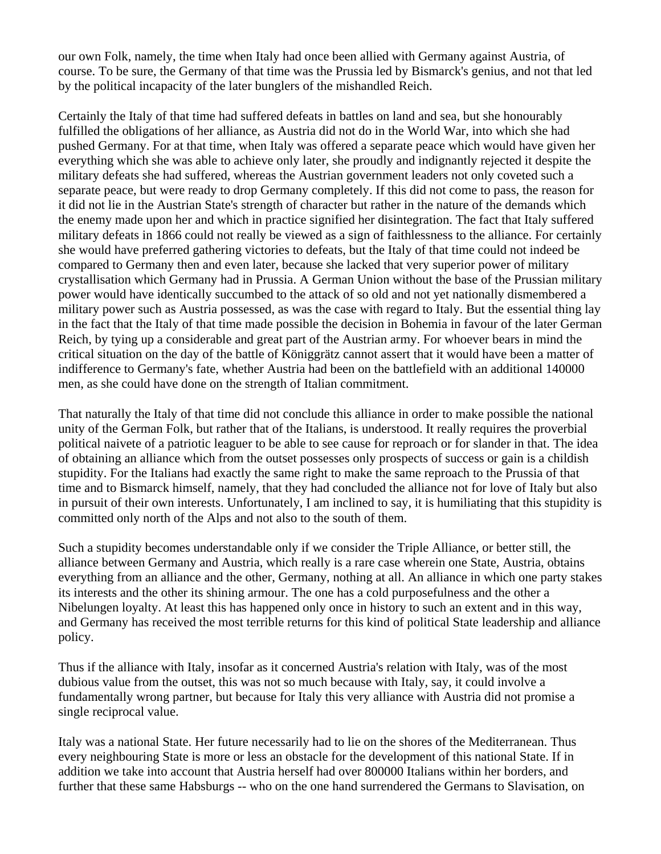our own Folk, namely, the time when Italy had once been allied with Germany against Austria, of course. To be sure, the Germany of that time was the Prussia led by Bismarck's genius, and not that led by the political incapacity of the later bunglers of the mishandled Reich.

Certainly the Italy of that time had suffered defeats in battles on land and sea, but she honourably fulfilled the obligations of her alliance, as Austria did not do in the World War, into which she had pushed Germany. For at that time, when Italy was offered a separate peace which would have given her everything which she was able to achieve only later, she proudly and indignantly rejected it despite the military defeats she had suffered, whereas the Austrian government leaders not only coveted such a separate peace, but were ready to drop Germany completely. If this did not come to pass, the reason for it did not lie in the Austrian State's strength of character but rather in the nature of the demands which the enemy made upon her and which in practice signified her disintegration. The fact that Italy suffered military defeats in 1866 could not really be viewed as a sign of faithlessness to the alliance. For certainly she would have preferred gathering victories to defeats, but the Italy of that time could not indeed be compared to Germany then and even later, because she lacked that very superior power of military crystallisation which Germany had in Prussia. A German Union without the base of the Prussian military power would have identically succumbed to the attack of so old and not yet nationally dismembered a military power such as Austria possessed, as was the case with regard to Italy. But the essential thing lay in the fact that the Italy of that time made possible the decision in Bohemia in favour of the later German Reich, by tying up a considerable and great part of the Austrian army. For whoever bears in mind the critical situation on the day of the battle of Königgrätz cannot assert that it would have been a matter of indifference to Germany's fate, whether Austria had been on the battlefield with an additional 140000 men, as she could have done on the strength of Italian commitment.

That naturally the Italy of that time did not conclude this alliance in order to make possible the national unity of the German Folk, but rather that of the Italians, is understood. It really requires the proverbial political naivete of a patriotic leaguer to be able to see cause for reproach or for slander in that. The idea of obtaining an alliance which from the outset possesses only prospects of success or gain is a childish stupidity. For the Italians had exactly the same right to make the same reproach to the Prussia of that time and to Bismarck himself, namely, that they had concluded the alliance not for love of Italy but also in pursuit of their own interests. Unfortunately, I am inclined to say, it is humiliating that this stupidity is committed only north of the Alps and not also to the south of them.

Such a stupidity becomes understandable only if we consider the Triple Alliance, or better still, the alliance between Germany and Austria, which really is a rare case wherein one State, Austria, obtains everything from an alliance and the other, Germany, nothing at all. An alliance in which one party stakes its interests and the other its shining armour. The one has a cold purposefulness and the other a Nibelungen loyalty. At least this has happened only once in history to such an extent and in this way, and Germany has received the most terrible returns for this kind of political State leadership and alliance policy.

Thus if the alliance with Italy, insofar as it concerned Austria's relation with Italy, was of the most dubious value from the outset, this was not so much because with Italy, say, it could involve a fundamentally wrong partner, but because for Italy this very alliance with Austria did not promise a single reciprocal value.

Italy was a national State. Her future necessarily had to lie on the shores of the Mediterranean. Thus every neighbouring State is more or less an obstacle for the development of this national State. If in addition we take into account that Austria herself had over 800000 Italians within her borders, and further that these same Habsburgs -- who on the one hand surrendered the Germans to Slavisation, on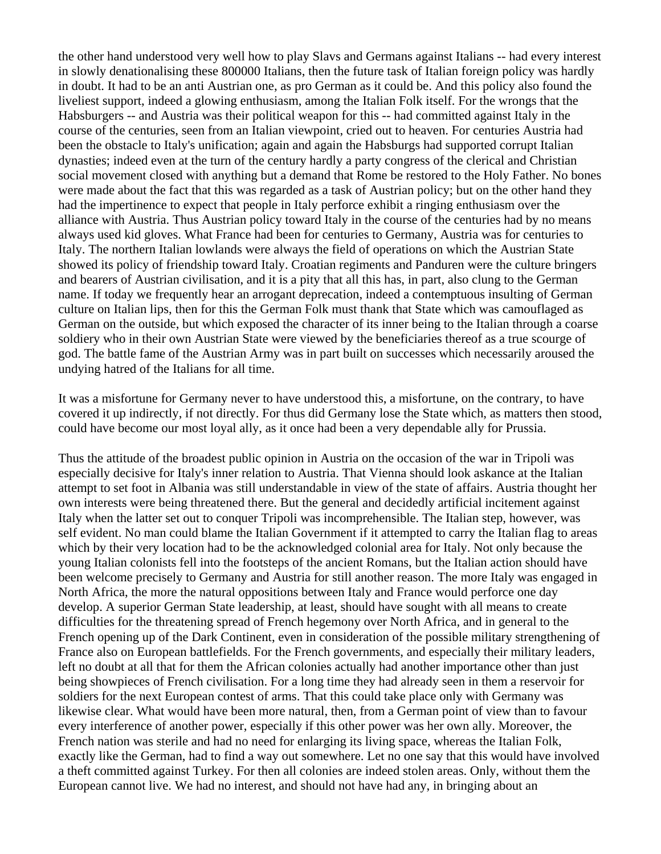the other hand understood very well how to play Slavs and Germans against Italians -- had every interest in slowly denationalising these 800000 Italians, then the future task of Italian foreign policy was hardly in doubt. It had to be an anti Austrian one, as pro German as it could be. And this policy also found the liveliest support, indeed a glowing enthusiasm, among the Italian Folk itself. For the wrongs that the Habsburgers -- and Austria was their political weapon for this -- had committed against Italy in the course of the centuries, seen from an Italian viewpoint, cried out to heaven. For centuries Austria had been the obstacle to Italy's unification; again and again the Habsburgs had supported corrupt Italian dynasties; indeed even at the turn of the century hardly a party congress of the clerical and Christian social movement closed with anything but a demand that Rome be restored to the Holy Father. No bones were made about the fact that this was regarded as a task of Austrian policy; but on the other hand they had the impertinence to expect that people in Italy perforce exhibit a ringing enthusiasm over the alliance with Austria. Thus Austrian policy toward Italy in the course of the centuries had by no means always used kid gloves. What France had been for centuries to Germany, Austria was for centuries to Italy. The northern Italian lowlands were always the field of operations on which the Austrian State showed its policy of friendship toward Italy. Croatian regiments and Panduren were the culture bringers and bearers of Austrian civilisation, and it is a pity that all this has, in part, also clung to the German name. If today we frequently hear an arrogant deprecation, indeed a contemptuous insulting of German culture on Italian lips, then for this the German Folk must thank that State which was camouflaged as German on the outside, but which exposed the character of its inner being to the Italian through a coarse soldiery who in their own Austrian State were viewed by the beneficiaries thereof as a true scourge of god. The battle fame of the Austrian Army was in part built on successes which necessarily aroused the undying hatred of the Italians for all time.

It was a misfortune for Germany never to have understood this, a misfortune, on the contrary, to have covered it up indirectly, if not directly. For thus did Germany lose the State which, as matters then stood, could have become our most loyal ally, as it once had been a very dependable ally for Prussia.

Thus the attitude of the broadest public opinion in Austria on the occasion of the war in Tripoli was especially decisive for Italy's inner relation to Austria. That Vienna should look askance at the Italian attempt to set foot in Albania was still understandable in view of the state of affairs. Austria thought her own interests were being threatened there. But the general and decidedly artificial incitement against Italy when the latter set out to conquer Tripoli was incomprehensible. The Italian step, however, was self evident. No man could blame the Italian Government if it attempted to carry the Italian flag to areas which by their very location had to be the acknowledged colonial area for Italy. Not only because the young Italian colonists fell into the footsteps of the ancient Romans, but the Italian action should have been welcome precisely to Germany and Austria for still another reason. The more Italy was engaged in North Africa, the more the natural oppositions between Italy and France would perforce one day develop. A superior German State leadership, at least, should have sought with all means to create difficulties for the threatening spread of French hegemony over North Africa, and in general to the French opening up of the Dark Continent, even in consideration of the possible military strengthening of France also on European battlefields. For the French governments, and especially their military leaders, left no doubt at all that for them the African colonies actually had another importance other than just being showpieces of French civilisation. For a long time they had already seen in them a reservoir for soldiers for the next European contest of arms. That this could take place only with Germany was likewise clear. What would have been more natural, then, from a German point of view than to favour every interference of another power, especially if this other power was her own ally. Moreover, the French nation was sterile and had no need for enlarging its living space, whereas the Italian Folk, exactly like the German, had to find a way out somewhere. Let no one say that this would have involved a theft committed against Turkey. For then all colonies are indeed stolen areas. Only, without them the European cannot live. We had no interest, and should not have had any, in bringing about an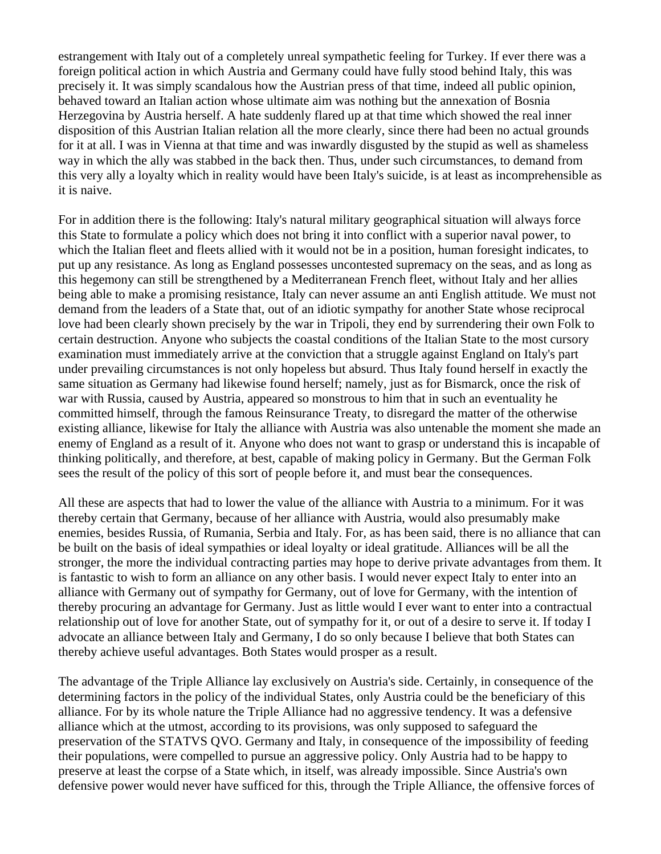estrangement with Italy out of a completely unreal sympathetic feeling for Turkey. If ever there was a foreign political action in which Austria and Germany could have fully stood behind Italy, this was precisely it. It was simply scandalous how the Austrian press of that time, indeed all public opinion, behaved toward an Italian action whose ultimate aim was nothing but the annexation of Bosnia Herzegovina by Austria herself. A hate suddenly flared up at that time which showed the real inner disposition of this Austrian Italian relation all the more clearly, since there had been no actual grounds for it at all. I was in Vienna at that time and was inwardly disgusted by the stupid as well as shameless way in which the ally was stabbed in the back then. Thus, under such circumstances, to demand from this very ally a loyalty which in reality would have been Italy's suicide, is at least as incomprehensible as it is naive.

For in addition there is the following: Italy's natural military geographical situation will always force this State to formulate a policy which does not bring it into conflict with a superior naval power, to which the Italian fleet and fleets allied with it would not be in a position, human foresight indicates, to put up any resistance. As long as England possesses uncontested supremacy on the seas, and as long as this hegemony can still be strengthened by a Mediterranean French fleet, without Italy and her allies being able to make a promising resistance, Italy can never assume an anti English attitude. We must not demand from the leaders of a State that, out of an idiotic sympathy for another State whose reciprocal love had been clearly shown precisely by the war in Tripoli, they end by surrendering their own Folk to certain destruction. Anyone who subjects the coastal conditions of the Italian State to the most cursory examination must immediately arrive at the conviction that a struggle against England on Italy's part under prevailing circumstances is not only hopeless but absurd. Thus Italy found herself in exactly the same situation as Germany had likewise found herself; namely, just as for Bismarck, once the risk of war with Russia, caused by Austria, appeared so monstrous to him that in such an eventuality he committed himself, through the famous Reinsurance Treaty, to disregard the matter of the otherwise existing alliance, likewise for Italy the alliance with Austria was also untenable the moment she made an enemy of England as a result of it. Anyone who does not want to grasp or understand this is incapable of thinking politically, and therefore, at best, capable of making policy in Germany. But the German Folk sees the result of the policy of this sort of people before it, and must bear the consequences.

All these are aspects that had to lower the value of the alliance with Austria to a minimum. For it was thereby certain that Germany, because of her alliance with Austria, would also presumably make enemies, besides Russia, of Rumania, Serbia and Italy. For, as has been said, there is no alliance that can be built on the basis of ideal sympathies or ideal loyalty or ideal gratitude. Alliances will be all the stronger, the more the individual contracting parties may hope to derive private advantages from them. It is fantastic to wish to form an alliance on any other basis. I would never expect Italy to enter into an alliance with Germany out of sympathy for Germany, out of love for Germany, with the intention of thereby procuring an advantage for Germany. Just as little would I ever want to enter into a contractual relationship out of love for another State, out of sympathy for it, or out of a desire to serve it. If today I advocate an alliance between Italy and Germany, I do so only because I believe that both States can thereby achieve useful advantages. Both States would prosper as a result.

The advantage of the Triple Alliance lay exclusively on Austria's side. Certainly, in consequence of the determining factors in the policy of the individual States, only Austria could be the beneficiary of this alliance. For by its whole nature the Triple Alliance had no aggressive tendency. It was a defensive alliance which at the utmost, according to its provisions, was only supposed to safeguard the preservation of the STATVS QVO. Germany and Italy, in consequence of the impossibility of feeding their populations, were compelled to pursue an aggressive policy. Only Austria had to be happy to preserve at least the corpse of a State which, in itself, was already impossible. Since Austria's own defensive power would never have sufficed for this, through the Triple Alliance, the offensive forces of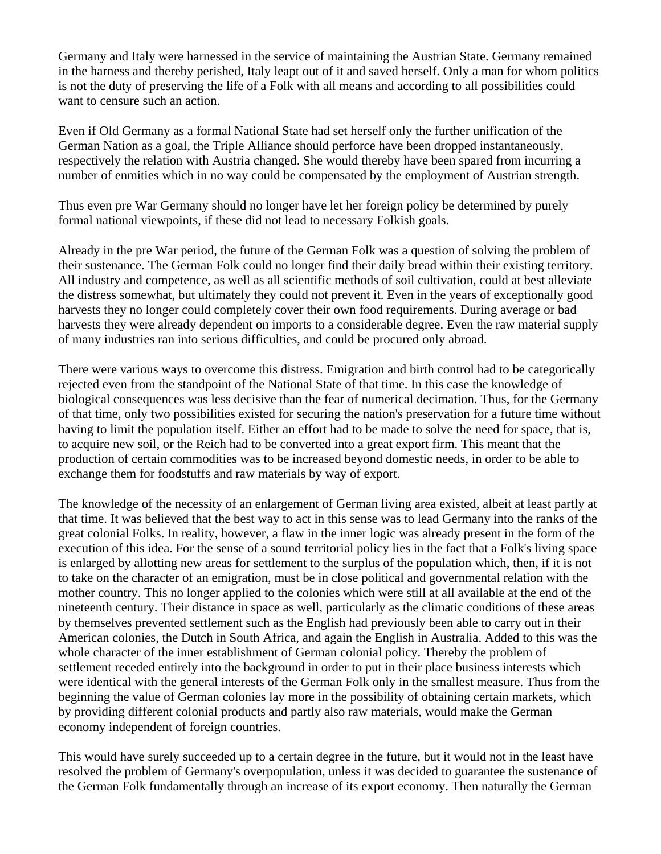Germany and Italy were harnessed in the service of maintaining the Austrian State. Germany remained in the harness and thereby perished, Italy leapt out of it and saved herself. Only a man for whom politics is not the duty of preserving the life of a Folk with all means and according to all possibilities could want to censure such an action.

Even if Old Germany as a formal National State had set herself only the further unification of the German Nation as a goal, the Triple Alliance should perforce have been dropped instantaneously, respectively the relation with Austria changed. She would thereby have been spared from incurring a number of enmities which in no way could be compensated by the employment of Austrian strength.

Thus even pre War Germany should no longer have let her foreign policy be determined by purely formal national viewpoints, if these did not lead to necessary Folkish goals.

Already in the pre War period, the future of the German Folk was a question of solving the problem of their sustenance. The German Folk could no longer find their daily bread within their existing territory. All industry and competence, as well as all scientific methods of soil cultivation, could at best alleviate the distress somewhat, but ultimately they could not prevent it. Even in the years of exceptionally good harvests they no longer could completely cover their own food requirements. During average or bad harvests they were already dependent on imports to a considerable degree. Even the raw material supply of many industries ran into serious difficulties, and could be procured only abroad.

There were various ways to overcome this distress. Emigration and birth control had to be categorically rejected even from the standpoint of the National State of that time. In this case the knowledge of biological consequences was less decisive than the fear of numerical decimation. Thus, for the Germany of that time, only two possibilities existed for securing the nation's preservation for a future time without having to limit the population itself. Either an effort had to be made to solve the need for space, that is, to acquire new soil, or the Reich had to be converted into a great export firm. This meant that the production of certain commodities was to be increased beyond domestic needs, in order to be able to exchange them for foodstuffs and raw materials by way of export.

The knowledge of the necessity of an enlargement of German living area existed, albeit at least partly at that time. It was believed that the best way to act in this sense was to lead Germany into the ranks of the great colonial Folks. In reality, however, a flaw in the inner logic was already present in the form of the execution of this idea. For the sense of a sound territorial policy lies in the fact that a Folk's living space is enlarged by allotting new areas for settlement to the surplus of the population which, then, if it is not to take on the character of an emigration, must be in close political and governmental relation with the mother country. This no longer applied to the colonies which were still at all available at the end of the nineteenth century. Their distance in space as well, particularly as the climatic conditions of these areas by themselves prevented settlement such as the English had previously been able to carry out in their American colonies, the Dutch in South Africa, and again the English in Australia. Added to this was the whole character of the inner establishment of German colonial policy. Thereby the problem of settlement receded entirely into the background in order to put in their place business interests which were identical with the general interests of the German Folk only in the smallest measure. Thus from the beginning the value of German colonies lay more in the possibility of obtaining certain markets, which by providing different colonial products and partly also raw materials, would make the German economy independent of foreign countries.

This would have surely succeeded up to a certain degree in the future, but it would not in the least have resolved the problem of Germany's overpopulation, unless it was decided to guarantee the sustenance of the German Folk fundamentally through an increase of its export economy. Then naturally the German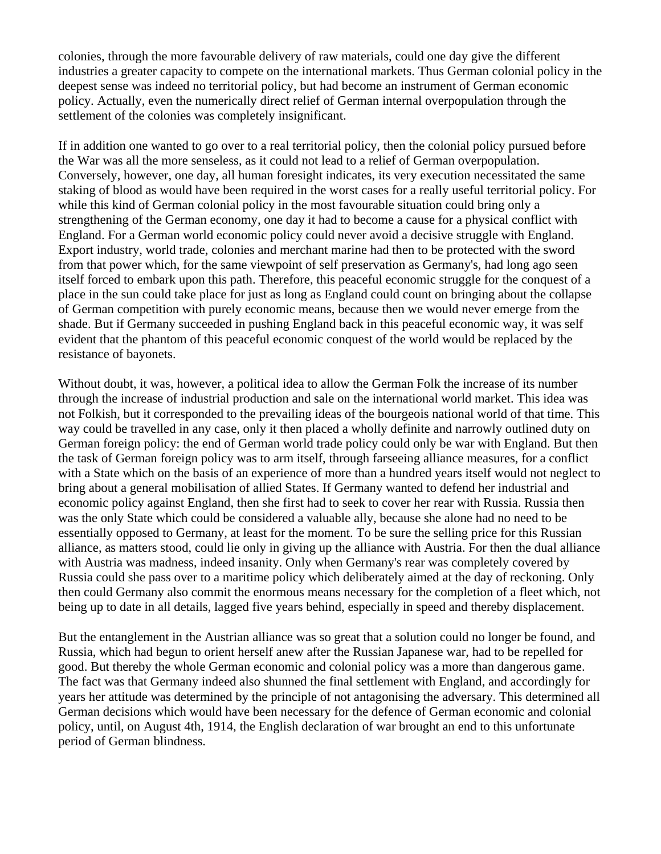colonies, through the more favourable delivery of raw materials, could one day give the different industries a greater capacity to compete on the international markets. Thus German colonial policy in the deepest sense was indeed no territorial policy, but had become an instrument of German economic policy. Actually, even the numerically direct relief of German internal overpopulation through the settlement of the colonies was completely insignificant.

If in addition one wanted to go over to a real territorial policy, then the colonial policy pursued before the War was all the more senseless, as it could not lead to a relief of German overpopulation. Conversely, however, one day, all human foresight indicates, its very execution necessitated the same staking of blood as would have been required in the worst cases for a really useful territorial policy. For while this kind of German colonial policy in the most favourable situation could bring only a strengthening of the German economy, one day it had to become a cause for a physical conflict with England. For a German world economic policy could never avoid a decisive struggle with England. Export industry, world trade, colonies and merchant marine had then to be protected with the sword from that power which, for the same viewpoint of self preservation as Germany's, had long ago seen itself forced to embark upon this path. Therefore, this peaceful economic struggle for the conquest of a place in the sun could take place for just as long as England could count on bringing about the collapse of German competition with purely economic means, because then we would never emerge from the shade. But if Germany succeeded in pushing England back in this peaceful economic way, it was self evident that the phantom of this peaceful economic conquest of the world would be replaced by the resistance of bayonets.

Without doubt, it was, however, a political idea to allow the German Folk the increase of its number through the increase of industrial production and sale on the international world market. This idea was not Folkish, but it corresponded to the prevailing ideas of the bourgeois national world of that time. This way could be travelled in any case, only it then placed a wholly definite and narrowly outlined duty on German foreign policy: the end of German world trade policy could only be war with England. But then the task of German foreign policy was to arm itself, through farseeing alliance measures, for a conflict with a State which on the basis of an experience of more than a hundred years itself would not neglect to bring about a general mobilisation of allied States. If Germany wanted to defend her industrial and economic policy against England, then she first had to seek to cover her rear with Russia. Russia then was the only State which could be considered a valuable ally, because she alone had no need to be essentially opposed to Germany, at least for the moment. To be sure the selling price for this Russian alliance, as matters stood, could lie only in giving up the alliance with Austria. For then the dual alliance with Austria was madness, indeed insanity. Only when Germany's rear was completely covered by Russia could she pass over to a maritime policy which deliberately aimed at the day of reckoning. Only then could Germany also commit the enormous means necessary for the completion of a fleet which, not being up to date in all details, lagged five years behind, especially in speed and thereby displacement.

But the entanglement in the Austrian alliance was so great that a solution could no longer be found, and Russia, which had begun to orient herself anew after the Russian Japanese war, had to be repelled for good. But thereby the whole German economic and colonial policy was a more than dangerous game. The fact was that Germany indeed also shunned the final settlement with England, and accordingly for years her attitude was determined by the principle of not antagonising the adversary. This determined all German decisions which would have been necessary for the defence of German economic and colonial policy, until, on August 4th, 1914, the English declaration of war brought an end to this unfortunate period of German blindness.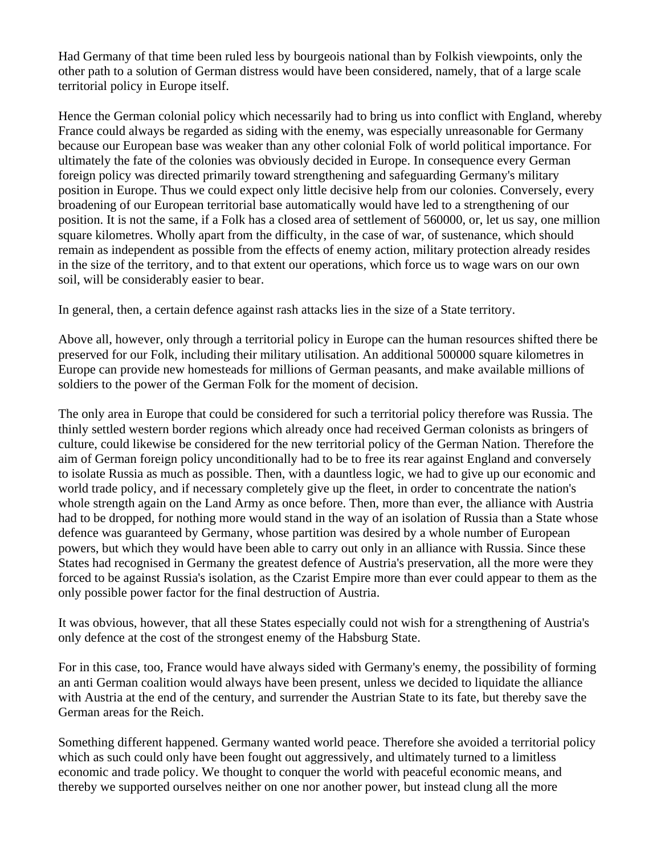Had Germany of that time been ruled less by bourgeois national than by Folkish viewpoints, only the other path to a solution of German distress would have been considered, namely, that of a large scale territorial policy in Europe itself.

Hence the German colonial policy which necessarily had to bring us into conflict with England, whereby France could always be regarded as siding with the enemy, was especially unreasonable for Germany because our European base was weaker than any other colonial Folk of world political importance. For ultimately the fate of the colonies was obviously decided in Europe. In consequence every German foreign policy was directed primarily toward strengthening and safeguarding Germany's military position in Europe. Thus we could expect only little decisive help from our colonies. Conversely, every broadening of our European territorial base automatically would have led to a strengthening of our position. It is not the same, if a Folk has a closed area of settlement of 560000, or, let us say, one million square kilometres. Wholly apart from the difficulty, in the case of war, of sustenance, which should remain as independent as possible from the effects of enemy action, military protection already resides in the size of the territory, and to that extent our operations, which force us to wage wars on our own soil, will be considerably easier to bear.

In general, then, a certain defence against rash attacks lies in the size of a State territory.

Above all, however, only through a territorial policy in Europe can the human resources shifted there be preserved for our Folk, including their military utilisation. An additional 500000 square kilometres in Europe can provide new homesteads for millions of German peasants, and make available millions of soldiers to the power of the German Folk for the moment of decision.

The only area in Europe that could be considered for such a territorial policy therefore was Russia. The thinly settled western border regions which already once had received German colonists as bringers of culture, could likewise be considered for the new territorial policy of the German Nation. Therefore the aim of German foreign policy unconditionally had to be to free its rear against England and conversely to isolate Russia as much as possible. Then, with a dauntless logic, we had to give up our economic and world trade policy, and if necessary completely give up the fleet, in order to concentrate the nation's whole strength again on the Land Army as once before. Then, more than ever, the alliance with Austria had to be dropped, for nothing more would stand in the way of an isolation of Russia than a State whose defence was guaranteed by Germany, whose partition was desired by a whole number of European powers, but which they would have been able to carry out only in an alliance with Russia. Since these States had recognised in Germany the greatest defence of Austria's preservation, all the more were they forced to be against Russia's isolation, as the Czarist Empire more than ever could appear to them as the only possible power factor for the final destruction of Austria.

It was obvious, however, that all these States especially could not wish for a strengthening of Austria's only defence at the cost of the strongest enemy of the Habsburg State.

For in this case, too, France would have always sided with Germany's enemy, the possibility of forming an anti German coalition would always have been present, unless we decided to liquidate the alliance with Austria at the end of the century, and surrender the Austrian State to its fate, but thereby save the German areas for the Reich.

Something different happened. Germany wanted world peace. Therefore she avoided a territorial policy which as such could only have been fought out aggressively, and ultimately turned to a limitless economic and trade policy. We thought to conquer the world with peaceful economic means, and thereby we supported ourselves neither on one nor another power, but instead clung all the more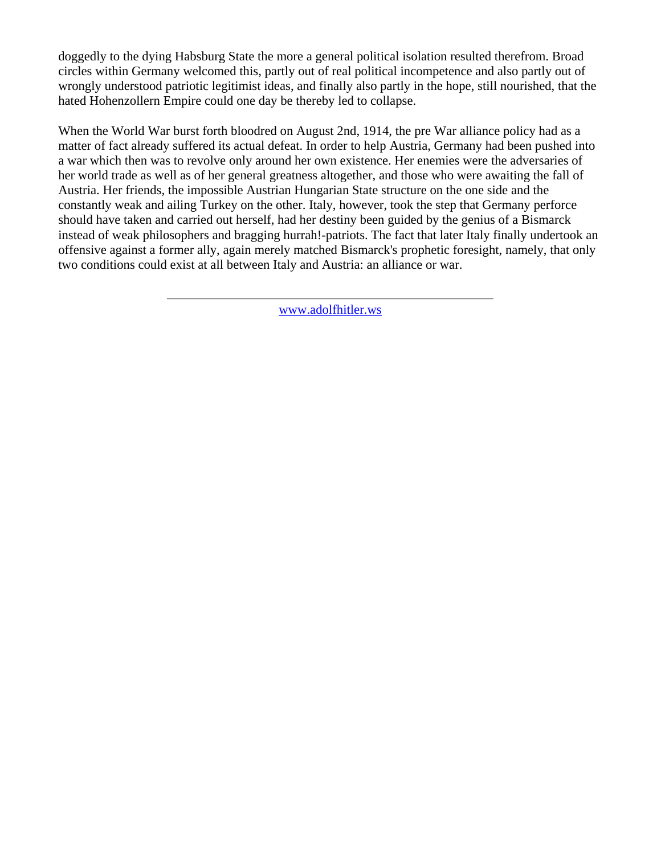doggedly to the dying Habsburg State the more a general political isolation resulted therefrom. Broad circles within Germany welcomed this, partly out of real political incompetence and also partly out of wrongly understood patriotic legitimist ideas, and finally also partly in the hope, still nourished, that the hated Hohenzollern Empire could one day be thereby led to collapse.

When the World War burst forth bloodred on August 2nd, 1914, the pre War alliance policy had as a matter of fact already suffered its actual defeat. In order to help Austria, Germany had been pushed into a war which then was to revolve only around her own existence. Her enemies were the adversaries of her world trade as well as of her general greatness altogether, and those who were awaiting the fall of Austria. Her friends, the impossible Austrian Hungarian State structure on the one side and the constantly weak and ailing Turkey on the other. Italy, however, took the step that Germany perforce should have taken and carried out herself, had her destiny been guided by the genius of a Bismarck instead of weak philosophers and bragging hurrah!-patriots. The fact that later Italy finally undertook an offensive against a former ally, again merely matched Bismarck's prophetic foresight, namely, that only two conditions could exist at all between Italy and Austria: an alliance or war.

[www.adolfhitler.ws](http://web.archive.org/web/20030623113519/http:/www.adolfhitler.ws/)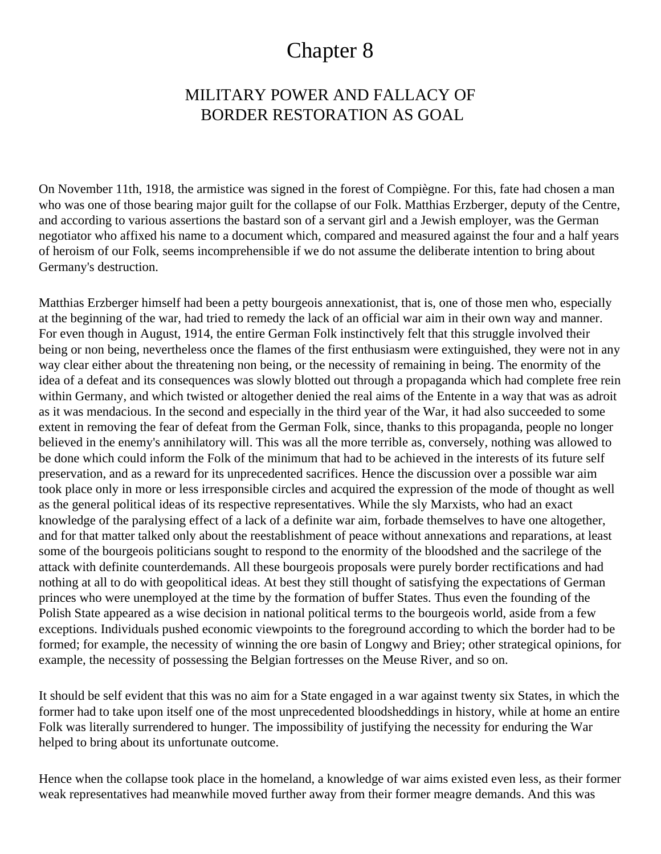### Chapter 8

#### MILITARY POWER AND FALLACY OF BORDER RESTORATION AS GOAL

On November 11th, 1918, the armistice was signed in the forest of Compiègne. For this, fate had chosen a man who was one of those bearing major guilt for the collapse of our Folk. Matthias Erzberger, deputy of the Centre, and according to various assertions the bastard son of a servant girl and a Jewish employer, was the German negotiator who affixed his name to a document which, compared and measured against the four and a half years of heroism of our Folk, seems incomprehensible if we do not assume the deliberate intention to bring about Germany's destruction.

Matthias Erzberger himself had been a petty bourgeois annexationist, that is, one of those men who, especially at the beginning of the war, had tried to remedy the lack of an official war aim in their own way and manner. For even though in August, 1914, the entire German Folk instinctively felt that this struggle involved their being or non being, nevertheless once the flames of the first enthusiasm were extinguished, they were not in any way clear either about the threatening non being, or the necessity of remaining in being. The enormity of the idea of a defeat and its consequences was slowly blotted out through a propaganda which had complete free rein within Germany, and which twisted or altogether denied the real aims of the Entente in a way that was as adroit as it was mendacious. In the second and especially in the third year of the War, it had also succeeded to some extent in removing the fear of defeat from the German Folk, since, thanks to this propaganda, people no longer believed in the enemy's annihilatory will. This was all the more terrible as, conversely, nothing was allowed to be done which could inform the Folk of the minimum that had to be achieved in the interests of its future self preservation, and as a reward for its unprecedented sacrifices. Hence the discussion over a possible war aim took place only in more or less irresponsible circles and acquired the expression of the mode of thought as well as the general political ideas of its respective representatives. While the sly Marxists, who had an exact knowledge of the paralysing effect of a lack of a definite war aim, forbade themselves to have one altogether, and for that matter talked only about the reestablishment of peace without annexations and reparations, at least some of the bourgeois politicians sought to respond to the enormity of the bloodshed and the sacrilege of the attack with definite counterdemands. All these bourgeois proposals were purely border rectifications and had nothing at all to do with geopolitical ideas. At best they still thought of satisfying the expectations of German princes who were unemployed at the time by the formation of buffer States. Thus even the founding of the Polish State appeared as a wise decision in national political terms to the bourgeois world, aside from a few exceptions. Individuals pushed economic viewpoints to the foreground according to which the border had to be formed; for example, the necessity of winning the ore basin of Longwy and Briey; other strategical opinions, for example, the necessity of possessing the Belgian fortresses on the Meuse River, and so on.

It should be self evident that this was no aim for a State engaged in a war against twenty six States, in which the former had to take upon itself one of the most unprecedented bloodsheddings in history, while at home an entire Folk was literally surrendered to hunger. The impossibility of justifying the necessity for enduring the War helped to bring about its unfortunate outcome.

Hence when the collapse took place in the homeland, a knowledge of war aims existed even less, as their former weak representatives had meanwhile moved further away from their former meagre demands. And this was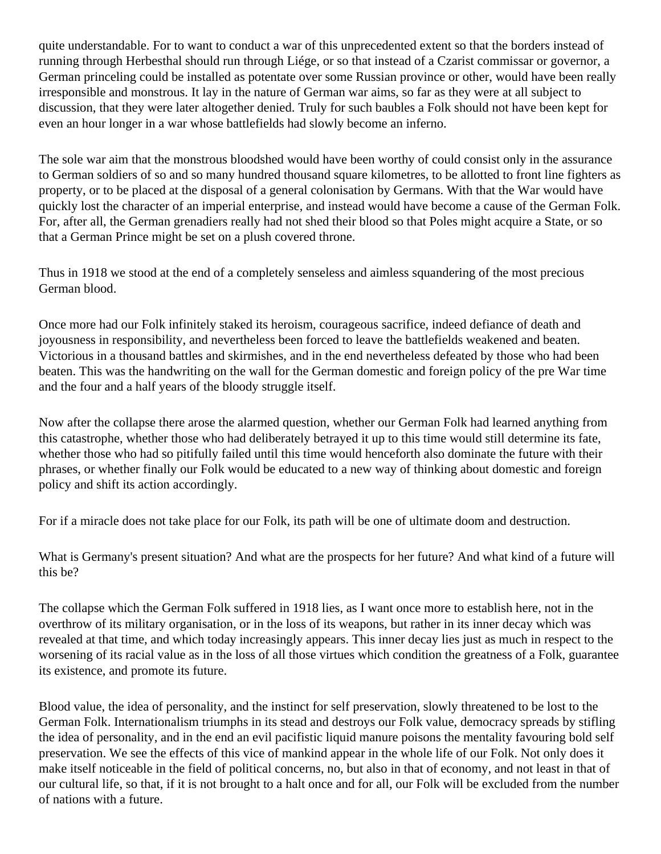quite understandable. For to want to conduct a war of this unprecedented extent so that the borders instead of running through Herbesthal should run through Liége, or so that instead of a Czarist commissar or governor, a German princeling could be installed as potentate over some Russian province or other, would have been really irresponsible and monstrous. It lay in the nature of German war aims, so far as they were at all subject to discussion, that they were later altogether denied. Truly for such baubles a Folk should not have been kept for even an hour longer in a war whose battlefields had slowly become an inferno.

The sole war aim that the monstrous bloodshed would have been worthy of could consist only in the assurance to German soldiers of so and so many hundred thousand square kilometres, to be allotted to front line fighters as property, or to be placed at the disposal of a general colonisation by Germans. With that the War would have quickly lost the character of an imperial enterprise, and instead would have become a cause of the German Folk. For, after all, the German grenadiers really had not shed their blood so that Poles might acquire a State, or so that a German Prince might be set on a plush covered throne.

Thus in 1918 we stood at the end of a completely senseless and aimless squandering of the most precious German blood.

Once more had our Folk infinitely staked its heroism, courageous sacrifice, indeed defiance of death and joyousness in responsibility, and nevertheless been forced to leave the battlefields weakened and beaten. Victorious in a thousand battles and skirmishes, and in the end nevertheless defeated by those who had been beaten. This was the handwriting on the wall for the German domestic and foreign policy of the pre War time and the four and a half years of the bloody struggle itself.

Now after the collapse there arose the alarmed question, whether our German Folk had learned anything from this catastrophe, whether those who had deliberately betrayed it up to this time would still determine its fate, whether those who had so pitifully failed until this time would henceforth also dominate the future with their phrases, or whether finally our Folk would be educated to a new way of thinking about domestic and foreign policy and shift its action accordingly.

For if a miracle does not take place for our Folk, its path will be one of ultimate doom and destruction.

What is Germany's present situation? And what are the prospects for her future? And what kind of a future will this be?

The collapse which the German Folk suffered in 1918 lies, as I want once more to establish here, not in the overthrow of its military organisation, or in the loss of its weapons, but rather in its inner decay which was revealed at that time, and which today increasingly appears. This inner decay lies just as much in respect to the worsening of its racial value as in the loss of all those virtues which condition the greatness of a Folk, guarantee its existence, and promote its future.

Blood value, the idea of personality, and the instinct for self preservation, slowly threatened to be lost to the German Folk. Internationalism triumphs in its stead and destroys our Folk value, democracy spreads by stifling the idea of personality, and in the end an evil pacifistic liquid manure poisons the mentality favouring bold self preservation. We see the effects of this vice of mankind appear in the whole life of our Folk. Not only does it make itself noticeable in the field of political concerns, no, but also in that of economy, and not least in that of our cultural life, so that, if it is not brought to a halt once and for all, our Folk will be excluded from the number of nations with a future.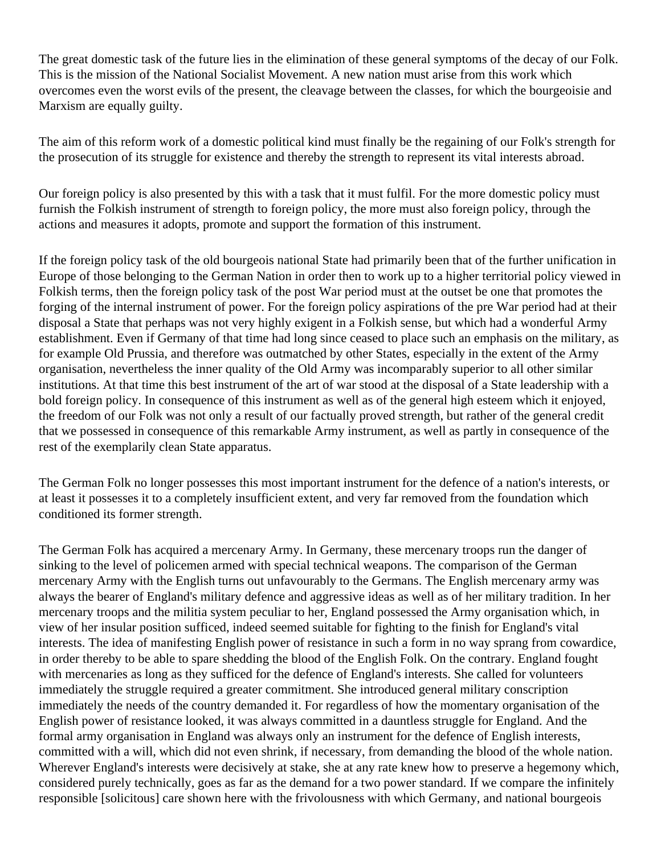The great domestic task of the future lies in the elimination of these general symptoms of the decay of our Folk. This is the mission of the National Socialist Movement. A new nation must arise from this work which overcomes even the worst evils of the present, the cleavage between the classes, for which the bourgeoisie and Marxism are equally guilty.

The aim of this reform work of a domestic political kind must finally be the regaining of our Folk's strength for the prosecution of its struggle for existence and thereby the strength to represent its vital interests abroad.

Our foreign policy is also presented by this with a task that it must fulfil. For the more domestic policy must furnish the Folkish instrument of strength to foreign policy, the more must also foreign policy, through the actions and measures it adopts, promote and support the formation of this instrument.

If the foreign policy task of the old bourgeois national State had primarily been that of the further unification in Europe of those belonging to the German Nation in order then to work up to a higher territorial policy viewed in Folkish terms, then the foreign policy task of the post War period must at the outset be one that promotes the forging of the internal instrument of power. For the foreign policy aspirations of the pre War period had at their disposal a State that perhaps was not very highly exigent in a Folkish sense, but which had a wonderful Army establishment. Even if Germany of that time had long since ceased to place such an emphasis on the military, as for example Old Prussia, and therefore was outmatched by other States, especially in the extent of the Army organisation, nevertheless the inner quality of the Old Army was incomparably superior to all other similar institutions. At that time this best instrument of the art of war stood at the disposal of a State leadership with a bold foreign policy. In consequence of this instrument as well as of the general high esteem which it enjoyed, the freedom of our Folk was not only a result of our factually proved strength, but rather of the general credit that we possessed in consequence of this remarkable Army instrument, as well as partly in consequence of the rest of the exemplarily clean State apparatus.

The German Folk no longer possesses this most important instrument for the defence of a nation's interests, or at least it possesses it to a completely insufficient extent, and very far removed from the foundation which conditioned its former strength.

The German Folk has acquired a mercenary Army. In Germany, these mercenary troops run the danger of sinking to the level of policemen armed with special technical weapons. The comparison of the German mercenary Army with the English turns out unfavourably to the Germans. The English mercenary army was always the bearer of England's military defence and aggressive ideas as well as of her military tradition. In her mercenary troops and the militia system peculiar to her, England possessed the Army organisation which, in view of her insular position sufficed, indeed seemed suitable for fighting to the finish for England's vital interests. The idea of manifesting English power of resistance in such a form in no way sprang from cowardice, in order thereby to be able to spare shedding the blood of the English Folk. On the contrary. England fought with mercenaries as long as they sufficed for the defence of England's interests. She called for volunteers immediately the struggle required a greater commitment. She introduced general military conscription immediately the needs of the country demanded it. For regardless of how the momentary organisation of the English power of resistance looked, it was always committed in a dauntless struggle for England. And the formal army organisation in England was always only an instrument for the defence of English interests, committed with a will, which did not even shrink, if necessary, from demanding the blood of the whole nation. Wherever England's interests were decisively at stake, she at any rate knew how to preserve a hegemony which, considered purely technically, goes as far as the demand for a two power standard. If we compare the infinitely responsible [solicitous] care shown here with the frivolousness with which Germany, and national bourgeois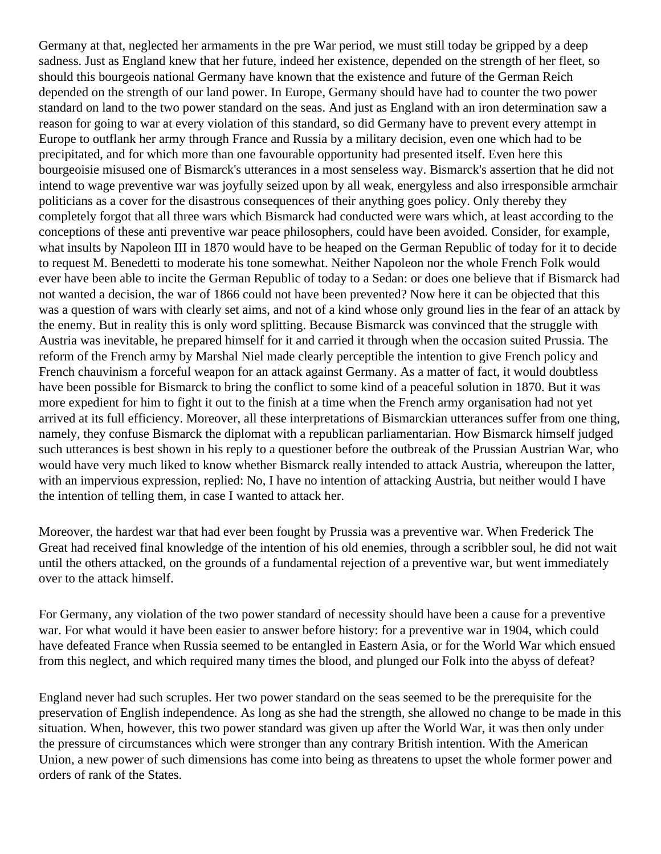Germany at that, neglected her armaments in the pre War period, we must still today be gripped by a deep sadness. Just as England knew that her future, indeed her existence, depended on the strength of her fleet, so should this bourgeois national Germany have known that the existence and future of the German Reich depended on the strength of our land power. In Europe, Germany should have had to counter the two power standard on land to the two power standard on the seas. And just as England with an iron determination saw a reason for going to war at every violation of this standard, so did Germany have to prevent every attempt in Europe to outflank her army through France and Russia by a military decision, even one which had to be precipitated, and for which more than one favourable opportunity had presented itself. Even here this bourgeoisie misused one of Bismarck's utterances in a most senseless way. Bismarck's assertion that he did not intend to wage preventive war was joyfully seized upon by all weak, energyless and also irresponsible armchair politicians as a cover for the disastrous consequences of their anything goes policy. Only thereby they completely forgot that all three wars which Bismarck had conducted were wars which, at least according to the conceptions of these anti preventive war peace philosophers, could have been avoided. Consider, for example, what insults by Napoleon III in 1870 would have to be heaped on the German Republic of today for it to decide to request M. Benedetti to moderate his tone somewhat. Neither Napoleon nor the whole French Folk would ever have been able to incite the German Republic of today to a Sedan: or does one believe that if Bismarck had not wanted a decision, the war of 1866 could not have been prevented? Now here it can be objected that this was a question of wars with clearly set aims, and not of a kind whose only ground lies in the fear of an attack by the enemy. But in reality this is only word splitting. Because Bismarck was convinced that the struggle with Austria was inevitable, he prepared himself for it and carried it through when the occasion suited Prussia. The reform of the French army by Marshal Niel made clearly perceptible the intention to give French policy and French chauvinism a forceful weapon for an attack against Germany. As a matter of fact, it would doubtless have been possible for Bismarck to bring the conflict to some kind of a peaceful solution in 1870. But it was more expedient for him to fight it out to the finish at a time when the French army organisation had not yet arrived at its full efficiency. Moreover, all these interpretations of Bismarckian utterances suffer from one thing, namely, they confuse Bismarck the diplomat with a republican parliamentarian. How Bismarck himself judged such utterances is best shown in his reply to a questioner before the outbreak of the Prussian Austrian War, who would have very much liked to know whether Bismarck really intended to attack Austria, whereupon the latter, with an impervious expression, replied: No, I have no intention of attacking Austria, but neither would I have the intention of telling them, in case I wanted to attack her.

Moreover, the hardest war that had ever been fought by Prussia was a preventive war. When Frederick The Great had received final knowledge of the intention of his old enemies, through a scribbler soul, he did not wait until the others attacked, on the grounds of a fundamental rejection of a preventive war, but went immediately over to the attack himself.

For Germany, any violation of the two power standard of necessity should have been a cause for a preventive war. For what would it have been easier to answer before history: for a preventive war in 1904, which could have defeated France when Russia seemed to be entangled in Eastern Asia, or for the World War which ensued from this neglect, and which required many times the blood, and plunged our Folk into the abyss of defeat?

England never had such scruples. Her two power standard on the seas seemed to be the prerequisite for the preservation of English independence. As long as she had the strength, she allowed no change to be made in this situation. When, however, this two power standard was given up after the World War, it was then only under the pressure of circumstances which were stronger than any contrary British intention. With the American Union, a new power of such dimensions has come into being as threatens to upset the whole former power and orders of rank of the States.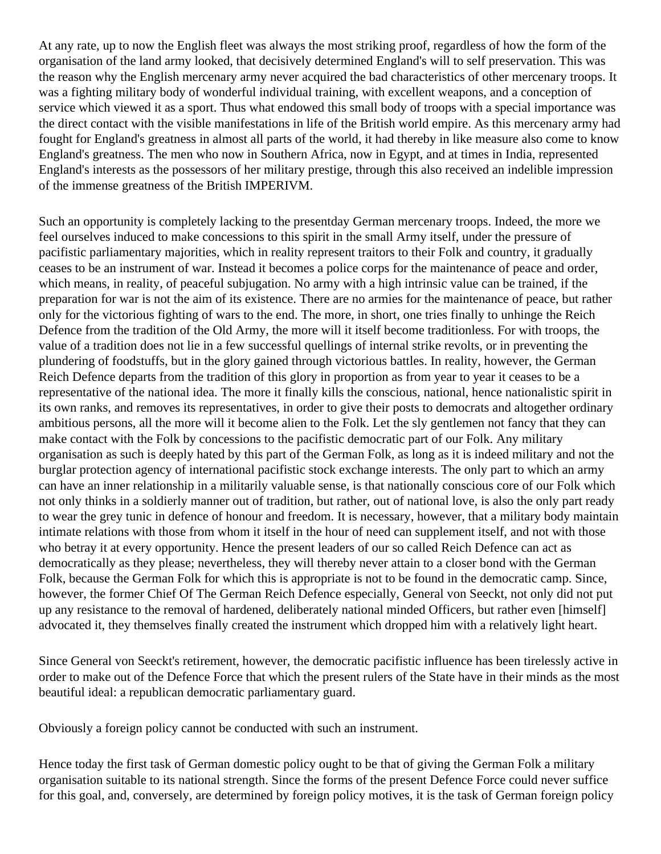At any rate, up to now the English fleet was always the most striking proof, regardless of how the form of the organisation of the land army looked, that decisively determined England's will to self preservation. This was the reason why the English mercenary army never acquired the bad characteristics of other mercenary troops. It was a fighting military body of wonderful individual training, with excellent weapons, and a conception of service which viewed it as a sport. Thus what endowed this small body of troops with a special importance was the direct contact with the visible manifestations in life of the British world empire. As this mercenary army had fought for England's greatness in almost all parts of the world, it had thereby in like measure also come to know England's greatness. The men who now in Southern Africa, now in Egypt, and at times in India, represented England's interests as the possessors of her military prestige, through this also received an indelible impression of the immense greatness of the British IMPERIVM.

Such an opportunity is completely lacking to the presentday German mercenary troops. Indeed, the more we feel ourselves induced to make concessions to this spirit in the small Army itself, under the pressure of pacifistic parliamentary majorities, which in reality represent traitors to their Folk and country, it gradually ceases to be an instrument of war. Instead it becomes a police corps for the maintenance of peace and order, which means, in reality, of peaceful subjugation. No army with a high intrinsic value can be trained, if the preparation for war is not the aim of its existence. There are no armies for the maintenance of peace, but rather only for the victorious fighting of wars to the end. The more, in short, one tries finally to unhinge the Reich Defence from the tradition of the Old Army, the more will it itself become traditionless. For with troops, the value of a tradition does not lie in a few successful quellings of internal strike revolts, or in preventing the plundering of foodstuffs, but in the glory gained through victorious battles. In reality, however, the German Reich Defence departs from the tradition of this glory in proportion as from year to year it ceases to be a representative of the national idea. The more it finally kills the conscious, national, hence nationalistic spirit in its own ranks, and removes its representatives, in order to give their posts to democrats and altogether ordinary ambitious persons, all the more will it become alien to the Folk. Let the sly gentlemen not fancy that they can make contact with the Folk by concessions to the pacifistic democratic part of our Folk. Any military organisation as such is deeply hated by this part of the German Folk, as long as it is indeed military and not the burglar protection agency of international pacifistic stock exchange interests. The only part to which an army can have an inner relationship in a militarily valuable sense, is that nationally conscious core of our Folk which not only thinks in a soldierly manner out of tradition, but rather, out of national love, is also the only part ready to wear the grey tunic in defence of honour and freedom. It is necessary, however, that a military body maintain intimate relations with those from whom it itself in the hour of need can supplement itself, and not with those who betray it at every opportunity. Hence the present leaders of our so called Reich Defence can act as democratically as they please; nevertheless, they will thereby never attain to a closer bond with the German Folk, because the German Folk for which this is appropriate is not to be found in the democratic camp. Since, however, the former Chief Of The German Reich Defence especially, General von Seeckt, not only did not put up any resistance to the removal of hardened, deliberately national minded Officers, but rather even [himself] advocated it, they themselves finally created the instrument which dropped him with a relatively light heart.

Since General von Seeckt's retirement, however, the democratic pacifistic influence has been tirelessly active in order to make out of the Defence Force that which the present rulers of the State have in their minds as the most beautiful ideal: a republican democratic parliamentary guard.

Obviously a foreign policy cannot be conducted with such an instrument.

Hence today the first task of German domestic policy ought to be that of giving the German Folk a military organisation suitable to its national strength. Since the forms of the present Defence Force could never suffice for this goal, and, conversely, are determined by foreign policy motives, it is the task of German foreign policy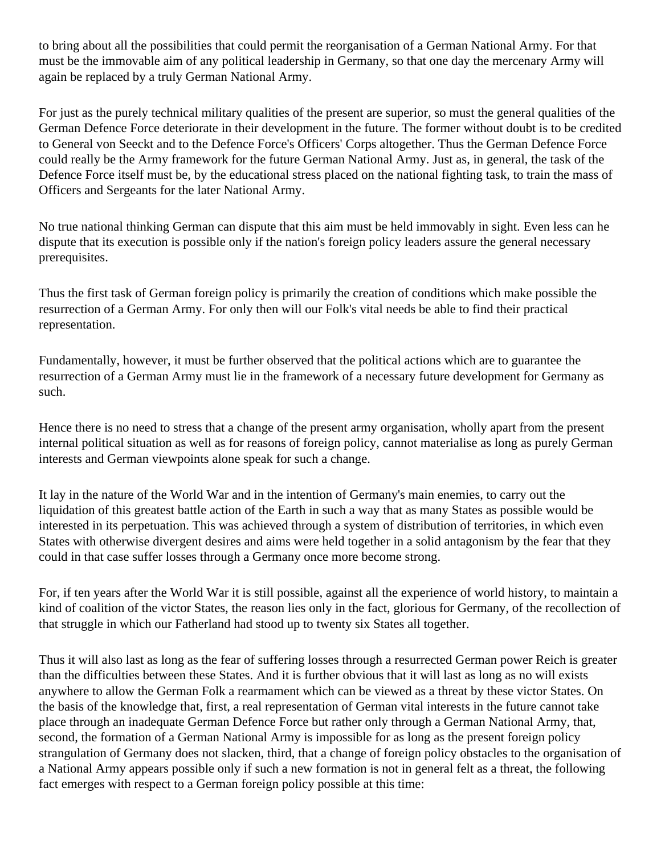to bring about all the possibilities that could permit the reorganisation of a German National Army. For that must be the immovable aim of any political leadership in Germany, so that one day the mercenary Army will again be replaced by a truly German National Army.

For just as the purely technical military qualities of the present are superior, so must the general qualities of the German Defence Force deteriorate in their development in the future. The former without doubt is to be credited to General von Seeckt and to the Defence Force's Officers' Corps altogether. Thus the German Defence Force could really be the Army framework for the future German National Army. Just as, in general, the task of the Defence Force itself must be, by the educational stress placed on the national fighting task, to train the mass of Officers and Sergeants for the later National Army.

No true national thinking German can dispute that this aim must be held immovably in sight. Even less can he dispute that its execution is possible only if the nation's foreign policy leaders assure the general necessary prerequisites.

Thus the first task of German foreign policy is primarily the creation of conditions which make possible the resurrection of a German Army. For only then will our Folk's vital needs be able to find their practical representation.

Fundamentally, however, it must be further observed that the political actions which are to guarantee the resurrection of a German Army must lie in the framework of a necessary future development for Germany as such.

Hence there is no need to stress that a change of the present army organisation, wholly apart from the present internal political situation as well as for reasons of foreign policy, cannot materialise as long as purely German interests and German viewpoints alone speak for such a change.

It lay in the nature of the World War and in the intention of Germany's main enemies, to carry out the liquidation of this greatest battle action of the Earth in such a way that as many States as possible would be interested in its perpetuation. This was achieved through a system of distribution of territories, in which even States with otherwise divergent desires and aims were held together in a solid antagonism by the fear that they could in that case suffer losses through a Germany once more become strong.

For, if ten years after the World War it is still possible, against all the experience of world history, to maintain a kind of coalition of the victor States, the reason lies only in the fact, glorious for Germany, of the recollection of that struggle in which our Fatherland had stood up to twenty six States all together.

Thus it will also last as long as the fear of suffering losses through a resurrected German power Reich is greater than the difficulties between these States. And it is further obvious that it will last as long as no will exists anywhere to allow the German Folk a rearmament which can be viewed as a threat by these victor States. On the basis of the knowledge that, first, a real representation of German vital interests in the future cannot take place through an inadequate German Defence Force but rather only through a German National Army, that, second, the formation of a German National Army is impossible for as long as the present foreign policy strangulation of Germany does not slacken, third, that a change of foreign policy obstacles to the organisation of a National Army appears possible only if such a new formation is not in general felt as a threat, the following fact emerges with respect to a German foreign policy possible at this time: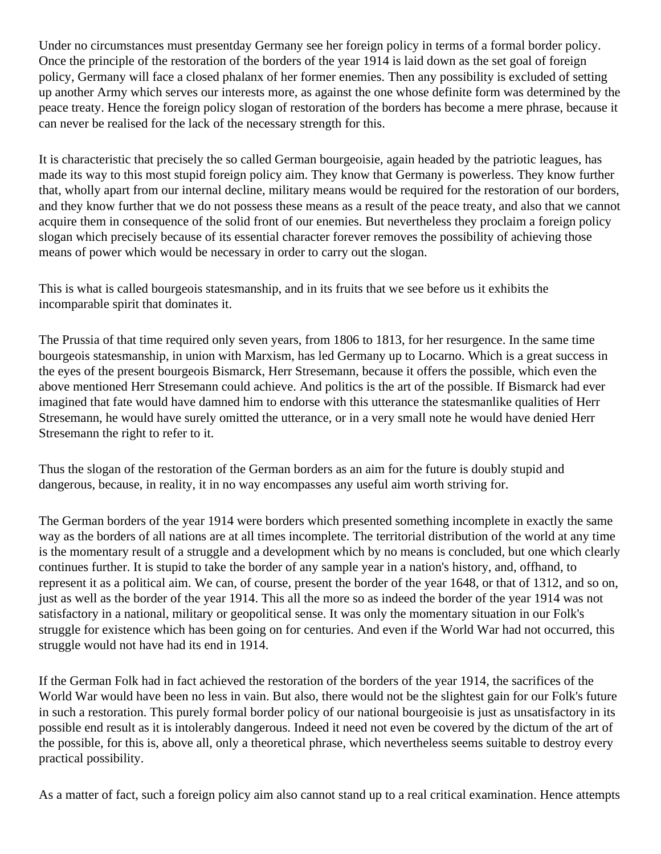Under no circumstances must presentday Germany see her foreign policy in terms of a formal border policy. Once the principle of the restoration of the borders of the year 1914 is laid down as the set goal of foreign policy, Germany will face a closed phalanx of her former enemies. Then any possibility is excluded of setting up another Army which serves our interests more, as against the one whose definite form was determined by the peace treaty. Hence the foreign policy slogan of restoration of the borders has become a mere phrase, because it can never be realised for the lack of the necessary strength for this.

It is characteristic that precisely the so called German bourgeoisie, again headed by the patriotic leagues, has made its way to this most stupid foreign policy aim. They know that Germany is powerless. They know further that, wholly apart from our internal decline, military means would be required for the restoration of our borders, and they know further that we do not possess these means as a result of the peace treaty, and also that we cannot acquire them in consequence of the solid front of our enemies. But nevertheless they proclaim a foreign policy slogan which precisely because of its essential character forever removes the possibility of achieving those means of power which would be necessary in order to carry out the slogan.

This is what is called bourgeois statesmanship, and in its fruits that we see before us it exhibits the incomparable spirit that dominates it.

The Prussia of that time required only seven years, from 1806 to 1813, for her resurgence. In the same time bourgeois statesmanship, in union with Marxism, has led Germany up to Locarno. Which is a great success in the eyes of the present bourgeois Bismarck, Herr Stresemann, because it offers the possible, which even the above mentioned Herr Stresemann could achieve. And politics is the art of the possible. If Bismarck had ever imagined that fate would have damned him to endorse with this utterance the statesmanlike qualities of Herr Stresemann, he would have surely omitted the utterance, or in a very small note he would have denied Herr Stresemann the right to refer to it.

Thus the slogan of the restoration of the German borders as an aim for the future is doubly stupid and dangerous, because, in reality, it in no way encompasses any useful aim worth striving for.

The German borders of the year 1914 were borders which presented something incomplete in exactly the same way as the borders of all nations are at all times incomplete. The territorial distribution of the world at any time is the momentary result of a struggle and a development which by no means is concluded, but one which clearly continues further. It is stupid to take the border of any sample year in a nation's history, and, offhand, to represent it as a political aim. We can, of course, present the border of the year 1648, or that of 1312, and so on, just as well as the border of the year 1914. This all the more so as indeed the border of the year 1914 was not satisfactory in a national, military or geopolitical sense. It was only the momentary situation in our Folk's struggle for existence which has been going on for centuries. And even if the World War had not occurred, this struggle would not have had its end in 1914.

If the German Folk had in fact achieved the restoration of the borders of the year 1914, the sacrifices of the World War would have been no less in vain. But also, there would not be the slightest gain for our Folk's future in such a restoration. This purely formal border policy of our national bourgeoisie is just as unsatisfactory in its possible end result as it is intolerably dangerous. Indeed it need not even be covered by the dictum of the art of the possible, for this is, above all, only a theoretical phrase, which nevertheless seems suitable to destroy every practical possibility.

As a matter of fact, such a foreign policy aim also cannot stand up to a real critical examination. Hence attempts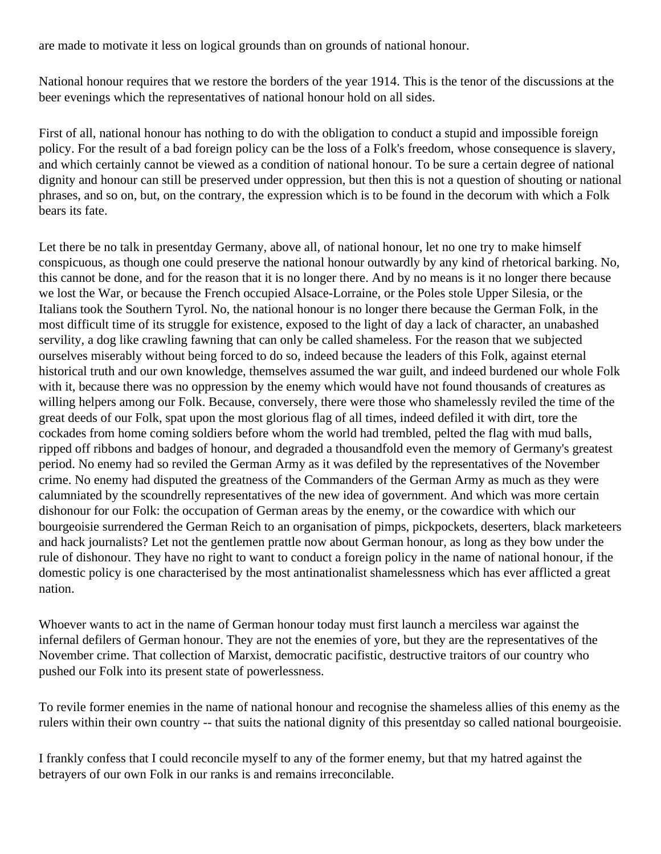are made to motivate it less on logical grounds than on grounds of national honour.

National honour requires that we restore the borders of the year 1914. This is the tenor of the discussions at the beer evenings which the representatives of national honour hold on all sides.

First of all, national honour has nothing to do with the obligation to conduct a stupid and impossible foreign policy. For the result of a bad foreign policy can be the loss of a Folk's freedom, whose consequence is slavery, and which certainly cannot be viewed as a condition of national honour. To be sure a certain degree of national dignity and honour can still be preserved under oppression, but then this is not a question of shouting or national phrases, and so on, but, on the contrary, the expression which is to be found in the decorum with which a Folk bears its fate.

Let there be no talk in presentday Germany, above all, of national honour, let no one try to make himself conspicuous, as though one could preserve the national honour outwardly by any kind of rhetorical barking. No, this cannot be done, and for the reason that it is no longer there. And by no means is it no longer there because we lost the War, or because the French occupied Alsace-Lorraine, or the Poles stole Upper Silesia, or the Italians took the Southern Tyrol. No, the national honour is no longer there because the German Folk, in the most difficult time of its struggle for existence, exposed to the light of day a lack of character, an unabashed servility, a dog like crawling fawning that can only be called shameless. For the reason that we subjected ourselves miserably without being forced to do so, indeed because the leaders of this Folk, against eternal historical truth and our own knowledge, themselves assumed the war guilt, and indeed burdened our whole Folk with it, because there was no oppression by the enemy which would have not found thousands of creatures as willing helpers among our Folk. Because, conversely, there were those who shamelessly reviled the time of the great deeds of our Folk, spat upon the most glorious flag of all times, indeed defiled it with dirt, tore the cockades from home coming soldiers before whom the world had trembled, pelted the flag with mud balls, ripped off ribbons and badges of honour, and degraded a thousandfold even the memory of Germany's greatest period. No enemy had so reviled the German Army as it was defiled by the representatives of the November crime. No enemy had disputed the greatness of the Commanders of the German Army as much as they were calumniated by the scoundrelly representatives of the new idea of government. And which was more certain dishonour for our Folk: the occupation of German areas by the enemy, or the cowardice with which our bourgeoisie surrendered the German Reich to an organisation of pimps, pickpockets, deserters, black marketeers and hack journalists? Let not the gentlemen prattle now about German honour, as long as they bow under the rule of dishonour. They have no right to want to conduct a foreign policy in the name of national honour, if the domestic policy is one characterised by the most antinationalist shamelessness which has ever afflicted a great nation.

Whoever wants to act in the name of German honour today must first launch a merciless war against the infernal defilers of German honour. They are not the enemies of yore, but they are the representatives of the November crime. That collection of Marxist, democratic pacifistic, destructive traitors of our country who pushed our Folk into its present state of powerlessness.

To revile former enemies in the name of national honour and recognise the shameless allies of this enemy as the rulers within their own country -- that suits the national dignity of this presentday so called national bourgeoisie.

I frankly confess that I could reconcile myself to any of the former enemy, but that my hatred against the betrayers of our own Folk in our ranks is and remains irreconcilable.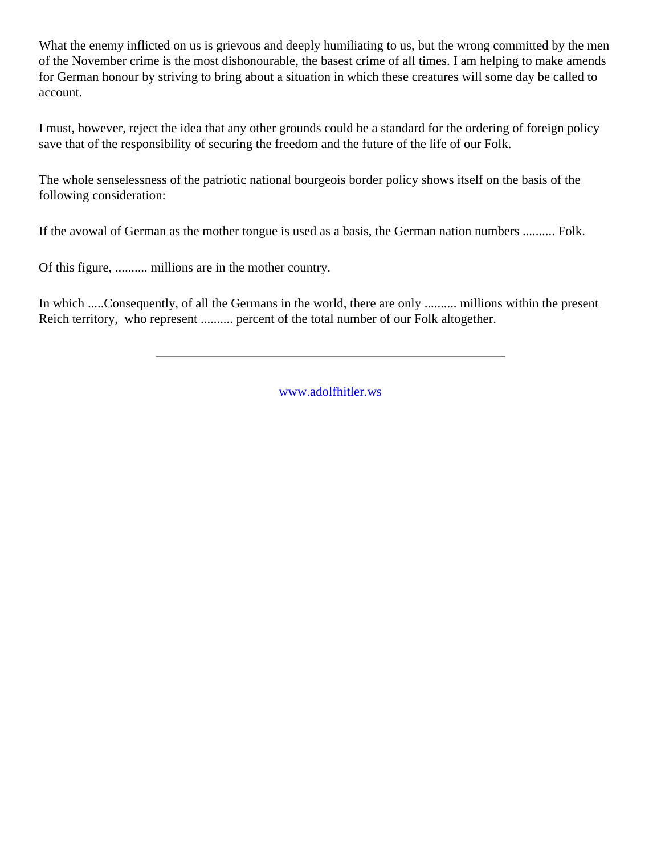What the enemy inflicted on us is grievous and deeply humiliating to us, but the wrong committed by the men of the November crime is the most dishonourable, the basest crime of all times. I am helping to make amends for German honour by striving to bring about a situation in which these creatures will some day be called to account.

I must, however, reject the idea that any other grounds could be a standard for the ordering of foreign policy save that of the responsibility of securing the freedom and the future of the life of our Folk.

The whole senselessness of the patriotic national bourgeois border policy shows itself on the basis of the following consideration:

If the avowal of German as the mother tongue is used as a basis, the German nation numbers .......... Folk.

Of this figure, .......... millions are in the mother country.

In which .....Consequently, of all the Germans in the world, there are only .......... millions within the present Reich territory, who represent .......... percent of the total number of our Folk altogether.

[www.adolfhitler.ws](http://www.adolfhitler.ws/)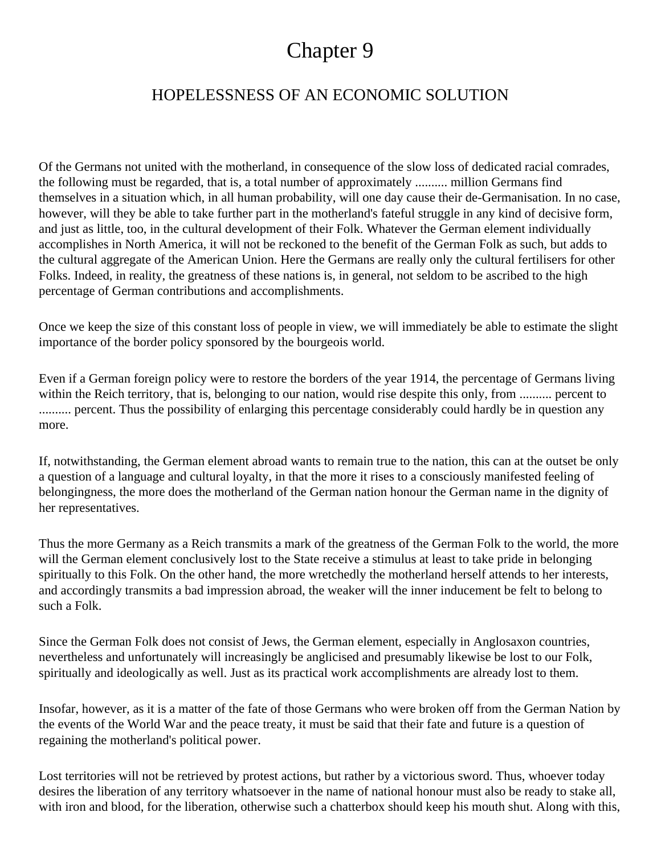## Chapter 9

### HOPELESSNESS OF AN ECONOMIC SOLUTION

Of the Germans not united with the motherland, in consequence of the slow loss of dedicated racial comrades, the following must be regarded, that is, a total number of approximately .......... million Germans find themselves in a situation which, in all human probability, will one day cause their de-Germanisation. In no case, however, will they be able to take further part in the motherland's fateful struggle in any kind of decisive form, and just as little, too, in the cultural development of their Folk. Whatever the German element individually accomplishes in North America, it will not be reckoned to the benefit of the German Folk as such, but adds to the cultural aggregate of the American Union. Here the Germans are really only the cultural fertilisers for other Folks. Indeed, in reality, the greatness of these nations is, in general, not seldom to be ascribed to the high percentage of German contributions and accomplishments.

Once we keep the size of this constant loss of people in view, we will immediately be able to estimate the slight importance of the border policy sponsored by the bourgeois world.

Even if a German foreign policy were to restore the borders of the year 1914, the percentage of Germans living within the Reich territory, that is, belonging to our nation, would rise despite this only, from .......... percent to ............ percent. Thus the possibility of enlarging this percentage considerably could hardly be in question any more.

If, notwithstanding, the German element abroad wants to remain true to the nation, this can at the outset be only a question of a language and cultural loyalty, in that the more it rises to a consciously manifested feeling of belongingness, the more does the motherland of the German nation honour the German name in the dignity of her representatives.

Thus the more Germany as a Reich transmits a mark of the greatness of the German Folk to the world, the more will the German element conclusively lost to the State receive a stimulus at least to take pride in belonging spiritually to this Folk. On the other hand, the more wretchedly the motherland herself attends to her interests, and accordingly transmits a bad impression abroad, the weaker will the inner inducement be felt to belong to such a Folk.

Since the German Folk does not consist of Jews, the German element, especially in Anglosaxon countries, nevertheless and unfortunately will increasingly be anglicised and presumably likewise be lost to our Folk, spiritually and ideologically as well. Just as its practical work accomplishments are already lost to them.

Insofar, however, as it is a matter of the fate of those Germans who were broken off from the German Nation by the events of the World War and the peace treaty, it must be said that their fate and future is a question of regaining the motherland's political power.

Lost territories will not be retrieved by protest actions, but rather by a victorious sword. Thus, whoever today desires the liberation of any territory whatsoever in the name of national honour must also be ready to stake all, with iron and blood, for the liberation, otherwise such a chatterbox should keep his mouth shut. Along with this,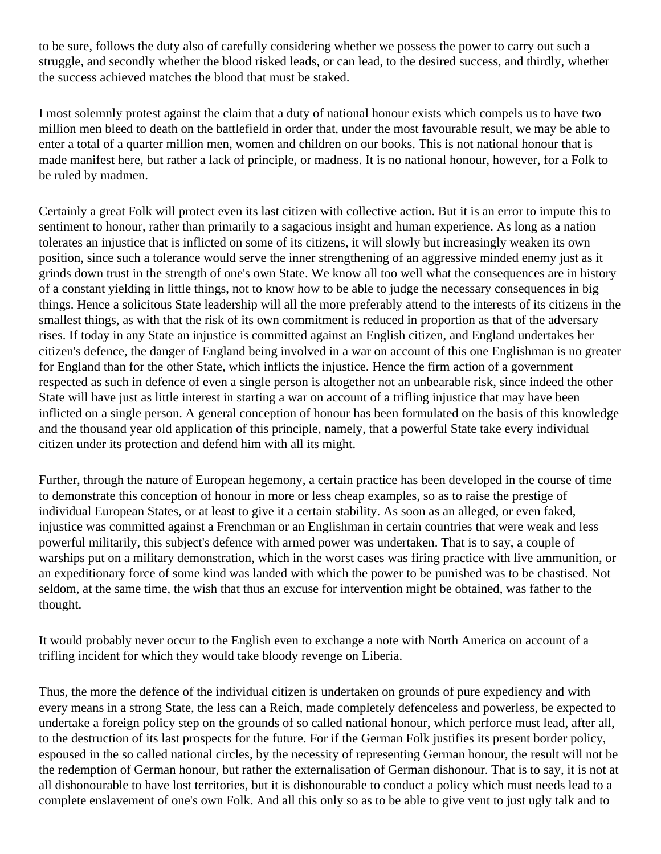to be sure, follows the duty also of carefully considering whether we possess the power to carry out such a struggle, and secondly whether the blood risked leads, or can lead, to the desired success, and thirdly, whether the success achieved matches the blood that must be staked.

I most solemnly protest against the claim that a duty of national honour exists which compels us to have two million men bleed to death on the battlefield in order that, under the most favourable result, we may be able to enter a total of a quarter million men, women and children on our books. This is not national honour that is made manifest here, but rather a lack of principle, or madness. It is no national honour, however, for a Folk to be ruled by madmen.

Certainly a great Folk will protect even its last citizen with collective action. But it is an error to impute this to sentiment to honour, rather than primarily to a sagacious insight and human experience. As long as a nation tolerates an injustice that is inflicted on some of its citizens, it will slowly but increasingly weaken its own position, since such a tolerance would serve the inner strengthening of an aggressive minded enemy just as it grinds down trust in the strength of one's own State. We know all too well what the consequences are in history of a constant yielding in little things, not to know how to be able to judge the necessary consequences in big things. Hence a solicitous State leadership will all the more preferably attend to the interests of its citizens in the smallest things, as with that the risk of its own commitment is reduced in proportion as that of the adversary rises. If today in any State an injustice is committed against an English citizen, and England undertakes her citizen's defence, the danger of England being involved in a war on account of this one Englishman is no greater for England than for the other State, which inflicts the injustice. Hence the firm action of a government respected as such in defence of even a single person is altogether not an unbearable risk, since indeed the other State will have just as little interest in starting a war on account of a trifling injustice that may have been inflicted on a single person. A general conception of honour has been formulated on the basis of this knowledge and the thousand year old application of this principle, namely, that a powerful State take every individual citizen under its protection and defend him with all its might.

Further, through the nature of European hegemony, a certain practice has been developed in the course of time to demonstrate this conception of honour in more or less cheap examples, so as to raise the prestige of individual European States, or at least to give it a certain stability. As soon as an alleged, or even faked, injustice was committed against a Frenchman or an Englishman in certain countries that were weak and less powerful militarily, this subject's defence with armed power was undertaken. That is to say, a couple of warships put on a military demonstration, which in the worst cases was firing practice with live ammunition, or an expeditionary force of some kind was landed with which the power to be punished was to be chastised. Not seldom, at the same time, the wish that thus an excuse for intervention might be obtained, was father to the thought.

It would probably never occur to the English even to exchange a note with North America on account of a trifling incident for which they would take bloody revenge on Liberia.

Thus, the more the defence of the individual citizen is undertaken on grounds of pure expediency and with every means in a strong State, the less can a Reich, made completely defenceless and powerless, be expected to undertake a foreign policy step on the grounds of so called national honour, which perforce must lead, after all, to the destruction of its last prospects for the future. For if the German Folk justifies its present border policy, espoused in the so called national circles, by the necessity of representing German honour, the result will not be the redemption of German honour, but rather the externalisation of German dishonour. That is to say, it is not at all dishonourable to have lost territories, but it is dishonourable to conduct a policy which must needs lead to a complete enslavement of one's own Folk. And all this only so as to be able to give vent to just ugly talk and to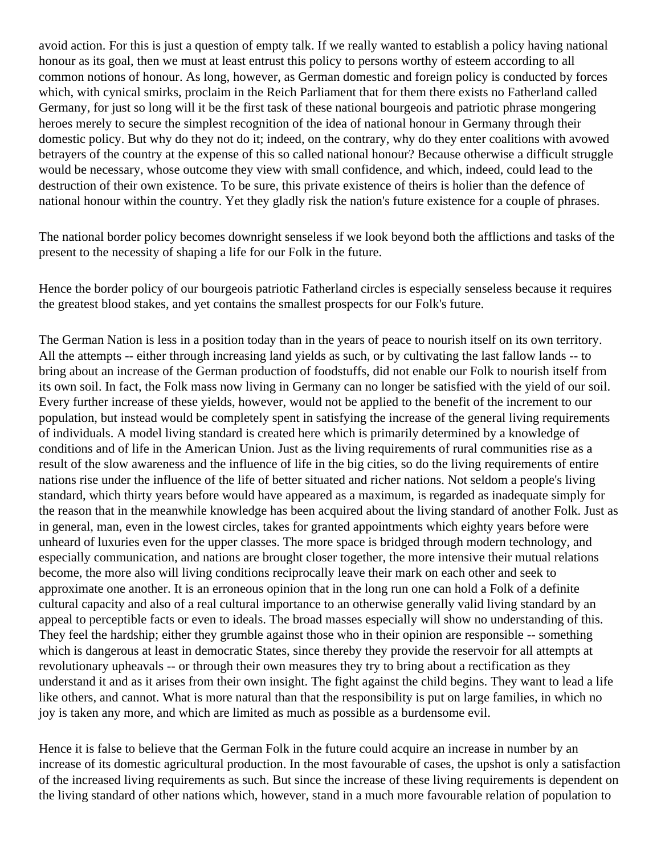avoid action. For this is just a question of empty talk. If we really wanted to establish a policy having national honour as its goal, then we must at least entrust this policy to persons worthy of esteem according to all common notions of honour. As long, however, as German domestic and foreign policy is conducted by forces which, with cynical smirks, proclaim in the Reich Parliament that for them there exists no Fatherland called Germany, for just so long will it be the first task of these national bourgeois and patriotic phrase mongering heroes merely to secure the simplest recognition of the idea of national honour in Germany through their domestic policy. But why do they not do it; indeed, on the contrary, why do they enter coalitions with avowed betrayers of the country at the expense of this so called national honour? Because otherwise a difficult struggle would be necessary, whose outcome they view with small confidence, and which, indeed, could lead to the destruction of their own existence. To be sure, this private existence of theirs is holier than the defence of national honour within the country. Yet they gladly risk the nation's future existence for a couple of phrases.

The national border policy becomes downright senseless if we look beyond both the afflictions and tasks of the present to the necessity of shaping a life for our Folk in the future.

Hence the border policy of our bourgeois patriotic Fatherland circles is especially senseless because it requires the greatest blood stakes, and yet contains the smallest prospects for our Folk's future.

The German Nation is less in a position today than in the years of peace to nourish itself on its own territory. All the attempts -- either through increasing land yields as such, or by cultivating the last fallow lands -- to bring about an increase of the German production of foodstuffs, did not enable our Folk to nourish itself from its own soil. In fact, the Folk mass now living in Germany can no longer be satisfied with the yield of our soil. Every further increase of these yields, however, would not be applied to the benefit of the increment to our population, but instead would be completely spent in satisfying the increase of the general living requirements of individuals. A model living standard is created here which is primarily determined by a knowledge of conditions and of life in the American Union. Just as the living requirements of rural communities rise as a result of the slow awareness and the influence of life in the big cities, so do the living requirements of entire nations rise under the influence of the life of better situated and richer nations. Not seldom a people's living standard, which thirty years before would have appeared as a maximum, is regarded as inadequate simply for the reason that in the meanwhile knowledge has been acquired about the living standard of another Folk. Just as in general, man, even in the lowest circles, takes for granted appointments which eighty years before were unheard of luxuries even for the upper classes. The more space is bridged through modern technology, and especially communication, and nations are brought closer together, the more intensive their mutual relations become, the more also will living conditions reciprocally leave their mark on each other and seek to approximate one another. It is an erroneous opinion that in the long run one can hold a Folk of a definite cultural capacity and also of a real cultural importance to an otherwise generally valid living standard by an appeal to perceptible facts or even to ideals. The broad masses especially will show no understanding of this. They feel the hardship; either they grumble against those who in their opinion are responsible -- something which is dangerous at least in democratic States, since thereby they provide the reservoir for all attempts at revolutionary upheavals -- or through their own measures they try to bring about a rectification as they understand it and as it arises from their own insight. The fight against the child begins. They want to lead a life like others, and cannot. What is more natural than that the responsibility is put on large families, in which no joy is taken any more, and which are limited as much as possible as a burdensome evil.

Hence it is false to believe that the German Folk in the future could acquire an increase in number by an increase of its domestic agricultural production. In the most favourable of cases, the upshot is only a satisfaction of the increased living requirements as such. But since the increase of these living requirements is dependent on the living standard of other nations which, however, stand in a much more favourable relation of population to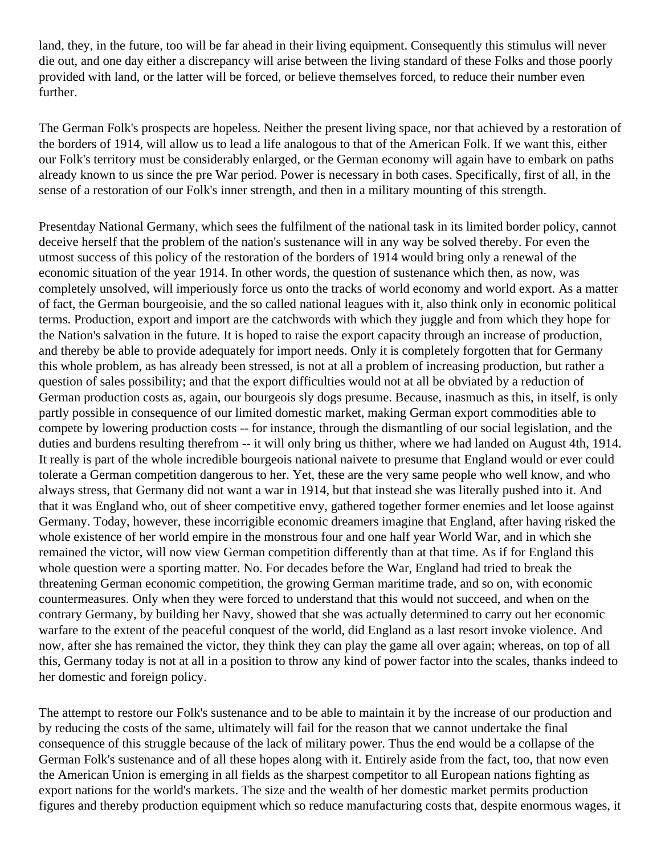land, they, in the future, too will be far ahead in their living equipment. Consequently this stimulus will never die out, and one day either a discrepancy will arise between the living standard of these Folks and those poorly provided with land, or the latter will be forced, or believe themselves forced, to reduce their number even further.

The German Folk's prospects are hopeless. Neither the present living space, nor that achieved by a restoration of the borders of 1914, will allow us to lead a life analogous to that of the American Folk. If we want this, either our Folk's territory must be considerably enlarged, or the German economy will again have to embark on paths already known to us since the pre War period. Power is necessary in both cases. Specifically, first of all, in the sense of a restoration of our Folk's inner strength, and then in a military mounting of this strength.

Presentday National Germany, which sees the fulfilment of the national task in its limited border policy, cannot deceive herself that the problem of the nation's sustenance will in any way be solved thereby. For even the utmost success of this policy of the restoration of the borders of 1914 would bring only a renewal of the economic situation of the year 1914. In other words, the question of sustenance which then, as now, was completely unsolved, will imperiously force us onto the tracks of world economy and world export. As a matter of fact, the German bourgeoisie, and the so called national leagues with it, also think only in economic political terms. Production, export and import are the catchwords with which they juggle and from which they hope for the Nation's salvation in the future. It is hoped to raise the export capacity through an increase of production, and thereby be able to provide adequately for import needs. Only it is completely forgotten that for Germany this whole problem, as has already been stressed, is not at all a problem of increasing production, but rather a question of sales possibility; and that the export difficulties would not at all be obviated by a reduction of German production costs as, again, our bourgeois sly dogs presume. Because, inasmuch as this, in itself, is only partly possible in consequence of our limited domestic market, making German export commodities able to compete by lowering production costs -- for instance, through the dismantling of our social legislation, and the duties and burdens resulting therefrom -- it will only bring us thither, where we had landed on August 4th, 1914. It really is part of the whole incredible bourgeois national naivete to presume that England would or ever could tolerate a German competition dangerous to her. Yet, these are the very same people who well know, and who always stress, that Germany did not want a war in 1914, but that instead she was literally pushed into it. And that it was England who, out of sheer competitive envy, gathered together former enemies and let loose against Germany. Today, however, these incorrigible economic dreamers imagine that England, after having risked the whole existence of her world empire in the monstrous four and one half year World War, and in which she remained the victor, will now view German competition differently than at that time. As if for England this whole question were a sporting matter. No. For decades before the War, England had tried to break the threatening German economic competition, the growing German maritime trade, and so on, with economic countermeasures. Only when they were forced to understand that this would not succeed, and when on the contrary Germany, by building her Navy, showed that she was actually determined to carry out her economic warfare to the extent of the peaceful conquest of the world, did England as a last resort invoke violence. And now, after she has remained the victor, they think they can play the game all over again; whereas, on top of all this, Germany today is not at all in a position to throw any kind of power factor into the scales, thanks indeed to her domestic and foreign policy.

The attempt to restore our Folk's sustenance and to be able to maintain it by the increase of our production and by reducing the costs of the same, ultimately will fail for the reason that we cannot undertake the final consequence of this struggle because of the lack of military power. Thus the end would be a collapse of the German Folk's sustenance and of all these hopes along with it. Entirely aside from the fact, too, that now even the American Union is emerging in all fields as the sharpest competitor to all European nations fighting as export nations for the world's markets. The size and the wealth of her domestic market permits production figures and thereby production equipment which so reduce manufacturing costs that, despite enormous wages, it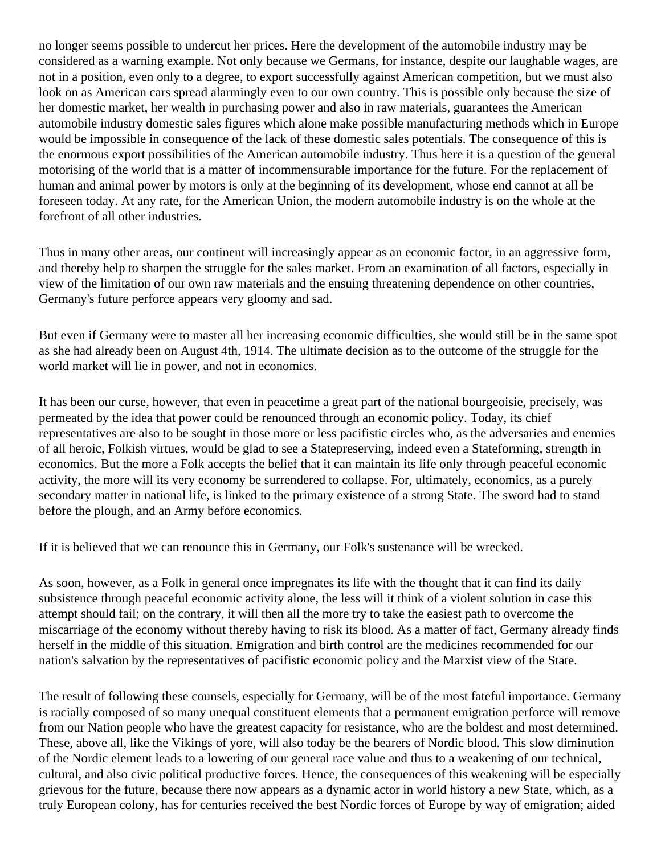no longer seems possible to undercut her prices. Here the development of the automobile industry may be considered as a warning example. Not only because we Germans, for instance, despite our laughable wages, are not in a position, even only to a degree, to export successfully against American competition, but we must also look on as American cars spread alarmingly even to our own country. This is possible only because the size of her domestic market, her wealth in purchasing power and also in raw materials, guarantees the American automobile industry domestic sales figures which alone make possible manufacturing methods which in Europe would be impossible in consequence of the lack of these domestic sales potentials. The consequence of this is the enormous export possibilities of the American automobile industry. Thus here it is a question of the general motorising of the world that is a matter of incommensurable importance for the future. For the replacement of human and animal power by motors is only at the beginning of its development, whose end cannot at all be foreseen today. At any rate, for the American Union, the modern automobile industry is on the whole at the forefront of all other industries.

Thus in many other areas, our continent will increasingly appear as an economic factor, in an aggressive form, and thereby help to sharpen the struggle for the sales market. From an examination of all factors, especially in view of the limitation of our own raw materials and the ensuing threatening dependence on other countries, Germany's future perforce appears very gloomy and sad.

But even if Germany were to master all her increasing economic difficulties, she would still be in the same spot as she had already been on August 4th, 1914. The ultimate decision as to the outcome of the struggle for the world market will lie in power, and not in economics.

It has been our curse, however, that even in peacetime a great part of the national bourgeoisie, precisely, was permeated by the idea that power could be renounced through an economic policy. Today, its chief representatives are also to be sought in those more or less pacifistic circles who, as the adversaries and enemies of all heroic, Folkish virtues, would be glad to see a Statepreserving, indeed even a Stateforming, strength in economics. But the more a Folk accepts the belief that it can maintain its life only through peaceful economic activity, the more will its very economy be surrendered to collapse. For, ultimately, economics, as a purely secondary matter in national life, is linked to the primary existence of a strong State. The sword had to stand before the plough, and an Army before economics.

If it is believed that we can renounce this in Germany, our Folk's sustenance will be wrecked.

As soon, however, as a Folk in general once impregnates its life with the thought that it can find its daily subsistence through peaceful economic activity alone, the less will it think of a violent solution in case this attempt should fail; on the contrary, it will then all the more try to take the easiest path to overcome the miscarriage of the economy without thereby having to risk its blood. As a matter of fact, Germany already finds herself in the middle of this situation. Emigration and birth control are the medicines recommended for our nation's salvation by the representatives of pacifistic economic policy and the Marxist view of the State.

The result of following these counsels, especially for Germany, will be of the most fateful importance. Germany is racially composed of so many unequal constituent elements that a permanent emigration perforce will remove from our Nation people who have the greatest capacity for resistance, who are the boldest and most determined. These, above all, like the Vikings of yore, will also today be the bearers of Nordic blood. This slow diminution of the Nordic element leads to a lowering of our general race value and thus to a weakening of our technical, cultural, and also civic political productive forces. Hence, the consequences of this weakening will be especially grievous for the future, because there now appears as a dynamic actor in world history a new State, which, as a truly European colony, has for centuries received the best Nordic forces of Europe by way of emigration; aided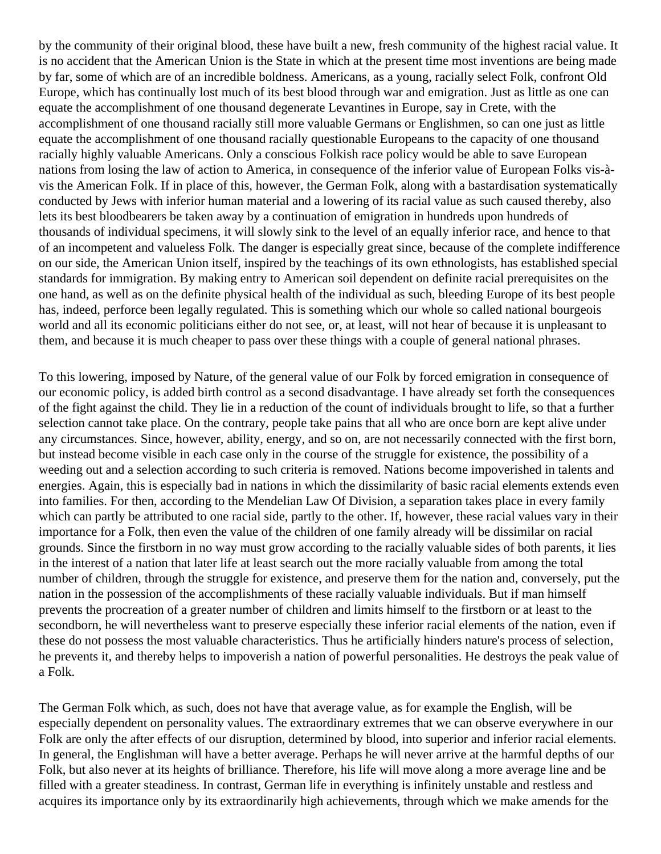by the community of their original blood, these have built a new, fresh community of the highest racial value. It is no accident that the American Union is the State in which at the present time most inventions are being made by far, some of which are of an incredible boldness. Americans, as a young, racially select Folk, confront Old Europe, which has continually lost much of its best blood through war and emigration. Just as little as one can equate the accomplishment of one thousand degenerate Levantines in Europe, say in Crete, with the accomplishment of one thousand racially still more valuable Germans or Englishmen, so can one just as little equate the accomplishment of one thousand racially questionable Europeans to the capacity of one thousand racially highly valuable Americans. Only a conscious Folkish race policy would be able to save European nations from losing the law of action to America, in consequence of the inferior value of European Folks vis-àvis the American Folk. If in place of this, however, the German Folk, along with a bastardisation systematically conducted by Jews with inferior human material and a lowering of its racial value as such caused thereby, also lets its best bloodbearers be taken away by a continuation of emigration in hundreds upon hundreds of thousands of individual specimens, it will slowly sink to the level of an equally inferior race, and hence to that of an incompetent and valueless Folk. The danger is especially great since, because of the complete indifference on our side, the American Union itself, inspired by the teachings of its own ethnologists, has established special standards for immigration. By making entry to American soil dependent on definite racial prerequisites on the one hand, as well as on the definite physical health of the individual as such, bleeding Europe of its best people has, indeed, perforce been legally regulated. This is something which our whole so called national bourgeois world and all its economic politicians either do not see, or, at least, will not hear of because it is unpleasant to them, and because it is much cheaper to pass over these things with a couple of general national phrases.

To this lowering, imposed by Nature, of the general value of our Folk by forced emigration in consequence of our economic policy, is added birth control as a second disadvantage. I have already set forth the consequences of the fight against the child. They lie in a reduction of the count of individuals brought to life, so that a further selection cannot take place. On the contrary, people take pains that all who are once born are kept alive under any circumstances. Since, however, ability, energy, and so on, are not necessarily connected with the first born, but instead become visible in each case only in the course of the struggle for existence, the possibility of a weeding out and a selection according to such criteria is removed. Nations become impoverished in talents and energies. Again, this is especially bad in nations in which the dissimilarity of basic racial elements extends even into families. For then, according to the Mendelian Law Of Division, a separation takes place in every family which can partly be attributed to one racial side, partly to the other. If, however, these racial values vary in their importance for a Folk, then even the value of the children of one family already will be dissimilar on racial grounds. Since the firstborn in no way must grow according to the racially valuable sides of both parents, it lies in the interest of a nation that later life at least search out the more racially valuable from among the total number of children, through the struggle for existence, and preserve them for the nation and, conversely, put the nation in the possession of the accomplishments of these racially valuable individuals. But if man himself prevents the procreation of a greater number of children and limits himself to the firstborn or at least to the secondborn, he will nevertheless want to preserve especially these inferior racial elements of the nation, even if these do not possess the most valuable characteristics. Thus he artificially hinders nature's process of selection, he prevents it, and thereby helps to impoverish a nation of powerful personalities. He destroys the peak value of a Folk.

The German Folk which, as such, does not have that average value, as for example the English, will be especially dependent on personality values. The extraordinary extremes that we can observe everywhere in our Folk are only the after effects of our disruption, determined by blood, into superior and inferior racial elements. In general, the Englishman will have a better average. Perhaps he will never arrive at the harmful depths of our Folk, but also never at its heights of brilliance. Therefore, his life will move along a more average line and be filled with a greater steadiness. In contrast, German life in everything is infinitely unstable and restless and acquires its importance only by its extraordinarily high achievements, through which we make amends for the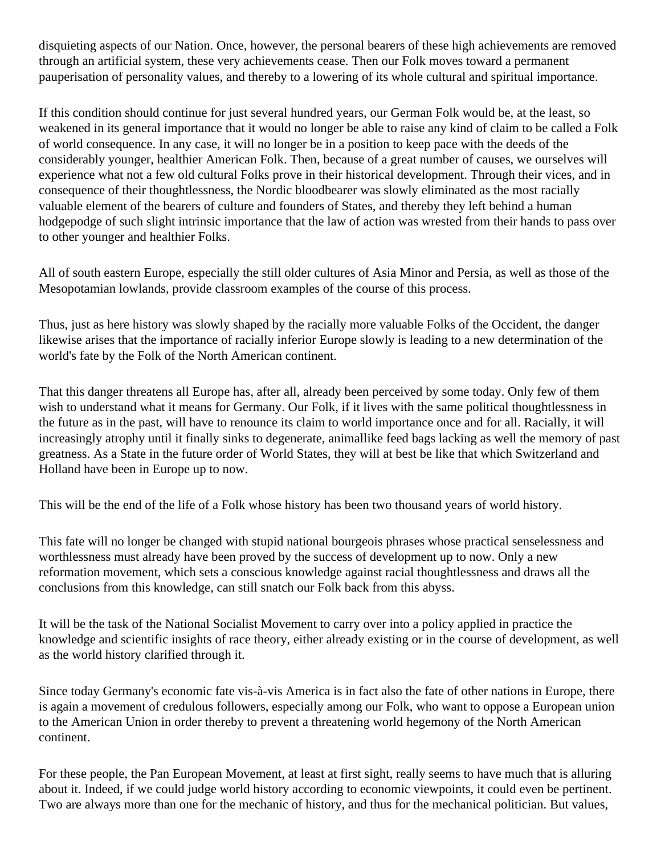disquieting aspects of our Nation. Once, however, the personal bearers of these high achievements are removed through an artificial system, these very achievements cease. Then our Folk moves toward a permanent pauperisation of personality values, and thereby to a lowering of its whole cultural and spiritual importance.

If this condition should continue for just several hundred years, our German Folk would be, at the least, so weakened in its general importance that it would no longer be able to raise any kind of claim to be called a Folk of world consequence. In any case, it will no longer be in a position to keep pace with the deeds of the considerably younger, healthier American Folk. Then, because of a great number of causes, we ourselves will experience what not a few old cultural Folks prove in their historical development. Through their vices, and in consequence of their thoughtlessness, the Nordic bloodbearer was slowly eliminated as the most racially valuable element of the bearers of culture and founders of States, and thereby they left behind a human hodgepodge of such slight intrinsic importance that the law of action was wrested from their hands to pass over to other younger and healthier Folks.

All of south eastern Europe, especially the still older cultures of Asia Minor and Persia, as well as those of the Mesopotamian lowlands, provide classroom examples of the course of this process.

Thus, just as here history was slowly shaped by the racially more valuable Folks of the Occident, the danger likewise arises that the importance of racially inferior Europe slowly is leading to a new determination of the world's fate by the Folk of the North American continent.

That this danger threatens all Europe has, after all, already been perceived by some today. Only few of them wish to understand what it means for Germany. Our Folk, if it lives with the same political thoughtlessness in the future as in the past, will have to renounce its claim to world importance once and for all. Racially, it will increasingly atrophy until it finally sinks to degenerate, animallike feed bags lacking as well the memory of past greatness. As a State in the future order of World States, they will at best be like that which Switzerland and Holland have been in Europe up to now.

This will be the end of the life of a Folk whose history has been two thousand years of world history.

This fate will no longer be changed with stupid national bourgeois phrases whose practical senselessness and worthlessness must already have been proved by the success of development up to now. Only a new reformation movement, which sets a conscious knowledge against racial thoughtlessness and draws all the conclusions from this knowledge, can still snatch our Folk back from this abyss.

It will be the task of the National Socialist Movement to carry over into a policy applied in practice the knowledge and scientific insights of race theory, either already existing or in the course of development, as well as the world history clarified through it.

Since today Germany's economic fate vis-à-vis America is in fact also the fate of other nations in Europe, there is again a movement of credulous followers, especially among our Folk, who want to oppose a European union to the American Union in order thereby to prevent a threatening world hegemony of the North American continent.

For these people, the Pan European Movement, at least at first sight, really seems to have much that is alluring about it. Indeed, if we could judge world history according to economic viewpoints, it could even be pertinent. Two are always more than one for the mechanic of history, and thus for the mechanical politician. But values,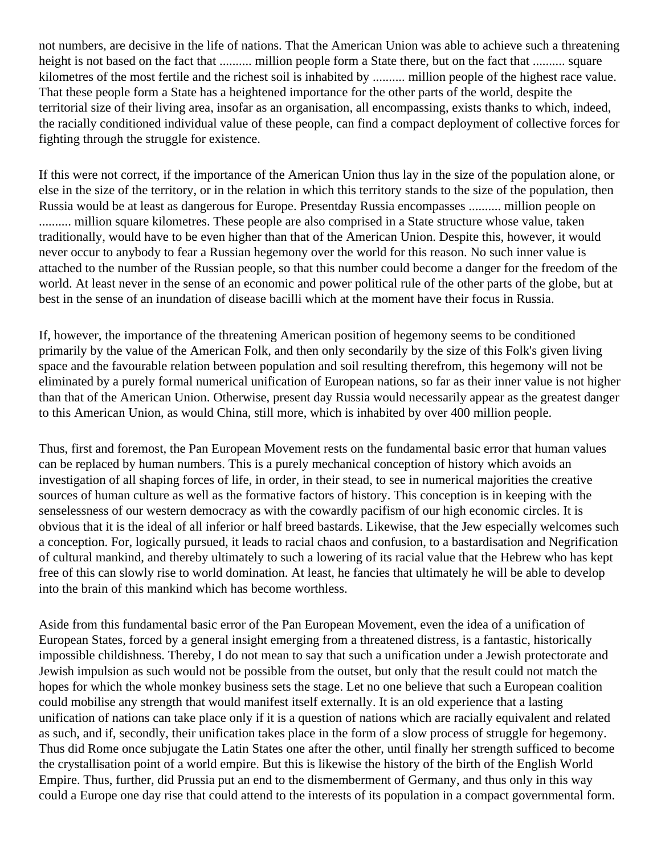not numbers, are decisive in the life of nations. That the American Union was able to achieve such a threatening height is not based on the fact that .......... million people form a State there, but on the fact that .......... square kilometres of the most fertile and the richest soil is inhabited by .......... million people of the highest race value. That these people form a State has a heightened importance for the other parts of the world, despite the territorial size of their living area, insofar as an organisation, all encompassing, exists thanks to which, indeed, the racially conditioned individual value of these people, can find a compact deployment of collective forces for fighting through the struggle for existence.

If this were not correct, if the importance of the American Union thus lay in the size of the population alone, or else in the size of the territory, or in the relation in which this territory stands to the size of the population, then Russia would be at least as dangerous for Europe. Presentday Russia encompasses .......... million people on .......... million square kilometres. These people are also comprised in a State structure whose value, taken traditionally, would have to be even higher than that of the American Union. Despite this, however, it would never occur to anybody to fear a Russian hegemony over the world for this reason. No such inner value is attached to the number of the Russian people, so that this number could become a danger for the freedom of the world. At least never in the sense of an economic and power political rule of the other parts of the globe, but at best in the sense of an inundation of disease bacilli which at the moment have their focus in Russia.

If, however, the importance of the threatening American position of hegemony seems to be conditioned primarily by the value of the American Folk, and then only secondarily by the size of this Folk's given living space and the favourable relation between population and soil resulting therefrom, this hegemony will not be eliminated by a purely formal numerical unification of European nations, so far as their inner value is not higher than that of the American Union. Otherwise, present day Russia would necessarily appear as the greatest danger to this American Union, as would China, still more, which is inhabited by over 400 million people.

Thus, first and foremost, the Pan European Movement rests on the fundamental basic error that human values can be replaced by human numbers. This is a purely mechanical conception of history which avoids an investigation of all shaping forces of life, in order, in their stead, to see in numerical majorities the creative sources of human culture as well as the formative factors of history. This conception is in keeping with the senselessness of our western democracy as with the cowardly pacifism of our high economic circles. It is obvious that it is the ideal of all inferior or half breed bastards. Likewise, that the Jew especially welcomes such a conception. For, logically pursued, it leads to racial chaos and confusion, to a bastardisation and Negrification of cultural mankind, and thereby ultimately to such a lowering of its racial value that the Hebrew who has kept free of this can slowly rise to world domination. At least, he fancies that ultimately he will be able to develop into the brain of this mankind which has become worthless.

Aside from this fundamental basic error of the Pan European Movement, even the idea of a unification of European States, forced by a general insight emerging from a threatened distress, is a fantastic, historically impossible childishness. Thereby, I do not mean to say that such a unification under a Jewish protectorate and Jewish impulsion as such would not be possible from the outset, but only that the result could not match the hopes for which the whole monkey business sets the stage. Let no one believe that such a European coalition could mobilise any strength that would manifest itself externally. It is an old experience that a lasting unification of nations can take place only if it is a question of nations which are racially equivalent and related as such, and if, secondly, their unification takes place in the form of a slow process of struggle for hegemony. Thus did Rome once subjugate the Latin States one after the other, until finally her strength sufficed to become the crystallisation point of a world empire. But this is likewise the history of the birth of the English World Empire. Thus, further, did Prussia put an end to the dismemberment of Germany, and thus only in this way could a Europe one day rise that could attend to the interests of its population in a compact governmental form.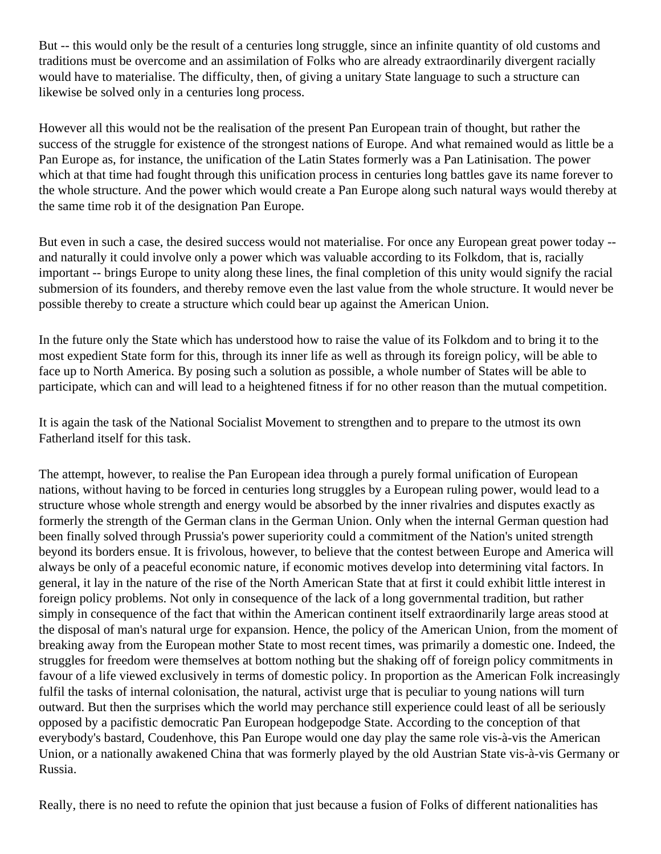But -- this would only be the result of a centuries long struggle, since an infinite quantity of old customs and traditions must be overcome and an assimilation of Folks who are already extraordinarily divergent racially would have to materialise. The difficulty, then, of giving a unitary State language to such a structure can likewise be solved only in a centuries long process.

However all this would not be the realisation of the present Pan European train of thought, but rather the success of the struggle for existence of the strongest nations of Europe. And what remained would as little be a Pan Europe as, for instance, the unification of the Latin States formerly was a Pan Latinisation. The power which at that time had fought through this unification process in centuries long battles gave its name forever to the whole structure. And the power which would create a Pan Europe along such natural ways would thereby at the same time rob it of the designation Pan Europe.

But even in such a case, the desired success would not materialise. For once any European great power today - and naturally it could involve only a power which was valuable according to its Folkdom, that is, racially important -- brings Europe to unity along these lines, the final completion of this unity would signify the racial submersion of its founders, and thereby remove even the last value from the whole structure. It would never be possible thereby to create a structure which could bear up against the American Union.

In the future only the State which has understood how to raise the value of its Folkdom and to bring it to the most expedient State form for this, through its inner life as well as through its foreign policy, will be able to face up to North America. By posing such a solution as possible, a whole number of States will be able to participate, which can and will lead to a heightened fitness if for no other reason than the mutual competition.

It is again the task of the National Socialist Movement to strengthen and to prepare to the utmost its own Fatherland itself for this task.

The attempt, however, to realise the Pan European idea through a purely formal unification of European nations, without having to be forced in centuries long struggles by a European ruling power, would lead to a structure whose whole strength and energy would be absorbed by the inner rivalries and disputes exactly as formerly the strength of the German clans in the German Union. Only when the internal German question had been finally solved through Prussia's power superiority could a commitment of the Nation's united strength beyond its borders ensue. It is frivolous, however, to believe that the contest between Europe and America will always be only of a peaceful economic nature, if economic motives develop into determining vital factors. In general, it lay in the nature of the rise of the North American State that at first it could exhibit little interest in foreign policy problems. Not only in consequence of the lack of a long governmental tradition, but rather simply in consequence of the fact that within the American continent itself extraordinarily large areas stood at the disposal of man's natural urge for expansion. Hence, the policy of the American Union, from the moment of breaking away from the European mother State to most recent times, was primarily a domestic one. Indeed, the struggles for freedom were themselves at bottom nothing but the shaking off of foreign policy commitments in favour of a life viewed exclusively in terms of domestic policy. In proportion as the American Folk increasingly fulfil the tasks of internal colonisation, the natural, activist urge that is peculiar to young nations will turn outward. But then the surprises which the world may perchance still experience could least of all be seriously opposed by a pacifistic democratic Pan European hodgepodge State. According to the conception of that everybody's bastard, Coudenhove, this Pan Europe would one day play the same role vis-à-vis the American Union, or a nationally awakened China that was formerly played by the old Austrian State vis-à-vis Germany or Russia.

Really, there is no need to refute the opinion that just because a fusion of Folks of different nationalities has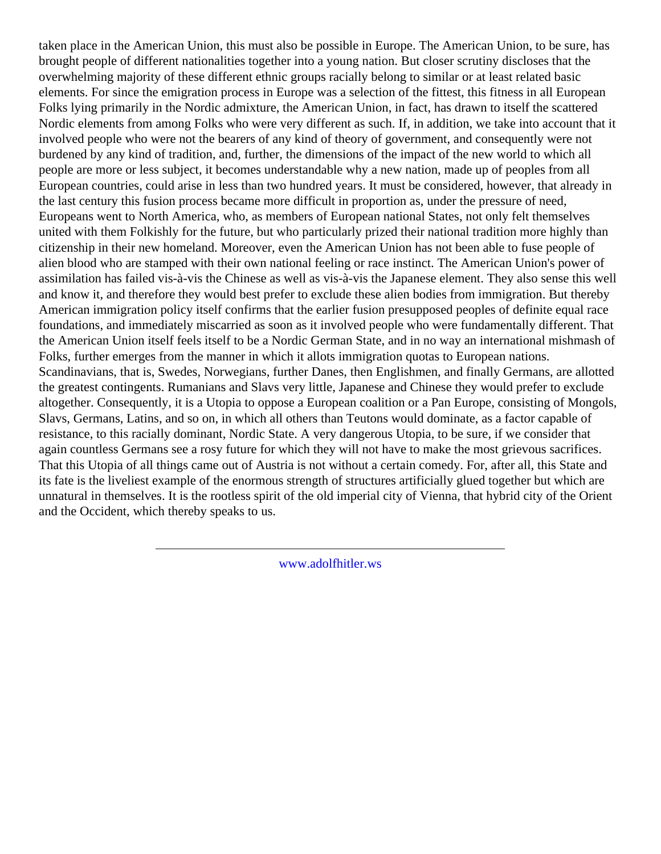taken place in the American Union, this must also be possible in Europe. The American Union, to be sure, has brought people of different nationalities together into a young nation. But closer scrutiny discloses that the overwhelming majority of these different ethnic groups racially belong to similar or at least related basic elements. For since the emigration process in Europe was a selection of the fittest, this fitness in all European Folks lying primarily in the Nordic admixture, the American Union, in fact, has drawn to itself the scattered Nordic elements from among Folks who were very different as such. If, in addition, we take into account that it involved people who were not the bearers of any kind of theory of government, and consequently were not burdened by any kind of tradition, and, further, the dimensions of the impact of the new world to which all people are more or less subject, it becomes understandable why a new nation, made up of peoples from all European countries, could arise in less than two hundred years. It must be considered, however, that already in the last century this fusion process became more difficult in proportion as, under the pressure of need, Europeans went to North America, who, as members of European national States, not only felt themselves united with them Folkishly for the future, but who particularly prized their national tradition more highly than citizenship in their new homeland. Moreover, even the American Union has not been able to fuse people of alien blood who are stamped with their own national feeling or race instinct. The American Union's power of assimilation has failed vis-à-vis the Chinese as well as vis-à-vis the Japanese element. They also sense this well and know it, and therefore they would best prefer to exclude these alien bodies from immigration. But thereby American immigration policy itself confirms that the earlier fusion presupposed peoples of definite equal race foundations, and immediately miscarried as soon as it involved people who were fundamentally different. That the American Union itself feels itself to be a Nordic German State, and in no way an international mishmash of Folks, further emerges from the manner in which it allots immigration quotas to European nations. Scandinavians, that is, Swedes, Norwegians, further Danes, then Englishmen, and finally Germans, are allotted the greatest contingents. Rumanians and Slavs very little, Japanese and Chinese they would prefer to exclude altogether. Consequently, it is a Utopia to oppose a European coalition or a Pan Europe, consisting of Mongols, Slavs, Germans, Latins, and so on, in which all others than Teutons would dominate, as a factor capable of resistance, to this racially dominant, Nordic State. A very dangerous Utopia, to be sure, if we consider that again countless Germans see a rosy future for which they will not have to make the most grievous sacrifices. That this Utopia of all things came out of Austria is not without a certain comedy. For, after all, this State and its fate is the liveliest example of the enormous strength of structures artificially glued together but which are unnatural in themselves. It is the rootless spirit of the old imperial city of Vienna, that hybrid city of the Orient and the Occident, which thereby speaks to us.

[www.adolfhitler.ws](http://www.adolfhitler.ws/)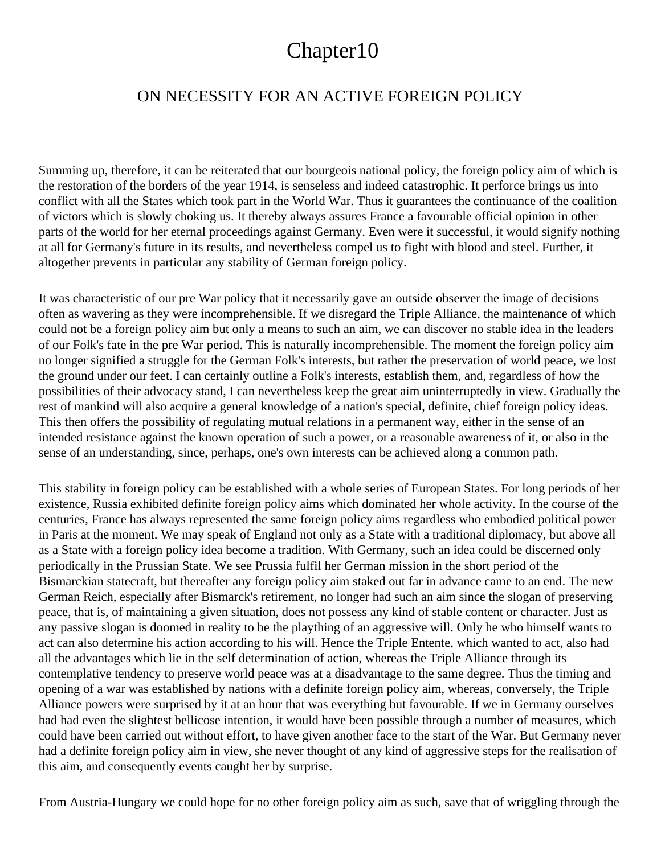## Chapter10

### ON NECESSITY FOR AN ACTIVE FOREIGN POLICY

Summing up, therefore, it can be reiterated that our bourgeois national policy, the foreign policy aim of which is the restoration of the borders of the year 1914, is senseless and indeed catastrophic. It perforce brings us into conflict with all the States which took part in the World War. Thus it guarantees the continuance of the coalition of victors which is slowly choking us. It thereby always assures France a favourable official opinion in other parts of the world for her eternal proceedings against Germany. Even were it successful, it would signify nothing at all for Germany's future in its results, and nevertheless compel us to fight with blood and steel. Further, it altogether prevents in particular any stability of German foreign policy.

It was characteristic of our pre War policy that it necessarily gave an outside observer the image of decisions often as wavering as they were incomprehensible. If we disregard the Triple Alliance, the maintenance of which could not be a foreign policy aim but only a means to such an aim, we can discover no stable idea in the leaders of our Folk's fate in the pre War period. This is naturally incomprehensible. The moment the foreign policy aim no longer signified a struggle for the German Folk's interests, but rather the preservation of world peace, we lost the ground under our feet. I can certainly outline a Folk's interests, establish them, and, regardless of how the possibilities of their advocacy stand, I can nevertheless keep the great aim uninterruptedly in view. Gradually the rest of mankind will also acquire a general knowledge of a nation's special, definite, chief foreign policy ideas. This then offers the possibility of regulating mutual relations in a permanent way, either in the sense of an intended resistance against the known operation of such a power, or a reasonable awareness of it, or also in the sense of an understanding, since, perhaps, one's own interests can be achieved along a common path.

This stability in foreign policy can be established with a whole series of European States. For long periods of her existence, Russia exhibited definite foreign policy aims which dominated her whole activity. In the course of the centuries, France has always represented the same foreign policy aims regardless who embodied political power in Paris at the moment. We may speak of England not only as a State with a traditional diplomacy, but above all as a State with a foreign policy idea become a tradition. With Germany, such an idea could be discerned only periodically in the Prussian State. We see Prussia fulfil her German mission in the short period of the Bismarckian statecraft, but thereafter any foreign policy aim staked out far in advance came to an end. The new German Reich, especially after Bismarck's retirement, no longer had such an aim since the slogan of preserving peace, that is, of maintaining a given situation, does not possess any kind of stable content or character. Just as any passive slogan is doomed in reality to be the plaything of an aggressive will. Only he who himself wants to act can also determine his action according to his will. Hence the Triple Entente, which wanted to act, also had all the advantages which lie in the self determination of action, whereas the Triple Alliance through its contemplative tendency to preserve world peace was at a disadvantage to the same degree. Thus the timing and opening of a war was established by nations with a definite foreign policy aim, whereas, conversely, the Triple Alliance powers were surprised by it at an hour that was everything but favourable. If we in Germany ourselves had had even the slightest bellicose intention, it would have been possible through a number of measures, which could have been carried out without effort, to have given another face to the start of the War. But Germany never had a definite foreign policy aim in view, she never thought of any kind of aggressive steps for the realisation of this aim, and consequently events caught her by surprise.

From Austria-Hungary we could hope for no other foreign policy aim as such, save that of wriggling through the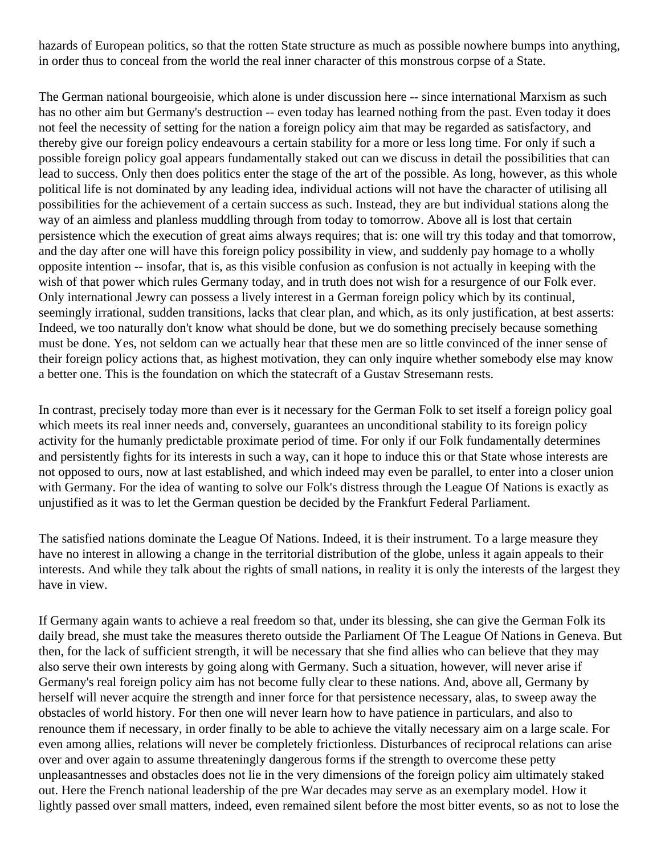hazards of European politics, so that the rotten State structure as much as possible nowhere bumps into anything, in order thus to conceal from the world the real inner character of this monstrous corpse of a State.

The German national bourgeoisie, which alone is under discussion here -- since international Marxism as such has no other aim but Germany's destruction -- even today has learned nothing from the past. Even today it does not feel the necessity of setting for the nation a foreign policy aim that may be regarded as satisfactory, and thereby give our foreign policy endeavours a certain stability for a more or less long time. For only if such a possible foreign policy goal appears fundamentally staked out can we discuss in detail the possibilities that can lead to success. Only then does politics enter the stage of the art of the possible. As long, however, as this whole political life is not dominated by any leading idea, individual actions will not have the character of utilising all possibilities for the achievement of a certain success as such. Instead, they are but individual stations along the way of an aimless and planless muddling through from today to tomorrow. Above all is lost that certain persistence which the execution of great aims always requires; that is: one will try this today and that tomorrow, and the day after one will have this foreign policy possibility in view, and suddenly pay homage to a wholly opposite intention -- insofar, that is, as this visible confusion as confusion is not actually in keeping with the wish of that power which rules Germany today, and in truth does not wish for a resurgence of our Folk ever. Only international Jewry can possess a lively interest in a German foreign policy which by its continual, seemingly irrational, sudden transitions, lacks that clear plan, and which, as its only justification, at best asserts: Indeed, we too naturally don't know what should be done, but we do something precisely because something must be done. Yes, not seldom can we actually hear that these men are so little convinced of the inner sense of their foreign policy actions that, as highest motivation, they can only inquire whether somebody else may know a better one. This is the foundation on which the statecraft of a Gustav Stresemann rests.

In contrast, precisely today more than ever is it necessary for the German Folk to set itself a foreign policy goal which meets its real inner needs and, conversely, guarantees an unconditional stability to its foreign policy activity for the humanly predictable proximate period of time. For only if our Folk fundamentally determines and persistently fights for its interests in such a way, can it hope to induce this or that State whose interests are not opposed to ours, now at last established, and which indeed may even be parallel, to enter into a closer union with Germany. For the idea of wanting to solve our Folk's distress through the League Of Nations is exactly as unjustified as it was to let the German question be decided by the Frankfurt Federal Parliament.

The satisfied nations dominate the League Of Nations. Indeed, it is their instrument. To a large measure they have no interest in allowing a change in the territorial distribution of the globe, unless it again appeals to their interests. And while they talk about the rights of small nations, in reality it is only the interests of the largest they have in view.

If Germany again wants to achieve a real freedom so that, under its blessing, she can give the German Folk its daily bread, she must take the measures thereto outside the Parliament Of The League Of Nations in Geneva. But then, for the lack of sufficient strength, it will be necessary that she find allies who can believe that they may also serve their own interests by going along with Germany. Such a situation, however, will never arise if Germany's real foreign policy aim has not become fully clear to these nations. And, above all, Germany by herself will never acquire the strength and inner force for that persistence necessary, alas, to sweep away the obstacles of world history. For then one will never learn how to have patience in particulars, and also to renounce them if necessary, in order finally to be able to achieve the vitally necessary aim on a large scale. For even among allies, relations will never be completely frictionless. Disturbances of reciprocal relations can arise over and over again to assume threateningly dangerous forms if the strength to overcome these petty unpleasantnesses and obstacles does not lie in the very dimensions of the foreign policy aim ultimately staked out. Here the French national leadership of the pre War decades may serve as an exemplary model. How it lightly passed over small matters, indeed, even remained silent before the most bitter events, so as not to lose the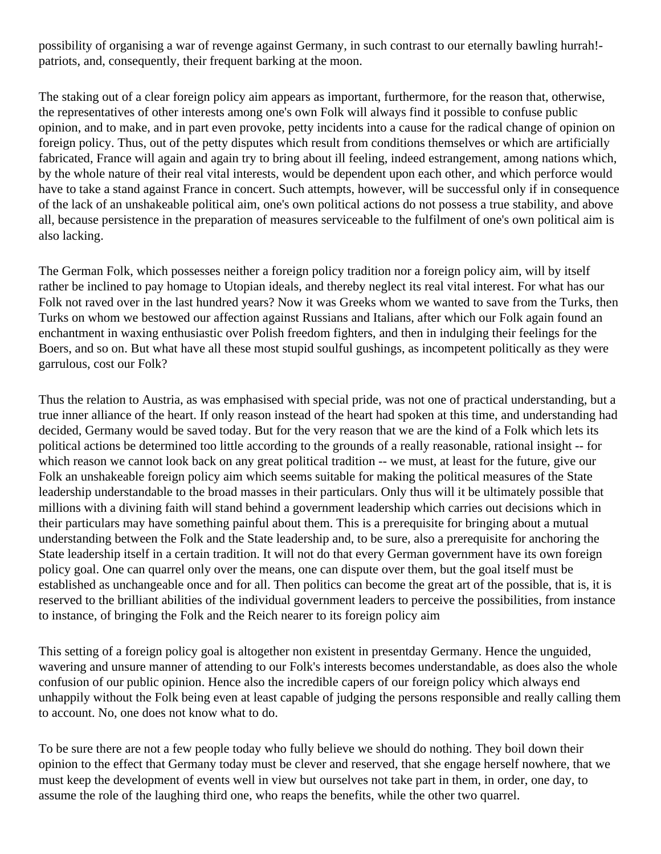possibility of organising a war of revenge against Germany, in such contrast to our eternally bawling hurrah! patriots, and, consequently, their frequent barking at the moon.

The staking out of a clear foreign policy aim appears as important, furthermore, for the reason that, otherwise, the representatives of other interests among one's own Folk will always find it possible to confuse public opinion, and to make, and in part even provoke, petty incidents into a cause for the radical change of opinion on foreign policy. Thus, out of the petty disputes which result from conditions themselves or which are artificially fabricated, France will again and again try to bring about ill feeling, indeed estrangement, among nations which, by the whole nature of their real vital interests, would be dependent upon each other, and which perforce would have to take a stand against France in concert. Such attempts, however, will be successful only if in consequence of the lack of an unshakeable political aim, one's own political actions do not possess a true stability, and above all, because persistence in the preparation of measures serviceable to the fulfilment of one's own political aim is also lacking.

The German Folk, which possesses neither a foreign policy tradition nor a foreign policy aim, will by itself rather be inclined to pay homage to Utopian ideals, and thereby neglect its real vital interest. For what has our Folk not raved over in the last hundred years? Now it was Greeks whom we wanted to save from the Turks, then Turks on whom we bestowed our affection against Russians and Italians, after which our Folk again found an enchantment in waxing enthusiastic over Polish freedom fighters, and then in indulging their feelings for the Boers, and so on. But what have all these most stupid soulful gushings, as incompetent politically as they were garrulous, cost our Folk?

Thus the relation to Austria, as was emphasised with special pride, was not one of practical understanding, but a true inner alliance of the heart. If only reason instead of the heart had spoken at this time, and understanding had decided, Germany would be saved today. But for the very reason that we are the kind of a Folk which lets its political actions be determined too little according to the grounds of a really reasonable, rational insight -- for which reason we cannot look back on any great political tradition -- we must, at least for the future, give our Folk an unshakeable foreign policy aim which seems suitable for making the political measures of the State leadership understandable to the broad masses in their particulars. Only thus will it be ultimately possible that millions with a divining faith will stand behind a government leadership which carries out decisions which in their particulars may have something painful about them. This is a prerequisite for bringing about a mutual understanding between the Folk and the State leadership and, to be sure, also a prerequisite for anchoring the State leadership itself in a certain tradition. It will not do that every German government have its own foreign policy goal. One can quarrel only over the means, one can dispute over them, but the goal itself must be established as unchangeable once and for all. Then politics can become the great art of the possible, that is, it is reserved to the brilliant abilities of the individual government leaders to perceive the possibilities, from instance to instance, of bringing the Folk and the Reich nearer to its foreign policy aim

This setting of a foreign policy goal is altogether non existent in presentday Germany. Hence the unguided, wavering and unsure manner of attending to our Folk's interests becomes understandable, as does also the whole confusion of our public opinion. Hence also the incredible capers of our foreign policy which always end unhappily without the Folk being even at least capable of judging the persons responsible and really calling them to account. No, one does not know what to do.

To be sure there are not a few people today who fully believe we should do nothing. They boil down their opinion to the effect that Germany today must be clever and reserved, that she engage herself nowhere, that we must keep the development of events well in view but ourselves not take part in them, in order, one day, to assume the role of the laughing third one, who reaps the benefits, while the other two quarrel.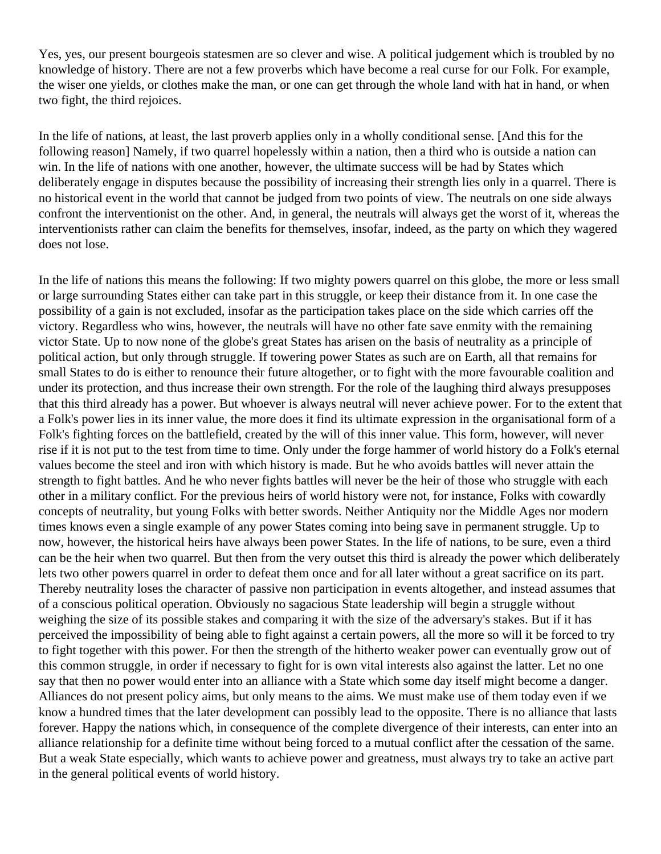Yes, yes, our present bourgeois statesmen are so clever and wise. A political judgement which is troubled by no knowledge of history. There are not a few proverbs which have become a real curse for our Folk. For example, the wiser one yields, or clothes make the man, or one can get through the whole land with hat in hand, or when two fight, the third rejoices.

In the life of nations, at least, the last proverb applies only in a wholly conditional sense. [And this for the following reason] Namely, if two quarrel hopelessly within a nation, then a third who is outside a nation can win. In the life of nations with one another, however, the ultimate success will be had by States which deliberately engage in disputes because the possibility of increasing their strength lies only in a quarrel. There is no historical event in the world that cannot be judged from two points of view. The neutrals on one side always confront the interventionist on the other. And, in general, the neutrals will always get the worst of it, whereas the interventionists rather can claim the benefits for themselves, insofar, indeed, as the party on which they wagered does not lose.

In the life of nations this means the following: If two mighty powers quarrel on this globe, the more or less small or large surrounding States either can take part in this struggle, or keep their distance from it. In one case the possibility of a gain is not excluded, insofar as the participation takes place on the side which carries off the victory. Regardless who wins, however, the neutrals will have no other fate save enmity with the remaining victor State. Up to now none of the globe's great States has arisen on the basis of neutrality as a principle of political action, but only through struggle. If towering power States as such are on Earth, all that remains for small States to do is either to renounce their future altogether, or to fight with the more favourable coalition and under its protection, and thus increase their own strength. For the role of the laughing third always presupposes that this third already has a power. But whoever is always neutral will never achieve power. For to the extent that a Folk's power lies in its inner value, the more does it find its ultimate expression in the organisational form of a Folk's fighting forces on the battlefield, created by the will of this inner value. This form, however, will never rise if it is not put to the test from time to time. Only under the forge hammer of world history do a Folk's eternal values become the steel and iron with which history is made. But he who avoids battles will never attain the strength to fight battles. And he who never fights battles will never be the heir of those who struggle with each other in a military conflict. For the previous heirs of world history were not, for instance, Folks with cowardly concepts of neutrality, but young Folks with better swords. Neither Antiquity nor the Middle Ages nor modern times knows even a single example of any power States coming into being save in permanent struggle. Up to now, however, the historical heirs have always been power States. In the life of nations, to be sure, even a third can be the heir when two quarrel. But then from the very outset this third is already the power which deliberately lets two other powers quarrel in order to defeat them once and for all later without a great sacrifice on its part. Thereby neutrality loses the character of passive non participation in events altogether, and instead assumes that of a conscious political operation. Obviously no sagacious State leadership will begin a struggle without weighing the size of its possible stakes and comparing it with the size of the adversary's stakes. But if it has perceived the impossibility of being able to fight against a certain powers, all the more so will it be forced to try to fight together with this power. For then the strength of the hitherto weaker power can eventually grow out of this common struggle, in order if necessary to fight for is own vital interests also against the latter. Let no one say that then no power would enter into an alliance with a State which some day itself might become a danger. Alliances do not present policy aims, but only means to the aims. We must make use of them today even if we know a hundred times that the later development can possibly lead to the opposite. There is no alliance that lasts forever. Happy the nations which, in consequence of the complete divergence of their interests, can enter into an alliance relationship for a definite time without being forced to a mutual conflict after the cessation of the same. But a weak State especially, which wants to achieve power and greatness, must always try to take an active part in the general political events of world history.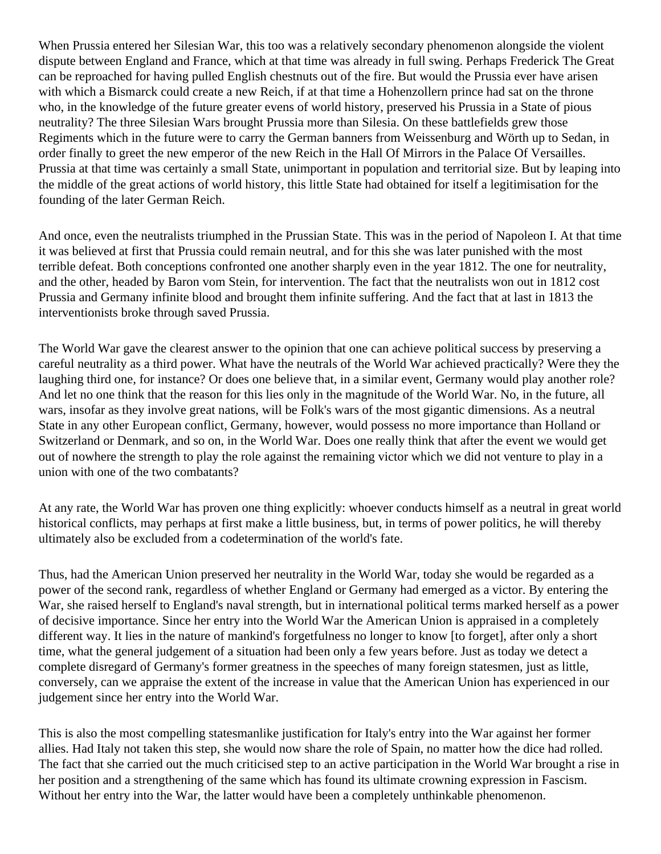When Prussia entered her Silesian War, this too was a relatively secondary phenomenon alongside the violent dispute between England and France, which at that time was already in full swing. Perhaps Frederick The Great can be reproached for having pulled English chestnuts out of the fire. But would the Prussia ever have arisen with which a Bismarck could create a new Reich, if at that time a Hohenzollern prince had sat on the throne who, in the knowledge of the future greater evens of world history, preserved his Prussia in a State of pious neutrality? The three Silesian Wars brought Prussia more than Silesia. On these battlefields grew those Regiments which in the future were to carry the German banners from Weissenburg and Wörth up to Sedan, in order finally to greet the new emperor of the new Reich in the Hall Of Mirrors in the Palace Of Versailles. Prussia at that time was certainly a small State, unimportant in population and territorial size. But by leaping into the middle of the great actions of world history, this little State had obtained for itself a legitimisation for the founding of the later German Reich.

And once, even the neutralists triumphed in the Prussian State. This was in the period of Napoleon I. At that time it was believed at first that Prussia could remain neutral, and for this she was later punished with the most terrible defeat. Both conceptions confronted one another sharply even in the year 1812. The one for neutrality, and the other, headed by Baron vom Stein, for intervention. The fact that the neutralists won out in 1812 cost Prussia and Germany infinite blood and brought them infinite suffering. And the fact that at last in 1813 the interventionists broke through saved Prussia.

The World War gave the clearest answer to the opinion that one can achieve political success by preserving a careful neutrality as a third power. What have the neutrals of the World War achieved practically? Were they the laughing third one, for instance? Or does one believe that, in a similar event, Germany would play another role? And let no one think that the reason for this lies only in the magnitude of the World War. No, in the future, all wars, insofar as they involve great nations, will be Folk's wars of the most gigantic dimensions. As a neutral State in any other European conflict, Germany, however, would possess no more importance than Holland or Switzerland or Denmark, and so on, in the World War. Does one really think that after the event we would get out of nowhere the strength to play the role against the remaining victor which we did not venture to play in a union with one of the two combatants?

At any rate, the World War has proven one thing explicitly: whoever conducts himself as a neutral in great world historical conflicts, may perhaps at first make a little business, but, in terms of power politics, he will thereby ultimately also be excluded from a codetermination of the world's fate.

Thus, had the American Union preserved her neutrality in the World War, today she would be regarded as a power of the second rank, regardless of whether England or Germany had emerged as a victor. By entering the War, she raised herself to England's naval strength, but in international political terms marked herself as a power of decisive importance. Since her entry into the World War the American Union is appraised in a completely different way. It lies in the nature of mankind's forgetfulness no longer to know [to forget], after only a short time, what the general judgement of a situation had been only a few years before. Just as today we detect a complete disregard of Germany's former greatness in the speeches of many foreign statesmen, just as little, conversely, can we appraise the extent of the increase in value that the American Union has experienced in our judgement since her entry into the World War.

This is also the most compelling statesmanlike justification for Italy's entry into the War against her former allies. Had Italy not taken this step, she would now share the role of Spain, no matter how the dice had rolled. The fact that she carried out the much criticised step to an active participation in the World War brought a rise in her position and a strengthening of the same which has found its ultimate crowning expression in Fascism. Without her entry into the War, the latter would have been a completely unthinkable phenomenon.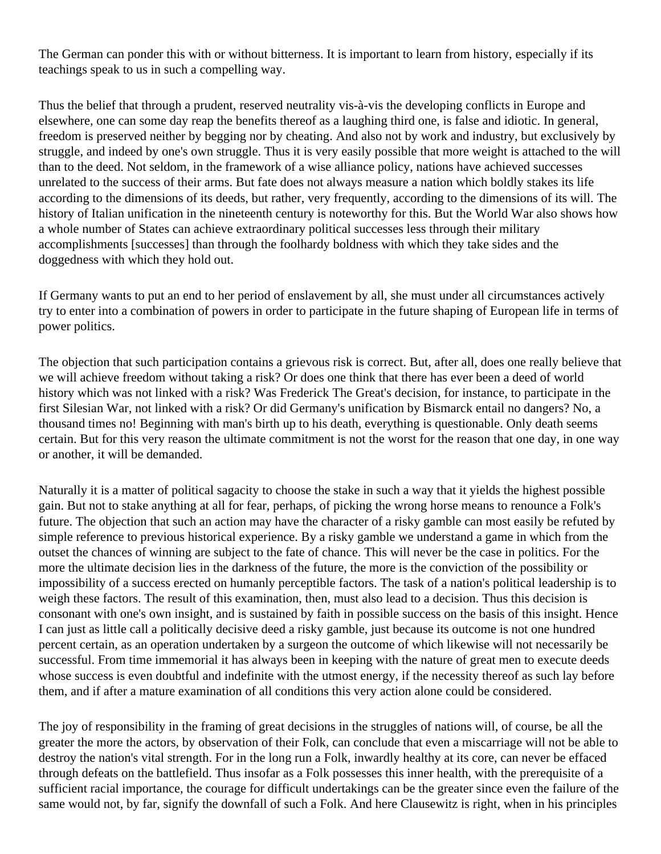The German can ponder this with or without bitterness. It is important to learn from history, especially if its teachings speak to us in such a compelling way.

Thus the belief that through a prudent, reserved neutrality vis-à-vis the developing conflicts in Europe and elsewhere, one can some day reap the benefits thereof as a laughing third one, is false and idiotic. In general, freedom is preserved neither by begging nor by cheating. And also not by work and industry, but exclusively by struggle, and indeed by one's own struggle. Thus it is very easily possible that more weight is attached to the will than to the deed. Not seldom, in the framework of a wise alliance policy, nations have achieved successes unrelated to the success of their arms. But fate does not always measure a nation which boldly stakes its life according to the dimensions of its deeds, but rather, very frequently, according to the dimensions of its will. The history of Italian unification in the nineteenth century is noteworthy for this. But the World War also shows how a whole number of States can achieve extraordinary political successes less through their military accomplishments [successes] than through the foolhardy boldness with which they take sides and the doggedness with which they hold out.

If Germany wants to put an end to her period of enslavement by all, she must under all circumstances actively try to enter into a combination of powers in order to participate in the future shaping of European life in terms of power politics.

The objection that such participation contains a grievous risk is correct. But, after all, does one really believe that we will achieve freedom without taking a risk? Or does one think that there has ever been a deed of world history which was not linked with a risk? Was Frederick The Great's decision, for instance, to participate in the first Silesian War, not linked with a risk? Or did Germany's unification by Bismarck entail no dangers? No, a thousand times no! Beginning with man's birth up to his death, everything is questionable. Only death seems certain. But for this very reason the ultimate commitment is not the worst for the reason that one day, in one way or another, it will be demanded.

Naturally it is a matter of political sagacity to choose the stake in such a way that it yields the highest possible gain. But not to stake anything at all for fear, perhaps, of picking the wrong horse means to renounce a Folk's future. The objection that such an action may have the character of a risky gamble can most easily be refuted by simple reference to previous historical experience. By a risky gamble we understand a game in which from the outset the chances of winning are subject to the fate of chance. This will never be the case in politics. For the more the ultimate decision lies in the darkness of the future, the more is the conviction of the possibility or impossibility of a success erected on humanly perceptible factors. The task of a nation's political leadership is to weigh these factors. The result of this examination, then, must also lead to a decision. Thus this decision is consonant with one's own insight, and is sustained by faith in possible success on the basis of this insight. Hence I can just as little call a politically decisive deed a risky gamble, just because its outcome is not one hundred percent certain, as an operation undertaken by a surgeon the outcome of which likewise will not necessarily be successful. From time immemorial it has always been in keeping with the nature of great men to execute deeds whose success is even doubtful and indefinite with the utmost energy, if the necessity thereof as such lay before them, and if after a mature examination of all conditions this very action alone could be considered.

The joy of responsibility in the framing of great decisions in the struggles of nations will, of course, be all the greater the more the actors, by observation of their Folk, can conclude that even a miscarriage will not be able to destroy the nation's vital strength. For in the long run a Folk, inwardly healthy at its core, can never be effaced through defeats on the battlefield. Thus insofar as a Folk possesses this inner health, with the prerequisite of a sufficient racial importance, the courage for difficult undertakings can be the greater since even the failure of the same would not, by far, signify the downfall of such a Folk. And here Clausewitz is right, when in his principles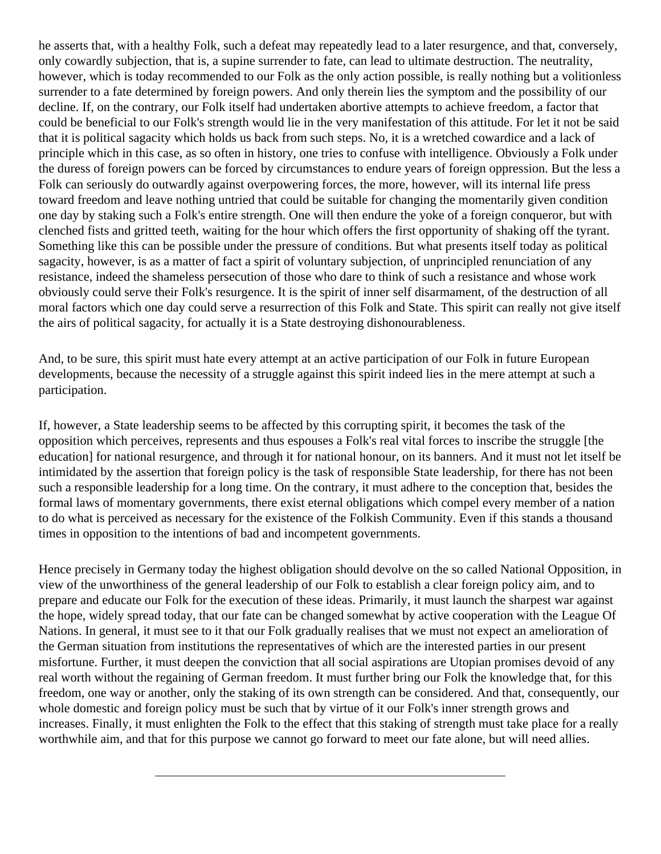he asserts that, with a healthy Folk, such a defeat may repeatedly lead to a later resurgence, and that, conversely, only cowardly subjection, that is, a supine surrender to fate, can lead to ultimate destruction. The neutrality, however, which is today recommended to our Folk as the only action possible, is really nothing but a volitionless surrender to a fate determined by foreign powers. And only therein lies the symptom and the possibility of our decline. If, on the contrary, our Folk itself had undertaken abortive attempts to achieve freedom, a factor that could be beneficial to our Folk's strength would lie in the very manifestation of this attitude. For let it not be said that it is political sagacity which holds us back from such steps. No, it is a wretched cowardice and a lack of principle which in this case, as so often in history, one tries to confuse with intelligence. Obviously a Folk under the duress of foreign powers can be forced by circumstances to endure years of foreign oppression. But the less a Folk can seriously do outwardly against overpowering forces, the more, however, will its internal life press toward freedom and leave nothing untried that could be suitable for changing the momentarily given condition one day by staking such a Folk's entire strength. One will then endure the yoke of a foreign conqueror, but with clenched fists and gritted teeth, waiting for the hour which offers the first opportunity of shaking off the tyrant. Something like this can be possible under the pressure of conditions. But what presents itself today as political sagacity, however, is as a matter of fact a spirit of voluntary subjection, of unprincipled renunciation of any resistance, indeed the shameless persecution of those who dare to think of such a resistance and whose work obviously could serve their Folk's resurgence. It is the spirit of inner self disarmament, of the destruction of all moral factors which one day could serve a resurrection of this Folk and State. This spirit can really not give itself the airs of political sagacity, for actually it is a State destroying dishonourableness.

And, to be sure, this spirit must hate every attempt at an active participation of our Folk in future European developments, because the necessity of a struggle against this spirit indeed lies in the mere attempt at such a participation.

If, however, a State leadership seems to be affected by this corrupting spirit, it becomes the task of the opposition which perceives, represents and thus espouses a Folk's real vital forces to inscribe the struggle [the education] for national resurgence, and through it for national honour, on its banners. And it must not let itself be intimidated by the assertion that foreign policy is the task of responsible State leadership, for there has not been such a responsible leadership for a long time. On the contrary, it must adhere to the conception that, besides the formal laws of momentary governments, there exist eternal obligations which compel every member of a nation to do what is perceived as necessary for the existence of the Folkish Community. Even if this stands a thousand times in opposition to the intentions of bad and incompetent governments.

Hence precisely in Germany today the highest obligation should devolve on the so called National Opposition, in view of the unworthiness of the general leadership of our Folk to establish a clear foreign policy aim, and to prepare and educate our Folk for the execution of these ideas. Primarily, it must launch the sharpest war against the hope, widely spread today, that our fate can be changed somewhat by active cooperation with the League Of Nations. In general, it must see to it that our Folk gradually realises that we must not expect an amelioration of the German situation from institutions the representatives of which are the interested parties in our present misfortune. Further, it must deepen the conviction that all social aspirations are Utopian promises devoid of any real worth without the regaining of German freedom. It must further bring our Folk the knowledge that, for this freedom, one way or another, only the staking of its own strength can be considered. And that, consequently, our whole domestic and foreign policy must be such that by virtue of it our Folk's inner strength grows and increases. Finally, it must enlighten the Folk to the effect that this staking of strength must take place for a really worthwhile aim, and that for this purpose we cannot go forward to meet our fate alone, but will need allies.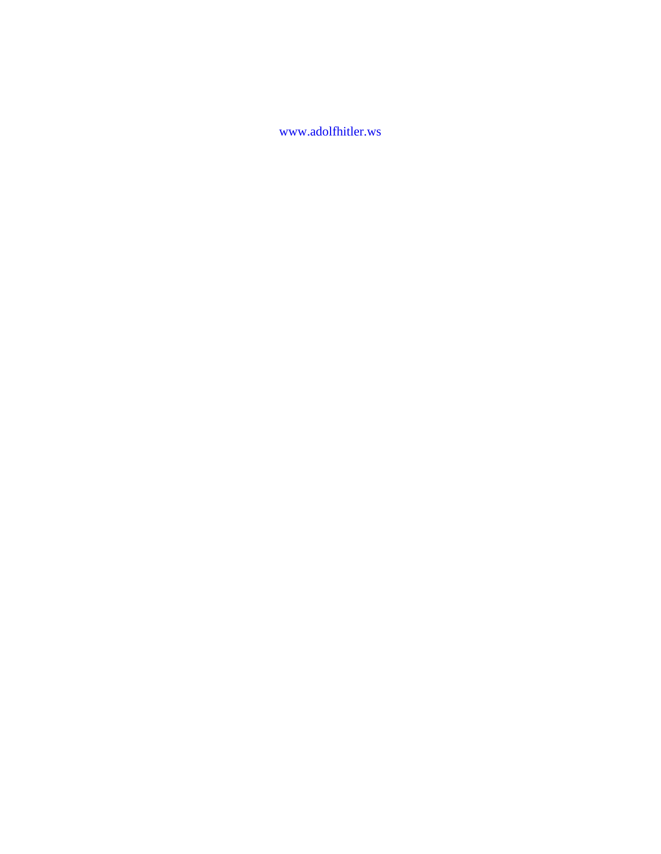[www.adolfhitler.ws](http://www.adolfhitler.ws/)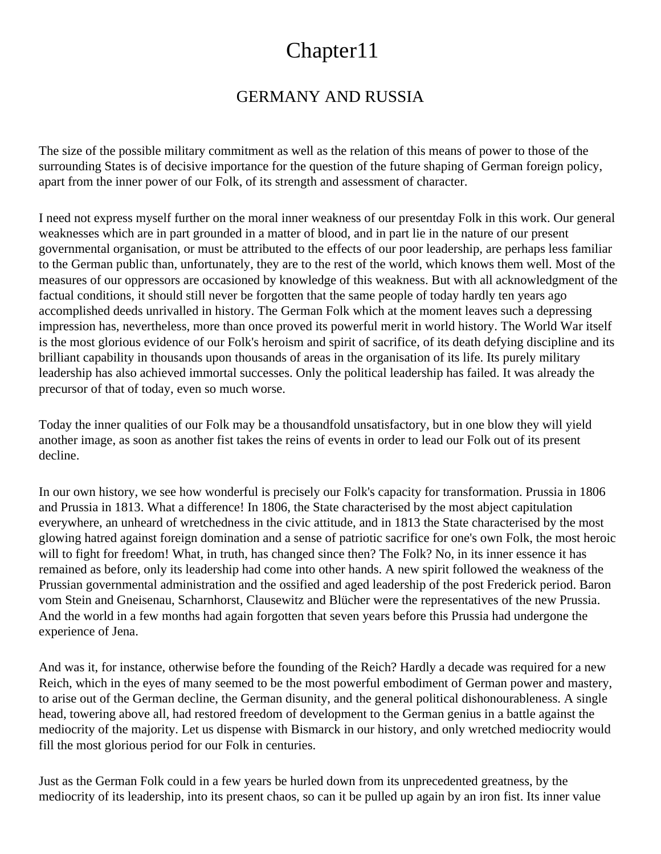# Chapter11

### GERMANY AND RUSSIA

The size of the possible military commitment as well as the relation of this means of power to those of the surrounding States is of decisive importance for the question of the future shaping of German foreign policy, apart from the inner power of our Folk, of its strength and assessment of character.

I need not express myself further on the moral inner weakness of our presentday Folk in this work. Our general weaknesses which are in part grounded in a matter of blood, and in part lie in the nature of our present governmental organisation, or must be attributed to the effects of our poor leadership, are perhaps less familiar to the German public than, unfortunately, they are to the rest of the world, which knows them well. Most of the measures of our oppressors are occasioned by knowledge of this weakness. But with all acknowledgment of the factual conditions, it should still never be forgotten that the same people of today hardly ten years ago accomplished deeds unrivalled in history. The German Folk which at the moment leaves such a depressing impression has, nevertheless, more than once proved its powerful merit in world history. The World War itself is the most glorious evidence of our Folk's heroism and spirit of sacrifice, of its death defying discipline and its brilliant capability in thousands upon thousands of areas in the organisation of its life. Its purely military leadership has also achieved immortal successes. Only the political leadership has failed. It was already the precursor of that of today, even so much worse.

Today the inner qualities of our Folk may be a thousandfold unsatisfactory, but in one blow they will yield another image, as soon as another fist takes the reins of events in order to lead our Folk out of its present decline.

In our own history, we see how wonderful is precisely our Folk's capacity for transformation. Prussia in 1806 and Prussia in 1813. What a difference! In 1806, the State characterised by the most abject capitulation everywhere, an unheard of wretchedness in the civic attitude, and in 1813 the State characterised by the most glowing hatred against foreign domination and a sense of patriotic sacrifice for one's own Folk, the most heroic will to fight for freedom! What, in truth, has changed since then? The Folk? No, in its inner essence it has remained as before, only its leadership had come into other hands. A new spirit followed the weakness of the Prussian governmental administration and the ossified and aged leadership of the post Frederick period. Baron vom Stein and Gneisenau, Scharnhorst, Clausewitz and Blücher were the representatives of the new Prussia. And the world in a few months had again forgotten that seven years before this Prussia had undergone the experience of Jena.

And was it, for instance, otherwise before the founding of the Reich? Hardly a decade was required for a new Reich, which in the eyes of many seemed to be the most powerful embodiment of German power and mastery, to arise out of the German decline, the German disunity, and the general political dishonourableness. A single head, towering above all, had restored freedom of development to the German genius in a battle against the mediocrity of the majority. Let us dispense with Bismarck in our history, and only wretched mediocrity would fill the most glorious period for our Folk in centuries.

Just as the German Folk could in a few years be hurled down from its unprecedented greatness, by the mediocrity of its leadership, into its present chaos, so can it be pulled up again by an iron fist. Its inner value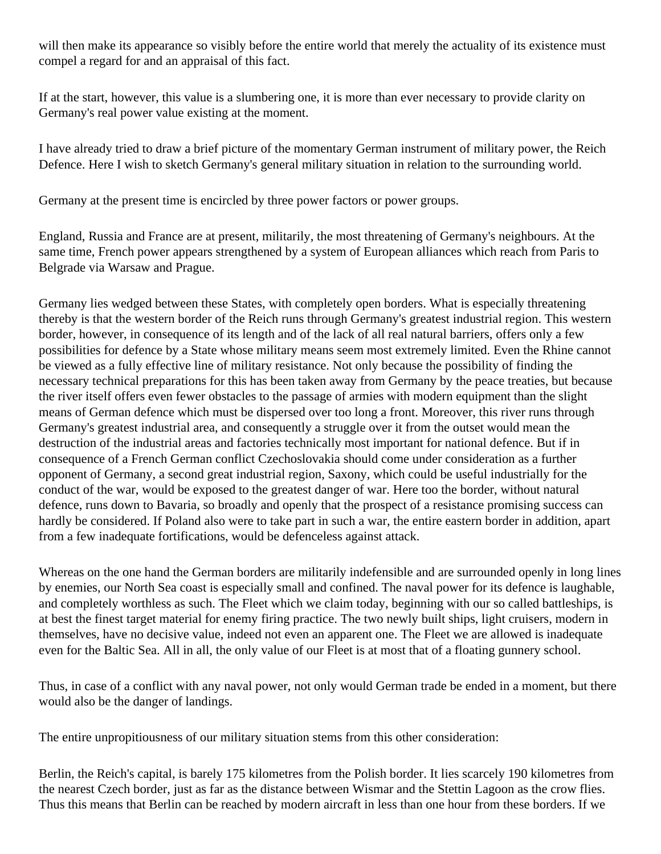will then make its appearance so visibly before the entire world that merely the actuality of its existence must compel a regard for and an appraisal of this fact.

If at the start, however, this value is a slumbering one, it is more than ever necessary to provide clarity on Germany's real power value existing at the moment.

I have already tried to draw a brief picture of the momentary German instrument of military power, the Reich Defence. Here I wish to sketch Germany's general military situation in relation to the surrounding world.

Germany at the present time is encircled by three power factors or power groups.

England, Russia and France are at present, militarily, the most threatening of Germany's neighbours. At the same time, French power appears strengthened by a system of European alliances which reach from Paris to Belgrade via Warsaw and Prague.

Germany lies wedged between these States, with completely open borders. What is especially threatening thereby is that the western border of the Reich runs through Germany's greatest industrial region. This western border, however, in consequence of its length and of the lack of all real natural barriers, offers only a few possibilities for defence by a State whose military means seem most extremely limited. Even the Rhine cannot be viewed as a fully effective line of military resistance. Not only because the possibility of finding the necessary technical preparations for this has been taken away from Germany by the peace treaties, but because the river itself offers even fewer obstacles to the passage of armies with modern equipment than the slight means of German defence which must be dispersed over too long a front. Moreover, this river runs through Germany's greatest industrial area, and consequently a struggle over it from the outset would mean the destruction of the industrial areas and factories technically most important for national defence. But if in consequence of a French German conflict Czechoslovakia should come under consideration as a further opponent of Germany, a second great industrial region, Saxony, which could be useful industrially for the conduct of the war, would be exposed to the greatest danger of war. Here too the border, without natural defence, runs down to Bavaria, so broadly and openly that the prospect of a resistance promising success can hardly be considered. If Poland also were to take part in such a war, the entire eastern border in addition, apart from a few inadequate fortifications, would be defenceless against attack.

Whereas on the one hand the German borders are militarily indefensible and are surrounded openly in long lines by enemies, our North Sea coast is especially small and confined. The naval power for its defence is laughable, and completely worthless as such. The Fleet which we claim today, beginning with our so called battleships, is at best the finest target material for enemy firing practice. The two newly built ships, light cruisers, modern in themselves, have no decisive value, indeed not even an apparent one. The Fleet we are allowed is inadequate even for the Baltic Sea. All in all, the only value of our Fleet is at most that of a floating gunnery school.

Thus, in case of a conflict with any naval power, not only would German trade be ended in a moment, but there would also be the danger of landings.

The entire unpropitiousness of our military situation stems from this other consideration:

Berlin, the Reich's capital, is barely 175 kilometres from the Polish border. It lies scarcely 190 kilometres from the nearest Czech border, just as far as the distance between Wismar and the Stettin Lagoon as the crow flies. Thus this means that Berlin can be reached by modern aircraft in less than one hour from these borders. If we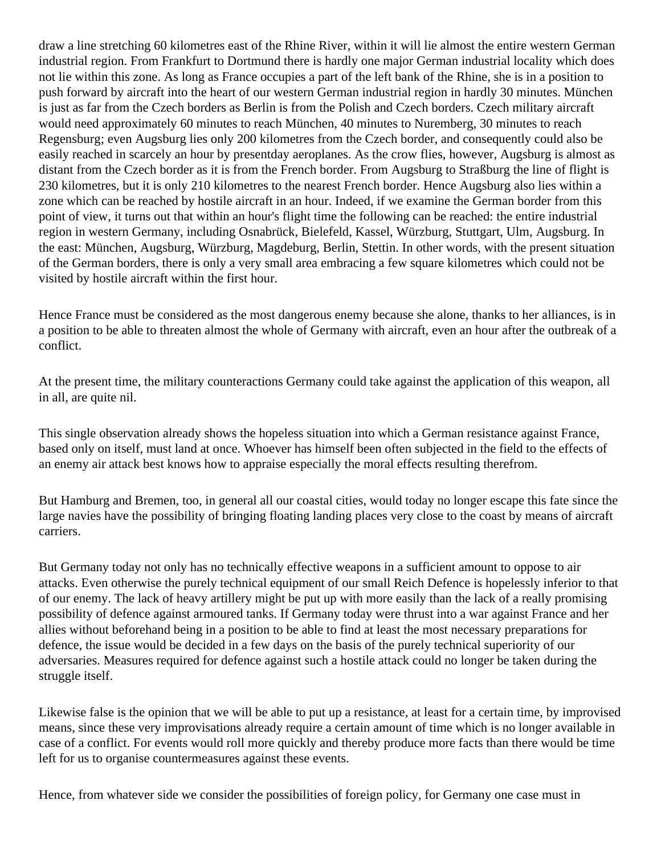draw a line stretching 60 kilometres east of the Rhine River, within it will lie almost the entire western German industrial region. From Frankfurt to Dortmund there is hardly one major German industrial locality which does not lie within this zone. As long as France occupies a part of the left bank of the Rhine, she is in a position to push forward by aircraft into the heart of our western German industrial region in hardly 30 minutes. München is just as far from the Czech borders as Berlin is from the Polish and Czech borders. Czech military aircraft would need approximately 60 minutes to reach München, 40 minutes to Nuremberg, 30 minutes to reach Regensburg; even Augsburg lies only 200 kilometres from the Czech border, and consequently could also be easily reached in scarcely an hour by presentday aeroplanes. As the crow flies, however, Augsburg is almost as distant from the Czech border as it is from the French border. From Augsburg to Straßburg the line of flight is 230 kilometres, but it is only 210 kilometres to the nearest French border. Hence Augsburg also lies within a zone which can be reached by hostile aircraft in an hour. Indeed, if we examine the German border from this point of view, it turns out that within an hour's flight time the following can be reached: the entire industrial region in western Germany, including Osnabrück, Bielefeld, Kassel, Würzburg, Stuttgart, Ulm, Augsburg. In the east: München, Augsburg, Würzburg, Magdeburg, Berlin, Stettin. In other words, with the present situation of the German borders, there is only a very small area embracing a few square kilometres which could not be visited by hostile aircraft within the first hour.

Hence France must be considered as the most dangerous enemy because she alone, thanks to her alliances, is in a position to be able to threaten almost the whole of Germany with aircraft, even an hour after the outbreak of a conflict.

At the present time, the military counteractions Germany could take against the application of this weapon, all in all, are quite nil.

This single observation already shows the hopeless situation into which a German resistance against France, based only on itself, must land at once. Whoever has himself been often subjected in the field to the effects of an enemy air attack best knows how to appraise especially the moral effects resulting therefrom.

But Hamburg and Bremen, too, in general all our coastal cities, would today no longer escape this fate since the large navies have the possibility of bringing floating landing places very close to the coast by means of aircraft carriers.

But Germany today not only has no technically effective weapons in a sufficient amount to oppose to air attacks. Even otherwise the purely technical equipment of our small Reich Defence is hopelessly inferior to that of our enemy. The lack of heavy artillery might be put up with more easily than the lack of a really promising possibility of defence against armoured tanks. If Germany today were thrust into a war against France and her allies without beforehand being in a position to be able to find at least the most necessary preparations for defence, the issue would be decided in a few days on the basis of the purely technical superiority of our adversaries. Measures required for defence against such a hostile attack could no longer be taken during the struggle itself.

Likewise false is the opinion that we will be able to put up a resistance, at least for a certain time, by improvised means, since these very improvisations already require a certain amount of time which is no longer available in case of a conflict. For events would roll more quickly and thereby produce more facts than there would be time left for us to organise countermeasures against these events.

Hence, from whatever side we consider the possibilities of foreign policy, for Germany one case must in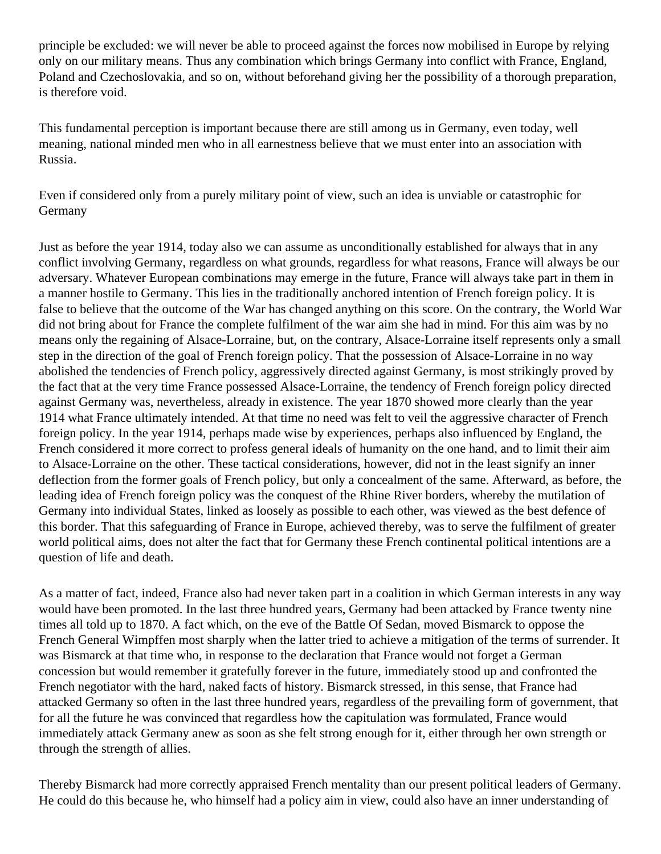principle be excluded: we will never be able to proceed against the forces now mobilised in Europe by relying only on our military means. Thus any combination which brings Germany into conflict with France, England, Poland and Czechoslovakia, and so on, without beforehand giving her the possibility of a thorough preparation, is therefore void.

This fundamental perception is important because there are still among us in Germany, even today, well meaning, national minded men who in all earnestness believe that we must enter into an association with Russia.

Even if considered only from a purely military point of view, such an idea is unviable or catastrophic for Germany

Just as before the year 1914, today also we can assume as unconditionally established for always that in any conflict involving Germany, regardless on what grounds, regardless for what reasons, France will always be our adversary. Whatever European combinations may emerge in the future, France will always take part in them in a manner hostile to Germany. This lies in the traditionally anchored intention of French foreign policy. It is false to believe that the outcome of the War has changed anything on this score. On the contrary, the World War did not bring about for France the complete fulfilment of the war aim she had in mind. For this aim was by no means only the regaining of Alsace-Lorraine, but, on the contrary, Alsace-Lorraine itself represents only a small step in the direction of the goal of French foreign policy. That the possession of Alsace-Lorraine in no way abolished the tendencies of French policy, aggressively directed against Germany, is most strikingly proved by the fact that at the very time France possessed Alsace-Lorraine, the tendency of French foreign policy directed against Germany was, nevertheless, already in existence. The year 1870 showed more clearly than the year 1914 what France ultimately intended. At that time no need was felt to veil the aggressive character of French foreign policy. In the year 1914, perhaps made wise by experiences, perhaps also influenced by England, the French considered it more correct to profess general ideals of humanity on the one hand, and to limit their aim to Alsace-Lorraine on the other. These tactical considerations, however, did not in the least signify an inner deflection from the former goals of French policy, but only a concealment of the same. Afterward, as before, the leading idea of French foreign policy was the conquest of the Rhine River borders, whereby the mutilation of Germany into individual States, linked as loosely as possible to each other, was viewed as the best defence of this border. That this safeguarding of France in Europe, achieved thereby, was to serve the fulfilment of greater world political aims, does not alter the fact that for Germany these French continental political intentions are a question of life and death.

As a matter of fact, indeed, France also had never taken part in a coalition in which German interests in any way would have been promoted. In the last three hundred years, Germany had been attacked by France twenty nine times all told up to 1870. A fact which, on the eve of the Battle Of Sedan, moved Bismarck to oppose the French General Wimpffen most sharply when the latter tried to achieve a mitigation of the terms of surrender. It was Bismarck at that time who, in response to the declaration that France would not forget a German concession but would remember it gratefully forever in the future, immediately stood up and confronted the French negotiator with the hard, naked facts of history. Bismarck stressed, in this sense, that France had attacked Germany so often in the last three hundred years, regardless of the prevailing form of government, that for all the future he was convinced that regardless how the capitulation was formulated, France would immediately attack Germany anew as soon as she felt strong enough for it, either through her own strength or through the strength of allies.

Thereby Bismarck had more correctly appraised French mentality than our present political leaders of Germany. He could do this because he, who himself had a policy aim in view, could also have an inner understanding of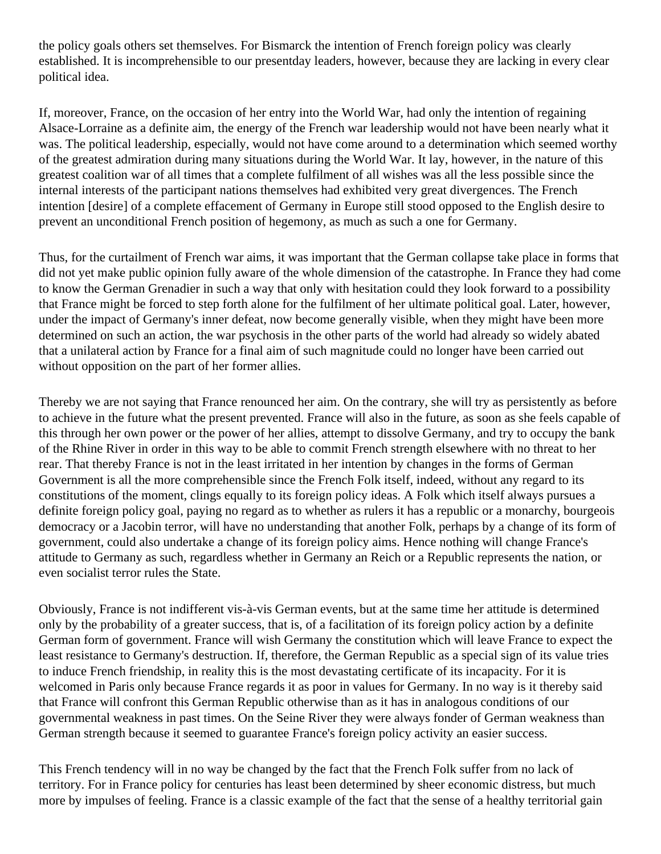the policy goals others set themselves. For Bismarck the intention of French foreign policy was clearly established. It is incomprehensible to our presentday leaders, however, because they are lacking in every clear political idea.

If, moreover, France, on the occasion of her entry into the World War, had only the intention of regaining Alsace-Lorraine as a definite aim, the energy of the French war leadership would not have been nearly what it was. The political leadership, especially, would not have come around to a determination which seemed worthy of the greatest admiration during many situations during the World War. It lay, however, in the nature of this greatest coalition war of all times that a complete fulfilment of all wishes was all the less possible since the internal interests of the participant nations themselves had exhibited very great divergences. The French intention [desire] of a complete effacement of Germany in Europe still stood opposed to the English desire to prevent an unconditional French position of hegemony, as much as such a one for Germany.

Thus, for the curtailment of French war aims, it was important that the German collapse take place in forms that did not yet make public opinion fully aware of the whole dimension of the catastrophe. In France they had come to know the German Grenadier in such a way that only with hesitation could they look forward to a possibility that France might be forced to step forth alone for the fulfilment of her ultimate political goal. Later, however, under the impact of Germany's inner defeat, now become generally visible, when they might have been more determined on such an action, the war psychosis in the other parts of the world had already so widely abated that a unilateral action by France for a final aim of such magnitude could no longer have been carried out without opposition on the part of her former allies.

Thereby we are not saying that France renounced her aim. On the contrary, she will try as persistently as before to achieve in the future what the present prevented. France will also in the future, as soon as she feels capable of this through her own power or the power of her allies, attempt to dissolve Germany, and try to occupy the bank of the Rhine River in order in this way to be able to commit French strength elsewhere with no threat to her rear. That thereby France is not in the least irritated in her intention by changes in the forms of German Government is all the more comprehensible since the French Folk itself, indeed, without any regard to its constitutions of the moment, clings equally to its foreign policy ideas. A Folk which itself always pursues a definite foreign policy goal, paying no regard as to whether as rulers it has a republic or a monarchy, bourgeois democracy or a Jacobin terror, will have no understanding that another Folk, perhaps by a change of its form of government, could also undertake a change of its foreign policy aims. Hence nothing will change France's attitude to Germany as such, regardless whether in Germany an Reich or a Republic represents the nation, or even socialist terror rules the State.

Obviously, France is not indifferent vis-à-vis German events, but at the same time her attitude is determined only by the probability of a greater success, that is, of a facilitation of its foreign policy action by a definite German form of government. France will wish Germany the constitution which will leave France to expect the least resistance to Germany's destruction. If, therefore, the German Republic as a special sign of its value tries to induce French friendship, in reality this is the most devastating certificate of its incapacity. For it is welcomed in Paris only because France regards it as poor in values for Germany. In no way is it thereby said that France will confront this German Republic otherwise than as it has in analogous conditions of our governmental weakness in past times. On the Seine River they were always fonder of German weakness than German strength because it seemed to guarantee France's foreign policy activity an easier success.

This French tendency will in no way be changed by the fact that the French Folk suffer from no lack of territory. For in France policy for centuries has least been determined by sheer economic distress, but much more by impulses of feeling. France is a classic example of the fact that the sense of a healthy territorial gain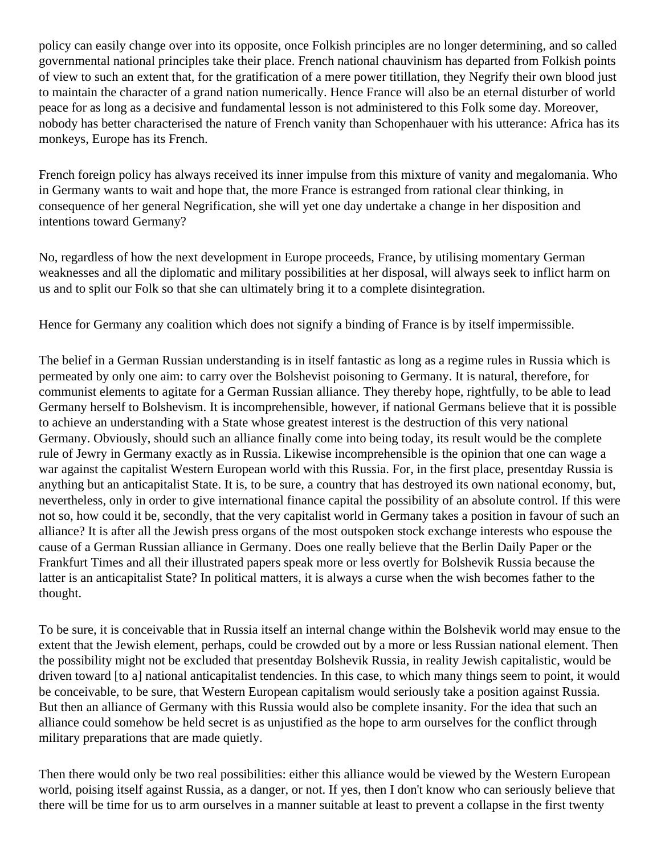policy can easily change over into its opposite, once Folkish principles are no longer determining, and so called governmental national principles take their place. French national chauvinism has departed from Folkish points of view to such an extent that, for the gratification of a mere power titillation, they Negrify their own blood just to maintain the character of a grand nation numerically. Hence France will also be an eternal disturber of world peace for as long as a decisive and fundamental lesson is not administered to this Folk some day. Moreover, nobody has better characterised the nature of French vanity than Schopenhauer with his utterance: Africa has its monkeys, Europe has its French.

French foreign policy has always received its inner impulse from this mixture of vanity and megalomania. Who in Germany wants to wait and hope that, the more France is estranged from rational clear thinking, in consequence of her general Negrification, she will yet one day undertake a change in her disposition and intentions toward Germany?

No, regardless of how the next development in Europe proceeds, France, by utilising momentary German weaknesses and all the diplomatic and military possibilities at her disposal, will always seek to inflict harm on us and to split our Folk so that she can ultimately bring it to a complete disintegration.

Hence for Germany any coalition which does not signify a binding of France is by itself impermissible.

The belief in a German Russian understanding is in itself fantastic as long as a regime rules in Russia which is permeated by only one aim: to carry over the Bolshevist poisoning to Germany. It is natural, therefore, for communist elements to agitate for a German Russian alliance. They thereby hope, rightfully, to be able to lead Germany herself to Bolshevism. It is incomprehensible, however, if national Germans believe that it is possible to achieve an understanding with a State whose greatest interest is the destruction of this very national Germany. Obviously, should such an alliance finally come into being today, its result would be the complete rule of Jewry in Germany exactly as in Russia. Likewise incomprehensible is the opinion that one can wage a war against the capitalist Western European world with this Russia. For, in the first place, presentday Russia is anything but an anticapitalist State. It is, to be sure, a country that has destroyed its own national economy, but, nevertheless, only in order to give international finance capital the possibility of an absolute control. If this were not so, how could it be, secondly, that the very capitalist world in Germany takes a position in favour of such an alliance? It is after all the Jewish press organs of the most outspoken stock exchange interests who espouse the cause of a German Russian alliance in Germany. Does one really believe that the Berlin Daily Paper or the Frankfurt Times and all their illustrated papers speak more or less overtly for Bolshevik Russia because the latter is an anticapitalist State? In political matters, it is always a curse when the wish becomes father to the thought.

To be sure, it is conceivable that in Russia itself an internal change within the Bolshevik world may ensue to the extent that the Jewish element, perhaps, could be crowded out by a more or less Russian national element. Then the possibility might not be excluded that presentday Bolshevik Russia, in reality Jewish capitalistic, would be driven toward [to a] national anticapitalist tendencies. In this case, to which many things seem to point, it would be conceivable, to be sure, that Western European capitalism would seriously take a position against Russia. But then an alliance of Germany with this Russia would also be complete insanity. For the idea that such an alliance could somehow be held secret is as unjustified as the hope to arm ourselves for the conflict through military preparations that are made quietly.

Then there would only be two real possibilities: either this alliance would be viewed by the Western European world, poising itself against Russia, as a danger, or not. If yes, then I don't know who can seriously believe that there will be time for us to arm ourselves in a manner suitable at least to prevent a collapse in the first twenty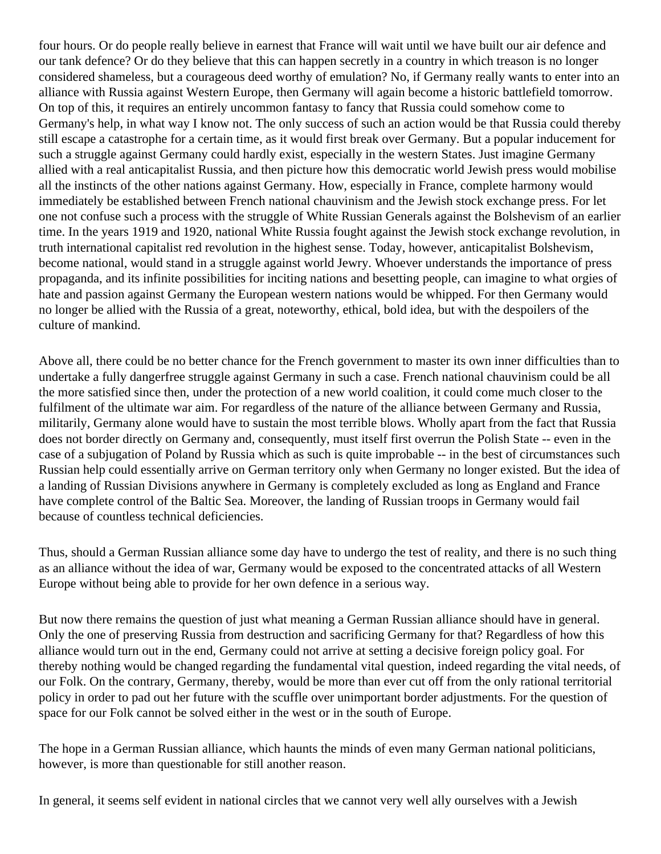four hours. Or do people really believe in earnest that France will wait until we have built our air defence and our tank defence? Or do they believe that this can happen secretly in a country in which treason is no longer considered shameless, but a courageous deed worthy of emulation? No, if Germany really wants to enter into an alliance with Russia against Western Europe, then Germany will again become a historic battlefield tomorrow. On top of this, it requires an entirely uncommon fantasy to fancy that Russia could somehow come to Germany's help, in what way I know not. The only success of such an action would be that Russia could thereby still escape a catastrophe for a certain time, as it would first break over Germany. But a popular inducement for such a struggle against Germany could hardly exist, especially in the western States. Just imagine Germany allied with a real anticapitalist Russia, and then picture how this democratic world Jewish press would mobilise all the instincts of the other nations against Germany. How, especially in France, complete harmony would immediately be established between French national chauvinism and the Jewish stock exchange press. For let one not confuse such a process with the struggle of White Russian Generals against the Bolshevism of an earlier time. In the years 1919 and 1920, national White Russia fought against the Jewish stock exchange revolution, in truth international capitalist red revolution in the highest sense. Today, however, anticapitalist Bolshevism, become national, would stand in a struggle against world Jewry. Whoever understands the importance of press propaganda, and its infinite possibilities for inciting nations and besetting people, can imagine to what orgies of hate and passion against Germany the European western nations would be whipped. For then Germany would no longer be allied with the Russia of a great, noteworthy, ethical, bold idea, but with the despoilers of the culture of mankind.

Above all, there could be no better chance for the French government to master its own inner difficulties than to undertake a fully dangerfree struggle against Germany in such a case. French national chauvinism could be all the more satisfied since then, under the protection of a new world coalition, it could come much closer to the fulfilment of the ultimate war aim. For regardless of the nature of the alliance between Germany and Russia, militarily, Germany alone would have to sustain the most terrible blows. Wholly apart from the fact that Russia does not border directly on Germany and, consequently, must itself first overrun the Polish State -- even in the case of a subjugation of Poland by Russia which as such is quite improbable -- in the best of circumstances such Russian help could essentially arrive on German territory only when Germany no longer existed. But the idea of a landing of Russian Divisions anywhere in Germany is completely excluded as long as England and France have complete control of the Baltic Sea. Moreover, the landing of Russian troops in Germany would fail because of countless technical deficiencies.

Thus, should a German Russian alliance some day have to undergo the test of reality, and there is no such thing as an alliance without the idea of war, Germany would be exposed to the concentrated attacks of all Western Europe without being able to provide for her own defence in a serious way.

But now there remains the question of just what meaning a German Russian alliance should have in general. Only the one of preserving Russia from destruction and sacrificing Germany for that? Regardless of how this alliance would turn out in the end, Germany could not arrive at setting a decisive foreign policy goal. For thereby nothing would be changed regarding the fundamental vital question, indeed regarding the vital needs, of our Folk. On the contrary, Germany, thereby, would be more than ever cut off from the only rational territorial policy in order to pad out her future with the scuffle over unimportant border adjustments. For the question of space for our Folk cannot be solved either in the west or in the south of Europe.

The hope in a German Russian alliance, which haunts the minds of even many German national politicians, however, is more than questionable for still another reason.

In general, it seems self evident in national circles that we cannot very well ally ourselves with a Jewish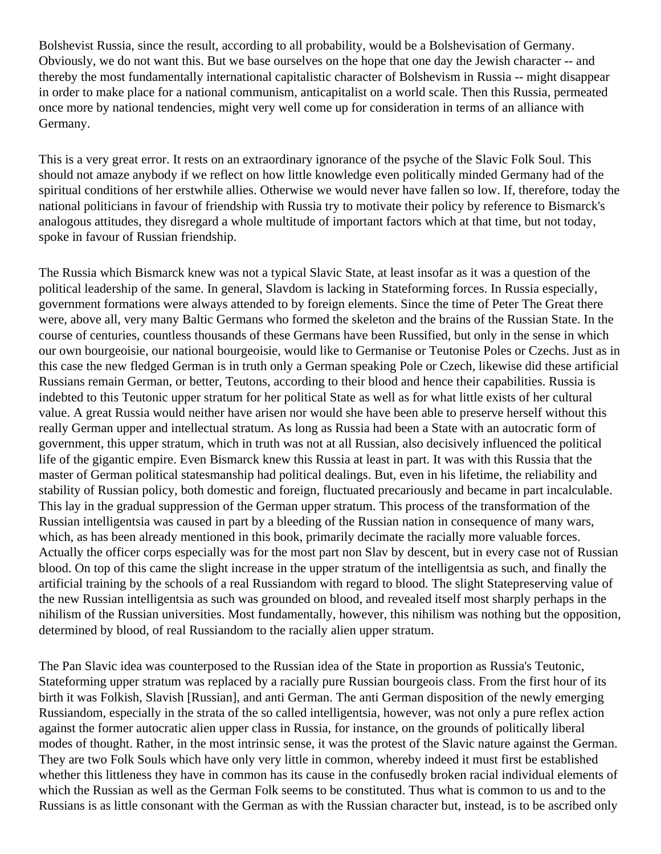Bolshevist Russia, since the result, according to all probability, would be a Bolshevisation of Germany. Obviously, we do not want this. But we base ourselves on the hope that one day the Jewish character -- and thereby the most fundamentally international capitalistic character of Bolshevism in Russia -- might disappear in order to make place for a national communism, anticapitalist on a world scale. Then this Russia, permeated once more by national tendencies, might very well come up for consideration in terms of an alliance with Germany.

This is a very great error. It rests on an extraordinary ignorance of the psyche of the Slavic Folk Soul. This should not amaze anybody if we reflect on how little knowledge even politically minded Germany had of the spiritual conditions of her erstwhile allies. Otherwise we would never have fallen so low. If, therefore, today the national politicians in favour of friendship with Russia try to motivate their policy by reference to Bismarck's analogous attitudes, they disregard a whole multitude of important factors which at that time, but not today, spoke in favour of Russian friendship.

The Russia which Bismarck knew was not a typical Slavic State, at least insofar as it was a question of the political leadership of the same. In general, Slavdom is lacking in Stateforming forces. In Russia especially, government formations were always attended to by foreign elements. Since the time of Peter The Great there were, above all, very many Baltic Germans who formed the skeleton and the brains of the Russian State. In the course of centuries, countless thousands of these Germans have been Russified, but only in the sense in which our own bourgeoisie, our national bourgeoisie, would like to Germanise or Teutonise Poles or Czechs. Just as in this case the new fledged German is in truth only a German speaking Pole or Czech, likewise did these artificial Russians remain German, or better, Teutons, according to their blood and hence their capabilities. Russia is indebted to this Teutonic upper stratum for her political State as well as for what little exists of her cultural value. A great Russia would neither have arisen nor would she have been able to preserve herself without this really German upper and intellectual stratum. As long as Russia had been a State with an autocratic form of government, this upper stratum, which in truth was not at all Russian, also decisively influenced the political life of the gigantic empire. Even Bismarck knew this Russia at least in part. It was with this Russia that the master of German political statesmanship had political dealings. But, even in his lifetime, the reliability and stability of Russian policy, both domestic and foreign, fluctuated precariously and became in part incalculable. This lay in the gradual suppression of the German upper stratum. This process of the transformation of the Russian intelligentsia was caused in part by a bleeding of the Russian nation in consequence of many wars, which, as has been already mentioned in this book, primarily decimate the racially more valuable forces. Actually the officer corps especially was for the most part non Slav by descent, but in every case not of Russian blood. On top of this came the slight increase in the upper stratum of the intelligentsia as such, and finally the artificial training by the schools of a real Russiandom with regard to blood. The slight Statepreserving value of the new Russian intelligentsia as such was grounded on blood, and revealed itself most sharply perhaps in the nihilism of the Russian universities. Most fundamentally, however, this nihilism was nothing but the opposition, determined by blood, of real Russiandom to the racially alien upper stratum.

The Pan Slavic idea was counterposed to the Russian idea of the State in proportion as Russia's Teutonic, Stateforming upper stratum was replaced by a racially pure Russian bourgeois class. From the first hour of its birth it was Folkish, Slavish [Russian], and anti German. The anti German disposition of the newly emerging Russiandom, especially in the strata of the so called intelligentsia, however, was not only a pure reflex action against the former autocratic alien upper class in Russia, for instance, on the grounds of politically liberal modes of thought. Rather, in the most intrinsic sense, it was the protest of the Slavic nature against the German. They are two Folk Souls which have only very little in common, whereby indeed it must first be established whether this littleness they have in common has its cause in the confusedly broken racial individual elements of which the Russian as well as the German Folk seems to be constituted. Thus what is common to us and to the Russians is as little consonant with the German as with the Russian character but, instead, is to be ascribed only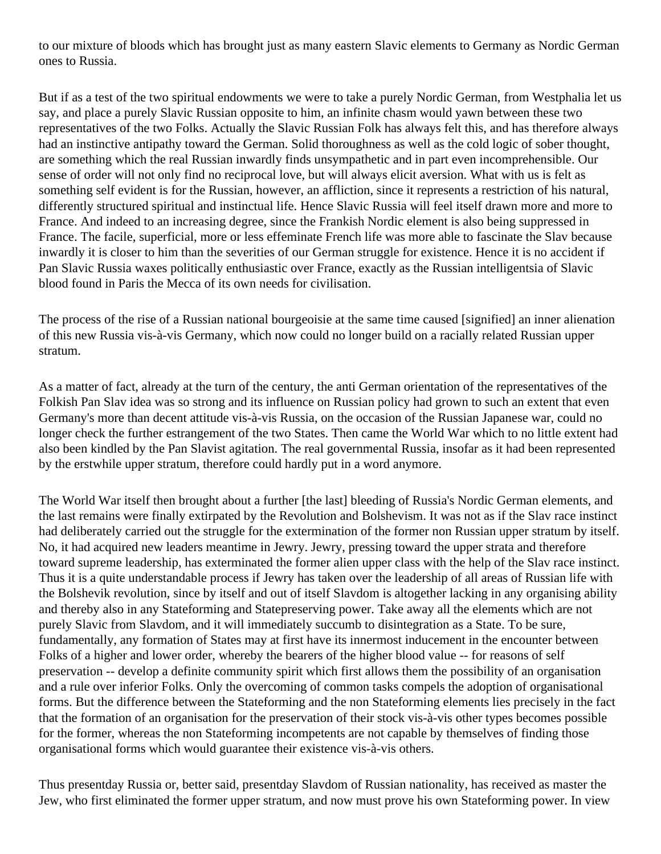to our mixture of bloods which has brought just as many eastern Slavic elements to Germany as Nordic German ones to Russia.

But if as a test of the two spiritual endowments we were to take a purely Nordic German, from Westphalia let us say, and place a purely Slavic Russian opposite to him, an infinite chasm would yawn between these two representatives of the two Folks. Actually the Slavic Russian Folk has always felt this, and has therefore always had an instinctive antipathy toward the German. Solid thoroughness as well as the cold logic of sober thought, are something which the real Russian inwardly finds unsympathetic and in part even incomprehensible. Our sense of order will not only find no reciprocal love, but will always elicit aversion. What with us is felt as something self evident is for the Russian, however, an affliction, since it represents a restriction of his natural, differently structured spiritual and instinctual life. Hence Slavic Russia will feel itself drawn more and more to France. And indeed to an increasing degree, since the Frankish Nordic element is also being suppressed in France. The facile, superficial, more or less effeminate French life was more able to fascinate the Slav because inwardly it is closer to him than the severities of our German struggle for existence. Hence it is no accident if Pan Slavic Russia waxes politically enthusiastic over France, exactly as the Russian intelligentsia of Slavic blood found in Paris the Mecca of its own needs for civilisation.

The process of the rise of a Russian national bourgeoisie at the same time caused [signified] an inner alienation of this new Russia vis-à-vis Germany, which now could no longer build on a racially related Russian upper stratum.

As a matter of fact, already at the turn of the century, the anti German orientation of the representatives of the Folkish Pan Slav idea was so strong and its influence on Russian policy had grown to such an extent that even Germany's more than decent attitude vis-à-vis Russia, on the occasion of the Russian Japanese war, could no longer check the further estrangement of the two States. Then came the World War which to no little extent had also been kindled by the Pan Slavist agitation. The real governmental Russia, insofar as it had been represented by the erstwhile upper stratum, therefore could hardly put in a word anymore.

The World War itself then brought about a further [the last] bleeding of Russia's Nordic German elements, and the last remains were finally extirpated by the Revolution and Bolshevism. It was not as if the Slav race instinct had deliberately carried out the struggle for the extermination of the former non Russian upper stratum by itself. No, it had acquired new leaders meantime in Jewry. Jewry, pressing toward the upper strata and therefore toward supreme leadership, has exterminated the former alien upper class with the help of the Slav race instinct. Thus it is a quite understandable process if Jewry has taken over the leadership of all areas of Russian life with the Bolshevik revolution, since by itself and out of itself Slavdom is altogether lacking in any organising ability and thereby also in any Stateforming and Statepreserving power. Take away all the elements which are not purely Slavic from Slavdom, and it will immediately succumb to disintegration as a State. To be sure, fundamentally, any formation of States may at first have its innermost inducement in the encounter between Folks of a higher and lower order, whereby the bearers of the higher blood value -- for reasons of self preservation -- develop a definite community spirit which first allows them the possibility of an organisation and a rule over inferior Folks. Only the overcoming of common tasks compels the adoption of organisational forms. But the difference between the Stateforming and the non Stateforming elements lies precisely in the fact that the formation of an organisation for the preservation of their stock vis-à-vis other types becomes possible for the former, whereas the non Stateforming incompetents are not capable by themselves of finding those organisational forms which would guarantee their existence vis-à-vis others.

Thus presentday Russia or, better said, presentday Slavdom of Russian nationality, has received as master the Jew, who first eliminated the former upper stratum, and now must prove his own Stateforming power. In view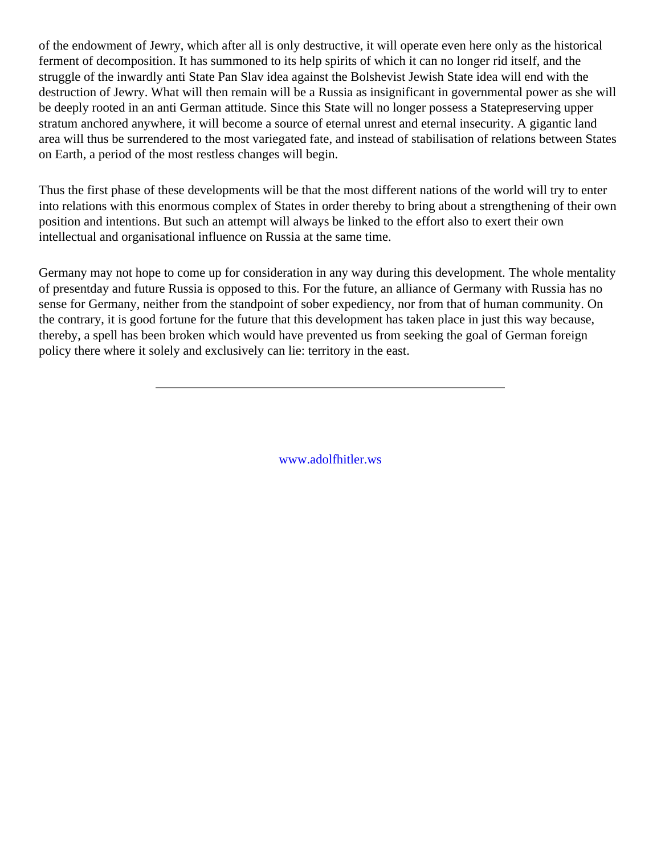of the endowment of Jewry, which after all is only destructive, it will operate even here only as the historical ferment of decomposition. It has summoned to its help spirits of which it can no longer rid itself, and the struggle of the inwardly anti State Pan Slav idea against the Bolshevist Jewish State idea will end with the destruction of Jewry. What will then remain will be a Russia as insignificant in governmental power as she will be deeply rooted in an anti German attitude. Since this State will no longer possess a Statepreserving upper stratum anchored anywhere, it will become a source of eternal unrest and eternal insecurity. A gigantic land area will thus be surrendered to the most variegated fate, and instead of stabilisation of relations between States on Earth, a period of the most restless changes will begin.

Thus the first phase of these developments will be that the most different nations of the world will try to enter into relations with this enormous complex of States in order thereby to bring about a strengthening of their own position and intentions. But such an attempt will always be linked to the effort also to exert their own intellectual and organisational influence on Russia at the same time.

Germany may not hope to come up for consideration in any way during this development. The whole mentality of presentday and future Russia is opposed to this. For the future, an alliance of Germany with Russia has no sense for Germany, neither from the standpoint of sober expediency, nor from that of human community. On the contrary, it is good fortune for the future that this development has taken place in just this way because, thereby, a spell has been broken which would have prevented us from seeking the goal of German foreign policy there where it solely and exclusively can lie: territory in the east.

[www.adolfhitler.ws](http://www.adolfhitler.ws/)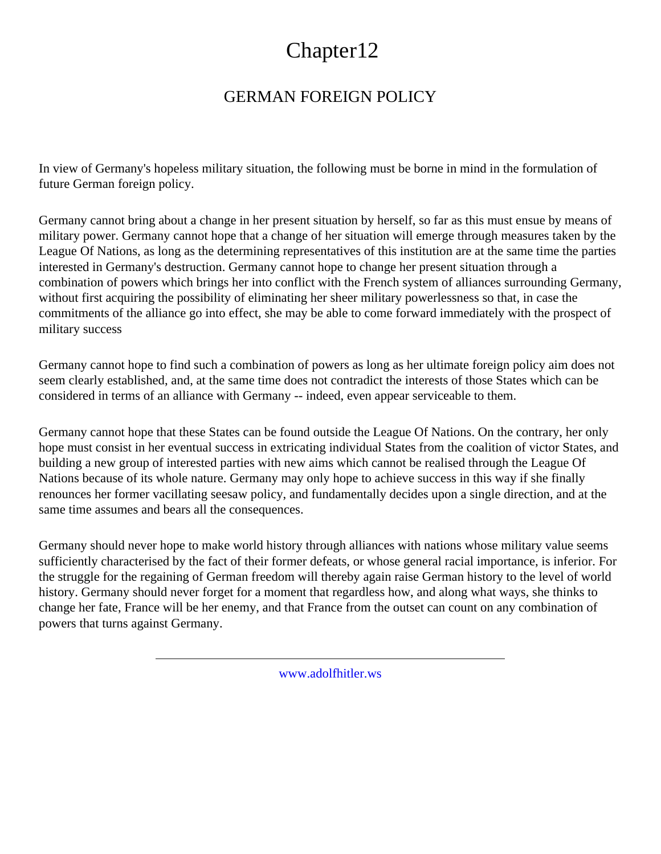# Chapter12

## GERMAN FOREIGN POLICY

In view of Germany's hopeless military situation, the following must be borne in mind in the formulation of future German foreign policy.

Germany cannot bring about a change in her present situation by herself, so far as this must ensue by means of military power. Germany cannot hope that a change of her situation will emerge through measures taken by the League Of Nations, as long as the determining representatives of this institution are at the same time the parties interested in Germany's destruction. Germany cannot hope to change her present situation through a combination of powers which brings her into conflict with the French system of alliances surrounding Germany, without first acquiring the possibility of eliminating her sheer military powerlessness so that, in case the commitments of the alliance go into effect, she may be able to come forward immediately with the prospect of military success

Germany cannot hope to find such a combination of powers as long as her ultimate foreign policy aim does not seem clearly established, and, at the same time does not contradict the interests of those States which can be considered in terms of an alliance with Germany -- indeed, even appear serviceable to them.

Germany cannot hope that these States can be found outside the League Of Nations. On the contrary, her only hope must consist in her eventual success in extricating individual States from the coalition of victor States, and building a new group of interested parties with new aims which cannot be realised through the League Of Nations because of its whole nature. Germany may only hope to achieve success in this way if she finally renounces her former vacillating seesaw policy, and fundamentally decides upon a single direction, and at the same time assumes and bears all the consequences.

Germany should never hope to make world history through alliances with nations whose military value seems sufficiently characterised by the fact of their former defeats, or whose general racial importance, is inferior. For the struggle for the regaining of German freedom will thereby again raise German history to the level of world history. Germany should never forget for a moment that regardless how, and along what ways, she thinks to change her fate, France will be her enemy, and that France from the outset can count on any combination of powers that turns against Germany.

[www.adolfhitler.ws](http://www.adolfhitler.ws/)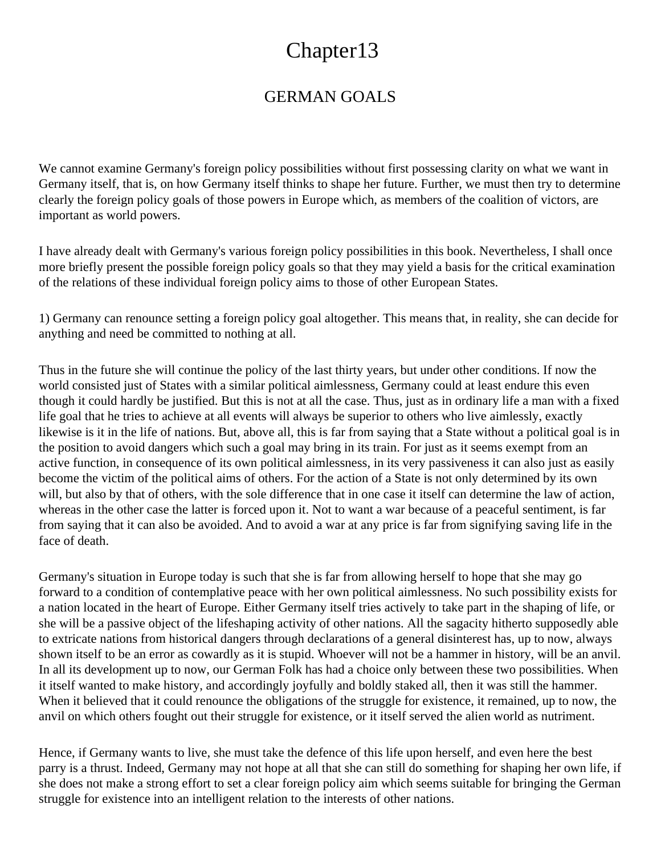# Chapter13

### GERMAN GOALS

We cannot examine Germany's foreign policy possibilities without first possessing clarity on what we want in Germany itself, that is, on how Germany itself thinks to shape her future. Further, we must then try to determine clearly the foreign policy goals of those powers in Europe which, as members of the coalition of victors, are important as world powers.

I have already dealt with Germany's various foreign policy possibilities in this book. Nevertheless, I shall once more briefly present the possible foreign policy goals so that they may yield a basis for the critical examination of the relations of these individual foreign policy aims to those of other European States.

1) Germany can renounce setting a foreign policy goal altogether. This means that, in reality, she can decide for anything and need be committed to nothing at all.

Thus in the future she will continue the policy of the last thirty years, but under other conditions. If now the world consisted just of States with a similar political aimlessness, Germany could at least endure this even though it could hardly be justified. But this is not at all the case. Thus, just as in ordinary life a man with a fixed life goal that he tries to achieve at all events will always be superior to others who live aimlessly, exactly likewise is it in the life of nations. But, above all, this is far from saying that a State without a political goal is in the position to avoid dangers which such a goal may bring in its train. For just as it seems exempt from an active function, in consequence of its own political aimlessness, in its very passiveness it can also just as easily become the victim of the political aims of others. For the action of a State is not only determined by its own will, but also by that of others, with the sole difference that in one case it itself can determine the law of action, whereas in the other case the latter is forced upon it. Not to want a war because of a peaceful sentiment, is far from saying that it can also be avoided. And to avoid a war at any price is far from signifying saving life in the face of death.

Germany's situation in Europe today is such that she is far from allowing herself to hope that she may go forward to a condition of contemplative peace with her own political aimlessness. No such possibility exists for a nation located in the heart of Europe. Either Germany itself tries actively to take part in the shaping of life, or she will be a passive object of the lifeshaping activity of other nations. All the sagacity hitherto supposedly able to extricate nations from historical dangers through declarations of a general disinterest has, up to now, always shown itself to be an error as cowardly as it is stupid. Whoever will not be a hammer in history, will be an anvil. In all its development up to now, our German Folk has had a choice only between these two possibilities. When it itself wanted to make history, and accordingly joyfully and boldly staked all, then it was still the hammer. When it believed that it could renounce the obligations of the struggle for existence, it remained, up to now, the anvil on which others fought out their struggle for existence, or it itself served the alien world as nutriment.

Hence, if Germany wants to live, she must take the defence of this life upon herself, and even here the best parry is a thrust. Indeed, Germany may not hope at all that she can still do something for shaping her own life, if she does not make a strong effort to set a clear foreign policy aim which seems suitable for bringing the German struggle for existence into an intelligent relation to the interests of other nations.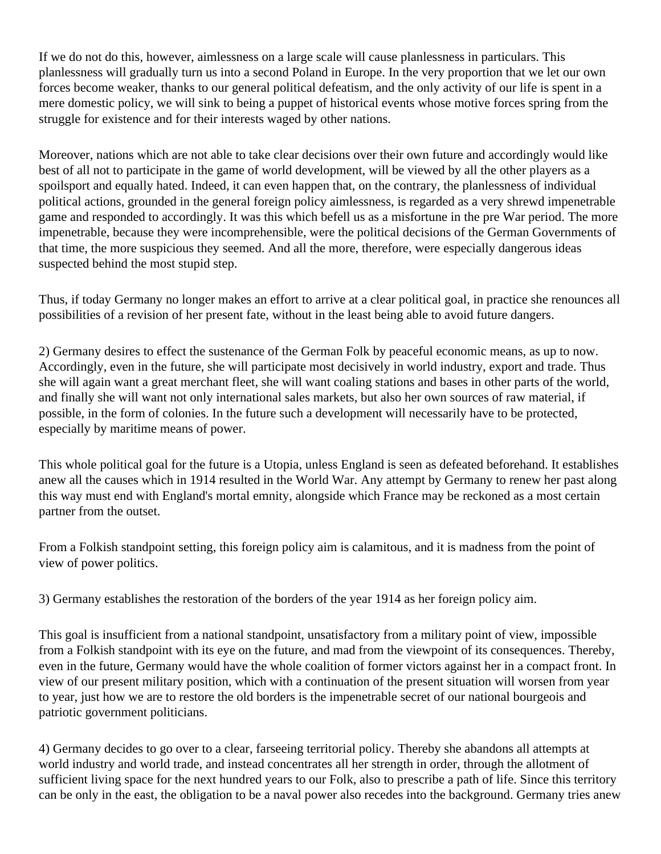If we do not do this, however, aimlessness on a large scale will cause planlessness in particulars. This planlessness will gradually turn us into a second Poland in Europe. In the very proportion that we let our own forces become weaker, thanks to our general political defeatism, and the only activity of our life is spent in a mere domestic policy, we will sink to being a puppet of historical events whose motive forces spring from the struggle for existence and for their interests waged by other nations.

Moreover, nations which are not able to take clear decisions over their own future and accordingly would like best of all not to participate in the game of world development, will be viewed by all the other players as a spoilsport and equally hated. Indeed, it can even happen that, on the contrary, the planlessness of individual political actions, grounded in the general foreign policy aimlessness, is regarded as a very shrewd impenetrable game and responded to accordingly. It was this which befell us as a misfortune in the pre War period. The more impenetrable, because they were incomprehensible, were the political decisions of the German Governments of that time, the more suspicious they seemed. And all the more, therefore, were especially dangerous ideas suspected behind the most stupid step.

Thus, if today Germany no longer makes an effort to arrive at a clear political goal, in practice she renounces all possibilities of a revision of her present fate, without in the least being able to avoid future dangers.

2) Germany desires to effect the sustenance of the German Folk by peaceful economic means, as up to now. Accordingly, even in the future, she will participate most decisively in world industry, export and trade. Thus she will again want a great merchant fleet, she will want coaling stations and bases in other parts of the world, and finally she will want not only international sales markets, but also her own sources of raw material, if possible, in the form of colonies. In the future such a development will necessarily have to be protected, especially by maritime means of power.

This whole political goal for the future is a Utopia, unless England is seen as defeated beforehand. It establishes anew all the causes which in 1914 resulted in the World War. Any attempt by Germany to renew her past along this way must end with England's mortal emnity, alongside which France may be reckoned as a most certain partner from the outset.

From a Folkish standpoint setting, this foreign policy aim is calamitous, and it is madness from the point of view of power politics.

3) Germany establishes the restoration of the borders of the year 1914 as her foreign policy aim.

This goal is insufficient from a national standpoint, unsatisfactory from a military point of view, impossible from a Folkish standpoint with its eye on the future, and mad from the viewpoint of its consequences. Thereby, even in the future, Germany would have the whole coalition of former victors against her in a compact front. In view of our present military position, which with a continuation of the present situation will worsen from year to year, just how we are to restore the old borders is the impenetrable secret of our national bourgeois and patriotic government politicians.

4) Germany decides to go over to a clear, farseeing territorial policy. Thereby she abandons all attempts at world industry and world trade, and instead concentrates all her strength in order, through the allotment of sufficient living space for the next hundred years to our Folk, also to prescribe a path of life. Since this territory can be only in the east, the obligation to be a naval power also recedes into the background. Germany tries anew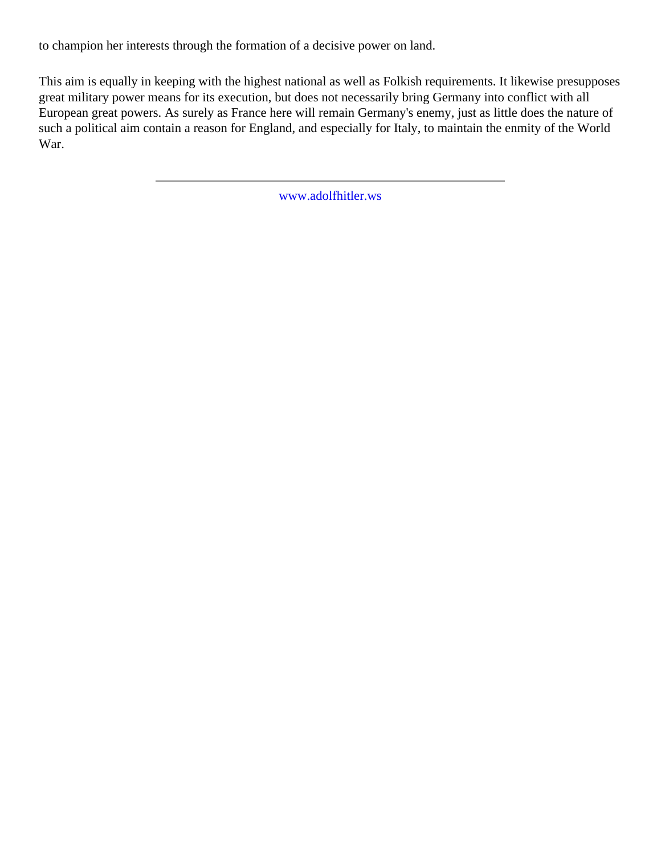to champion her interests through the formation of a decisive power on land.

This aim is equally in keeping with the highest national as well as Folkish requirements. It likewise presupposes great military power means for its execution, but does not necessarily bring Germany into conflict with all European great powers. As surely as France here will remain Germany's enemy, just as little does the nature of such a political aim contain a reason for England, and especially for Italy, to maintain the enmity of the World War.

[www.adolfhitler.ws](http://www.adolfhitler.ws/)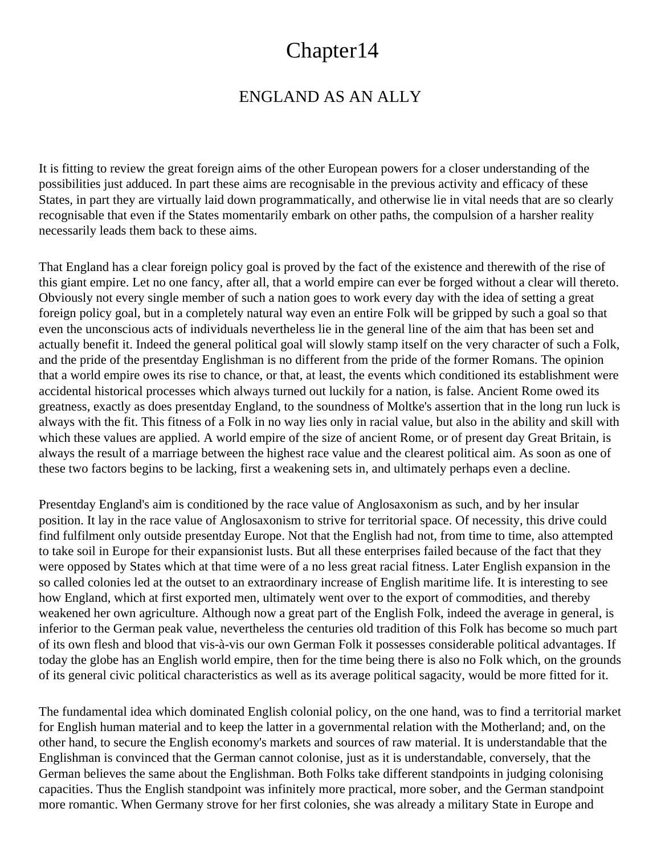## Chapter14

#### ENGLAND AS AN ALLY

It is fitting to review the great foreign aims of the other European powers for a closer understanding of the possibilities just adduced. In part these aims are recognisable in the previous activity and efficacy of these States, in part they are virtually laid down programmatically, and otherwise lie in vital needs that are so clearly recognisable that even if the States momentarily embark on other paths, the compulsion of a harsher reality necessarily leads them back to these aims.

That England has a clear foreign policy goal is proved by the fact of the existence and therewith of the rise of this giant empire. Let no one fancy, after all, that a world empire can ever be forged without a clear will thereto. Obviously not every single member of such a nation goes to work every day with the idea of setting a great foreign policy goal, but in a completely natural way even an entire Folk will be gripped by such a goal so that even the unconscious acts of individuals nevertheless lie in the general line of the aim that has been set and actually benefit it. Indeed the general political goal will slowly stamp itself on the very character of such a Folk, and the pride of the presentday Englishman is no different from the pride of the former Romans. The opinion that a world empire owes its rise to chance, or that, at least, the events which conditioned its establishment were accidental historical processes which always turned out luckily for a nation, is false. Ancient Rome owed its greatness, exactly as does presentday England, to the soundness of Moltke's assertion that in the long run luck is always with the fit. This fitness of a Folk in no way lies only in racial value, but also in the ability and skill with which these values are applied. A world empire of the size of ancient Rome, or of present day Great Britain, is always the result of a marriage between the highest race value and the clearest political aim. As soon as one of these two factors begins to be lacking, first a weakening sets in, and ultimately perhaps even a decline.

Presentday England's aim is conditioned by the race value of Anglosaxonism as such, and by her insular position. It lay in the race value of Anglosaxonism to strive for territorial space. Of necessity, this drive could find fulfilment only outside presentday Europe. Not that the English had not, from time to time, also attempted to take soil in Europe for their expansionist lusts. But all these enterprises failed because of the fact that they were opposed by States which at that time were of a no less great racial fitness. Later English expansion in the so called colonies led at the outset to an extraordinary increase of English maritime life. It is interesting to see how England, which at first exported men, ultimately went over to the export of commodities, and thereby weakened her own agriculture. Although now a great part of the English Folk, indeed the average in general, is inferior to the German peak value, nevertheless the centuries old tradition of this Folk has become so much part of its own flesh and blood that vis-à-vis our own German Folk it possesses considerable political advantages. If today the globe has an English world empire, then for the time being there is also no Folk which, on the grounds of its general civic political characteristics as well as its average political sagacity, would be more fitted for it.

The fundamental idea which dominated English colonial policy, on the one hand, was to find a territorial market for English human material and to keep the latter in a governmental relation with the Motherland; and, on the other hand, to secure the English economy's markets and sources of raw material. It is understandable that the Englishman is convinced that the German cannot colonise, just as it is understandable, conversely, that the German believes the same about the Englishman. Both Folks take different standpoints in judging colonising capacities. Thus the English standpoint was infinitely more practical, more sober, and the German standpoint more romantic. When Germany strove for her first colonies, she was already a military State in Europe and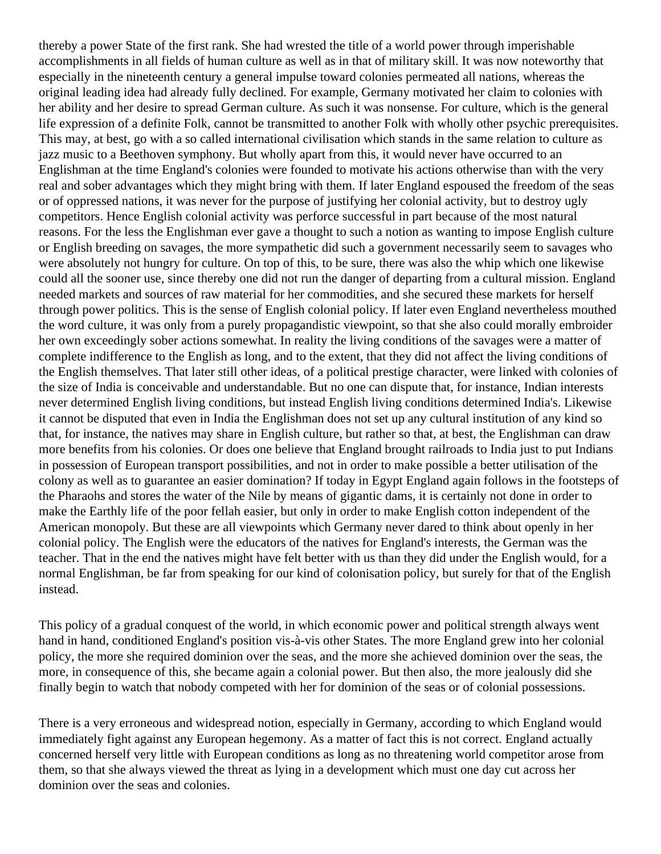thereby a power State of the first rank. She had wrested the title of a world power through imperishable accomplishments in all fields of human culture as well as in that of military skill. It was now noteworthy that especially in the nineteenth century a general impulse toward colonies permeated all nations, whereas the original leading idea had already fully declined. For example, Germany motivated her claim to colonies with her ability and her desire to spread German culture. As such it was nonsense. For culture, which is the general life expression of a definite Folk, cannot be transmitted to another Folk with wholly other psychic prerequisites. This may, at best, go with a so called international civilisation which stands in the same relation to culture as jazz music to a Beethoven symphony. But wholly apart from this, it would never have occurred to an Englishman at the time England's colonies were founded to motivate his actions otherwise than with the very real and sober advantages which they might bring with them. If later England espoused the freedom of the seas or of oppressed nations, it was never for the purpose of justifying her colonial activity, but to destroy ugly competitors. Hence English colonial activity was perforce successful in part because of the most natural reasons. For the less the Englishman ever gave a thought to such a notion as wanting to impose English culture or English breeding on savages, the more sympathetic did such a government necessarily seem to savages who were absolutely not hungry for culture. On top of this, to be sure, there was also the whip which one likewise could all the sooner use, since thereby one did not run the danger of departing from a cultural mission. England needed markets and sources of raw material for her commodities, and she secured these markets for herself through power politics. This is the sense of English colonial policy. If later even England nevertheless mouthed the word culture, it was only from a purely propagandistic viewpoint, so that she also could morally embroider her own exceedingly sober actions somewhat. In reality the living conditions of the savages were a matter of complete indifference to the English as long, and to the extent, that they did not affect the living conditions of the English themselves. That later still other ideas, of a political prestige character, were linked with colonies of the size of India is conceivable and understandable. But no one can dispute that, for instance, Indian interests never determined English living conditions, but instead English living conditions determined India's. Likewise it cannot be disputed that even in India the Englishman does not set up any cultural institution of any kind so that, for instance, the natives may share in English culture, but rather so that, at best, the Englishman can draw more benefits from his colonies. Or does one believe that England brought railroads to India just to put Indians in possession of European transport possibilities, and not in order to make possible a better utilisation of the colony as well as to guarantee an easier domination? If today in Egypt England again follows in the footsteps of the Pharaohs and stores the water of the Nile by means of gigantic dams, it is certainly not done in order to make the Earthly life of the poor fellah easier, but only in order to make English cotton independent of the American monopoly. But these are all viewpoints which Germany never dared to think about openly in her colonial policy. The English were the educators of the natives for England's interests, the German was the teacher. That in the end the natives might have felt better with us than they did under the English would, for a normal Englishman, be far from speaking for our kind of colonisation policy, but surely for that of the English instead.

This policy of a gradual conquest of the world, in which economic power and political strength always went hand in hand, conditioned England's position vis-à-vis other States. The more England grew into her colonial policy, the more she required dominion over the seas, and the more she achieved dominion over the seas, the more, in consequence of this, she became again a colonial power. But then also, the more jealously did she finally begin to watch that nobody competed with her for dominion of the seas or of colonial possessions.

There is a very erroneous and widespread notion, especially in Germany, according to which England would immediately fight against any European hegemony. As a matter of fact this is not correct. England actually concerned herself very little with European conditions as long as no threatening world competitor arose from them, so that she always viewed the threat as lying in a development which must one day cut across her dominion over the seas and colonies.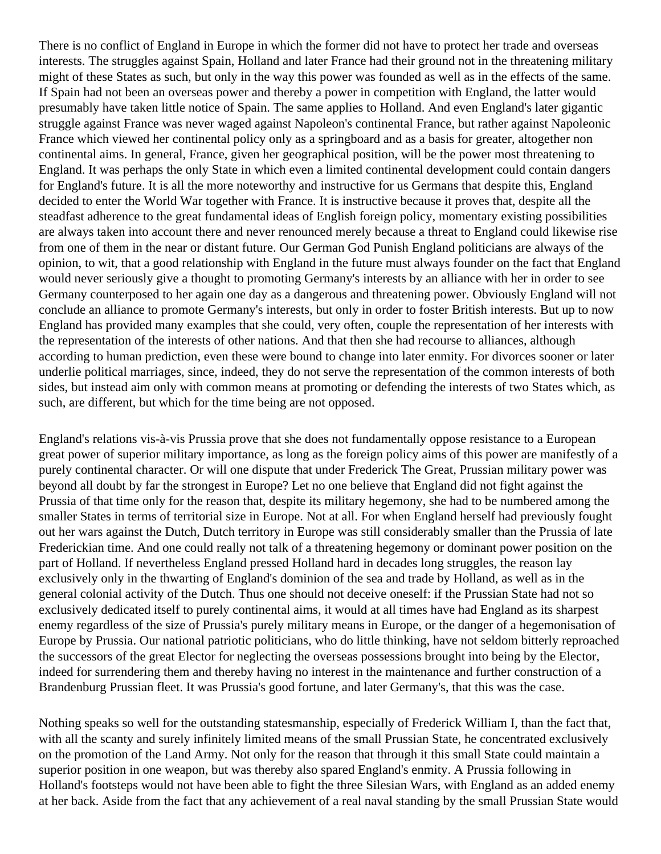There is no conflict of England in Europe in which the former did not have to protect her trade and overseas interests. The struggles against Spain, Holland and later France had their ground not in the threatening military might of these States as such, but only in the way this power was founded as well as in the effects of the same. If Spain had not been an overseas power and thereby a power in competition with England, the latter would presumably have taken little notice of Spain. The same applies to Holland. And even England's later gigantic struggle against France was never waged against Napoleon's continental France, but rather against Napoleonic France which viewed her continental policy only as a springboard and as a basis for greater, altogether non continental aims. In general, France, given her geographical position, will be the power most threatening to England. It was perhaps the only State in which even a limited continental development could contain dangers for England's future. It is all the more noteworthy and instructive for us Germans that despite this, England decided to enter the World War together with France. It is instructive because it proves that, despite all the steadfast adherence to the great fundamental ideas of English foreign policy, momentary existing possibilities are always taken into account there and never renounced merely because a threat to England could likewise rise from one of them in the near or distant future. Our German God Punish England politicians are always of the opinion, to wit, that a good relationship with England in the future must always founder on the fact that England would never seriously give a thought to promoting Germany's interests by an alliance with her in order to see Germany counterposed to her again one day as a dangerous and threatening power. Obviously England will not conclude an alliance to promote Germany's interests, but only in order to foster British interests. But up to now England has provided many examples that she could, very often, couple the representation of her interests with the representation of the interests of other nations. And that then she had recourse to alliances, although according to human prediction, even these were bound to change into later enmity. For divorces sooner or later underlie political marriages, since, indeed, they do not serve the representation of the common interests of both sides, but instead aim only with common means at promoting or defending the interests of two States which, as such, are different, but which for the time being are not opposed.

England's relations vis-à-vis Prussia prove that she does not fundamentally oppose resistance to a European great power of superior military importance, as long as the foreign policy aims of this power are manifestly of a purely continental character. Or will one dispute that under Frederick The Great, Prussian military power was beyond all doubt by far the strongest in Europe? Let no one believe that England did not fight against the Prussia of that time only for the reason that, despite its military hegemony, she had to be numbered among the smaller States in terms of territorial size in Europe. Not at all. For when England herself had previously fought out her wars against the Dutch, Dutch territory in Europe was still considerably smaller than the Prussia of late Frederickian time. And one could really not talk of a threatening hegemony or dominant power position on the part of Holland. If nevertheless England pressed Holland hard in decades long struggles, the reason lay exclusively only in the thwarting of England's dominion of the sea and trade by Holland, as well as in the general colonial activity of the Dutch. Thus one should not deceive oneself: if the Prussian State had not so exclusively dedicated itself to purely continental aims, it would at all times have had England as its sharpest enemy regardless of the size of Prussia's purely military means in Europe, or the danger of a hegemonisation of Europe by Prussia. Our national patriotic politicians, who do little thinking, have not seldom bitterly reproached the successors of the great Elector for neglecting the overseas possessions brought into being by the Elector, indeed for surrendering them and thereby having no interest in the maintenance and further construction of a Brandenburg Prussian fleet. It was Prussia's good fortune, and later Germany's, that this was the case.

Nothing speaks so well for the outstanding statesmanship, especially of Frederick William I, than the fact that, with all the scanty and surely infinitely limited means of the small Prussian State, he concentrated exclusively on the promotion of the Land Army. Not only for the reason that through it this small State could maintain a superior position in one weapon, but was thereby also spared England's enmity. A Prussia following in Holland's footsteps would not have been able to fight the three Silesian Wars, with England as an added enemy at her back. Aside from the fact that any achievement of a real naval standing by the small Prussian State would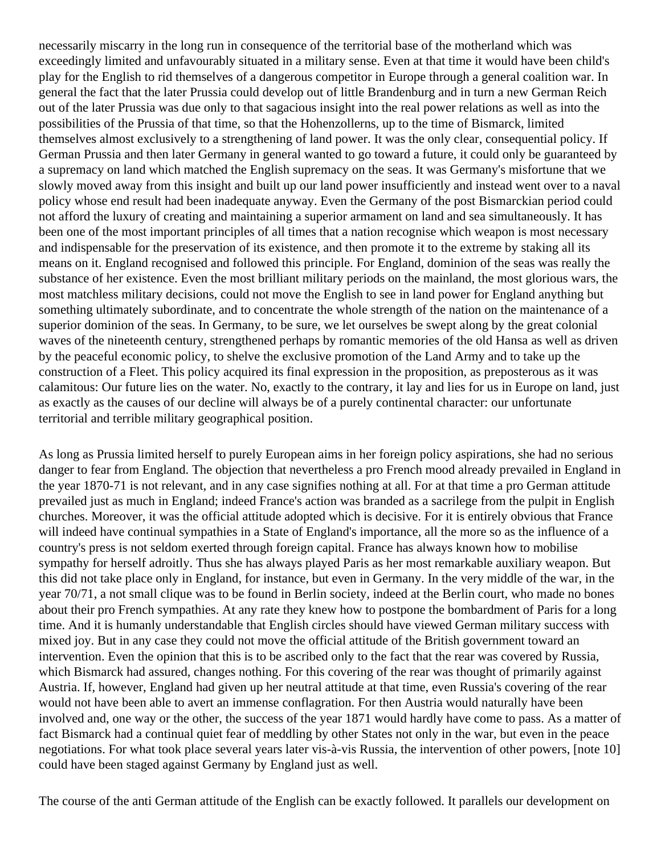necessarily miscarry in the long run in consequence of the territorial base of the motherland which was exceedingly limited and unfavourably situated in a military sense. Even at that time it would have been child's play for the English to rid themselves of a dangerous competitor in Europe through a general coalition war. In general the fact that the later Prussia could develop out of little Brandenburg and in turn a new German Reich out of the later Prussia was due only to that sagacious insight into the real power relations as well as into the possibilities of the Prussia of that time, so that the Hohenzollerns, up to the time of Bismarck, limited themselves almost exclusively to a strengthening of land power. It was the only clear, consequential policy. If German Prussia and then later Germany in general wanted to go toward a future, it could only be guaranteed by a supremacy on land which matched the English supremacy on the seas. It was Germany's misfortune that we slowly moved away from this insight and built up our land power insufficiently and instead went over to a naval policy whose end result had been inadequate anyway. Even the Germany of the post Bismarckian period could not afford the luxury of creating and maintaining a superior armament on land and sea simultaneously. It has been one of the most important principles of all times that a nation recognise which weapon is most necessary and indispensable for the preservation of its existence, and then promote it to the extreme by staking all its means on it. England recognised and followed this principle. For England, dominion of the seas was really the substance of her existence. Even the most brilliant military periods on the mainland, the most glorious wars, the most matchless military decisions, could not move the English to see in land power for England anything but something ultimately subordinate, and to concentrate the whole strength of the nation on the maintenance of a superior dominion of the seas. In Germany, to be sure, we let ourselves be swept along by the great colonial waves of the nineteenth century, strengthened perhaps by romantic memories of the old Hansa as well as driven by the peaceful economic policy, to shelve the exclusive promotion of the Land Army and to take up the construction of a Fleet. This policy acquired its final expression in the proposition, as preposterous as it was calamitous: Our future lies on the water. No, exactly to the contrary, it lay and lies for us in Europe on land, just as exactly as the causes of our decline will always be of a purely continental character: our unfortunate territorial and terrible military geographical position.

As long as Prussia limited herself to purely European aims in her foreign policy aspirations, she had no serious danger to fear from England. The objection that nevertheless a pro French mood already prevailed in England in the year 1870-71 is not relevant, and in any case signifies nothing at all. For at that time a pro German attitude prevailed just as much in England; indeed France's action was branded as a sacrilege from the pulpit in English churches. Moreover, it was the official attitude adopted which is decisive. For it is entirely obvious that France will indeed have continual sympathies in a State of England's importance, all the more so as the influence of a country's press is not seldom exerted through foreign capital. France has always known how to mobilise sympathy for herself adroitly. Thus she has always played Paris as her most remarkable auxiliary weapon. But this did not take place only in England, for instance, but even in Germany. In the very middle of the war, in the year 70/71, a not small clique was to be found in Berlin society, indeed at the Berlin court, who made no bones about their pro French sympathies. At any rate they knew how to postpone the bombardment of Paris for a long time. And it is humanly understandable that English circles should have viewed German military success with mixed joy. But in any case they could not move the official attitude of the British government toward an intervention. Even the opinion that this is to be ascribed only to the fact that the rear was covered by Russia, which Bismarck had assured, changes nothing. For this covering of the rear was thought of primarily against Austria. If, however, England had given up her neutral attitude at that time, even Russia's covering of the rear would not have been able to avert an immense conflagration. For then Austria would naturally have been involved and, one way or the other, the success of the year 1871 would hardly have come to pass. As a matter of fact Bismarck had a continual quiet fear of meddling by other States not only in the war, but even in the peace negotiations. For what took place several years later vis-à-vis Russia, the intervention of other powers, [note 10] could have been staged against Germany by England just as well.

The course of the anti German attitude of the English can be exactly followed. It parallels our development on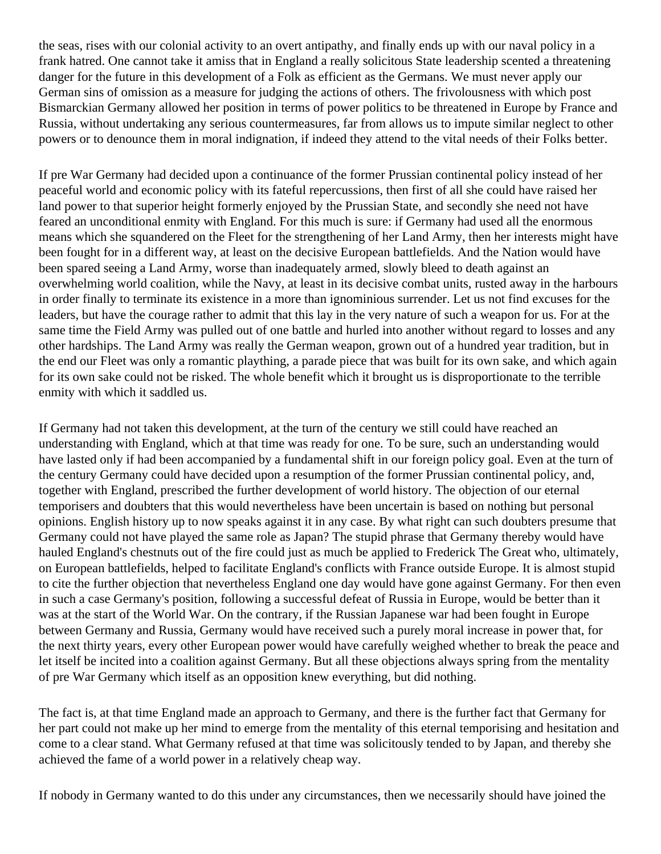the seas, rises with our colonial activity to an overt antipathy, and finally ends up with our naval policy in a frank hatred. One cannot take it amiss that in England a really solicitous State leadership scented a threatening danger for the future in this development of a Folk as efficient as the Germans. We must never apply our German sins of omission as a measure for judging the actions of others. The frivolousness with which post Bismarckian Germany allowed her position in terms of power politics to be threatened in Europe by France and Russia, without undertaking any serious countermeasures, far from allows us to impute similar neglect to other powers or to denounce them in moral indignation, if indeed they attend to the vital needs of their Folks better.

If pre War Germany had decided upon a continuance of the former Prussian continental policy instead of her peaceful world and economic policy with its fateful repercussions, then first of all she could have raised her land power to that superior height formerly enjoyed by the Prussian State, and secondly she need not have feared an unconditional enmity with England. For this much is sure: if Germany had used all the enormous means which she squandered on the Fleet for the strengthening of her Land Army, then her interests might have been fought for in a different way, at least on the decisive European battlefields. And the Nation would have been spared seeing a Land Army, worse than inadequately armed, slowly bleed to death against an overwhelming world coalition, while the Navy, at least in its decisive combat units, rusted away in the harbours in order finally to terminate its existence in a more than ignominious surrender. Let us not find excuses for the leaders, but have the courage rather to admit that this lay in the very nature of such a weapon for us. For at the same time the Field Army was pulled out of one battle and hurled into another without regard to losses and any other hardships. The Land Army was really the German weapon, grown out of a hundred year tradition, but in the end our Fleet was only a romantic plaything, a parade piece that was built for its own sake, and which again for its own sake could not be risked. The whole benefit which it brought us is disproportionate to the terrible enmity with which it saddled us.

If Germany had not taken this development, at the turn of the century we still could have reached an understanding with England, which at that time was ready for one. To be sure, such an understanding would have lasted only if had been accompanied by a fundamental shift in our foreign policy goal. Even at the turn of the century Germany could have decided upon a resumption of the former Prussian continental policy, and, together with England, prescribed the further development of world history. The objection of our eternal temporisers and doubters that this would nevertheless have been uncertain is based on nothing but personal opinions. English history up to now speaks against it in any case. By what right can such doubters presume that Germany could not have played the same role as Japan? The stupid phrase that Germany thereby would have hauled England's chestnuts out of the fire could just as much be applied to Frederick The Great who, ultimately, on European battlefields, helped to facilitate England's conflicts with France outside Europe. It is almost stupid to cite the further objection that nevertheless England one day would have gone against Germany. For then even in such a case Germany's position, following a successful defeat of Russia in Europe, would be better than it was at the start of the World War. On the contrary, if the Russian Japanese war had been fought in Europe between Germany and Russia, Germany would have received such a purely moral increase in power that, for the next thirty years, every other European power would have carefully weighed whether to break the peace and let itself be incited into a coalition against Germany. But all these objections always spring from the mentality of pre War Germany which itself as an opposition knew everything, but did nothing.

The fact is, at that time England made an approach to Germany, and there is the further fact that Germany for her part could not make up her mind to emerge from the mentality of this eternal temporising and hesitation and come to a clear stand. What Germany refused at that time was solicitously tended to by Japan, and thereby she achieved the fame of a world power in a relatively cheap way.

If nobody in Germany wanted to do this under any circumstances, then we necessarily should have joined the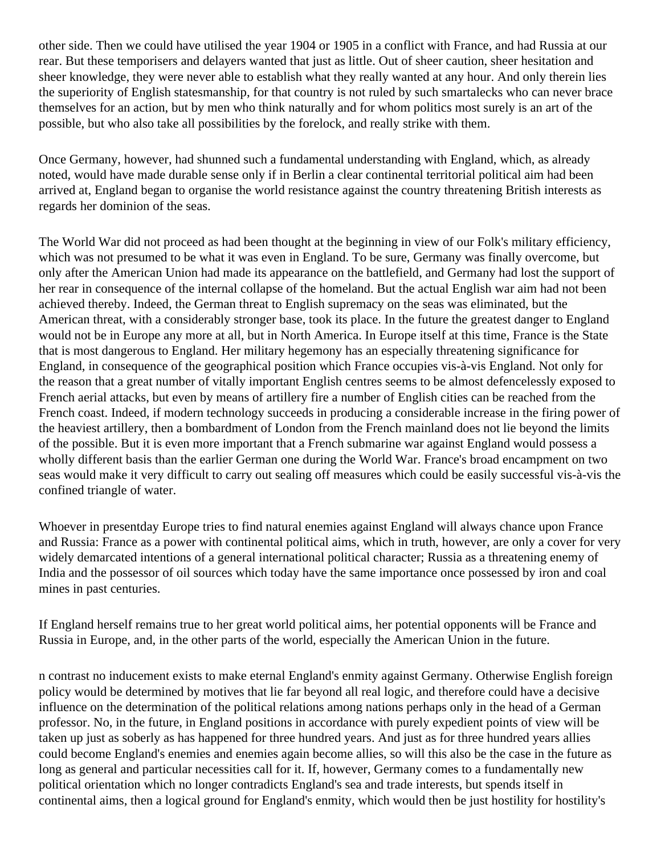other side. Then we could have utilised the year 1904 or 1905 in a conflict with France, and had Russia at our rear. But these temporisers and delayers wanted that just as little. Out of sheer caution, sheer hesitation and sheer knowledge, they were never able to establish what they really wanted at any hour. And only therein lies the superiority of English statesmanship, for that country is not ruled by such smartalecks who can never brace themselves for an action, but by men who think naturally and for whom politics most surely is an art of the possible, but who also take all possibilities by the forelock, and really strike with them.

Once Germany, however, had shunned such a fundamental understanding with England, which, as already noted, would have made durable sense only if in Berlin a clear continental territorial political aim had been arrived at, England began to organise the world resistance against the country threatening British interests as regards her dominion of the seas.

The World War did not proceed as had been thought at the beginning in view of our Folk's military efficiency, which was not presumed to be what it was even in England. To be sure, Germany was finally overcome, but only after the American Union had made its appearance on the battlefield, and Germany had lost the support of her rear in consequence of the internal collapse of the homeland. But the actual English war aim had not been achieved thereby. Indeed, the German threat to English supremacy on the seas was eliminated, but the American threat, with a considerably stronger base, took its place. In the future the greatest danger to England would not be in Europe any more at all, but in North America. In Europe itself at this time, France is the State that is most dangerous to England. Her military hegemony has an especially threatening significance for England, in consequence of the geographical position which France occupies vis-à-vis England. Not only for the reason that a great number of vitally important English centres seems to be almost defencelessly exposed to French aerial attacks, but even by means of artillery fire a number of English cities can be reached from the French coast. Indeed, if modern technology succeeds in producing a considerable increase in the firing power of the heaviest artillery, then a bombardment of London from the French mainland does not lie beyond the limits of the possible. But it is even more important that a French submarine war against England would possess a wholly different basis than the earlier German one during the World War. France's broad encampment on two seas would make it very difficult to carry out sealing off measures which could be easily successful vis-à-vis the confined triangle of water.

Whoever in presentday Europe tries to find natural enemies against England will always chance upon France and Russia: France as a power with continental political aims, which in truth, however, are only a cover for very widely demarcated intentions of a general international political character; Russia as a threatening enemy of India and the possessor of oil sources which today have the same importance once possessed by iron and coal mines in past centuries.

If England herself remains true to her great world political aims, her potential opponents will be France and Russia in Europe, and, in the other parts of the world, especially the American Union in the future.

n contrast no inducement exists to make eternal England's enmity against Germany. Otherwise English foreign policy would be determined by motives that lie far beyond all real logic, and therefore could have a decisive influence on the determination of the political relations among nations perhaps only in the head of a German professor. No, in the future, in England positions in accordance with purely expedient points of view will be taken up just as soberly as has happened for three hundred years. And just as for three hundred years allies could become England's enemies and enemies again become allies, so will this also be the case in the future as long as general and particular necessities call for it. If, however, Germany comes to a fundamentally new political orientation which no longer contradicts England's sea and trade interests, but spends itself in continental aims, then a logical ground for England's enmity, which would then be just hostility for hostility's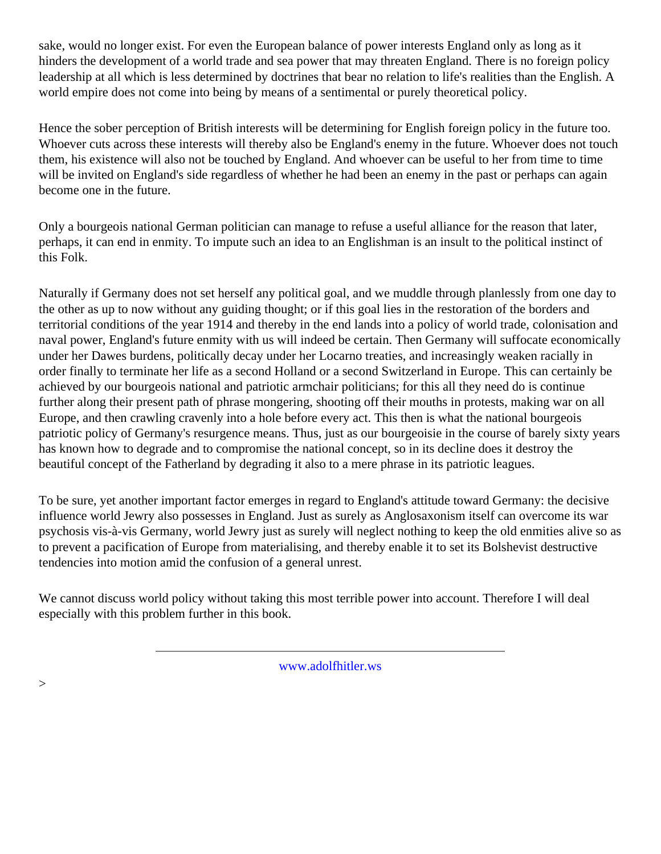sake, would no longer exist. For even the European balance of power interests England only as long as it hinders the development of a world trade and sea power that may threaten England. There is no foreign policy leadership at all which is less determined by doctrines that bear no relation to life's realities than the English. A world empire does not come into being by means of a sentimental or purely theoretical policy.

Hence the sober perception of British interests will be determining for English foreign policy in the future too. Whoever cuts across these interests will thereby also be England's enemy in the future. Whoever does not touch them, his existence will also not be touched by England. And whoever can be useful to her from time to time will be invited on England's side regardless of whether he had been an enemy in the past or perhaps can again become one in the future.

Only a bourgeois national German politician can manage to refuse a useful alliance for the reason that later, perhaps, it can end in enmity. To impute such an idea to an Englishman is an insult to the political instinct of this Folk.

Naturally if Germany does not set herself any political goal, and we muddle through planlessly from one day to the other as up to now without any guiding thought; or if this goal lies in the restoration of the borders and territorial conditions of the year 1914 and thereby in the end lands into a policy of world trade, colonisation and naval power, England's future enmity with us will indeed be certain. Then Germany will suffocate economically under her Dawes burdens, politically decay under her Locarno treaties, and increasingly weaken racially in order finally to terminate her life as a second Holland or a second Switzerland in Europe. This can certainly be achieved by our bourgeois national and patriotic armchair politicians; for this all they need do is continue further along their present path of phrase mongering, shooting off their mouths in protests, making war on all Europe, and then crawling cravenly into a hole before every act. This then is what the national bourgeois patriotic policy of Germany's resurgence means. Thus, just as our bourgeoisie in the course of barely sixty years has known how to degrade and to compromise the national concept, so in its decline does it destroy the beautiful concept of the Fatherland by degrading it also to a mere phrase in its patriotic leagues.

To be sure, yet another important factor emerges in regard to England's attitude toward Germany: the decisive influence world Jewry also possesses in England. Just as surely as Anglosaxonism itself can overcome its war psychosis vis-à-vis Germany, world Jewry just as surely will neglect nothing to keep the old enmities alive so as to prevent a pacification of Europe from materialising, and thereby enable it to set its Bolshevist destructive tendencies into motion amid the confusion of a general unrest.

We cannot discuss world policy without taking this most terrible power into account. Therefore I will deal especially with this problem further in this book.

[www.adolfhitler.ws](http://www.adolfhitler.ws/)

 $>$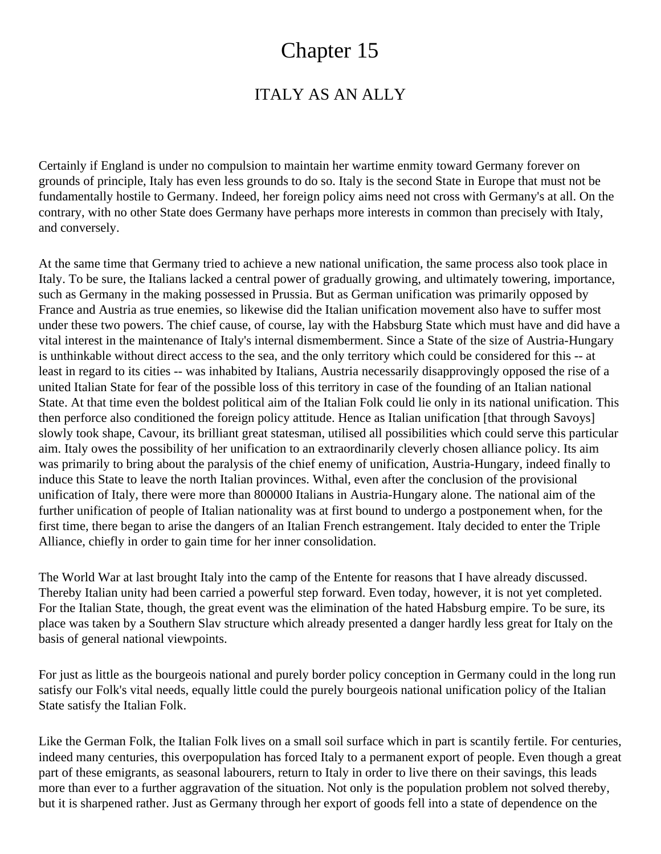## Chapter 15

#### ITALY AS AN ALLY

Certainly if England is under no compulsion to maintain her wartime enmity toward Germany forever on grounds of principle, Italy has even less grounds to do so. Italy is the second State in Europe that must not be fundamentally hostile to Germany. Indeed, her foreign policy aims need not cross with Germany's at all. On the contrary, with no other State does Germany have perhaps more interests in common than precisely with Italy, and conversely.

At the same time that Germany tried to achieve a new national unification, the same process also took place in Italy. To be sure, the Italians lacked a central power of gradually growing, and ultimately towering, importance, such as Germany in the making possessed in Prussia. But as German unification was primarily opposed by France and Austria as true enemies, so likewise did the Italian unification movement also have to suffer most under these two powers. The chief cause, of course, lay with the Habsburg State which must have and did have a vital interest in the maintenance of Italy's internal dismemberment. Since a State of the size of Austria-Hungary is unthinkable without direct access to the sea, and the only territory which could be considered for this -- at least in regard to its cities -- was inhabited by Italians, Austria necessarily disapprovingly opposed the rise of a united Italian State for fear of the possible loss of this territory in case of the founding of an Italian national State. At that time even the boldest political aim of the Italian Folk could lie only in its national unification. This then perforce also conditioned the foreign policy attitude. Hence as Italian unification [that through Savoys] slowly took shape, Cavour, its brilliant great statesman, utilised all possibilities which could serve this particular aim. Italy owes the possibility of her unification to an extraordinarily cleverly chosen alliance policy. Its aim was primarily to bring about the paralysis of the chief enemy of unification, Austria-Hungary, indeed finally to induce this State to leave the north Italian provinces. Withal, even after the conclusion of the provisional unification of Italy, there were more than 800000 Italians in Austria-Hungary alone. The national aim of the further unification of people of Italian nationality was at first bound to undergo a postponement when, for the first time, there began to arise the dangers of an Italian French estrangement. Italy decided to enter the Triple Alliance, chiefly in order to gain time for her inner consolidation.

The World War at last brought Italy into the camp of the Entente for reasons that I have already discussed. Thereby Italian unity had been carried a powerful step forward. Even today, however, it is not yet completed. For the Italian State, though, the great event was the elimination of the hated Habsburg empire. To be sure, its place was taken by a Southern Slav structure which already presented a danger hardly less great for Italy on the basis of general national viewpoints.

For just as little as the bourgeois national and purely border policy conception in Germany could in the long run satisfy our Folk's vital needs, equally little could the purely bourgeois national unification policy of the Italian State satisfy the Italian Folk.

Like the German Folk, the Italian Folk lives on a small soil surface which in part is scantily fertile. For centuries, indeed many centuries, this overpopulation has forced Italy to a permanent export of people. Even though a great part of these emigrants, as seasonal labourers, return to Italy in order to live there on their savings, this leads more than ever to a further aggravation of the situation. Not only is the population problem not solved thereby, but it is sharpened rather. Just as Germany through her export of goods fell into a state of dependence on the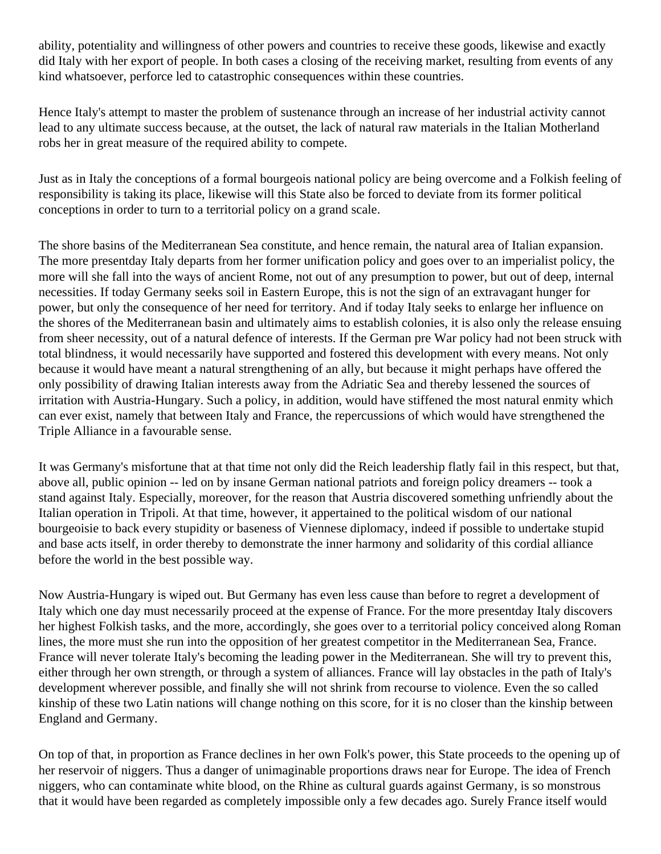ability, potentiality and willingness of other powers and countries to receive these goods, likewise and exactly did Italy with her export of people. In both cases a closing of the receiving market, resulting from events of any kind whatsoever, perforce led to catastrophic consequences within these countries.

Hence Italy's attempt to master the problem of sustenance through an increase of her industrial activity cannot lead to any ultimate success because, at the outset, the lack of natural raw materials in the Italian Motherland robs her in great measure of the required ability to compete.

Just as in Italy the conceptions of a formal bourgeois national policy are being overcome and a Folkish feeling of responsibility is taking its place, likewise will this State also be forced to deviate from its former political conceptions in order to turn to a territorial policy on a grand scale.

The shore basins of the Mediterranean Sea constitute, and hence remain, the natural area of Italian expansion. The more presentday Italy departs from her former unification policy and goes over to an imperialist policy, the more will she fall into the ways of ancient Rome, not out of any presumption to power, but out of deep, internal necessities. If today Germany seeks soil in Eastern Europe, this is not the sign of an extravagant hunger for power, but only the consequence of her need for territory. And if today Italy seeks to enlarge her influence on the shores of the Mediterranean basin and ultimately aims to establish colonies, it is also only the release ensuing from sheer necessity, out of a natural defence of interests. If the German pre War policy had not been struck with total blindness, it would necessarily have supported and fostered this development with every means. Not only because it would have meant a natural strengthening of an ally, but because it might perhaps have offered the only possibility of drawing Italian interests away from the Adriatic Sea and thereby lessened the sources of irritation with Austria-Hungary. Such a policy, in addition, would have stiffened the most natural enmity which can ever exist, namely that between Italy and France, the repercussions of which would have strengthened the Triple Alliance in a favourable sense.

It was Germany's misfortune that at that time not only did the Reich leadership flatly fail in this respect, but that, above all, public opinion -- led on by insane German national patriots and foreign policy dreamers -- took a stand against Italy. Especially, moreover, for the reason that Austria discovered something unfriendly about the Italian operation in Tripoli. At that time, however, it appertained to the political wisdom of our national bourgeoisie to back every stupidity or baseness of Viennese diplomacy, indeed if possible to undertake stupid and base acts itself, in order thereby to demonstrate the inner harmony and solidarity of this cordial alliance before the world in the best possible way.

Now Austria-Hungary is wiped out. But Germany has even less cause than before to regret a development of Italy which one day must necessarily proceed at the expense of France. For the more presentday Italy discovers her highest Folkish tasks, and the more, accordingly, she goes over to a territorial policy conceived along Roman lines, the more must she run into the opposition of her greatest competitor in the Mediterranean Sea, France. France will never tolerate Italy's becoming the leading power in the Mediterranean. She will try to prevent this, either through her own strength, or through a system of alliances. France will lay obstacles in the path of Italy's development wherever possible, and finally she will not shrink from recourse to violence. Even the so called kinship of these two Latin nations will change nothing on this score, for it is no closer than the kinship between England and Germany.

On top of that, in proportion as France declines in her own Folk's power, this State proceeds to the opening up of her reservoir of niggers. Thus a danger of unimaginable proportions draws near for Europe. The idea of French niggers, who can contaminate white blood, on the Rhine as cultural guards against Germany, is so monstrous that it would have been regarded as completely impossible only a few decades ago. Surely France itself would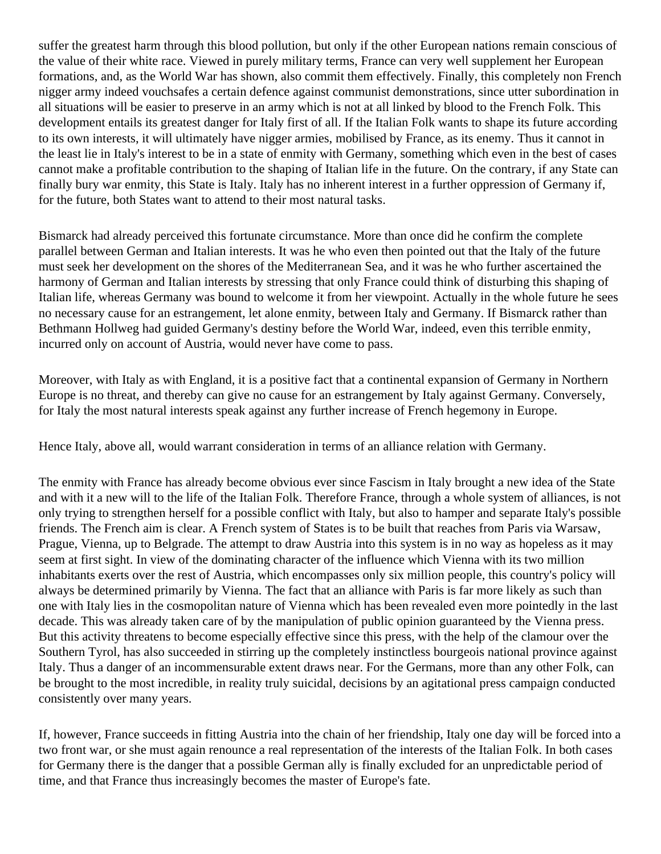suffer the greatest harm through this blood pollution, but only if the other European nations remain conscious of the value of their white race. Viewed in purely military terms, France can very well supplement her European formations, and, as the World War has shown, also commit them effectively. Finally, this completely non French nigger army indeed vouchsafes a certain defence against communist demonstrations, since utter subordination in all situations will be easier to preserve in an army which is not at all linked by blood to the French Folk. This development entails its greatest danger for Italy first of all. If the Italian Folk wants to shape its future according to its own interests, it will ultimately have nigger armies, mobilised by France, as its enemy. Thus it cannot in the least lie in Italy's interest to be in a state of enmity with Germany, something which even in the best of cases cannot make a profitable contribution to the shaping of Italian life in the future. On the contrary, if any State can finally bury war enmity, this State is Italy. Italy has no inherent interest in a further oppression of Germany if, for the future, both States want to attend to their most natural tasks.

Bismarck had already perceived this fortunate circumstance. More than once did he confirm the complete parallel between German and Italian interests. It was he who even then pointed out that the Italy of the future must seek her development on the shores of the Mediterranean Sea, and it was he who further ascertained the harmony of German and Italian interests by stressing that only France could think of disturbing this shaping of Italian life, whereas Germany was bound to welcome it from her viewpoint. Actually in the whole future he sees no necessary cause for an estrangement, let alone enmity, between Italy and Germany. If Bismarck rather than Bethmann Hollweg had guided Germany's destiny before the World War, indeed, even this terrible enmity, incurred only on account of Austria, would never have come to pass.

Moreover, with Italy as with England, it is a positive fact that a continental expansion of Germany in Northern Europe is no threat, and thereby can give no cause for an estrangement by Italy against Germany. Conversely, for Italy the most natural interests speak against any further increase of French hegemony in Europe.

Hence Italy, above all, would warrant consideration in terms of an alliance relation with Germany.

The enmity with France has already become obvious ever since Fascism in Italy brought a new idea of the State and with it a new will to the life of the Italian Folk. Therefore France, through a whole system of alliances, is not only trying to strengthen herself for a possible conflict with Italy, but also to hamper and separate Italy's possible friends. The French aim is clear. A French system of States is to be built that reaches from Paris via Warsaw, Prague, Vienna, up to Belgrade. The attempt to draw Austria into this system is in no way as hopeless as it may seem at first sight. In view of the dominating character of the influence which Vienna with its two million inhabitants exerts over the rest of Austria, which encompasses only six million people, this country's policy will always be determined primarily by Vienna. The fact that an alliance with Paris is far more likely as such than one with Italy lies in the cosmopolitan nature of Vienna which has been revealed even more pointedly in the last decade. This was already taken care of by the manipulation of public opinion guaranteed by the Vienna press. But this activity threatens to become especially effective since this press, with the help of the clamour over the Southern Tyrol, has also succeeded in stirring up the completely instinctless bourgeois national province against Italy. Thus a danger of an incommensurable extent draws near. For the Germans, more than any other Folk, can be brought to the most incredible, in reality truly suicidal, decisions by an agitational press campaign conducted consistently over many years.

If, however, France succeeds in fitting Austria into the chain of her friendship, Italy one day will be forced into a two front war, or she must again renounce a real representation of the interests of the Italian Folk. In both cases for Germany there is the danger that a possible German ally is finally excluded for an unpredictable period of time, and that France thus increasingly becomes the master of Europe's fate.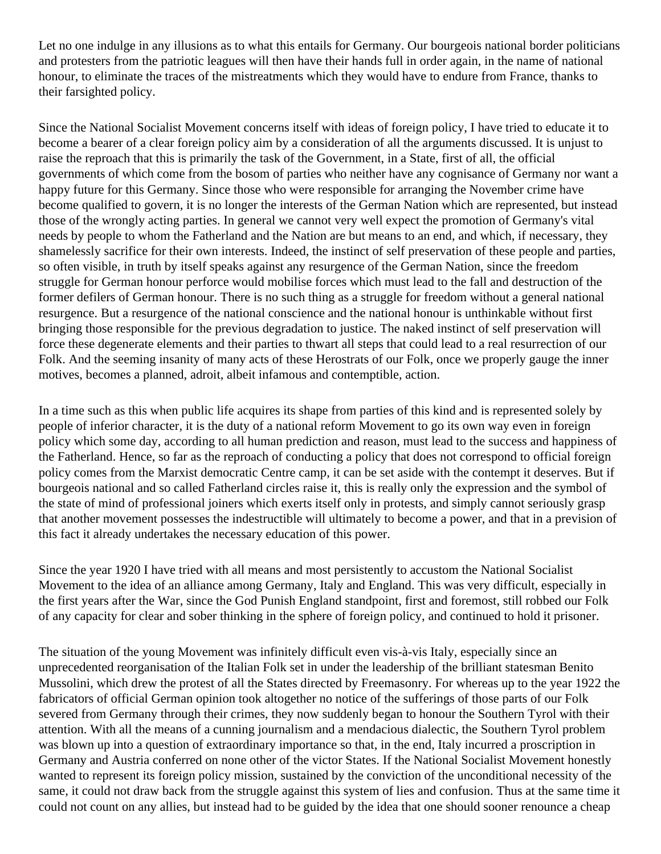Let no one indulge in any illusions as to what this entails for Germany. Our bourgeois national border politicians and protesters from the patriotic leagues will then have their hands full in order again, in the name of national honour, to eliminate the traces of the mistreatments which they would have to endure from France, thanks to their farsighted policy.

Since the National Socialist Movement concerns itself with ideas of foreign policy, I have tried to educate it to become a bearer of a clear foreign policy aim by a consideration of all the arguments discussed. It is unjust to raise the reproach that this is primarily the task of the Government, in a State, first of all, the official governments of which come from the bosom of parties who neither have any cognisance of Germany nor want a happy future for this Germany. Since those who were responsible for arranging the November crime have become qualified to govern, it is no longer the interests of the German Nation which are represented, but instead those of the wrongly acting parties. In general we cannot very well expect the promotion of Germany's vital needs by people to whom the Fatherland and the Nation are but means to an end, and which, if necessary, they shamelessly sacrifice for their own interests. Indeed, the instinct of self preservation of these people and parties, so often visible, in truth by itself speaks against any resurgence of the German Nation, since the freedom struggle for German honour perforce would mobilise forces which must lead to the fall and destruction of the former defilers of German honour. There is no such thing as a struggle for freedom without a general national resurgence. But a resurgence of the national conscience and the national honour is unthinkable without first bringing those responsible for the previous degradation to justice. The naked instinct of self preservation will force these degenerate elements and their parties to thwart all steps that could lead to a real resurrection of our Folk. And the seeming insanity of many acts of these Herostrats of our Folk, once we properly gauge the inner motives, becomes a planned, adroit, albeit infamous and contemptible, action.

In a time such as this when public life acquires its shape from parties of this kind and is represented solely by people of inferior character, it is the duty of a national reform Movement to go its own way even in foreign policy which some day, according to all human prediction and reason, must lead to the success and happiness of the Fatherland. Hence, so far as the reproach of conducting a policy that does not correspond to official foreign policy comes from the Marxist democratic Centre camp, it can be set aside with the contempt it deserves. But if bourgeois national and so called Fatherland circles raise it, this is really only the expression and the symbol of the state of mind of professional joiners which exerts itself only in protests, and simply cannot seriously grasp that another movement possesses the indestructible will ultimately to become a power, and that in a prevision of this fact it already undertakes the necessary education of this power.

Since the year 1920 I have tried with all means and most persistently to accustom the National Socialist Movement to the idea of an alliance among Germany, Italy and England. This was very difficult, especially in the first years after the War, since the God Punish England standpoint, first and foremost, still robbed our Folk of any capacity for clear and sober thinking in the sphere of foreign policy, and continued to hold it prisoner.

The situation of the young Movement was infinitely difficult even vis-à-vis Italy, especially since an unprecedented reorganisation of the Italian Folk set in under the leadership of the brilliant statesman Benito Mussolini, which drew the protest of all the States directed by Freemasonry. For whereas up to the year 1922 the fabricators of official German opinion took altogether no notice of the sufferings of those parts of our Folk severed from Germany through their crimes, they now suddenly began to honour the Southern Tyrol with their attention. With all the means of a cunning journalism and a mendacious dialectic, the Southern Tyrol problem was blown up into a question of extraordinary importance so that, in the end, Italy incurred a proscription in Germany and Austria conferred on none other of the victor States. If the National Socialist Movement honestly wanted to represent its foreign policy mission, sustained by the conviction of the unconditional necessity of the same, it could not draw back from the struggle against this system of lies and confusion. Thus at the same time it could not count on any allies, but instead had to be guided by the idea that one should sooner renounce a cheap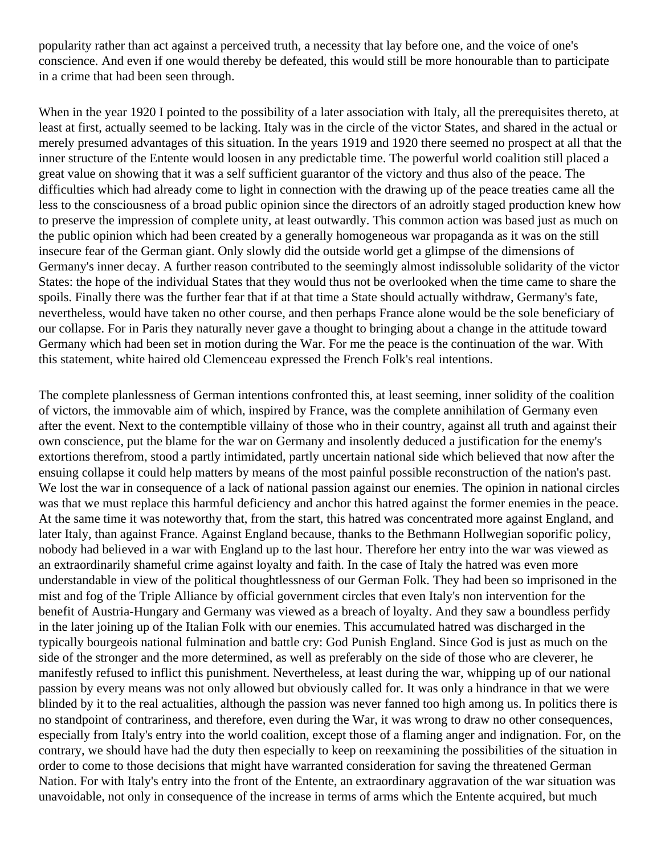popularity rather than act against a perceived truth, a necessity that lay before one, and the voice of one's conscience. And even if one would thereby be defeated, this would still be more honourable than to participate in a crime that had been seen through.

When in the year 1920 I pointed to the possibility of a later association with Italy, all the prerequisites thereto, at least at first, actually seemed to be lacking. Italy was in the circle of the victor States, and shared in the actual or merely presumed advantages of this situation. In the years 1919 and 1920 there seemed no prospect at all that the inner structure of the Entente would loosen in any predictable time. The powerful world coalition still placed a great value on showing that it was a self sufficient guarantor of the victory and thus also of the peace. The difficulties which had already come to light in connection with the drawing up of the peace treaties came all the less to the consciousness of a broad public opinion since the directors of an adroitly staged production knew how to preserve the impression of complete unity, at least outwardly. This common action was based just as much on the public opinion which had been created by a generally homogeneous war propaganda as it was on the still insecure fear of the German giant. Only slowly did the outside world get a glimpse of the dimensions of Germany's inner decay. A further reason contributed to the seemingly almost indissoluble solidarity of the victor States: the hope of the individual States that they would thus not be overlooked when the time came to share the spoils. Finally there was the further fear that if at that time a State should actually withdraw, Germany's fate, nevertheless, would have taken no other course, and then perhaps France alone would be the sole beneficiary of our collapse. For in Paris they naturally never gave a thought to bringing about a change in the attitude toward Germany which had been set in motion during the War. For me the peace is the continuation of the war. With this statement, white haired old Clemenceau expressed the French Folk's real intentions.

The complete planlessness of German intentions confronted this, at least seeming, inner solidity of the coalition of victors, the immovable aim of which, inspired by France, was the complete annihilation of Germany even after the event. Next to the contemptible villainy of those who in their country, against all truth and against their own conscience, put the blame for the war on Germany and insolently deduced a justification for the enemy's extortions therefrom, stood a partly intimidated, partly uncertain national side which believed that now after the ensuing collapse it could help matters by means of the most painful possible reconstruction of the nation's past. We lost the war in consequence of a lack of national passion against our enemies. The opinion in national circles was that we must replace this harmful deficiency and anchor this hatred against the former enemies in the peace. At the same time it was noteworthy that, from the start, this hatred was concentrated more against England, and later Italy, than against France. Against England because, thanks to the Bethmann Hollwegian soporific policy, nobody had believed in a war with England up to the last hour. Therefore her entry into the war was viewed as an extraordinarily shameful crime against loyalty and faith. In the case of Italy the hatred was even more understandable in view of the political thoughtlessness of our German Folk. They had been so imprisoned in the mist and fog of the Triple Alliance by official government circles that even Italy's non intervention for the benefit of Austria-Hungary and Germany was viewed as a breach of loyalty. And they saw a boundless perfidy in the later joining up of the Italian Folk with our enemies. This accumulated hatred was discharged in the typically bourgeois national fulmination and battle cry: God Punish England. Since God is just as much on the side of the stronger and the more determined, as well as preferably on the side of those who are cleverer, he manifestly refused to inflict this punishment. Nevertheless, at least during the war, whipping up of our national passion by every means was not only allowed but obviously called for. It was only a hindrance in that we were blinded by it to the real actualities, although the passion was never fanned too high among us. In politics there is no standpoint of contrariness, and therefore, even during the War, it was wrong to draw no other consequences, especially from Italy's entry into the world coalition, except those of a flaming anger and indignation. For, on the contrary, we should have had the duty then especially to keep on reexamining the possibilities of the situation in order to come to those decisions that might have warranted consideration for saving the threatened German Nation. For with Italy's entry into the front of the Entente, an extraordinary aggravation of the war situation was unavoidable, not only in consequence of the increase in terms of arms which the Entente acquired, but much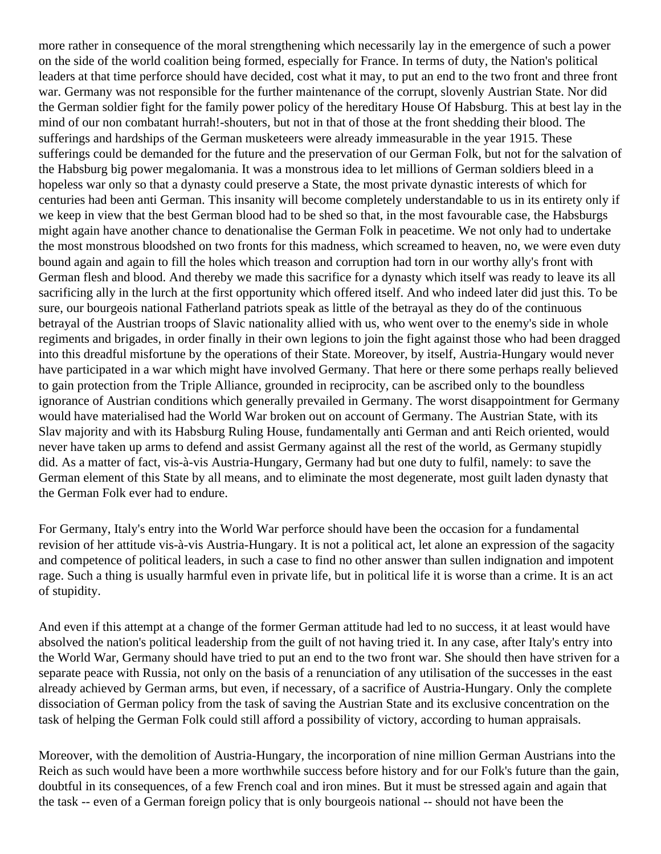more rather in consequence of the moral strengthening which necessarily lay in the emergence of such a power on the side of the world coalition being formed, especially for France. In terms of duty, the Nation's political leaders at that time perforce should have decided, cost what it may, to put an end to the two front and three front war. Germany was not responsible for the further maintenance of the corrupt, slovenly Austrian State. Nor did the German soldier fight for the family power policy of the hereditary House Of Habsburg. This at best lay in the mind of our non combatant hurrah!-shouters, but not in that of those at the front shedding their blood. The sufferings and hardships of the German musketeers were already immeasurable in the year 1915. These sufferings could be demanded for the future and the preservation of our German Folk, but not for the salvation of the Habsburg big power megalomania. It was a monstrous idea to let millions of German soldiers bleed in a hopeless war only so that a dynasty could preserve a State, the most private dynastic interests of which for centuries had been anti German. This insanity will become completely understandable to us in its entirety only if we keep in view that the best German blood had to be shed so that, in the most favourable case, the Habsburgs might again have another chance to denationalise the German Folk in peacetime. We not only had to undertake the most monstrous bloodshed on two fronts for this madness, which screamed to heaven, no, we were even duty bound again and again to fill the holes which treason and corruption had torn in our worthy ally's front with German flesh and blood. And thereby we made this sacrifice for a dynasty which itself was ready to leave its all sacrificing ally in the lurch at the first opportunity which offered itself. And who indeed later did just this. To be sure, our bourgeois national Fatherland patriots speak as little of the betrayal as they do of the continuous betrayal of the Austrian troops of Slavic nationality allied with us, who went over to the enemy's side in whole regiments and brigades, in order finally in their own legions to join the fight against those who had been dragged into this dreadful misfortune by the operations of their State. Moreover, by itself, Austria-Hungary would never have participated in a war which might have involved Germany. That here or there some perhaps really believed to gain protection from the Triple Alliance, grounded in reciprocity, can be ascribed only to the boundless ignorance of Austrian conditions which generally prevailed in Germany. The worst disappointment for Germany would have materialised had the World War broken out on account of Germany. The Austrian State, with its Slav majority and with its Habsburg Ruling House, fundamentally anti German and anti Reich oriented, would never have taken up arms to defend and assist Germany against all the rest of the world, as Germany stupidly did. As a matter of fact, vis-à-vis Austria-Hungary, Germany had but one duty to fulfil, namely: to save the German element of this State by all means, and to eliminate the most degenerate, most guilt laden dynasty that the German Folk ever had to endure.

For Germany, Italy's entry into the World War perforce should have been the occasion for a fundamental revision of her attitude vis-à-vis Austria-Hungary. It is not a political act, let alone an expression of the sagacity and competence of political leaders, in such a case to find no other answer than sullen indignation and impotent rage. Such a thing is usually harmful even in private life, but in political life it is worse than a crime. It is an act of stupidity.

And even if this attempt at a change of the former German attitude had led to no success, it at least would have absolved the nation's political leadership from the guilt of not having tried it. In any case, after Italy's entry into the World War, Germany should have tried to put an end to the two front war. She should then have striven for a separate peace with Russia, not only on the basis of a renunciation of any utilisation of the successes in the east already achieved by German arms, but even, if necessary, of a sacrifice of Austria-Hungary. Only the complete dissociation of German policy from the task of saving the Austrian State and its exclusive concentration on the task of helping the German Folk could still afford a possibility of victory, according to human appraisals.

Moreover, with the demolition of Austria-Hungary, the incorporation of nine million German Austrians into the Reich as such would have been a more worthwhile success before history and for our Folk's future than the gain, doubtful in its consequences, of a few French coal and iron mines. But it must be stressed again and again that the task -- even of a German foreign policy that is only bourgeois national -- should not have been the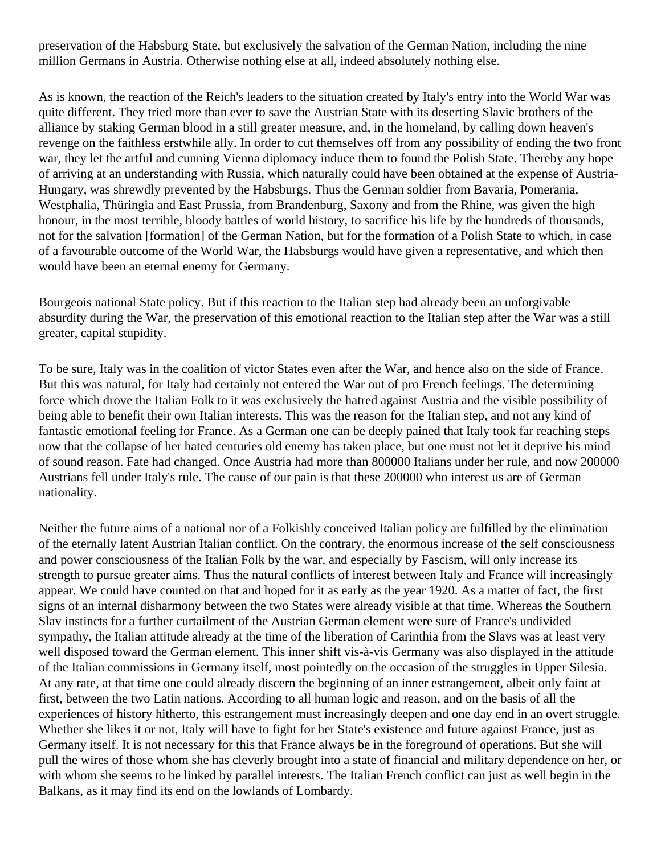preservation of the Habsburg State, but exclusively the salvation of the German Nation, including the nine million Germans in Austria. Otherwise nothing else at all, indeed absolutely nothing else.

As is known, the reaction of the Reich's leaders to the situation created by Italy's entry into the World War was quite different. They tried more than ever to save the Austrian State with its deserting Slavic brothers of the alliance by staking German blood in a still greater measure, and, in the homeland, by calling down heaven's revenge on the faithless erstwhile ally. In order to cut themselves off from any possibility of ending the two front war, they let the artful and cunning Vienna diplomacy induce them to found the Polish State. Thereby any hope of arriving at an understanding with Russia, which naturally could have been obtained at the expense of Austria-Hungary, was shrewdly prevented by the Habsburgs. Thus the German soldier from Bavaria, Pomerania, Westphalia, Thüringia and East Prussia, from Brandenburg, Saxony and from the Rhine, was given the high honour, in the most terrible, bloody battles of world history, to sacrifice his life by the hundreds of thousands, not for the salvation [formation] of the German Nation, but for the formation of a Polish State to which, in case of a favourable outcome of the World War, the Habsburgs would have given a representative, and which then would have been an eternal enemy for Germany.

Bourgeois national State policy. But if this reaction to the Italian step had already been an unforgivable absurdity during the War, the preservation of this emotional reaction to the Italian step after the War was a still greater, capital stupidity.

To be sure, Italy was in the coalition of victor States even after the War, and hence also on the side of France. But this was natural, for Italy had certainly not entered the War out of pro French feelings. The determining force which drove the Italian Folk to it was exclusively the hatred against Austria and the visible possibility of being able to benefit their own Italian interests. This was the reason for the Italian step, and not any kind of fantastic emotional feeling for France. As a German one can be deeply pained that Italy took far reaching steps now that the collapse of her hated centuries old enemy has taken place, but one must not let it deprive his mind of sound reason. Fate had changed. Once Austria had more than 800000 Italians under her rule, and now 200000 Austrians fell under Italy's rule. The cause of our pain is that these 200000 who interest us are of German nationality.

Neither the future aims of a national nor of a Folkishly conceived Italian policy are fulfilled by the elimination of the eternally latent Austrian Italian conflict. On the contrary, the enormous increase of the self consciousness and power consciousness of the Italian Folk by the war, and especially by Fascism, will only increase its strength to pursue greater aims. Thus the natural conflicts of interest between Italy and France will increasingly appear. We could have counted on that and hoped for it as early as the year 1920. As a matter of fact, the first signs of an internal disharmony between the two States were already visible at that time. Whereas the Southern Slav instincts for a further curtailment of the Austrian German element were sure of France's undivided sympathy, the Italian attitude already at the time of the liberation of Carinthia from the Slavs was at least very well disposed toward the German element. This inner shift vis-à-vis Germany was also displayed in the attitude of the Italian commissions in Germany itself, most pointedly on the occasion of the struggles in Upper Silesia. At any rate, at that time one could already discern the beginning of an inner estrangement, albeit only faint at first, between the two Latin nations. According to all human logic and reason, and on the basis of all the experiences of history hitherto, this estrangement must increasingly deepen and one day end in an overt struggle. Whether she likes it or not, Italy will have to fight for her State's existence and future against France, just as Germany itself. It is not necessary for this that France always be in the foreground of operations. But she will pull the wires of those whom she has cleverly brought into a state of financial and military dependence on her, or with whom she seems to be linked by parallel interests. The Italian French conflict can just as well begin in the Balkans, as it may find its end on the lowlands of Lombardy.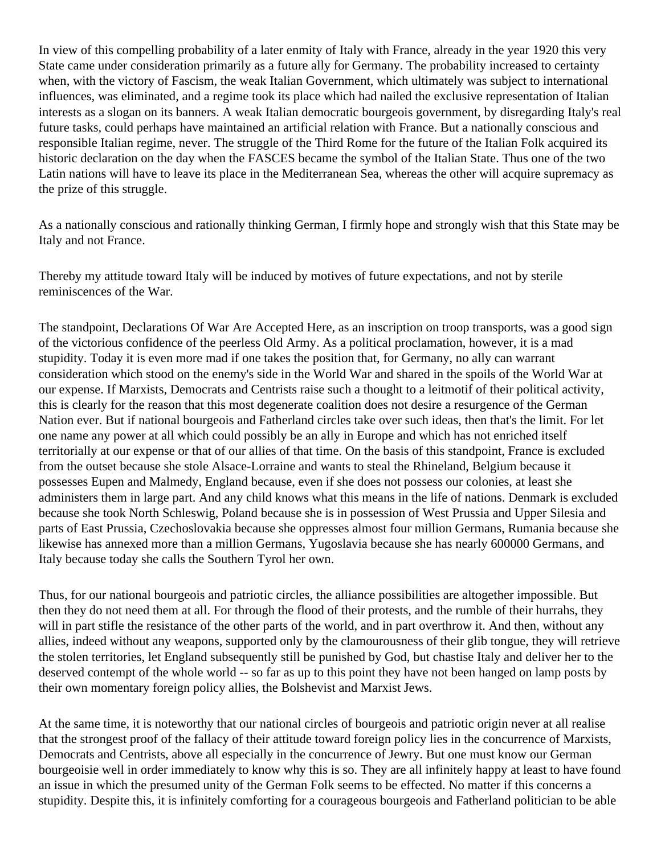In view of this compelling probability of a later enmity of Italy with France, already in the year 1920 this very State came under consideration primarily as a future ally for Germany. The probability increased to certainty when, with the victory of Fascism, the weak Italian Government, which ultimately was subject to international influences, was eliminated, and a regime took its place which had nailed the exclusive representation of Italian interests as a slogan on its banners. A weak Italian democratic bourgeois government, by disregarding Italy's real future tasks, could perhaps have maintained an artificial relation with France. But a nationally conscious and responsible Italian regime, never. The struggle of the Third Rome for the future of the Italian Folk acquired its historic declaration on the day when the FASCES became the symbol of the Italian State. Thus one of the two Latin nations will have to leave its place in the Mediterranean Sea, whereas the other will acquire supremacy as the prize of this struggle.

As a nationally conscious and rationally thinking German, I firmly hope and strongly wish that this State may be Italy and not France.

Thereby my attitude toward Italy will be induced by motives of future expectations, and not by sterile reminiscences of the War.

The standpoint, Declarations Of War Are Accepted Here, as an inscription on troop transports, was a good sign of the victorious confidence of the peerless Old Army. As a political proclamation, however, it is a mad stupidity. Today it is even more mad if one takes the position that, for Germany, no ally can warrant consideration which stood on the enemy's side in the World War and shared in the spoils of the World War at our expense. If Marxists, Democrats and Centrists raise such a thought to a leitmotif of their political activity, this is clearly for the reason that this most degenerate coalition does not desire a resurgence of the German Nation ever. But if national bourgeois and Fatherland circles take over such ideas, then that's the limit. For let one name any power at all which could possibly be an ally in Europe and which has not enriched itself territorially at our expense or that of our allies of that time. On the basis of this standpoint, France is excluded from the outset because she stole Alsace-Lorraine and wants to steal the Rhineland, Belgium because it possesses Eupen and Malmedy, England because, even if she does not possess our colonies, at least she administers them in large part. And any child knows what this means in the life of nations. Denmark is excluded because she took North Schleswig, Poland because she is in possession of West Prussia and Upper Silesia and parts of East Prussia, Czechoslovakia because she oppresses almost four million Germans, Rumania because she likewise has annexed more than a million Germans, Yugoslavia because she has nearly 600000 Germans, and Italy because today she calls the Southern Tyrol her own.

Thus, for our national bourgeois and patriotic circles, the alliance possibilities are altogether impossible. But then they do not need them at all. For through the flood of their protests, and the rumble of their hurrahs, they will in part stifle the resistance of the other parts of the world, and in part overthrow it. And then, without any allies, indeed without any weapons, supported only by the clamourousness of their glib tongue, they will retrieve the stolen territories, let England subsequently still be punished by God, but chastise Italy and deliver her to the deserved contempt of the whole world -- so far as up to this point they have not been hanged on lamp posts by their own momentary foreign policy allies, the Bolshevist and Marxist Jews.

At the same time, it is noteworthy that our national circles of bourgeois and patriotic origin never at all realise that the strongest proof of the fallacy of their attitude toward foreign policy lies in the concurrence of Marxists, Democrats and Centrists, above all especially in the concurrence of Jewry. But one must know our German bourgeoisie well in order immediately to know why this is so. They are all infinitely happy at least to have found an issue in which the presumed unity of the German Folk seems to be effected. No matter if this concerns a stupidity. Despite this, it is infinitely comforting for a courageous bourgeois and Fatherland politician to be able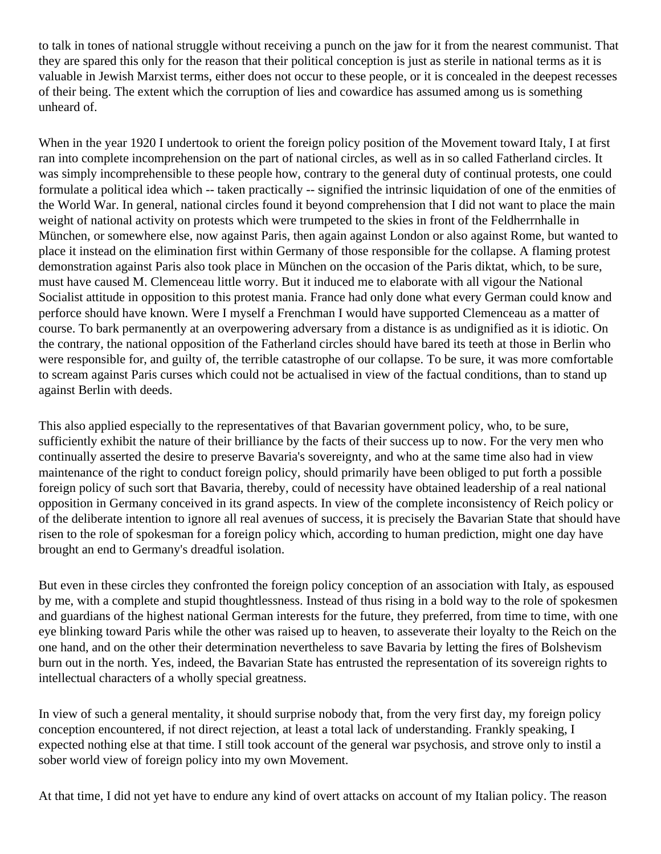to talk in tones of national struggle without receiving a punch on the jaw for it from the nearest communist. That they are spared this only for the reason that their political conception is just as sterile in national terms as it is valuable in Jewish Marxist terms, either does not occur to these people, or it is concealed in the deepest recesses of their being. The extent which the corruption of lies and cowardice has assumed among us is something unheard of.

When in the year 1920 I undertook to orient the foreign policy position of the Movement toward Italy, I at first ran into complete incomprehension on the part of national circles, as well as in so called Fatherland circles. It was simply incomprehensible to these people how, contrary to the general duty of continual protests, one could formulate a political idea which -- taken practically -- signified the intrinsic liquidation of one of the enmities of the World War. In general, national circles found it beyond comprehension that I did not want to place the main weight of national activity on protests which were trumpeted to the skies in front of the Feldherrnhalle in München, or somewhere else, now against Paris, then again against London or also against Rome, but wanted to place it instead on the elimination first within Germany of those responsible for the collapse. A flaming protest demonstration against Paris also took place in München on the occasion of the Paris diktat, which, to be sure, must have caused M. Clemenceau little worry. But it induced me to elaborate with all vigour the National Socialist attitude in opposition to this protest mania. France had only done what every German could know and perforce should have known. Were I myself a Frenchman I would have supported Clemenceau as a matter of course. To bark permanently at an overpowering adversary from a distance is as undignified as it is idiotic. On the contrary, the national opposition of the Fatherland circles should have bared its teeth at those in Berlin who were responsible for, and guilty of, the terrible catastrophe of our collapse. To be sure, it was more comfortable to scream against Paris curses which could not be actualised in view of the factual conditions, than to stand up against Berlin with deeds.

This also applied especially to the representatives of that Bavarian government policy, who, to be sure, sufficiently exhibit the nature of their brilliance by the facts of their success up to now. For the very men who continually asserted the desire to preserve Bavaria's sovereignty, and who at the same time also had in view maintenance of the right to conduct foreign policy, should primarily have been obliged to put forth a possible foreign policy of such sort that Bavaria, thereby, could of necessity have obtained leadership of a real national opposition in Germany conceived in its grand aspects. In view of the complete inconsistency of Reich policy or of the deliberate intention to ignore all real avenues of success, it is precisely the Bavarian State that should have risen to the role of spokesman for a foreign policy which, according to human prediction, might one day have brought an end to Germany's dreadful isolation.

But even in these circles they confronted the foreign policy conception of an association with Italy, as espoused by me, with a complete and stupid thoughtlessness. Instead of thus rising in a bold way to the role of spokesmen and guardians of the highest national German interests for the future, they preferred, from time to time, with one eye blinking toward Paris while the other was raised up to heaven, to asseverate their loyalty to the Reich on the one hand, and on the other their determination nevertheless to save Bavaria by letting the fires of Bolshevism burn out in the north. Yes, indeed, the Bavarian State has entrusted the representation of its sovereign rights to intellectual characters of a wholly special greatness.

In view of such a general mentality, it should surprise nobody that, from the very first day, my foreign policy conception encountered, if not direct rejection, at least a total lack of understanding. Frankly speaking, I expected nothing else at that time. I still took account of the general war psychosis, and strove only to instil a sober world view of foreign policy into my own Movement.

At that time, I did not yet have to endure any kind of overt attacks on account of my Italian policy. The reason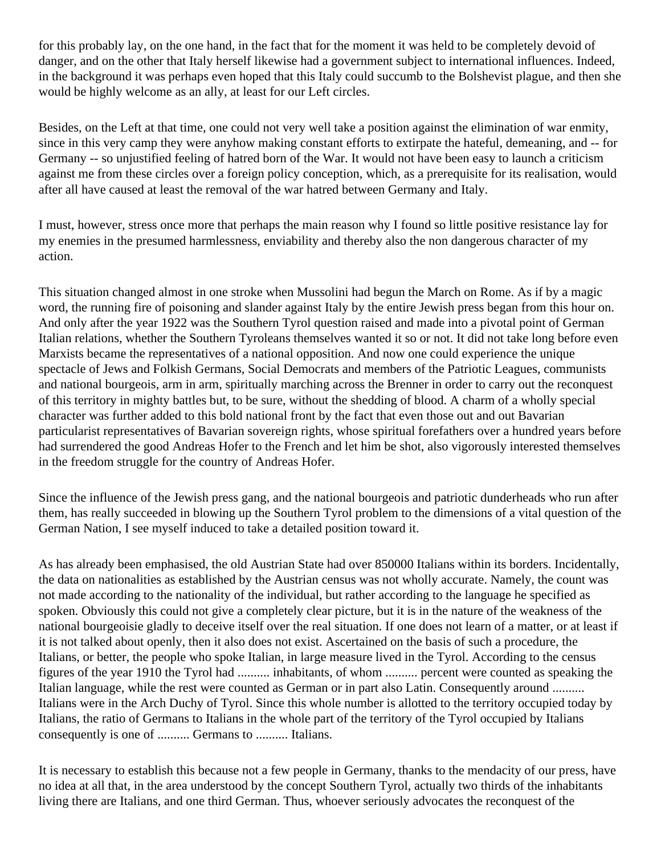for this probably lay, on the one hand, in the fact that for the moment it was held to be completely devoid of danger, and on the other that Italy herself likewise had a government subject to international influences. Indeed, in the background it was perhaps even hoped that this Italy could succumb to the Bolshevist plague, and then she would be highly welcome as an ally, at least for our Left circles.

Besides, on the Left at that time, one could not very well take a position against the elimination of war enmity, since in this very camp they were anyhow making constant efforts to extirpate the hateful, demeaning, and -- for Germany -- so unjustified feeling of hatred born of the War. It would not have been easy to launch a criticism against me from these circles over a foreign policy conception, which, as a prerequisite for its realisation, would after all have caused at least the removal of the war hatred between Germany and Italy.

I must, however, stress once more that perhaps the main reason why I found so little positive resistance lay for my enemies in the presumed harmlessness, enviability and thereby also the non dangerous character of my action.

This situation changed almost in one stroke when Mussolini had begun the March on Rome. As if by a magic word, the running fire of poisoning and slander against Italy by the entire Jewish press began from this hour on. And only after the year 1922 was the Southern Tyrol question raised and made into a pivotal point of German Italian relations, whether the Southern Tyroleans themselves wanted it so or not. It did not take long before even Marxists became the representatives of a national opposition. And now one could experience the unique spectacle of Jews and Folkish Germans, Social Democrats and members of the Patriotic Leagues, communists and national bourgeois, arm in arm, spiritually marching across the Brenner in order to carry out the reconquest of this territory in mighty battles but, to be sure, without the shedding of blood. A charm of a wholly special character was further added to this bold national front by the fact that even those out and out Bavarian particularist representatives of Bavarian sovereign rights, whose spiritual forefathers over a hundred years before had surrendered the good Andreas Hofer to the French and let him be shot, also vigorously interested themselves in the freedom struggle for the country of Andreas Hofer.

Since the influence of the Jewish press gang, and the national bourgeois and patriotic dunderheads who run after them, has really succeeded in blowing up the Southern Tyrol problem to the dimensions of a vital question of the German Nation, I see myself induced to take a detailed position toward it.

As has already been emphasised, the old Austrian State had over 850000 Italians within its borders. Incidentally, the data on nationalities as established by the Austrian census was not wholly accurate. Namely, the count was not made according to the nationality of the individual, but rather according to the language he specified as spoken. Obviously this could not give a completely clear picture, but it is in the nature of the weakness of the national bourgeoisie gladly to deceive itself over the real situation. If one does not learn of a matter, or at least if it is not talked about openly, then it also does not exist. Ascertained on the basis of such a procedure, the Italians, or better, the people who spoke Italian, in large measure lived in the Tyrol. According to the census figures of the year 1910 the Tyrol had .......... inhabitants, of whom .......... percent were counted as speaking the Italian language, while the rest were counted as German or in part also Latin. Consequently around .......... Italians were in the Arch Duchy of Tyrol. Since this whole number is allotted to the territory occupied today by Italians, the ratio of Germans to Italians in the whole part of the territory of the Tyrol occupied by Italians consequently is one of .......... Germans to .......... Italians.

It is necessary to establish this because not a few people in Germany, thanks to the mendacity of our press, have no idea at all that, in the area understood by the concept Southern Tyrol, actually two thirds of the inhabitants living there are Italians, and one third German. Thus, whoever seriously advocates the reconquest of the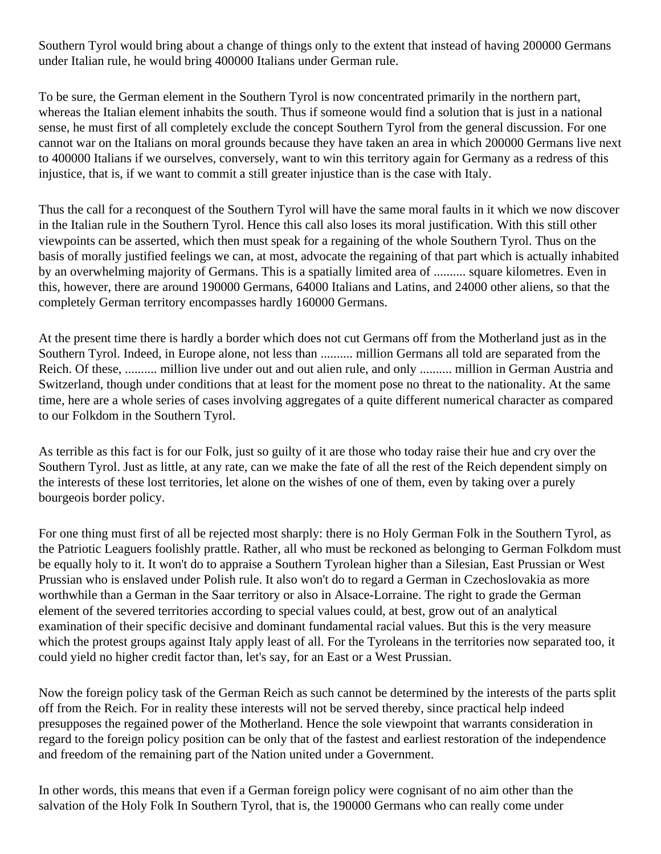Southern Tyrol would bring about a change of things only to the extent that instead of having 200000 Germans under Italian rule, he would bring 400000 Italians under German rule.

To be sure, the German element in the Southern Tyrol is now concentrated primarily in the northern part, whereas the Italian element inhabits the south. Thus if someone would find a solution that is just in a national sense, he must first of all completely exclude the concept Southern Tyrol from the general discussion. For one cannot war on the Italians on moral grounds because they have taken an area in which 200000 Germans live next to 400000 Italians if we ourselves, conversely, want to win this territory again for Germany as a redress of this injustice, that is, if we want to commit a still greater injustice than is the case with Italy.

Thus the call for a reconquest of the Southern Tyrol will have the same moral faults in it which we now discover in the Italian rule in the Southern Tyrol. Hence this call also loses its moral justification. With this still other viewpoints can be asserted, which then must speak for a regaining of the whole Southern Tyrol. Thus on the basis of morally justified feelings we can, at most, advocate the regaining of that part which is actually inhabited by an overwhelming majority of Germans. This is a spatially limited area of .......... square kilometres. Even in this, however, there are around 190000 Germans, 64000 Italians and Latins, and 24000 other aliens, so that the completely German territory encompasses hardly 160000 Germans.

At the present time there is hardly a border which does not cut Germans off from the Motherland just as in the Southern Tyrol. Indeed, in Europe alone, not less than .......... million Germans all told are separated from the Reich. Of these, .......... million live under out and out alien rule, and only .......... million in German Austria and Switzerland, though under conditions that at least for the moment pose no threat to the nationality. At the same time, here are a whole series of cases involving aggregates of a quite different numerical character as compared to our Folkdom in the Southern Tyrol.

As terrible as this fact is for our Folk, just so guilty of it are those who today raise their hue and cry over the Southern Tyrol. Just as little, at any rate, can we make the fate of all the rest of the Reich dependent simply on the interests of these lost territories, let alone on the wishes of one of them, even by taking over a purely bourgeois border policy.

For one thing must first of all be rejected most sharply: there is no Holy German Folk in the Southern Tyrol, as the Patriotic Leaguers foolishly prattle. Rather, all who must be reckoned as belonging to German Folkdom must be equally holy to it. It won't do to appraise a Southern Tyrolean higher than a Silesian, East Prussian or West Prussian who is enslaved under Polish rule. It also won't do to regard a German in Czechoslovakia as more worthwhile than a German in the Saar territory or also in Alsace-Lorraine. The right to grade the German element of the severed territories according to special values could, at best, grow out of an analytical examination of their specific decisive and dominant fundamental racial values. But this is the very measure which the protest groups against Italy apply least of all. For the Tyroleans in the territories now separated too, it could yield no higher credit factor than, let's say, for an East or a West Prussian.

Now the foreign policy task of the German Reich as such cannot be determined by the interests of the parts split off from the Reich. For in reality these interests will not be served thereby, since practical help indeed presupposes the regained power of the Motherland. Hence the sole viewpoint that warrants consideration in regard to the foreign policy position can be only that of the fastest and earliest restoration of the independence and freedom of the remaining part of the Nation united under a Government.

In other words, this means that even if a German foreign policy were cognisant of no aim other than the salvation of the Holy Folk In Southern Tyrol, that is, the 190000 Germans who can really come under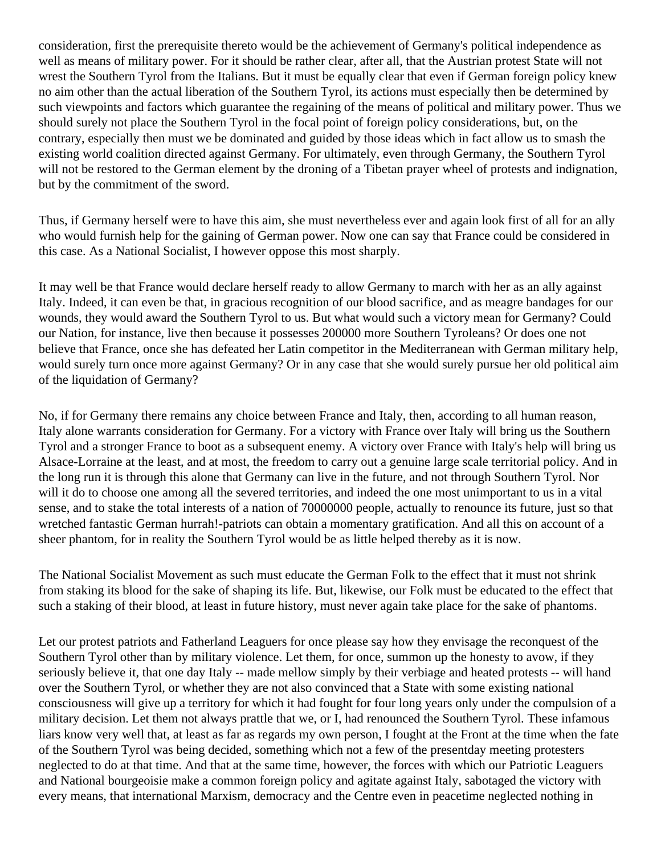consideration, first the prerequisite thereto would be the achievement of Germany's political independence as well as means of military power. For it should be rather clear, after all, that the Austrian protest State will not wrest the Southern Tyrol from the Italians. But it must be equally clear that even if German foreign policy knew no aim other than the actual liberation of the Southern Tyrol, its actions must especially then be determined by such viewpoints and factors which guarantee the regaining of the means of political and military power. Thus we should surely not place the Southern Tyrol in the focal point of foreign policy considerations, but, on the contrary, especially then must we be dominated and guided by those ideas which in fact allow us to smash the existing world coalition directed against Germany. For ultimately, even through Germany, the Southern Tyrol will not be restored to the German element by the droning of a Tibetan prayer wheel of protests and indignation, but by the commitment of the sword.

Thus, if Germany herself were to have this aim, she must nevertheless ever and again look first of all for an ally who would furnish help for the gaining of German power. Now one can say that France could be considered in this case. As a National Socialist, I however oppose this most sharply.

It may well be that France would declare herself ready to allow Germany to march with her as an ally against Italy. Indeed, it can even be that, in gracious recognition of our blood sacrifice, and as meagre bandages for our wounds, they would award the Southern Tyrol to us. But what would such a victory mean for Germany? Could our Nation, for instance, live then because it possesses 200000 more Southern Tyroleans? Or does one not believe that France, once she has defeated her Latin competitor in the Mediterranean with German military help, would surely turn once more against Germany? Or in any case that she would surely pursue her old political aim of the liquidation of Germany?

No, if for Germany there remains any choice between France and Italy, then, according to all human reason, Italy alone warrants consideration for Germany. For a victory with France over Italy will bring us the Southern Tyrol and a stronger France to boot as a subsequent enemy. A victory over France with Italy's help will bring us Alsace-Lorraine at the least, and at most, the freedom to carry out a genuine large scale territorial policy. And in the long run it is through this alone that Germany can live in the future, and not through Southern Tyrol. Nor will it do to choose one among all the severed territories, and indeed the one most unimportant to us in a vital sense, and to stake the total interests of a nation of 70000000 people, actually to renounce its future, just so that wretched fantastic German hurrah!-patriots can obtain a momentary gratification. And all this on account of a sheer phantom, for in reality the Southern Tyrol would be as little helped thereby as it is now.

The National Socialist Movement as such must educate the German Folk to the effect that it must not shrink from staking its blood for the sake of shaping its life. But, likewise, our Folk must be educated to the effect that such a staking of their blood, at least in future history, must never again take place for the sake of phantoms.

Let our protest patriots and Fatherland Leaguers for once please say how they envisage the reconquest of the Southern Tyrol other than by military violence. Let them, for once, summon up the honesty to avow, if they seriously believe it, that one day Italy -- made mellow simply by their verbiage and heated protests -- will hand over the Southern Tyrol, or whether they are not also convinced that a State with some existing national consciousness will give up a territory for which it had fought for four long years only under the compulsion of a military decision. Let them not always prattle that we, or I, had renounced the Southern Tyrol. These infamous liars know very well that, at least as far as regards my own person, I fought at the Front at the time when the fate of the Southern Tyrol was being decided, something which not a few of the presentday meeting protesters neglected to do at that time. And that at the same time, however, the forces with which our Patriotic Leaguers and National bourgeoisie make a common foreign policy and agitate against Italy, sabotaged the victory with every means, that international Marxism, democracy and the Centre even in peacetime neglected nothing in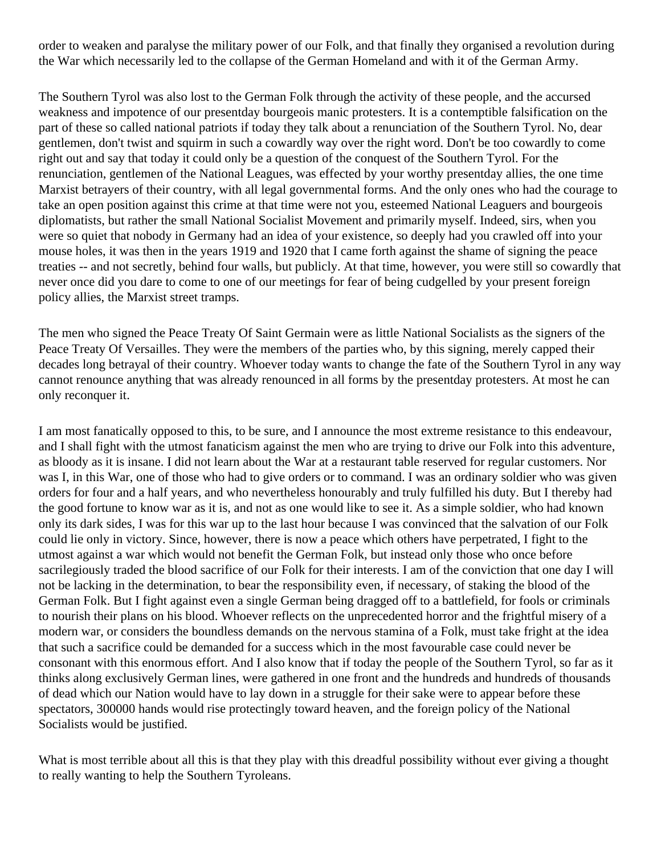order to weaken and paralyse the military power of our Folk, and that finally they organised a revolution during the War which necessarily led to the collapse of the German Homeland and with it of the German Army.

The Southern Tyrol was also lost to the German Folk through the activity of these people, and the accursed weakness and impotence of our presentday bourgeois manic protesters. It is a contemptible falsification on the part of these so called national patriots if today they talk about a renunciation of the Southern Tyrol. No, dear gentlemen, don't twist and squirm in such a cowardly way over the right word. Don't be too cowardly to come right out and say that today it could only be a question of the conquest of the Southern Tyrol. For the renunciation, gentlemen of the National Leagues, was effected by your worthy presentday allies, the one time Marxist betrayers of their country, with all legal governmental forms. And the only ones who had the courage to take an open position against this crime at that time were not you, esteemed National Leaguers and bourgeois diplomatists, but rather the small National Socialist Movement and primarily myself. Indeed, sirs, when you were so quiet that nobody in Germany had an idea of your existence, so deeply had you crawled off into your mouse holes, it was then in the years 1919 and 1920 that I came forth against the shame of signing the peace treaties -- and not secretly, behind four walls, but publicly. At that time, however, you were still so cowardly that never once did you dare to come to one of our meetings for fear of being cudgelled by your present foreign policy allies, the Marxist street tramps.

The men who signed the Peace Treaty Of Saint Germain were as little National Socialists as the signers of the Peace Treaty Of Versailles. They were the members of the parties who, by this signing, merely capped their decades long betrayal of their country. Whoever today wants to change the fate of the Southern Tyrol in any way cannot renounce anything that was already renounced in all forms by the presentday protesters. At most he can only reconquer it.

I am most fanatically opposed to this, to be sure, and I announce the most extreme resistance to this endeavour, and I shall fight with the utmost fanaticism against the men who are trying to drive our Folk into this adventure, as bloody as it is insane. I did not learn about the War at a restaurant table reserved for regular customers. Nor was I, in this War, one of those who had to give orders or to command. I was an ordinary soldier who was given orders for four and a half years, and who nevertheless honourably and truly fulfilled his duty. But I thereby had the good fortune to know war as it is, and not as one would like to see it. As a simple soldier, who had known only its dark sides, I was for this war up to the last hour because I was convinced that the salvation of our Folk could lie only in victory. Since, however, there is now a peace which others have perpetrated, I fight to the utmost against a war which would not benefit the German Folk, but instead only those who once before sacrilegiously traded the blood sacrifice of our Folk for their interests. I am of the conviction that one day I will not be lacking in the determination, to bear the responsibility even, if necessary, of staking the blood of the German Folk. But I fight against even a single German being dragged off to a battlefield, for fools or criminals to nourish their plans on his blood. Whoever reflects on the unprecedented horror and the frightful misery of a modern war, or considers the boundless demands on the nervous stamina of a Folk, must take fright at the idea that such a sacrifice could be demanded for a success which in the most favourable case could never be consonant with this enormous effort. And I also know that if today the people of the Southern Tyrol, so far as it thinks along exclusively German lines, were gathered in one front and the hundreds and hundreds of thousands of dead which our Nation would have to lay down in a struggle for their sake were to appear before these spectators, 300000 hands would rise protectingly toward heaven, and the foreign policy of the National Socialists would be justified.

What is most terrible about all this is that they play with this dreadful possibility without ever giving a thought to really wanting to help the Southern Tyroleans.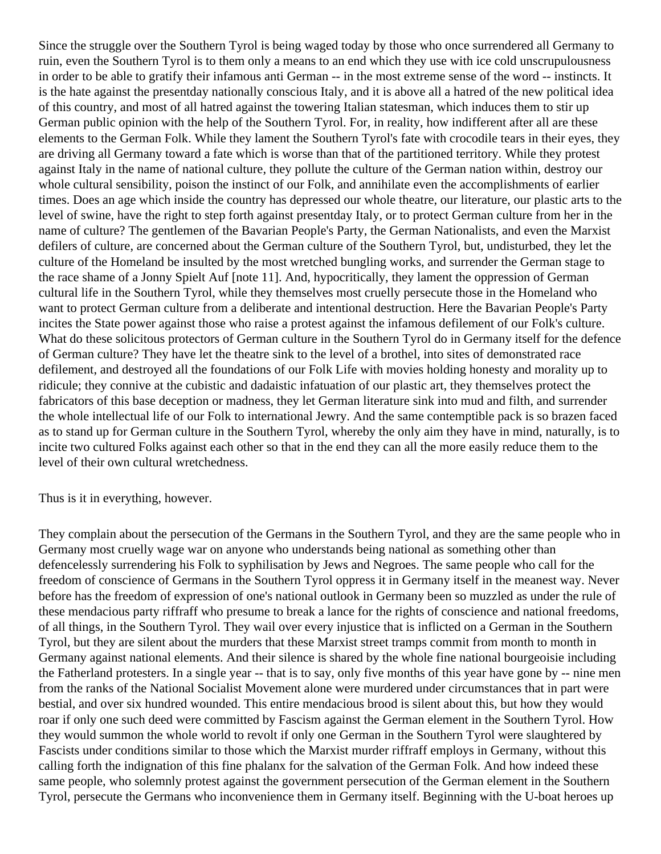Since the struggle over the Southern Tyrol is being waged today by those who once surrendered all Germany to ruin, even the Southern Tyrol is to them only a means to an end which they use with ice cold unscrupulousness in order to be able to gratify their infamous anti German -- in the most extreme sense of the word -- instincts. It is the hate against the presentday nationally conscious Italy, and it is above all a hatred of the new political idea of this country, and most of all hatred against the towering Italian statesman, which induces them to stir up German public opinion with the help of the Southern Tyrol. For, in reality, how indifferent after all are these elements to the German Folk. While they lament the Southern Tyrol's fate with crocodile tears in their eyes, they are driving all Germany toward a fate which is worse than that of the partitioned territory. While they protest against Italy in the name of national culture, they pollute the culture of the German nation within, destroy our whole cultural sensibility, poison the instinct of our Folk, and annihilate even the accomplishments of earlier times. Does an age which inside the country has depressed our whole theatre, our literature, our plastic arts to the level of swine, have the right to step forth against presentday Italy, or to protect German culture from her in the name of culture? The gentlemen of the Bavarian People's Party, the German Nationalists, and even the Marxist defilers of culture, are concerned about the German culture of the Southern Tyrol, but, undisturbed, they let the culture of the Homeland be insulted by the most wretched bungling works, and surrender the German stage to the race shame of a Jonny Spielt Auf [note 11]. And, hypocritically, they lament the oppression of German cultural life in the Southern Tyrol, while they themselves most cruelly persecute those in the Homeland who want to protect German culture from a deliberate and intentional destruction. Here the Bavarian People's Party incites the State power against those who raise a protest against the infamous defilement of our Folk's culture. What do these solicitous protectors of German culture in the Southern Tyrol do in Germany itself for the defence of German culture? They have let the theatre sink to the level of a brothel, into sites of demonstrated race defilement, and destroyed all the foundations of our Folk Life with movies holding honesty and morality up to ridicule; they connive at the cubistic and dadaistic infatuation of our plastic art, they themselves protect the fabricators of this base deception or madness, they let German literature sink into mud and filth, and surrender the whole intellectual life of our Folk to international Jewry. And the same contemptible pack is so brazen faced as to stand up for German culture in the Southern Tyrol, whereby the only aim they have in mind, naturally, is to incite two cultured Folks against each other so that in the end they can all the more easily reduce them to the level of their own cultural wretchedness.

Thus is it in everything, however.

They complain about the persecution of the Germans in the Southern Tyrol, and they are the same people who in Germany most cruelly wage war on anyone who understands being national as something other than defencelessly surrendering his Folk to syphilisation by Jews and Negroes. The same people who call for the freedom of conscience of Germans in the Southern Tyrol oppress it in Germany itself in the meanest way. Never before has the freedom of expression of one's national outlook in Germany been so muzzled as under the rule of these mendacious party riffraff who presume to break a lance for the rights of conscience and national freedoms, of all things, in the Southern Tyrol. They wail over every injustice that is inflicted on a German in the Southern Tyrol, but they are silent about the murders that these Marxist street tramps commit from month to month in Germany against national elements. And their silence is shared by the whole fine national bourgeoisie including the Fatherland protesters. In a single year -- that is to say, only five months of this year have gone by -- nine men from the ranks of the National Socialist Movement alone were murdered under circumstances that in part were bestial, and over six hundred wounded. This entire mendacious brood is silent about this, but how they would roar if only one such deed were committed by Fascism against the German element in the Southern Tyrol. How they would summon the whole world to revolt if only one German in the Southern Tyrol were slaughtered by Fascists under conditions similar to those which the Marxist murder riffraff employs in Germany, without this calling forth the indignation of this fine phalanx for the salvation of the German Folk. And how indeed these same people, who solemnly protest against the government persecution of the German element in the Southern Tyrol, persecute the Germans who inconvenience them in Germany itself. Beginning with the U-boat heroes up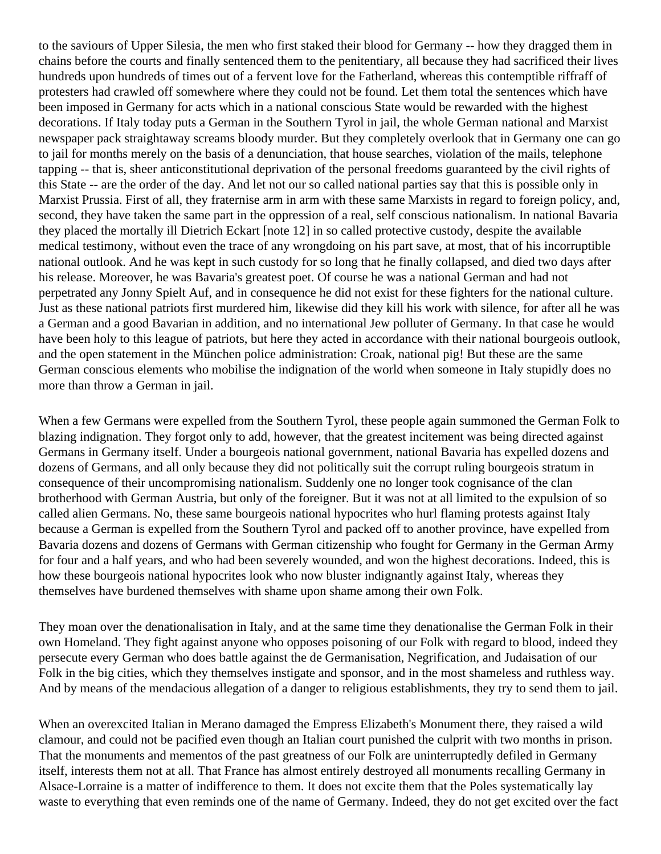to the saviours of Upper Silesia, the men who first staked their blood for Germany -- how they dragged them in chains before the courts and finally sentenced them to the penitentiary, all because they had sacrificed their lives hundreds upon hundreds of times out of a fervent love for the Fatherland, whereas this contemptible riffraff of protesters had crawled off somewhere where they could not be found. Let them total the sentences which have been imposed in Germany for acts which in a national conscious State would be rewarded with the highest decorations. If Italy today puts a German in the Southern Tyrol in jail, the whole German national and Marxist newspaper pack straightaway screams bloody murder. But they completely overlook that in Germany one can go to jail for months merely on the basis of a denunciation, that house searches, violation of the mails, telephone tapping -- that is, sheer anticonstitutional deprivation of the personal freedoms guaranteed by the civil rights of this State -- are the order of the day. And let not our so called national parties say that this is possible only in Marxist Prussia. First of all, they fraternise arm in arm with these same Marxists in regard to foreign policy, and, second, they have taken the same part in the oppression of a real, self conscious nationalism. In national Bavaria they placed the mortally ill Dietrich Eckart [note 12] in so called protective custody, despite the available medical testimony, without even the trace of any wrongdoing on his part save, at most, that of his incorruptible national outlook. And he was kept in such custody for so long that he finally collapsed, and died two days after his release. Moreover, he was Bavaria's greatest poet. Of course he was a national German and had not perpetrated any Jonny Spielt Auf, and in consequence he did not exist for these fighters for the national culture. Just as these national patriots first murdered him, likewise did they kill his work with silence, for after all he was a German and a good Bavarian in addition, and no international Jew polluter of Germany. In that case he would have been holy to this league of patriots, but here they acted in accordance with their national bourgeois outlook, and the open statement in the München police administration: Croak, national pig! But these are the same German conscious elements who mobilise the indignation of the world when someone in Italy stupidly does no more than throw a German in jail.

When a few Germans were expelled from the Southern Tyrol, these people again summoned the German Folk to blazing indignation. They forgot only to add, however, that the greatest incitement was being directed against Germans in Germany itself. Under a bourgeois national government, national Bavaria has expelled dozens and dozens of Germans, and all only because they did not politically suit the corrupt ruling bourgeois stratum in consequence of their uncompromising nationalism. Suddenly one no longer took cognisance of the clan brotherhood with German Austria, but only of the foreigner. But it was not at all limited to the expulsion of so called alien Germans. No, these same bourgeois national hypocrites who hurl flaming protests against Italy because a German is expelled from the Southern Tyrol and packed off to another province, have expelled from Bavaria dozens and dozens of Germans with German citizenship who fought for Germany in the German Army for four and a half years, and who had been severely wounded, and won the highest decorations. Indeed, this is how these bourgeois national hypocrites look who now bluster indignantly against Italy, whereas they themselves have burdened themselves with shame upon shame among their own Folk.

They moan over the denationalisation in Italy, and at the same time they denationalise the German Folk in their own Homeland. They fight against anyone who opposes poisoning of our Folk with regard to blood, indeed they persecute every German who does battle against the de Germanisation, Negrification, and Judaisation of our Folk in the big cities, which they themselves instigate and sponsor, and in the most shameless and ruthless way. And by means of the mendacious allegation of a danger to religious establishments, they try to send them to jail.

When an overexcited Italian in Merano damaged the Empress Elizabeth's Monument there, they raised a wild clamour, and could not be pacified even though an Italian court punished the culprit with two months in prison. That the monuments and mementos of the past greatness of our Folk are uninterruptedly defiled in Germany itself, interests them not at all. That France has almost entirely destroyed all monuments recalling Germany in Alsace-Lorraine is a matter of indifference to them. It does not excite them that the Poles systematically lay waste to everything that even reminds one of the name of Germany. Indeed, they do not get excited over the fact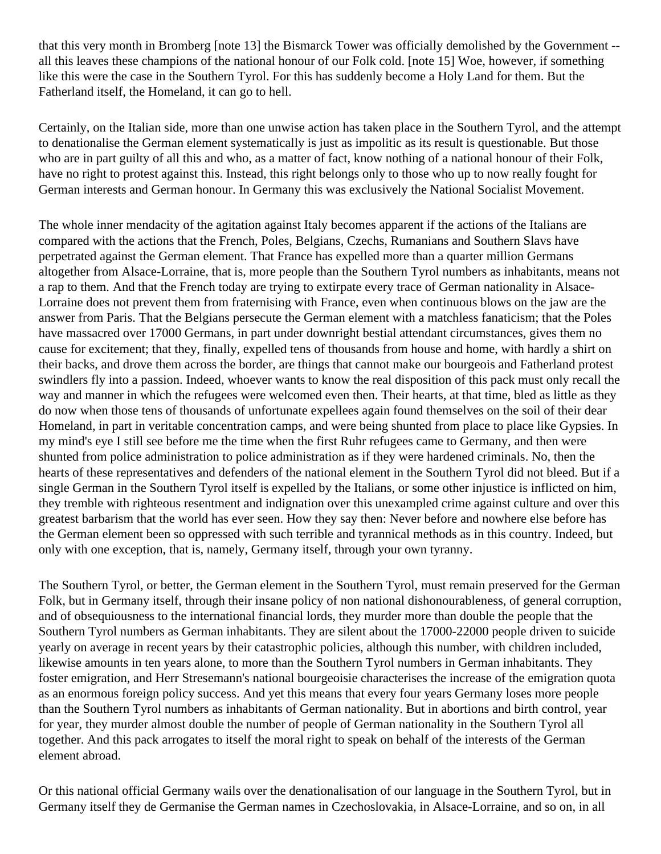that this very month in Bromberg [note 13] the Bismarck Tower was officially demolished by the Government - all this leaves these champions of the national honour of our Folk cold. [note 15] Woe, however, if something like this were the case in the Southern Tyrol. For this has suddenly become a Holy Land for them. But the Fatherland itself, the Homeland, it can go to hell.

Certainly, on the Italian side, more than one unwise action has taken place in the Southern Tyrol, and the attempt to denationalise the German element systematically is just as impolitic as its result is questionable. But those who are in part guilty of all this and who, as a matter of fact, know nothing of a national honour of their Folk, have no right to protest against this. Instead, this right belongs only to those who up to now really fought for German interests and German honour. In Germany this was exclusively the National Socialist Movement.

The whole inner mendacity of the agitation against Italy becomes apparent if the actions of the Italians are compared with the actions that the French, Poles, Belgians, Czechs, Rumanians and Southern Slavs have perpetrated against the German element. That France has expelled more than a quarter million Germans altogether from Alsace-Lorraine, that is, more people than the Southern Tyrol numbers as inhabitants, means not a rap to them. And that the French today are trying to extirpate every trace of German nationality in Alsace-Lorraine does not prevent them from fraternising with France, even when continuous blows on the jaw are the answer from Paris. That the Belgians persecute the German element with a matchless fanaticism; that the Poles have massacred over 17000 Germans, in part under downright bestial attendant circumstances, gives them no cause for excitement; that they, finally, expelled tens of thousands from house and home, with hardly a shirt on their backs, and drove them across the border, are things that cannot make our bourgeois and Fatherland protest swindlers fly into a passion. Indeed, whoever wants to know the real disposition of this pack must only recall the way and manner in which the refugees were welcomed even then. Their hearts, at that time, bled as little as they do now when those tens of thousands of unfortunate expellees again found themselves on the soil of their dear Homeland, in part in veritable concentration camps, and were being shunted from place to place like Gypsies. In my mind's eye I still see before me the time when the first Ruhr refugees came to Germany, and then were shunted from police administration to police administration as if they were hardened criminals. No, then the hearts of these representatives and defenders of the national element in the Southern Tyrol did not bleed. But if a single German in the Southern Tyrol itself is expelled by the Italians, or some other injustice is inflicted on him, they tremble with righteous resentment and indignation over this unexampled crime against culture and over this greatest barbarism that the world has ever seen. How they say then: Never before and nowhere else before has the German element been so oppressed with such terrible and tyrannical methods as in this country. Indeed, but only with one exception, that is, namely, Germany itself, through your own tyranny.

The Southern Tyrol, or better, the German element in the Southern Tyrol, must remain preserved for the German Folk, but in Germany itself, through their insane policy of non national dishonourableness, of general corruption, and of obsequiousness to the international financial lords, they murder more than double the people that the Southern Tyrol numbers as German inhabitants. They are silent about the 17000-22000 people driven to suicide yearly on average in recent years by their catastrophic policies, although this number, with children included, likewise amounts in ten years alone, to more than the Southern Tyrol numbers in German inhabitants. They foster emigration, and Herr Stresemann's national bourgeoisie characterises the increase of the emigration quota as an enormous foreign policy success. And yet this means that every four years Germany loses more people than the Southern Tyrol numbers as inhabitants of German nationality. But in abortions and birth control, year for year, they murder almost double the number of people of German nationality in the Southern Tyrol all together. And this pack arrogates to itself the moral right to speak on behalf of the interests of the German element abroad.

Or this national official Germany wails over the denationalisation of our language in the Southern Tyrol, but in Germany itself they de Germanise the German names in Czechoslovakia, in Alsace-Lorraine, and so on, in all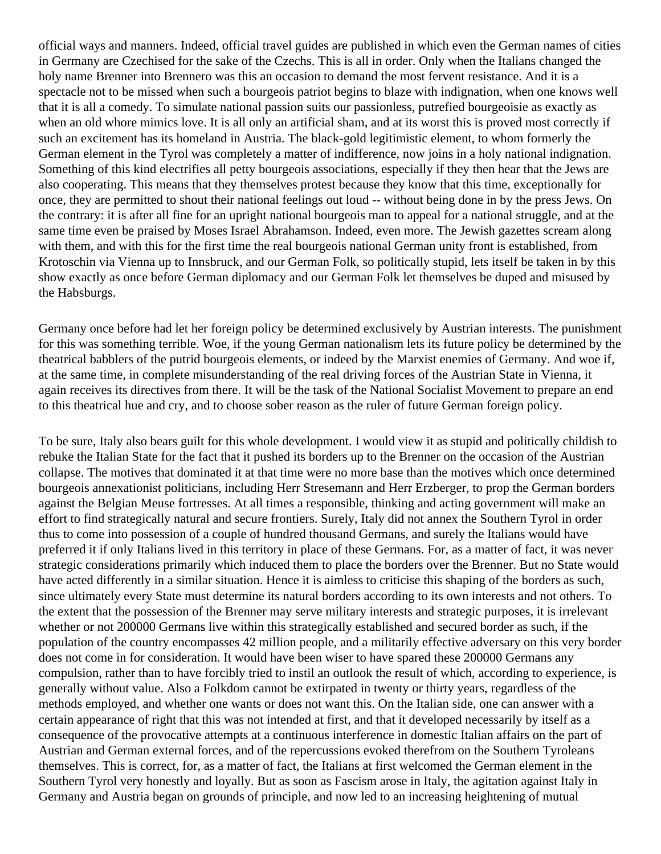official ways and manners. Indeed, official travel guides are published in which even the German names of cities in Germany are Czechised for the sake of the Czechs. This is all in order. Only when the Italians changed the holy name Brenner into Brennero was this an occasion to demand the most fervent resistance. And it is a spectacle not to be missed when such a bourgeois patriot begins to blaze with indignation, when one knows well that it is all a comedy. To simulate national passion suits our passionless, putrefied bourgeoisie as exactly as when an old whore mimics love. It is all only an artificial sham, and at its worst this is proved most correctly if such an excitement has its homeland in Austria. The black-gold legitimistic element, to whom formerly the German element in the Tyrol was completely a matter of indifference, now joins in a holy national indignation. Something of this kind electrifies all petty bourgeois associations, especially if they then hear that the Jews are also cooperating. This means that they themselves protest because they know that this time, exceptionally for once, they are permitted to shout their national feelings out loud -- without being done in by the press Jews. On the contrary: it is after all fine for an upright national bourgeois man to appeal for a national struggle, and at the same time even be praised by Moses Israel Abrahamson. Indeed, even more. The Jewish gazettes scream along with them, and with this for the first time the real bourgeois national German unity front is established, from Krotoschin via Vienna up to Innsbruck, and our German Folk, so politically stupid, lets itself be taken in by this show exactly as once before German diplomacy and our German Folk let themselves be duped and misused by the Habsburgs.

Germany once before had let her foreign policy be determined exclusively by Austrian interests. The punishment for this was something terrible. Woe, if the young German nationalism lets its future policy be determined by the theatrical babblers of the putrid bourgeois elements, or indeed by the Marxist enemies of Germany. And woe if, at the same time, in complete misunderstanding of the real driving forces of the Austrian State in Vienna, it again receives its directives from there. It will be the task of the National Socialist Movement to prepare an end to this theatrical hue and cry, and to choose sober reason as the ruler of future German foreign policy.

To be sure, Italy also bears guilt for this whole development. I would view it as stupid and politically childish to rebuke the Italian State for the fact that it pushed its borders up to the Brenner on the occasion of the Austrian collapse. The motives that dominated it at that time were no more base than the motives which once determined bourgeois annexationist politicians, including Herr Stresemann and Herr Erzberger, to prop the German borders against the Belgian Meuse fortresses. At all times a responsible, thinking and acting government will make an effort to find strategically natural and secure frontiers. Surely, Italy did not annex the Southern Tyrol in order thus to come into possession of a couple of hundred thousand Germans, and surely the Italians would have preferred it if only Italians lived in this territory in place of these Germans. For, as a matter of fact, it was never strategic considerations primarily which induced them to place the borders over the Brenner. But no State would have acted differently in a similar situation. Hence it is aimless to criticise this shaping of the borders as such, since ultimately every State must determine its natural borders according to its own interests and not others. To the extent that the possession of the Brenner may serve military interests and strategic purposes, it is irrelevant whether or not 200000 Germans live within this strategically established and secured border as such, if the population of the country encompasses 42 million people, and a militarily effective adversary on this very border does not come in for consideration. It would have been wiser to have spared these 200000 Germans any compulsion, rather than to have forcibly tried to instil an outlook the result of which, according to experience, is generally without value. Also a Folkdom cannot be extirpated in twenty or thirty years, regardless of the methods employed, and whether one wants or does not want this. On the Italian side, one can answer with a certain appearance of right that this was not intended at first, and that it developed necessarily by itself as a consequence of the provocative attempts at a continuous interference in domestic Italian affairs on the part of Austrian and German external forces, and of the repercussions evoked therefrom on the Southern Tyroleans themselves. This is correct, for, as a matter of fact, the Italians at first welcomed the German element in the Southern Tyrol very honestly and loyally. But as soon as Fascism arose in Italy, the agitation against Italy in Germany and Austria began on grounds of principle, and now led to an increasing heightening of mutual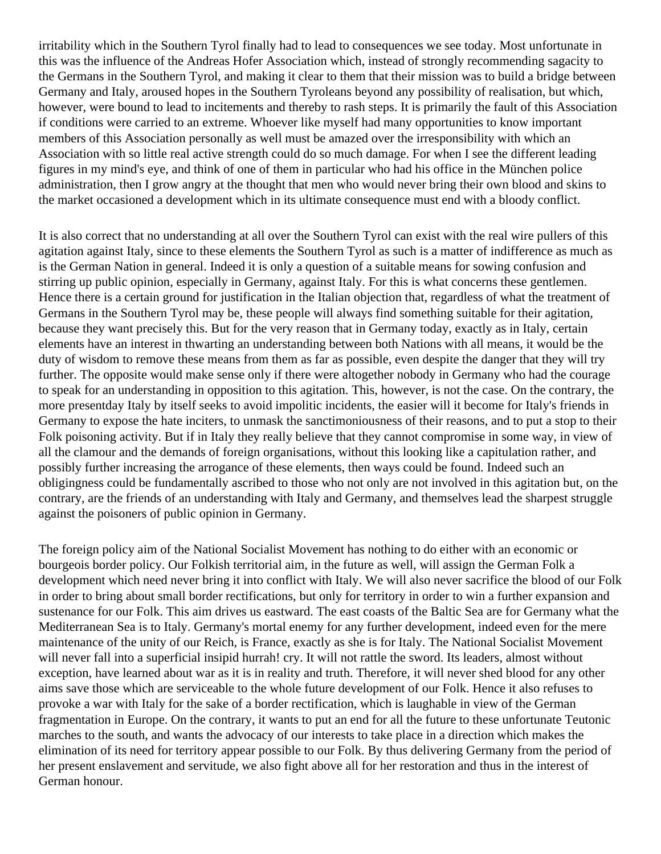irritability which in the Southern Tyrol finally had to lead to consequences we see today. Most unfortunate in this was the influence of the Andreas Hofer Association which, instead of strongly recommending sagacity to the Germans in the Southern Tyrol, and making it clear to them that their mission was to build a bridge between Germany and Italy, aroused hopes in the Southern Tyroleans beyond any possibility of realisation, but which, however, were bound to lead to incitements and thereby to rash steps. It is primarily the fault of this Association if conditions were carried to an extreme. Whoever like myself had many opportunities to know important members of this Association personally as well must be amazed over the irresponsibility with which an Association with so little real active strength could do so much damage. For when I see the different leading figures in my mind's eye, and think of one of them in particular who had his office in the München police administration, then I grow angry at the thought that men who would never bring their own blood and skins to the market occasioned a development which in its ultimate consequence must end with a bloody conflict.

It is also correct that no understanding at all over the Southern Tyrol can exist with the real wire pullers of this agitation against Italy, since to these elements the Southern Tyrol as such is a matter of indifference as much as is the German Nation in general. Indeed it is only a question of a suitable means for sowing confusion and stirring up public opinion, especially in Germany, against Italy. For this is what concerns these gentlemen. Hence there is a certain ground for justification in the Italian objection that, regardless of what the treatment of Germans in the Southern Tyrol may be, these people will always find something suitable for their agitation, because they want precisely this. But for the very reason that in Germany today, exactly as in Italy, certain elements have an interest in thwarting an understanding between both Nations with all means, it would be the duty of wisdom to remove these means from them as far as possible, even despite the danger that they will try further. The opposite would make sense only if there were altogether nobody in Germany who had the courage to speak for an understanding in opposition to this agitation. This, however, is not the case. On the contrary, the more presentday Italy by itself seeks to avoid impolitic incidents, the easier will it become for Italy's friends in Germany to expose the hate inciters, to unmask the sanctimoniousness of their reasons, and to put a stop to their Folk poisoning activity. But if in Italy they really believe that they cannot compromise in some way, in view of all the clamour and the demands of foreign organisations, without this looking like a capitulation rather, and possibly further increasing the arrogance of these elements, then ways could be found. Indeed such an obligingness could be fundamentally ascribed to those who not only are not involved in this agitation but, on the contrary, are the friends of an understanding with Italy and Germany, and themselves lead the sharpest struggle against the poisoners of public opinion in Germany.

The foreign policy aim of the National Socialist Movement has nothing to do either with an economic or bourgeois border policy. Our Folkish territorial aim, in the future as well, will assign the German Folk a development which need never bring it into conflict with Italy. We will also never sacrifice the blood of our Folk in order to bring about small border rectifications, but only for territory in order to win a further expansion and sustenance for our Folk. This aim drives us eastward. The east coasts of the Baltic Sea are for Germany what the Mediterranean Sea is to Italy. Germany's mortal enemy for any further development, indeed even for the mere maintenance of the unity of our Reich, is France, exactly as she is for Italy. The National Socialist Movement will never fall into a superficial insipid hurrah! cry. It will not rattle the sword. Its leaders, almost without exception, have learned about war as it is in reality and truth. Therefore, it will never shed blood for any other aims save those which are serviceable to the whole future development of our Folk. Hence it also refuses to provoke a war with Italy for the sake of a border rectification, which is laughable in view of the German fragmentation in Europe. On the contrary, it wants to put an end for all the future to these unfortunate Teutonic marches to the south, and wants the advocacy of our interests to take place in a direction which makes the elimination of its need for territory appear possible to our Folk. By thus delivering Germany from the period of her present enslavement and servitude, we also fight above all for her restoration and thus in the interest of German honour.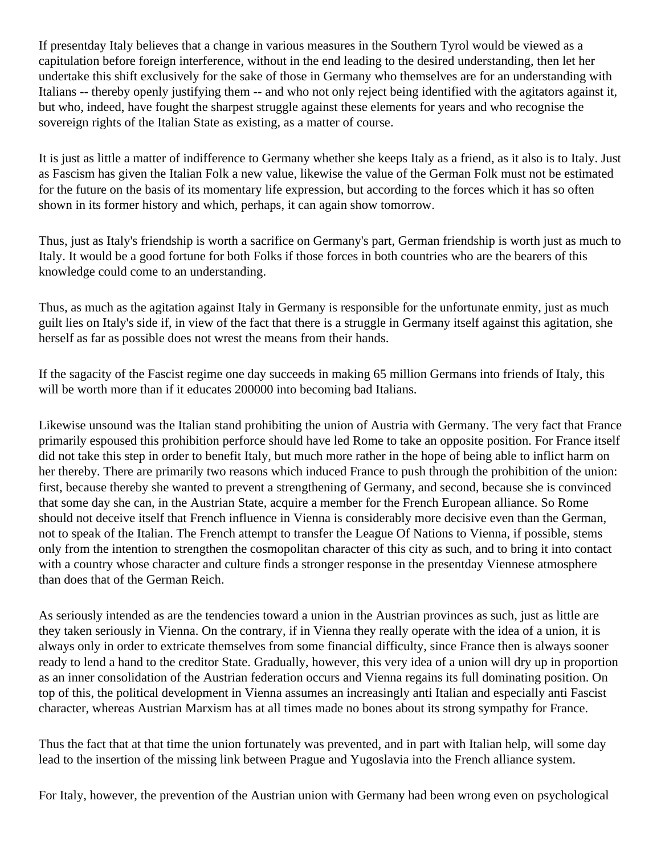If presentday Italy believes that a change in various measures in the Southern Tyrol would be viewed as a capitulation before foreign interference, without in the end leading to the desired understanding, then let her undertake this shift exclusively for the sake of those in Germany who themselves are for an understanding with Italians -- thereby openly justifying them -- and who not only reject being identified with the agitators against it, but who, indeed, have fought the sharpest struggle against these elements for years and who recognise the sovereign rights of the Italian State as existing, as a matter of course.

It is just as little a matter of indifference to Germany whether she keeps Italy as a friend, as it also is to Italy. Just as Fascism has given the Italian Folk a new value, likewise the value of the German Folk must not be estimated for the future on the basis of its momentary life expression, but according to the forces which it has so often shown in its former history and which, perhaps, it can again show tomorrow.

Thus, just as Italy's friendship is worth a sacrifice on Germany's part, German friendship is worth just as much to Italy. It would be a good fortune for both Folks if those forces in both countries who are the bearers of this knowledge could come to an understanding.

Thus, as much as the agitation against Italy in Germany is responsible for the unfortunate enmity, just as much guilt lies on Italy's side if, in view of the fact that there is a struggle in Germany itself against this agitation, she herself as far as possible does not wrest the means from their hands.

If the sagacity of the Fascist regime one day succeeds in making 65 million Germans into friends of Italy, this will be worth more than if it educates 200000 into becoming bad Italians.

Likewise unsound was the Italian stand prohibiting the union of Austria with Germany. The very fact that France primarily espoused this prohibition perforce should have led Rome to take an opposite position. For France itself did not take this step in order to benefit Italy, but much more rather in the hope of being able to inflict harm on her thereby. There are primarily two reasons which induced France to push through the prohibition of the union: first, because thereby she wanted to prevent a strengthening of Germany, and second, because she is convinced that some day she can, in the Austrian State, acquire a member for the French European alliance. So Rome should not deceive itself that French influence in Vienna is considerably more decisive even than the German, not to speak of the Italian. The French attempt to transfer the League Of Nations to Vienna, if possible, stems only from the intention to strengthen the cosmopolitan character of this city as such, and to bring it into contact with a country whose character and culture finds a stronger response in the presentday Viennese atmosphere than does that of the German Reich.

As seriously intended as are the tendencies toward a union in the Austrian provinces as such, just as little are they taken seriously in Vienna. On the contrary, if in Vienna they really operate with the idea of a union, it is always only in order to extricate themselves from some financial difficulty, since France then is always sooner ready to lend a hand to the creditor State. Gradually, however, this very idea of a union will dry up in proportion as an inner consolidation of the Austrian federation occurs and Vienna regains its full dominating position. On top of this, the political development in Vienna assumes an increasingly anti Italian and especially anti Fascist character, whereas Austrian Marxism has at all times made no bones about its strong sympathy for France.

Thus the fact that at that time the union fortunately was prevented, and in part with Italian help, will some day lead to the insertion of the missing link between Prague and Yugoslavia into the French alliance system.

For Italy, however, the prevention of the Austrian union with Germany had been wrong even on psychological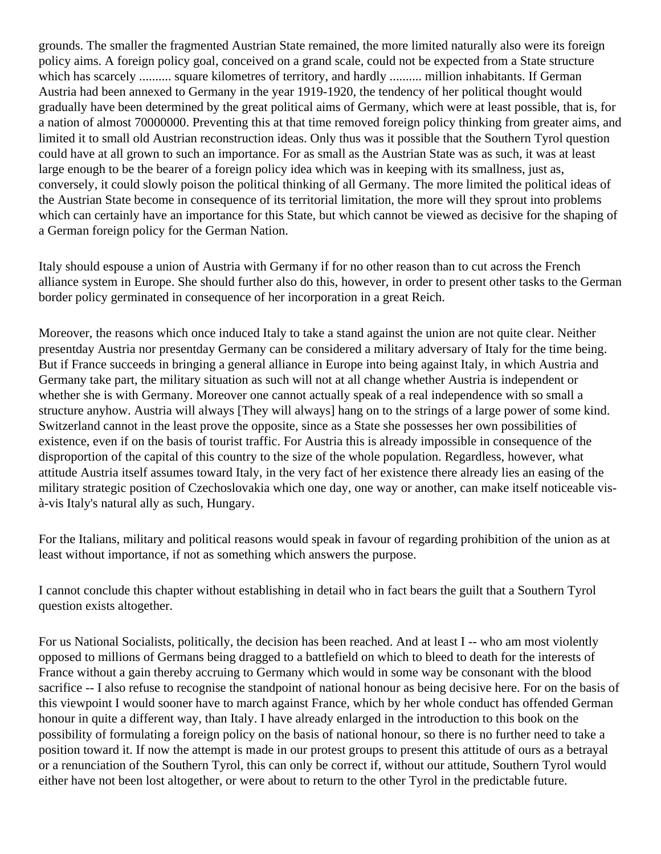grounds. The smaller the fragmented Austrian State remained, the more limited naturally also were its foreign policy aims. A foreign policy goal, conceived on a grand scale, could not be expected from a State structure which has scarcely .......... square kilometres of territory, and hardly .......... million inhabitants. If German Austria had been annexed to Germany in the year 1919-1920, the tendency of her political thought would gradually have been determined by the great political aims of Germany, which were at least possible, that is, for a nation of almost 70000000. Preventing this at that time removed foreign policy thinking from greater aims, and limited it to small old Austrian reconstruction ideas. Only thus was it possible that the Southern Tyrol question could have at all grown to such an importance. For as small as the Austrian State was as such, it was at least large enough to be the bearer of a foreign policy idea which was in keeping with its smallness, just as, conversely, it could slowly poison the political thinking of all Germany. The more limited the political ideas of the Austrian State become in consequence of its territorial limitation, the more will they sprout into problems which can certainly have an importance for this State, but which cannot be viewed as decisive for the shaping of a German foreign policy for the German Nation.

Italy should espouse a union of Austria with Germany if for no other reason than to cut across the French alliance system in Europe. She should further also do this, however, in order to present other tasks to the German border policy germinated in consequence of her incorporation in a great Reich.

Moreover, the reasons which once induced Italy to take a stand against the union are not quite clear. Neither presentday Austria nor presentday Germany can be considered a military adversary of Italy for the time being. But if France succeeds in bringing a general alliance in Europe into being against Italy, in which Austria and Germany take part, the military situation as such will not at all change whether Austria is independent or whether she is with Germany. Moreover one cannot actually speak of a real independence with so small a structure anyhow. Austria will always [They will always] hang on to the strings of a large power of some kind. Switzerland cannot in the least prove the opposite, since as a State she possesses her own possibilities of existence, even if on the basis of tourist traffic. For Austria this is already impossible in consequence of the disproportion of the capital of this country to the size of the whole population. Regardless, however, what attitude Austria itself assumes toward Italy, in the very fact of her existence there already lies an easing of the military strategic position of Czechoslovakia which one day, one way or another, can make itself noticeable visà-vis Italy's natural ally as such, Hungary.

For the Italians, military and political reasons would speak in favour of regarding prohibition of the union as at least without importance, if not as something which answers the purpose.

I cannot conclude this chapter without establishing in detail who in fact bears the guilt that a Southern Tyrol question exists altogether.

For us National Socialists, politically, the decision has been reached. And at least I -- who am most violently opposed to millions of Germans being dragged to a battlefield on which to bleed to death for the interests of France without a gain thereby accruing to Germany which would in some way be consonant with the blood sacrifice -- I also refuse to recognise the standpoint of national honour as being decisive here. For on the basis of this viewpoint I would sooner have to march against France, which by her whole conduct has offended German honour in quite a different way, than Italy. I have already enlarged in the introduction to this book on the possibility of formulating a foreign policy on the basis of national honour, so there is no further need to take a position toward it. If now the attempt is made in our protest groups to present this attitude of ours as a betrayal or a renunciation of the Southern Tyrol, this can only be correct if, without our attitude, Southern Tyrol would either have not been lost altogether, or were about to return to the other Tyrol in the predictable future.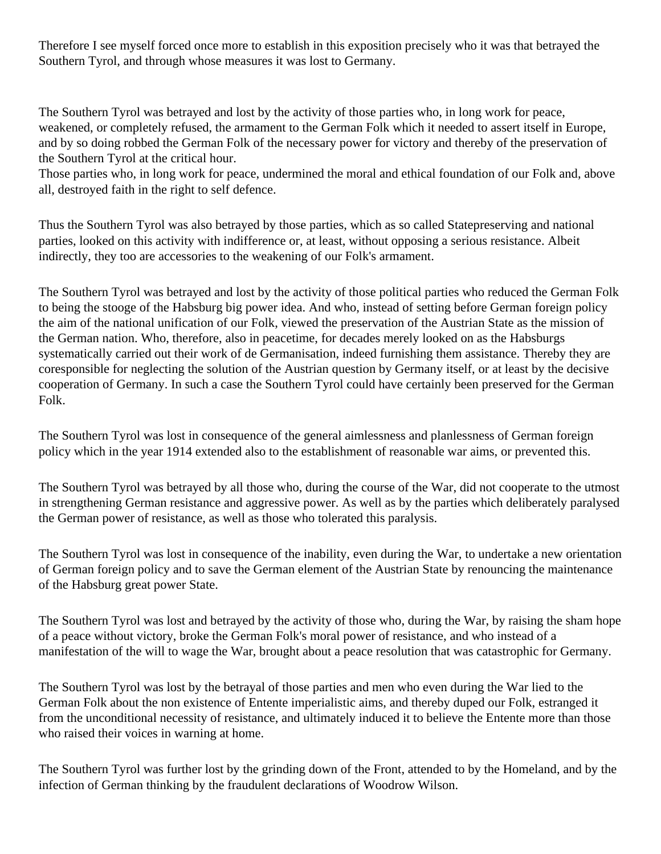Therefore I see myself forced once more to establish in this exposition precisely who it was that betrayed the Southern Tyrol, and through whose measures it was lost to Germany.

The Southern Tyrol was betrayed and lost by the activity of those parties who, in long work for peace, weakened, or completely refused, the armament to the German Folk which it needed to assert itself in Europe, and by so doing robbed the German Folk of the necessary power for victory and thereby of the preservation of the Southern Tyrol at the critical hour.

Those parties who, in long work for peace, undermined the moral and ethical foundation of our Folk and, above all, destroyed faith in the right to self defence.

Thus the Southern Tyrol was also betrayed by those parties, which as so called Statepreserving and national parties, looked on this activity with indifference or, at least, without opposing a serious resistance. Albeit indirectly, they too are accessories to the weakening of our Folk's armament.

The Southern Tyrol was betrayed and lost by the activity of those political parties who reduced the German Folk to being the stooge of the Habsburg big power idea. And who, instead of setting before German foreign policy the aim of the national unification of our Folk, viewed the preservation of the Austrian State as the mission of the German nation. Who, therefore, also in peacetime, for decades merely looked on as the Habsburgs systematically carried out their work of de Germanisation, indeed furnishing them assistance. Thereby they are coresponsible for neglecting the solution of the Austrian question by Germany itself, or at least by the decisive cooperation of Germany. In such a case the Southern Tyrol could have certainly been preserved for the German Folk.

The Southern Tyrol was lost in consequence of the general aimlessness and planlessness of German foreign policy which in the year 1914 extended also to the establishment of reasonable war aims, or prevented this.

The Southern Tyrol was betrayed by all those who, during the course of the War, did not cooperate to the utmost in strengthening German resistance and aggressive power. As well as by the parties which deliberately paralysed the German power of resistance, as well as those who tolerated this paralysis.

The Southern Tyrol was lost in consequence of the inability, even during the War, to undertake a new orientation of German foreign policy and to save the German element of the Austrian State by renouncing the maintenance of the Habsburg great power State.

The Southern Tyrol was lost and betrayed by the activity of those who, during the War, by raising the sham hope of a peace without victory, broke the German Folk's moral power of resistance, and who instead of a manifestation of the will to wage the War, brought about a peace resolution that was catastrophic for Germany.

The Southern Tyrol was lost by the betrayal of those parties and men who even during the War lied to the German Folk about the non existence of Entente imperialistic aims, and thereby duped our Folk, estranged it from the unconditional necessity of resistance, and ultimately induced it to believe the Entente more than those who raised their voices in warning at home.

The Southern Tyrol was further lost by the grinding down of the Front, attended to by the Homeland, and by the infection of German thinking by the fraudulent declarations of Woodrow Wilson.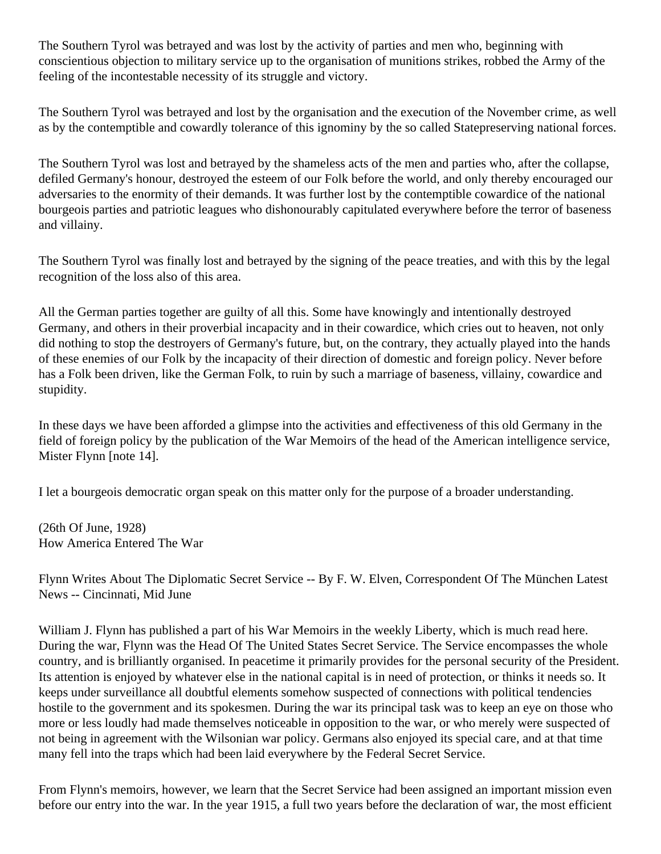The Southern Tyrol was betrayed and was lost by the activity of parties and men who, beginning with conscientious objection to military service up to the organisation of munitions strikes, robbed the Army of the feeling of the incontestable necessity of its struggle and victory.

The Southern Tyrol was betrayed and lost by the organisation and the execution of the November crime, as well as by the contemptible and cowardly tolerance of this ignominy by the so called Statepreserving national forces.

The Southern Tyrol was lost and betrayed by the shameless acts of the men and parties who, after the collapse, defiled Germany's honour, destroyed the esteem of our Folk before the world, and only thereby encouraged our adversaries to the enormity of their demands. It was further lost by the contemptible cowardice of the national bourgeois parties and patriotic leagues who dishonourably capitulated everywhere before the terror of baseness and villainy.

The Southern Tyrol was finally lost and betrayed by the signing of the peace treaties, and with this by the legal recognition of the loss also of this area.

All the German parties together are guilty of all this. Some have knowingly and intentionally destroyed Germany, and others in their proverbial incapacity and in their cowardice, which cries out to heaven, not only did nothing to stop the destroyers of Germany's future, but, on the contrary, they actually played into the hands of these enemies of our Folk by the incapacity of their direction of domestic and foreign policy. Never before has a Folk been driven, like the German Folk, to ruin by such a marriage of baseness, villainy, cowardice and stupidity.

In these days we have been afforded a glimpse into the activities and effectiveness of this old Germany in the field of foreign policy by the publication of the War Memoirs of the head of the American intelligence service, Mister Flynn [note 14].

I let a bourgeois democratic organ speak on this matter only for the purpose of a broader understanding.

(26th Of June, 1928) How America Entered The War

Flynn Writes About The Diplomatic Secret Service -- By F. W. Elven, Correspondent Of The München Latest News -- Cincinnati, Mid June

William J. Flynn has published a part of his War Memoirs in the weekly Liberty, which is much read here. During the war, Flynn was the Head Of The United States Secret Service. The Service encompasses the whole country, and is brilliantly organised. In peacetime it primarily provides for the personal security of the President. Its attention is enjoyed by whatever else in the national capital is in need of protection, or thinks it needs so. It keeps under surveillance all doubtful elements somehow suspected of connections with political tendencies hostile to the government and its spokesmen. During the war its principal task was to keep an eye on those who more or less loudly had made themselves noticeable in opposition to the war, or who merely were suspected of not being in agreement with the Wilsonian war policy. Germans also enjoyed its special care, and at that time many fell into the traps which had been laid everywhere by the Federal Secret Service.

From Flynn's memoirs, however, we learn that the Secret Service had been assigned an important mission even before our entry into the war. In the year 1915, a full two years before the declaration of war, the most efficient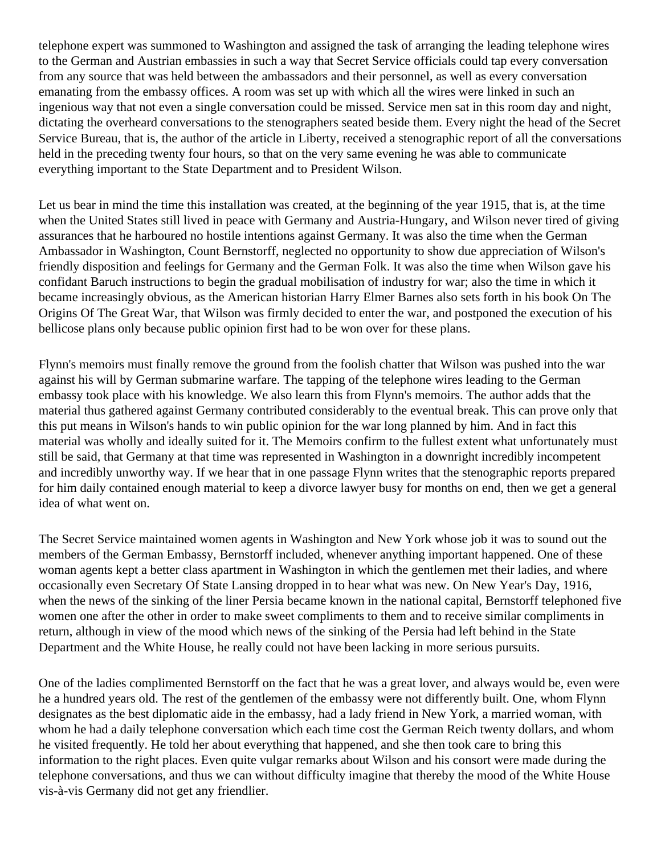telephone expert was summoned to Washington and assigned the task of arranging the leading telephone wires to the German and Austrian embassies in such a way that Secret Service officials could tap every conversation from any source that was held between the ambassadors and their personnel, as well as every conversation emanating from the embassy offices. A room was set up with which all the wires were linked in such an ingenious way that not even a single conversation could be missed. Service men sat in this room day and night, dictating the overheard conversations to the stenographers seated beside them. Every night the head of the Secret Service Bureau, that is, the author of the article in Liberty, received a stenographic report of all the conversations held in the preceding twenty four hours, so that on the very same evening he was able to communicate everything important to the State Department and to President Wilson.

Let us bear in mind the time this installation was created, at the beginning of the year 1915, that is, at the time when the United States still lived in peace with Germany and Austria-Hungary, and Wilson never tired of giving assurances that he harboured no hostile intentions against Germany. It was also the time when the German Ambassador in Washington, Count Bernstorff, neglected no opportunity to show due appreciation of Wilson's friendly disposition and feelings for Germany and the German Folk. It was also the time when Wilson gave his confidant Baruch instructions to begin the gradual mobilisation of industry for war; also the time in which it became increasingly obvious, as the American historian Harry Elmer Barnes also sets forth in his book On The Origins Of The Great War, that Wilson was firmly decided to enter the war, and postponed the execution of his bellicose plans only because public opinion first had to be won over for these plans.

Flynn's memoirs must finally remove the ground from the foolish chatter that Wilson was pushed into the war against his will by German submarine warfare. The tapping of the telephone wires leading to the German embassy took place with his knowledge. We also learn this from Flynn's memoirs. The author adds that the material thus gathered against Germany contributed considerably to the eventual break. This can prove only that this put means in Wilson's hands to win public opinion for the war long planned by him. And in fact this material was wholly and ideally suited for it. The Memoirs confirm to the fullest extent what unfortunately must still be said, that Germany at that time was represented in Washington in a downright incredibly incompetent and incredibly unworthy way. If we hear that in one passage Flynn writes that the stenographic reports prepared for him daily contained enough material to keep a divorce lawyer busy for months on end, then we get a general idea of what went on.

The Secret Service maintained women agents in Washington and New York whose job it was to sound out the members of the German Embassy, Bernstorff included, whenever anything important happened. One of these woman agents kept a better class apartment in Washington in which the gentlemen met their ladies, and where occasionally even Secretary Of State Lansing dropped in to hear what was new. On New Year's Day, 1916, when the news of the sinking of the liner Persia became known in the national capital, Bernstorff telephoned five women one after the other in order to make sweet compliments to them and to receive similar compliments in return, although in view of the mood which news of the sinking of the Persia had left behind in the State Department and the White House, he really could not have been lacking in more serious pursuits.

One of the ladies complimented Bernstorff on the fact that he was a great lover, and always would be, even were he a hundred years old. The rest of the gentlemen of the embassy were not differently built. One, whom Flynn designates as the best diplomatic aide in the embassy, had a lady friend in New York, a married woman, with whom he had a daily telephone conversation which each time cost the German Reich twenty dollars, and whom he visited frequently. He told her about everything that happened, and she then took care to bring this information to the right places. Even quite vulgar remarks about Wilson and his consort were made during the telephone conversations, and thus we can without difficulty imagine that thereby the mood of the White House vis-à-vis Germany did not get any friendlier.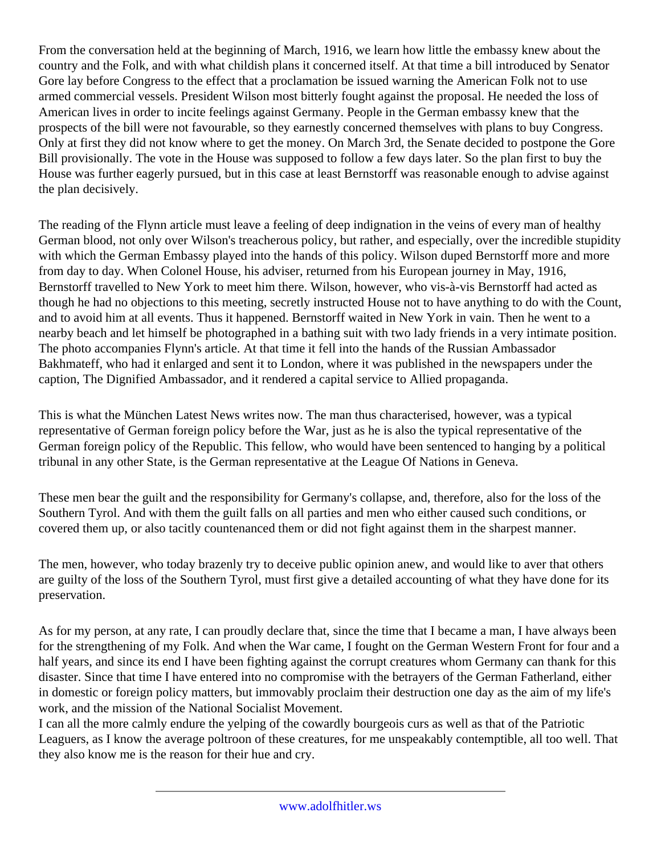From the conversation held at the beginning of March, 1916, we learn how little the embassy knew about the country and the Folk, and with what childish plans it concerned itself. At that time a bill introduced by Senator Gore lay before Congress to the effect that a proclamation be issued warning the American Folk not to use armed commercial vessels. President Wilson most bitterly fought against the proposal. He needed the loss of American lives in order to incite feelings against Germany. People in the German embassy knew that the prospects of the bill were not favourable, so they earnestly concerned themselves with plans to buy Congress. Only at first they did not know where to get the money. On March 3rd, the Senate decided to postpone the Gore Bill provisionally. The vote in the House was supposed to follow a few days later. So the plan first to buy the House was further eagerly pursued, but in this case at least Bernstorff was reasonable enough to advise against the plan decisively.

The reading of the Flynn article must leave a feeling of deep indignation in the veins of every man of healthy German blood, not only over Wilson's treacherous policy, but rather, and especially, over the incredible stupidity with which the German Embassy played into the hands of this policy. Wilson duped Bernstorff more and more from day to day. When Colonel House, his adviser, returned from his European journey in May, 1916, Bernstorff travelled to New York to meet him there. Wilson, however, who vis-à-vis Bernstorff had acted as though he had no objections to this meeting, secretly instructed House not to have anything to do with the Count, and to avoid him at all events. Thus it happened. Bernstorff waited in New York in vain. Then he went to a nearby beach and let himself be photographed in a bathing suit with two lady friends in a very intimate position. The photo accompanies Flynn's article. At that time it fell into the hands of the Russian Ambassador Bakhmateff, who had it enlarged and sent it to London, where it was published in the newspapers under the caption, The Dignified Ambassador, and it rendered a capital service to Allied propaganda.

This is what the München Latest News writes now. The man thus characterised, however, was a typical representative of German foreign policy before the War, just as he is also the typical representative of the German foreign policy of the Republic. This fellow, who would have been sentenced to hanging by a political tribunal in any other State, is the German representative at the League Of Nations in Geneva.

These men bear the guilt and the responsibility for Germany's collapse, and, therefore, also for the loss of the Southern Tyrol. And with them the guilt falls on all parties and men who either caused such conditions, or covered them up, or also tacitly countenanced them or did not fight against them in the sharpest manner.

The men, however, who today brazenly try to deceive public opinion anew, and would like to aver that others are guilty of the loss of the Southern Tyrol, must first give a detailed accounting of what they have done for its preservation.

As for my person, at any rate, I can proudly declare that, since the time that I became a man, I have always been for the strengthening of my Folk. And when the War came, I fought on the German Western Front for four and a half years, and since its end I have been fighting against the corrupt creatures whom Germany can thank for this disaster. Since that time I have entered into no compromise with the betrayers of the German Fatherland, either in domestic or foreign policy matters, but immovably proclaim their destruction one day as the aim of my life's work, and the mission of the National Socialist Movement.

I can all the more calmly endure the yelping of the cowardly bourgeois curs as well as that of the Patriotic Leaguers, as I know the average poltroon of these creatures, for me unspeakably contemptible, all too well. That they also know me is the reason for their hue and cry.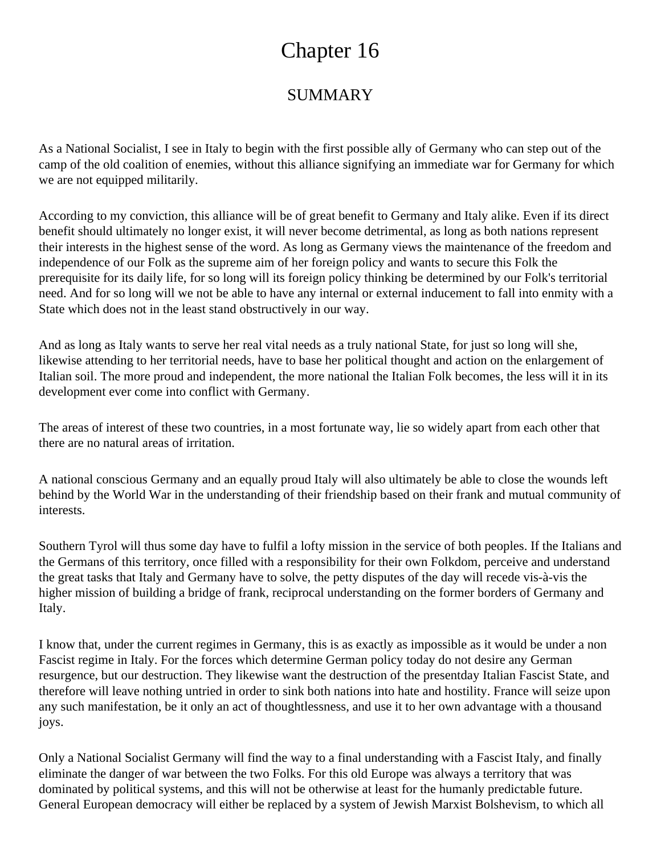## Chapter 16

## SUMMARY

As a National Socialist, I see in Italy to begin with the first possible ally of Germany who can step out of the camp of the old coalition of enemies, without this alliance signifying an immediate war for Germany for which we are not equipped militarily.

According to my conviction, this alliance will be of great benefit to Germany and Italy alike. Even if its direct benefit should ultimately no longer exist, it will never become detrimental, as long as both nations represent their interests in the highest sense of the word. As long as Germany views the maintenance of the freedom and independence of our Folk as the supreme aim of her foreign policy and wants to secure this Folk the prerequisite for its daily life, for so long will its foreign policy thinking be determined by our Folk's territorial need. And for so long will we not be able to have any internal or external inducement to fall into enmity with a State which does not in the least stand obstructively in our way.

And as long as Italy wants to serve her real vital needs as a truly national State, for just so long will she, likewise attending to her territorial needs, have to base her political thought and action on the enlargement of Italian soil. The more proud and independent, the more national the Italian Folk becomes, the less will it in its development ever come into conflict with Germany.

The areas of interest of these two countries, in a most fortunate way, lie so widely apart from each other that there are no natural areas of irritation.

A national conscious Germany and an equally proud Italy will also ultimately be able to close the wounds left behind by the World War in the understanding of their friendship based on their frank and mutual community of interests.

Southern Tyrol will thus some day have to fulfil a lofty mission in the service of both peoples. If the Italians and the Germans of this territory, once filled with a responsibility for their own Folkdom, perceive and understand the great tasks that Italy and Germany have to solve, the petty disputes of the day will recede vis-à-vis the higher mission of building a bridge of frank, reciprocal understanding on the former borders of Germany and Italy.

I know that, under the current regimes in Germany, this is as exactly as impossible as it would be under a non Fascist regime in Italy. For the forces which determine German policy today do not desire any German resurgence, but our destruction. They likewise want the destruction of the presentday Italian Fascist State, and therefore will leave nothing untried in order to sink both nations into hate and hostility. France will seize upon any such manifestation, be it only an act of thoughtlessness, and use it to her own advantage with a thousand joys.

Only a National Socialist Germany will find the way to a final understanding with a Fascist Italy, and finally eliminate the danger of war between the two Folks. For this old Europe was always a territory that was dominated by political systems, and this will not be otherwise at least for the humanly predictable future. General European democracy will either be replaced by a system of Jewish Marxist Bolshevism, to which all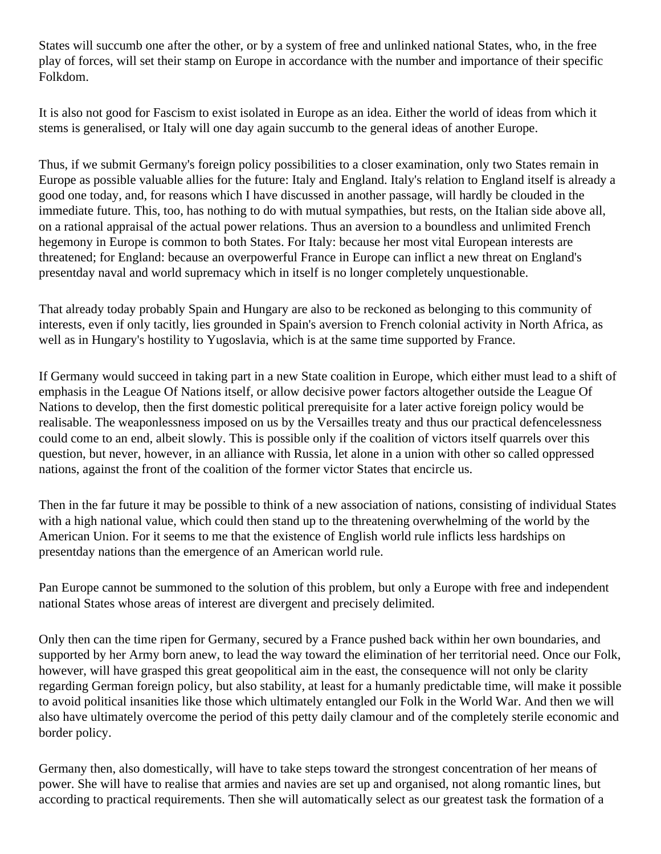States will succumb one after the other, or by a system of free and unlinked national States, who, in the free play of forces, will set their stamp on Europe in accordance with the number and importance of their specific Folkdom.

It is also not good for Fascism to exist isolated in Europe as an idea. Either the world of ideas from which it stems is generalised, or Italy will one day again succumb to the general ideas of another Europe.

Thus, if we submit Germany's foreign policy possibilities to a closer examination, only two States remain in Europe as possible valuable allies for the future: Italy and England. Italy's relation to England itself is already a good one today, and, for reasons which I have discussed in another passage, will hardly be clouded in the immediate future. This, too, has nothing to do with mutual sympathies, but rests, on the Italian side above all, on a rational appraisal of the actual power relations. Thus an aversion to a boundless and unlimited French hegemony in Europe is common to both States. For Italy: because her most vital European interests are threatened; for England: because an overpowerful France in Europe can inflict a new threat on England's presentday naval and world supremacy which in itself is no longer completely unquestionable.

That already today probably Spain and Hungary are also to be reckoned as belonging to this community of interests, even if only tacitly, lies grounded in Spain's aversion to French colonial activity in North Africa, as well as in Hungary's hostility to Yugoslavia, which is at the same time supported by France.

If Germany would succeed in taking part in a new State coalition in Europe, which either must lead to a shift of emphasis in the League Of Nations itself, or allow decisive power factors altogether outside the League Of Nations to develop, then the first domestic political prerequisite for a later active foreign policy would be realisable. The weaponlessness imposed on us by the Versailles treaty and thus our practical defencelessness could come to an end, albeit slowly. This is possible only if the coalition of victors itself quarrels over this question, but never, however, in an alliance with Russia, let alone in a union with other so called oppressed nations, against the front of the coalition of the former victor States that encircle us.

Then in the far future it may be possible to think of a new association of nations, consisting of individual States with a high national value, which could then stand up to the threatening overwhelming of the world by the American Union. For it seems to me that the existence of English world rule inflicts less hardships on presentday nations than the emergence of an American world rule.

Pan Europe cannot be summoned to the solution of this problem, but only a Europe with free and independent national States whose areas of interest are divergent and precisely delimited.

Only then can the time ripen for Germany, secured by a France pushed back within her own boundaries, and supported by her Army born anew, to lead the way toward the elimination of her territorial need. Once our Folk, however, will have grasped this great geopolitical aim in the east, the consequence will not only be clarity regarding German foreign policy, but also stability, at least for a humanly predictable time, will make it possible to avoid political insanities like those which ultimately entangled our Folk in the World War. And then we will also have ultimately overcome the period of this petty daily clamour and of the completely sterile economic and border policy.

Germany then, also domestically, will have to take steps toward the strongest concentration of her means of power. She will have to realise that armies and navies are set up and organised, not along romantic lines, but according to practical requirements. Then she will automatically select as our greatest task the formation of a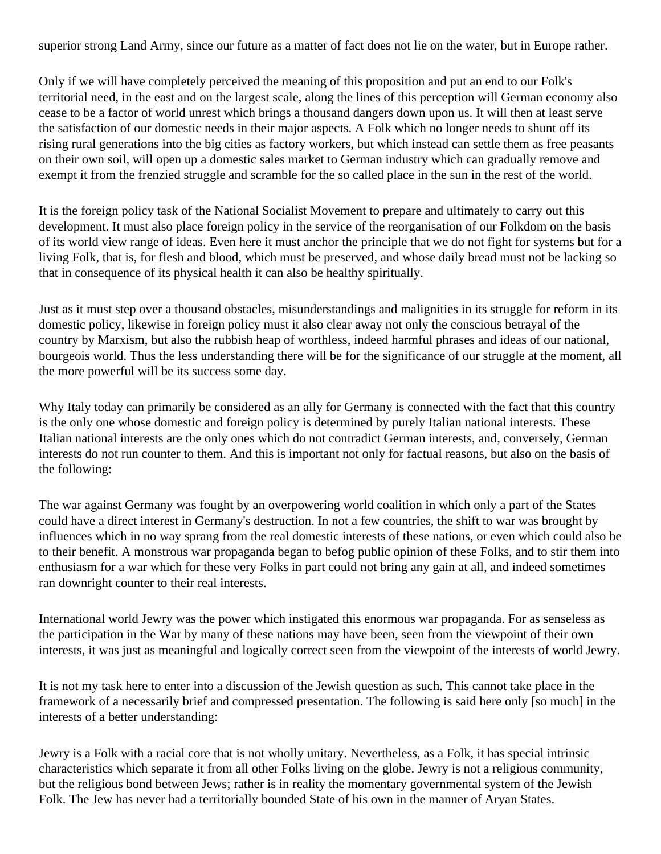superior strong Land Army, since our future as a matter of fact does not lie on the water, but in Europe rather.

Only if we will have completely perceived the meaning of this proposition and put an end to our Folk's territorial need, in the east and on the largest scale, along the lines of this perception will German economy also cease to be a factor of world unrest which brings a thousand dangers down upon us. It will then at least serve the satisfaction of our domestic needs in their major aspects. A Folk which no longer needs to shunt off its rising rural generations into the big cities as factory workers, but which instead can settle them as free peasants on their own soil, will open up a domestic sales market to German industry which can gradually remove and exempt it from the frenzied struggle and scramble for the so called place in the sun in the rest of the world.

It is the foreign policy task of the National Socialist Movement to prepare and ultimately to carry out this development. It must also place foreign policy in the service of the reorganisation of our Folkdom on the basis of its world view range of ideas. Even here it must anchor the principle that we do not fight for systems but for a living Folk, that is, for flesh and blood, which must be preserved, and whose daily bread must not be lacking so that in consequence of its physical health it can also be healthy spiritually.

Just as it must step over a thousand obstacles, misunderstandings and malignities in its struggle for reform in its domestic policy, likewise in foreign policy must it also clear away not only the conscious betrayal of the country by Marxism, but also the rubbish heap of worthless, indeed harmful phrases and ideas of our national, bourgeois world. Thus the less understanding there will be for the significance of our struggle at the moment, all the more powerful will be its success some day.

Why Italy today can primarily be considered as an ally for Germany is connected with the fact that this country is the only one whose domestic and foreign policy is determined by purely Italian national interests. These Italian national interests are the only ones which do not contradict German interests, and, conversely, German interests do not run counter to them. And this is important not only for factual reasons, but also on the basis of the following:

The war against Germany was fought by an overpowering world coalition in which only a part of the States could have a direct interest in Germany's destruction. In not a few countries, the shift to war was brought by influences which in no way sprang from the real domestic interests of these nations, or even which could also be to their benefit. A monstrous war propaganda began to befog public opinion of these Folks, and to stir them into enthusiasm for a war which for these very Folks in part could not bring any gain at all, and indeed sometimes ran downright counter to their real interests.

International world Jewry was the power which instigated this enormous war propaganda. For as senseless as the participation in the War by many of these nations may have been, seen from the viewpoint of their own interests, it was just as meaningful and logically correct seen from the viewpoint of the interests of world Jewry.

It is not my task here to enter into a discussion of the Jewish question as such. This cannot take place in the framework of a necessarily brief and compressed presentation. The following is said here only [so much] in the interests of a better understanding:

Jewry is a Folk with a racial core that is not wholly unitary. Nevertheless, as a Folk, it has special intrinsic characteristics which separate it from all other Folks living on the globe. Jewry is not a religious community, but the religious bond between Jews; rather is in reality the momentary governmental system of the Jewish Folk. The Jew has never had a territorially bounded State of his own in the manner of Aryan States.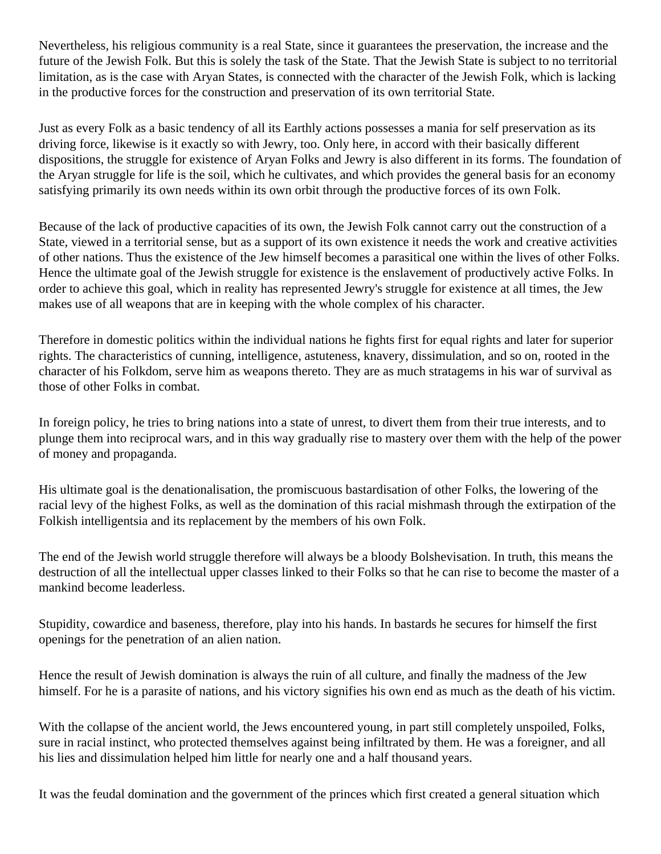Nevertheless, his religious community is a real State, since it guarantees the preservation, the increase and the future of the Jewish Folk. But this is solely the task of the State. That the Jewish State is subject to no territorial limitation, as is the case with Aryan States, is connected with the character of the Jewish Folk, which is lacking in the productive forces for the construction and preservation of its own territorial State.

Just as every Folk as a basic tendency of all its Earthly actions possesses a mania for self preservation as its driving force, likewise is it exactly so with Jewry, too. Only here, in accord with their basically different dispositions, the struggle for existence of Aryan Folks and Jewry is also different in its forms. The foundation of the Aryan struggle for life is the soil, which he cultivates, and which provides the general basis for an economy satisfying primarily its own needs within its own orbit through the productive forces of its own Folk.

Because of the lack of productive capacities of its own, the Jewish Folk cannot carry out the construction of a State, viewed in a territorial sense, but as a support of its own existence it needs the work and creative activities of other nations. Thus the existence of the Jew himself becomes a parasitical one within the lives of other Folks. Hence the ultimate goal of the Jewish struggle for existence is the enslavement of productively active Folks. In order to achieve this goal, which in reality has represented Jewry's struggle for existence at all times, the Jew makes use of all weapons that are in keeping with the whole complex of his character.

Therefore in domestic politics within the individual nations he fights first for equal rights and later for superior rights. The characteristics of cunning, intelligence, astuteness, knavery, dissimulation, and so on, rooted in the character of his Folkdom, serve him as weapons thereto. They are as much stratagems in his war of survival as those of other Folks in combat.

In foreign policy, he tries to bring nations into a state of unrest, to divert them from their true interests, and to plunge them into reciprocal wars, and in this way gradually rise to mastery over them with the help of the power of money and propaganda.

His ultimate goal is the denationalisation, the promiscuous bastardisation of other Folks, the lowering of the racial levy of the highest Folks, as well as the domination of this racial mishmash through the extirpation of the Folkish intelligentsia and its replacement by the members of his own Folk.

The end of the Jewish world struggle therefore will always be a bloody Bolshevisation. In truth, this means the destruction of all the intellectual upper classes linked to their Folks so that he can rise to become the master of a mankind become leaderless.

Stupidity, cowardice and baseness, therefore, play into his hands. In bastards he secures for himself the first openings for the penetration of an alien nation.

Hence the result of Jewish domination is always the ruin of all culture, and finally the madness of the Jew himself. For he is a parasite of nations, and his victory signifies his own end as much as the death of his victim.

With the collapse of the ancient world, the Jews encountered young, in part still completely unspoiled, Folks, sure in racial instinct, who protected themselves against being infiltrated by them. He was a foreigner, and all his lies and dissimulation helped him little for nearly one and a half thousand years.

It was the feudal domination and the government of the princes which first created a general situation which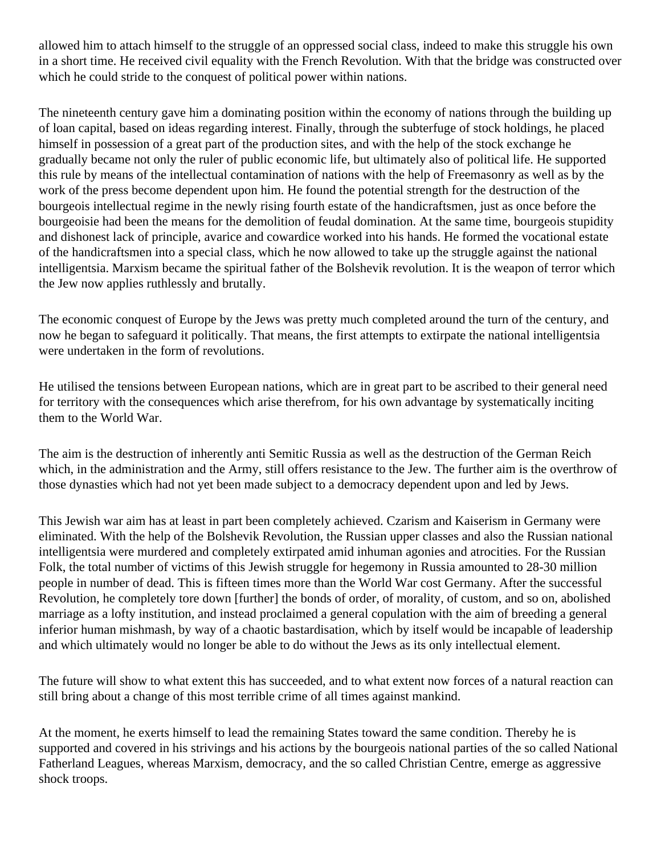allowed him to attach himself to the struggle of an oppressed social class, indeed to make this struggle his own in a short time. He received civil equality with the French Revolution. With that the bridge was constructed over which he could stride to the conquest of political power within nations.

The nineteenth century gave him a dominating position within the economy of nations through the building up of loan capital, based on ideas regarding interest. Finally, through the subterfuge of stock holdings, he placed himself in possession of a great part of the production sites, and with the help of the stock exchange he gradually became not only the ruler of public economic life, but ultimately also of political life. He supported this rule by means of the intellectual contamination of nations with the help of Freemasonry as well as by the work of the press become dependent upon him. He found the potential strength for the destruction of the bourgeois intellectual regime in the newly rising fourth estate of the handicraftsmen, just as once before the bourgeoisie had been the means for the demolition of feudal domination. At the same time, bourgeois stupidity and dishonest lack of principle, avarice and cowardice worked into his hands. He formed the vocational estate of the handicraftsmen into a special class, which he now allowed to take up the struggle against the national intelligentsia. Marxism became the spiritual father of the Bolshevik revolution. It is the weapon of terror which the Jew now applies ruthlessly and brutally.

The economic conquest of Europe by the Jews was pretty much completed around the turn of the century, and now he began to safeguard it politically. That means, the first attempts to extirpate the national intelligentsia were undertaken in the form of revolutions.

He utilised the tensions between European nations, which are in great part to be ascribed to their general need for territory with the consequences which arise therefrom, for his own advantage by systematically inciting them to the World War.

The aim is the destruction of inherently anti Semitic Russia as well as the destruction of the German Reich which, in the administration and the Army, still offers resistance to the Jew. The further aim is the overthrow of those dynasties which had not yet been made subject to a democracy dependent upon and led by Jews.

This Jewish war aim has at least in part been completely achieved. Czarism and Kaiserism in Germany were eliminated. With the help of the Bolshevik Revolution, the Russian upper classes and also the Russian national intelligentsia were murdered and completely extirpated amid inhuman agonies and atrocities. For the Russian Folk, the total number of victims of this Jewish struggle for hegemony in Russia amounted to 28-30 million people in number of dead. This is fifteen times more than the World War cost Germany. After the successful Revolution, he completely tore down [further] the bonds of order, of morality, of custom, and so on, abolished marriage as a lofty institution, and instead proclaimed a general copulation with the aim of breeding a general inferior human mishmash, by way of a chaotic bastardisation, which by itself would be incapable of leadership and which ultimately would no longer be able to do without the Jews as its only intellectual element.

The future will show to what extent this has succeeded, and to what extent now forces of a natural reaction can still bring about a change of this most terrible crime of all times against mankind.

At the moment, he exerts himself to lead the remaining States toward the same condition. Thereby he is supported and covered in his strivings and his actions by the bourgeois national parties of the so called National Fatherland Leagues, whereas Marxism, democracy, and the so called Christian Centre, emerge as aggressive shock troops.